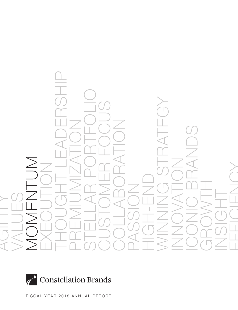



FISCAL YEAR 2018 ANNUAL REPORT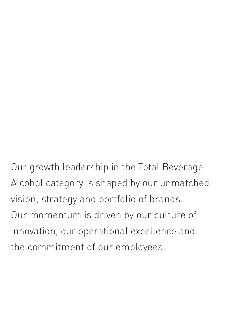Our growth leadership in the Total Beverage Alcohol category is shaped by our unmatched vision, strategy and portfolio of brands. Our momentum is driven by our culture of innovation, our operational excellence and the commitment of our employees.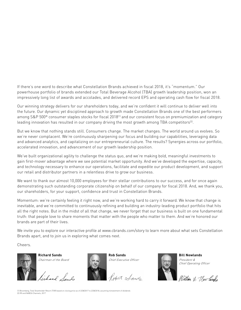If there's one word to describe what Constellation Brands achieved in fiscal 2018, it's "momentum." Our powerhouse portfolio of brands extended our Total Beverage Alcohol (TBA) growth leadership position, won an impressively long list of awards and accolades, and delivered record EPS and operating cash flow for fiscal 2018.

Our winning strategy delivers for our shareholders today, and we're confident it will continue to deliver well into the future. Our dynamic yet disciplined approach to growth made Constellation Brands one of the best performers among S&P 500<sup>®</sup> consumer staples stocks for fiscal 2018<sup>(1)</sup> and our consistent focus on premiumization and category leading innovation has resulted in our company driving the most growth among TBA competitors<sup>(2)</sup>.

But we know that nothing stands still. Consumers change. The market changes. The world around us evolves. So we're never complacent. We're continuously sharpening our focus and building our capabilities, leveraging data and advanced analytics, and capitalizing on our entrepreneurial culture. The results? Synergies across our portfolio, accelerated innovation, and advancement of our growth leadership position.

We've built organizational agility to challenge the status quo, and we're making bold, meaningful investments to gain first-mover advantage where we see potential market opportunity. And we've developed the expertise, capacity, and technology necessary to enhance our operations, facilitate and expedite our product development, and support our retail and distributor partners in a relentless drive to grow our business.

We want to thank our almost 10,000 employees for their stellar contributions to our success, and for once again demonstrating such outstanding corporate citizenship on behalf of our company for fiscal 2018. And, we thank you, our shareholders, for your support, confidence and trust in Constellation Brands.

Momentum: we're certainly feeling it right now, and we're working hard to carry it forward. We know that change is inevitable, and we're committed to continuously refining and building an industry-leading product portfolio that hits all the right notes. But in the midst of all that change, we never forget that our business is built on one fundamental truth: that people love to share moments that matter with the people who matter to them. And we're honored our brands are part of their lives.

We invite you to explore our interactive profile at www.cbrands.com/story to learn more about what sets Constellation Brands apart, and to join us in exploring what comes next.

Cheers.



**Richard Sands** Chairman of the Board

I ihand San



**Rob Sands** Chief Executive Officer

Robert Sands



**Bill Newlands** President & Chief Operating Officer

William A. Hew Councils

(1) Bloomberg; Total Shareholder Return (TSR) based on closing price as of 2/28/2017 to 2/28/2018, assuming reinvestment of dividends (2) IRI and NABCA Channels, 2017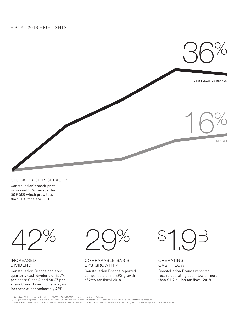#### FISCAL 2018 HIGHLIGHTS



# STOCK PRICE INCREASE<sup>(1)</sup>

Constellation's stock price increased 36%, versus the S&P 500 which grew less than 20% for fiscal 2018.



# INCREASED DIVIDEND

Constellation Brands declared quarterly cash dividend of \$0.74 per share Class A and \$0.67 per share Class B common stock, an increase of approximately 42%.



#### COMPARABLE BASIS EPS GROWTH (2)

Constellation Brands reported comparable basis EPS growth of 29% for fiscal 2018.

# 1.9B

OPERATING CASH FLOW

Constellation Brands reported record operating cash flow of more than \$1.9 billion for fiscal 2018.

(1) Bloomberg; TSR based on closing price as of 2/28/2017 to 2/28/2018, assuming reinvestment of dividends<br>(2) EPS growth on a reported basis is up 54% over fiscal 2017. The comparable basis EPS growth armount contained in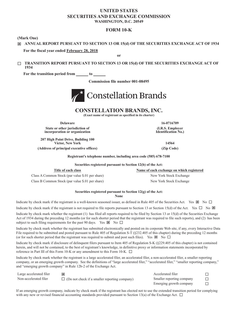# **UNITED STATES SECURITIES AND EXCHANGE COMMISSION WASHINGTON, D.C. 20549**

# **FORM 10-K**

**(Mark One)**

# **ANNUAL REPORT PURSUANT TO SECTION 13 OR 15(d) OF THE SECURITIES EXCHANGE ACT OF 1934**

**For the fiscal year ended February 28, 2018**

**or**

**TRANSITION REPORT PURSUANT TO SECTION 13 OR 15(d) OF THE SECURITIES EXCHANGE ACT OF** П **1934**

**For the transition period from to** 

**Commission file number 001-08495**



# **CONSTELLATION BRANDS, INC.**

**(Exact name of registrant as specified in its charter)**

**Delaware 16-0716709 State or other jurisdiction of incorporation or organization**

**207 High Point Drive, Building 100** Victor, New York 14564

**(Address of principal executive offices) (Zip Code)**

**(I.R.S. Employer Identification No.)**

**Registrant's telephone number, including area code (585) 678-7100**

**Securities registered pursuant to Section 12(b) of the Act:**

**Title of each class Name of each exchange on which registered** Class A Common Stock (par value \$.01 per share) New York Stock Exchange

Class B Common Stock (par value \$.01 per share) New York Stock Exchange

#### **Securities registered pursuant to Section 12(g) of the Act:**

**None**

Indicate by check mark if the registrant is a well-known seasoned issuer, as defined in Rule 405 of the Securities Act. Yes  $\boxtimes$  No  $\Box$ 

Indicate by check mark if the registrant is not required to file reports pursuant to Section 13 or Section 15(d) of the Act. Yes  $\Box$  No  $\boxtimes$ 

Indicate by check mark whether the registrant (1) has filed all reports required to be filed by Section 13 or 15(d) of the Securities Exchange Act of 1934 during the preceding 12 months (or for such shorter period that the registrant was required to file such reports), and (2) has been subject to such filing requirements for the past 90 days. Yes  $\boxtimes$  No  $\Box$ 

Indicate by check mark whether the registrant has submitted electronically and posted on its corporate Web site, if any, every Interactive Data File required to be submitted and posted pursuant to Rule 405 of Regulation S-T (§232.405 of this chapter) during the preceding 12 months (or for such shorter period that the registrant was required to submit and post such files). Yes  $\boxtimes$  No  $\Box$ 

Indicate by check mark if disclosure of delinquent filers pursuant to Item 405 of Regulation S-K (§229.405 of this chapter) is not contained herein, and will not be contained, to the best of registrant's knowledge, in definitive proxy or information statements incorporated by reference in Part III of this Form 10-K or any amendment to this Form 10-K.  $\Box$ 

Indicate by check mark whether the registrant is a large accelerated filer, an accelerated filer, a non-accelerated filer, a smaller reporting company, or an emerging growth company. See the definitions of "large accelerated filer," "accelerated filer," "smaller reporting company," and "emerging growth company" in Rule 12b-2 of the Exchange Act.

| Large accelerated filer |                                                      | Accelerated filer         |  |
|-------------------------|------------------------------------------------------|---------------------------|--|
| Non-accelerated filer   | $\Box$ (Do not check if a smaller reporting company) | Smaller reporting company |  |
|                         |                                                      | Emerging growth company   |  |

If an emerging growth company, indicate by check mark if the registrant has elected not to use the extended transition period for complying with any new or revised financial accounting standards provided pursuant to Section 13(a) of the Exchange Act.  $\Box$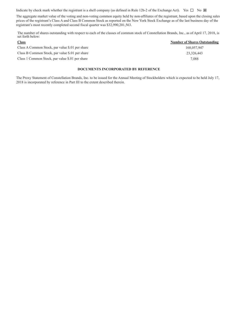Indicate by check mark whether the registrant is a shell company (as defined in Rule 12b-2 of the Exchange Act). Yes  $\Box$  No  $\boxtimes$ 

The aggregate market value of the voting and non-voting common equity held by non-affiliates of the registrant, based upon the closing sales prices of the registrant's Class A and Class B Common Stock as reported on the New York Stock Exchange as of the last business day of the registrant's most recently completed second fiscal quarter was \$32,990,201,563.

The number of shares outstanding with respect to each of the classes of common stock of Constellation Brands, Inc., as of April 17, 2018, is set forth below:

| <b>Class</b>                                    | <b>Number of Shares Outstanding</b> |
|-------------------------------------------------|-------------------------------------|
| Class A Common Stock, par value \$.01 per share | 168,057,947                         |
| Class B Common Stock, par value \$.01 per share | 23,326,443                          |
| Class 1 Common Stock, par value \$.01 per share | 7.088                               |

#### **DOCUMENTS INCORPORATED BY REFERENCE**

The Proxy Statement of Constellation Brands, Inc. to be issued for the Annual Meeting of Stockholders which is expected to be held July 17, 2018 is incorporated by reference in Part III to the extent described therein.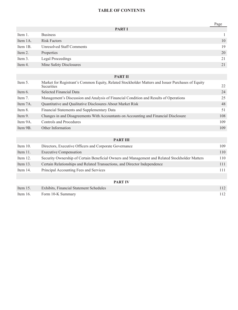# **TABLE OF CONTENTS**

|          |                                  | Page |
|----------|----------------------------------|------|
|          | <b>PART I</b>                    |      |
| Item 1.  | <b>Business</b>                  |      |
| Item 1A. | <b>Risk Factors</b>              | 10   |
| Item 1B. | <b>Unresolved Staff Comments</b> | 19   |
| Item 2.  | Properties                       | 20   |
| Item 3.  | <b>Legal Proceedings</b>         | 21   |
| Item 4.  | Mine Safety Disclosures          | 21   |

# **PART II**

| Item 5.  | Market for Registrant's Common Equity, Related Stockholder Matters and Issuer Purchases of Equity<br><b>Securities</b> | 22  |
|----------|------------------------------------------------------------------------------------------------------------------------|-----|
| Item 6.  | Selected Financial Data                                                                                                | 24  |
| Item 7.  | Management's Discussion and Analysis of Financial Condition and Results of Operations                                  | 25  |
| Item 7A. | Quantitative and Qualitative Disclosures About Market Risk                                                             | 48  |
| Item 8.  | Financial Statements and Supplementary Data                                                                            | 51  |
| Item 9.  | Changes in and Disagreements With Accountants on Accounting and Financial Disclosure                                   | 108 |
| Item 9A. | Controls and Procedures                                                                                                | 109 |
| Item 9B. | Other Information                                                                                                      | 109 |

# **PART III**

| Item $10$ . | Directors, Executive Officers and Corporate Governance                                         | 109 |
|-------------|------------------------------------------------------------------------------------------------|-----|
| Item $11$ . | <b>Executive Compensation</b>                                                                  | 110 |
| Item $12$ . | Security Ownership of Certain Beneficial Owners and Management and Related Stockholder Matters | 110 |
| Item $13$ . | Certain Relationships and Related Transactions, and Director Independence                      | 111 |
| Item $14$ . | Principal Accounting Fees and Services                                                         |     |

#### **PART IV**

| Item $15$ . | <b>Exhibits, Financial Statement Schedules</b> |  |
|-------------|------------------------------------------------|--|
| Item $16$ . | Form 10-K Summary                              |  |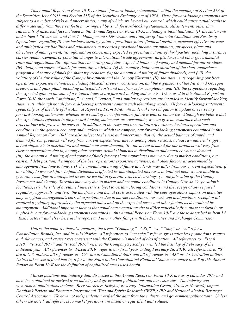*This Annual Report on Form 10-K contains "forward-looking statements" within the meaning of Section 27A of the Securities Act of 1933 and Section 21E of the Securities Exchange Act of 1934. These forward-looking statements are subject to a number of risks and uncertainties, many of which are beyond our control, which could cause actual results to differ materially from those set forth in, or implied by, such forward-looking statements. All statements other than statements of historical fact included in this Annual Report on Form 10-K, including without limitation (I) the statements under Item 1 "Business" and Item 7 "Management's Discussion and Analysis of Financial Condition and Results of Operations" regarding (i) our business strategy, future operations, future financial position, expected effective tax rates and anticipated tax liabilities and adjustments to recorded provisional income tax amounts, prospects, plans and objectives of management, (ii) information concerning expected or potential actions of third parties, including insurance carrier reimbursements or potential changes to international trade agreements, tariffs, taxes and other governmental rules and regulations, (iii) information concerning the future expected balance of supply and demand for our products, (iv) timing and source of funds for operating activities, (v) the manner, timing and duration of the share repurchase program and source of funds for share repurchases, (vi) the amount and timing of future dividends, and (vii) the volatility of the fair value of the Canopy Investment and the Canopy Warrants, (II) the statements regarding our beer operations expansion activities, including Mexicali Brewery construction, and the expansions of the Nava and Obregon breweries and glass plant, including anticipated costs and timeframes for completion, and (III) the projections regarding the expected gain on the sale of a retained interest are forward-looking statements. When used in this Annual Report on Form 10-K, the words "anticipate," "intend," "expect," and similar expressions are intended to identify forward-looking statements, although not all forward-looking statements contain such identifying words. All forward-looking statements speak only as of the date of this Annual Report on Form 10-K. We undertake no obligation to update or revise any forward-looking statements, whether as a result of new information, future events or otherwise. Although we believe that the expectations reflected in the forward-looking statements are reasonable, we can give no assurance that such expectations will prove to be correct. In addition to the risks and uncertainties of ordinary business operations and conditions in the general economy and markets in which we compete, our forward-looking statements contained in this Annual Report on Form 10-K are also subject to the risk and uncertainty that (i) the actual balance of supply and demand for our products will vary from current expectations due to, among other reasons, actual raw material supply, actual shipments to distributors and actual consumer demand, (ii) the actual demand for our products will vary from current expectations due to, among other reasons, actual shipments to distributors and actual consumer demand, (iii) the amount and timing of and source of funds for any share repurchases may vary due to market conditions, our cash and debt position, the impact of the beer operations expansion activities, and other factors as determined by management from time to time, (iv) the amount and timing of future dividends may differ from our current expectations if our ability to use cash flow to fund dividends is affected by unanticipated increases in total net debt, we are unable to generate cash flow at anticipated levels, or we fail to generate expected earnings, (v) the fair value of the Canopy Investment and Canopy Warrants may vary due to market and economic conditions in Canopy Growth Corporation's locations, (vi) the sale of a retained interest is subject to certain closing conditions and the receipt of any required regulatory approvals, and (vii) the timeframe and actual costs associated with the beer operations expansion activities may vary from management's current expectations due to market conditions, our cash and debt position, receipt of all required regulatory approvals by the expected dates and on the expected terms and other factors as determined by management. Additional important factors that could cause actual results to differ materially from those set forth in or implied by our forward-looking statements contained in this Annual Report on Form 10-K are those described in Item 1A "Risk Factors" and elsewhere in this report and in our other filings with the Securities and Exchange Commission.*

*Unless the context otherwise requires, the terms "Company," "CBI," "we," "our," or "us" refer to Constellation Brands, Inc. and its subsidiaries. All references to "net sales" refer to gross sales less promotions, returns and allowances, and excise taxes consistent with the Company's method of classification. All references to "Fiscal 2018," "Fiscal 2017" and "Fiscal 2016" refer to the Company's fiscal year ended the last day of February of the indicated year. All references to "Fiscal 2019" refer to our fiscal year ending February 28, 2019. All references to "\$" are to U.S. dollars, all references to "C\$" are to Canadian dollars and all references to "A\$" are to Australian dollars. Unless otherwise defined herein, refer to the Notes to the Consolidated Financial Statements under Item 8 of this Annual Report on Form 10-K for the definition of capitalized terms used herein.*

*Market positions and industry data discussed in this Annual Report on Form 10-K are as of calendar 2017 and have been obtained or derived from industry and government publications and our estimates. The industry and government publications include: Beer Marketers Insights; Beverage Information Group; Growers Network; Impact Databank Review and Forecast; International Wine and Spirits Research (IWSR); IRI; and National Alcohol Beverage Control Association. We have not independently verified the data from the industry and government publications. Unless otherwise noted, all references to market positions are based on equivalent unit volume.*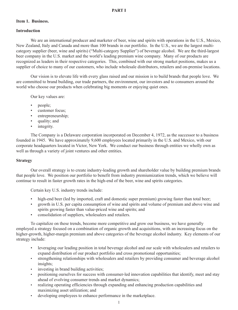# **PART I**

# **Item 1. Business.**

# **Introduction**

We are an international producer and marketer of beer, wine and spirits with operations in the U.S., Mexico, New Zealand, Italy and Canada and more than 100 brands in our portfolio. In the U.S., we are the largest multicategory supplier (beer, wine and spirits) ("Multi-category Supplier") of beverage alcohol. We are the third-largest beer company in the U.S. market and the world's leading premium wine company. Many of our products are recognized as leaders in their respective categories. This, combined with our strong market positions, makes us a supplier of choice to many of our customers, who include wholesale distributors, retailers and on-premise locations.

Our vision is to elevate life with every glass raised and our mission is to build brands that people love. We are committed to brand building, our trade partners, the environment, our investors and to consumers around the world who choose our products when celebrating big moments or enjoying quiet ones.

Our key values are:

- people;
- customer focus;
- entrepreneurship;
- quality; and
- integrity.

The Company is a Delaware corporation incorporated on December 4, 1972, as the successor to a business founded in 1945. We have approximately 9,600 employees located primarily in the U.S. and Mexico, with our corporate headquarters located in Victor, New York. We conduct our business through entities we wholly own as well as through a variety of joint ventures and other entities.

# **Strategy**

Our overall strategy is to create industry-leading growth and shareholder value by building premium brands that people love. We position our portfolio to benefit from industry premiumization trends, which we believe will continue to result in faster growth rates in the high-end of the beer, wine and spirits categories.

Certain key U.S. industry trends include:

- high-end beer (led by imported, craft and domestic super premium) growing faster than total beer;
- growth in U.S. per capita consumption of wine and spirits and volume of premium and above wine and spirits growing faster than value-priced wine and spirits; and
- consolidation of suppliers, wholesalers and retailers.

To capitalize on these trends, become more competitive and grow our business, we have generally employed a strategy focused on a combination of organic growth and acquisitions, with an increasing focus on the higher-growth, higher-margin premium and above categories of the beverage alcohol industry. Key elements of our strategy include:

- leveraging our leading position in total beverage alcohol and our scale with wholesalers and retailers to expand distribution of our product portfolio and cross promotional opportunities;
- strengthening relationships with wholesalers and retailers by providing consumer and beverage alcohol insights;
- investing in brand building activities;
- positioning ourselves for success with consumer-led innovation capabilities that identify, meet and stay ahead of evolving consumer trends and market dynamics;
- realizing operating efficiencies through expanding and enhancing production capabilities and maximizing asset utilization; and
- developing employees to enhance performance in the marketplace.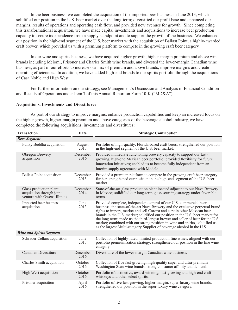In the beer business, we completed the acquisition of the imported beer business in June 2013, which solidified our position in the U.S. beer market over the long-term; diversified our profit base and enhanced our margins, results of operations and operating cash flow; and provided new avenues for growth. Since completing this transformational acquisition, we have made capital investments and acquisitions to increase beer production capacity to secure independence from a supply standpoint and to support the growth of the business. We enhanced our position in the high-end segment of the U.S. beer market with the acquisition of Ballast Point, a highly-awarded craft brewer, which provided us with a premium platform to compete in the growing craft beer category.

In our wine and spirits business, we have acquired higher-growth, higher-margin premium and above wine brands including Meiomi, Prisoner and Charles Smith wine brands, and divested the lower-margin Canadian wine business, as part of our efforts to increase our mix of premium and above brands, improve margins and create operating efficiencies. In addition, we have added high-end brands to our spirits portfolio through the acquisitions of Casa Noble and High West.

For further information on our strategy, see Management's Discussion and Analysis of Financial Condition and Results of Operations under Item 7 of this Annual Report on Form 10-K ("MD&A").

#### **Acquisitions, Investments and Divestitures**

As part of our strategy to improve margins, enhance production capabilities and keep an increased focus on the higher-growth, higher-margin premium and above categories of the beverage alcohol industry, we have completed the following acquisitions, investments and divestitures:

| <b>Transaction</b>  |                                                                                    | Date             | <b>Strategic Contribution</b>                                                                                                                                                                                                                                                                                                                                                                                                                                                                                                                                 |
|---------------------|------------------------------------------------------------------------------------|------------------|---------------------------------------------------------------------------------------------------------------------------------------------------------------------------------------------------------------------------------------------------------------------------------------------------------------------------------------------------------------------------------------------------------------------------------------------------------------------------------------------------------------------------------------------------------------|
| <b>Beer Segment</b> |                                                                                    |                  |                                                                                                                                                                                                                                                                                                                                                                                                                                                                                                                                                               |
|                     | Funky Buddha acquisition                                                           | August<br>2017   | Portfolio of high-quality, Florida-based craft beers; strengthened our position<br>in the high-end segment of the U.S. beer market.                                                                                                                                                                                                                                                                                                                                                                                                                           |
|                     | Obregon Brewery<br>acquisition                                                     | December<br>2016 | Provided immediate functioning brewery capacity to support our fast-<br>growing, high-end Mexican beer portfolio; provided flexibility for future<br>innovation initiatives; enabled us to become fully independent from an<br>interim supply agreement with Modelo.                                                                                                                                                                                                                                                                                          |
|                     | <b>Ballast Point acquisition</b>                                                   | December<br>2015 | Provided a premium platform to compete in the growing craft beer category;<br>further strengthened our position in the high-end segment of the U.S. beer<br>market.                                                                                                                                                                                                                                                                                                                                                                                           |
|                     | Glass production plant<br>acquisition through joint<br>venture with Owens-Illinois | December<br>2014 | State-of-the-art glass production plant located adjacent to our Nava Brewery<br>in Mexico; solidified our long-term glass sourcing strategy under favorable<br>terms.                                                                                                                                                                                                                                                                                                                                                                                         |
|                     | Imported beer business<br>acquisition                                              | June<br>2013     | Provided complete, independent control of our U.S. commercial beer<br>business, the state-of-the-art Nava Brewery and the exclusive perpetual brand<br>rights to import, market and sell Corona and certain other Mexican beer<br>brands in the U.S. market; solidified our position in the U.S. beer market for<br>the long term; made us the third-largest brewer and seller of beer for the U.S.<br>market; combined with our strong position in wine and spirits, solidified us<br>as the largest Multi-category Supplier of beverage alcohol in the U.S. |
|                     | <b>Wine and Spirits Segment</b>                                                    |                  |                                                                                                                                                                                                                                                                                                                                                                                                                                                                                                                                                               |
|                     | Schrader Cellars acquisition                                                       | June<br>2017     | Collection of highly-rated, limited-production fine wines; aligned with our<br>portfolio premiumization strategy; strengthened our position in the fine wine<br>category.                                                                                                                                                                                                                                                                                                                                                                                     |
|                     | Canadian Divestiture                                                               | December<br>2016 | Divestiture of the lower-margin Canadian wine business.                                                                                                                                                                                                                                                                                                                                                                                                                                                                                                       |
|                     | Charles Smith acquisition<br>October<br>2016                                       |                  | Collection of five fast-growing, high-quality super and ultra-premium<br>Washington State wine brands; strong consumer affinity and demand.                                                                                                                                                                                                                                                                                                                                                                                                                   |
|                     | High West acquisition                                                              | October<br>2016  | Portfolio of distinctive, award-winning, fast-growing and high-end craft<br>whiskeys and other select spirits.                                                                                                                                                                                                                                                                                                                                                                                                                                                |
|                     | Prisoner acquisition                                                               | April<br>2016    | Portfolio of five fast-growing, higher-margin, super-luxury wine brands;<br>strengthened our position in the super-luxury wine category.                                                                                                                                                                                                                                                                                                                                                                                                                      |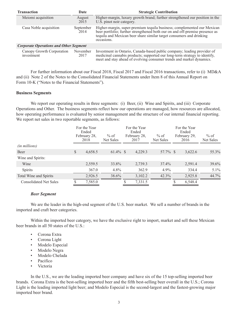| <b>Transaction</b>                            | Date              | <b>Strategic Contribution</b>                                                                                                                                                                                                                 |
|-----------------------------------------------|-------------------|-----------------------------------------------------------------------------------------------------------------------------------------------------------------------------------------------------------------------------------------------|
| Meiomi acquisition                            | August<br>2015    | Higher-margin, luxury growth brand; further strengthened our position in the<br>U.S. pinot noir category.                                                                                                                                     |
| Casa Noble acquisition                        | September<br>2014 | Higher-margin, super-premium tequila business; complemented our Mexican<br>beer portfolio; further strengthened both our on and off-premise presence as<br>tequila and Mexican beer share similar target consumers and drinking<br>occasions. |
| <b>Corporate Operations and Other Segment</b> |                   |                                                                                                                                                                                                                                               |
| Canopy Growth Corporation<br>investment       | November<br>2017  | Investment in Ontario, Canada-based public company; leading provider of<br>medicinal cannabis products; supported our long-term strategy to identify,<br>meet and stay ahead of evolving consumer trends and market dynamics.                 |

For further information about our Fiscal 2018, Fiscal 2017 and Fiscal 2016 transactions, refer to (i) MD&A and (ii) Note 2 of the Notes to the Consolidated Financial Statements under Item 8 of this Annual Report on Form 10-K ("Notes to the Financial Statements").

#### **Business Segments**

We report our operating results in three segments: (i) Beer, (ii) Wine and Spirits, and (iii) Corporate Operations and Other. The business segments reflect how our operations are managed, how resources are allocated, how operating performance is evaluated by senior management and the structure of our internal financial reporting. We report net sales in two reportable segments, as follows:

|                               | For the Year<br>Ended<br>February 28,<br>2018 | $%$ of<br>Net Sales | For the Year<br>Ended<br>February 28,<br>2017 | $%$ of<br>Net Sales | For the Year<br>Ended<br>February 29,<br>2016 | $%$ of<br>Net Sales |
|-------------------------------|-----------------------------------------------|---------------------|-----------------------------------------------|---------------------|-----------------------------------------------|---------------------|
| ( <i>in millions</i> )        |                                               |                     |                                               |                     |                                               |                     |
| Beer                          | \$<br>4,658.5                                 | $61.4\%$ \$         | 4,229.3                                       | 57.7% \$            | 3,622.6                                       | 55.3%               |
| Wine and Spirits:             |                                               |                     |                                               |                     |                                               |                     |
| Wine                          | 2,559.5                                       | 33.8%               | 2,739.3                                       | 37.4%               | 2,591.4                                       | 39.6%               |
| <b>Spirits</b>                | 367.0                                         | $4.8\%$             | 362.9                                         | $4.9\%$             | 334.4                                         | $5.1\%$             |
| Total Wine and Spirits        | 2,926.5                                       | 38.6%               | 3,102.2                                       | 42.3%               | 2,925.8                                       | 44.7%               |
| <b>Consolidated Net Sales</b> | 7,585.0                                       |                     | 7,331.5                                       |                     | 6,548.4                                       |                     |

#### *Beer Segment*

We are the leader in the high-end segment of the U.S. beer market. We sell a number of brands in the imported and craft beer categories.

Within the imported beer category, we have the exclusive right to import, market and sell these Mexican beer brands in all 50 states of the U.S.:

- Corona Extra
- Corona Light
- Modelo Especial
- Modelo Negra
- Modelo Chelada
- Pacifico
- Victoria

In the U.S., we are the leading imported beer company and have six of the 15 top-selling imported beer brands. Corona Extra is the best-selling imported beer and the fifth best-selling beer overall in the U.S.; Corona Light is the leading imported light beer; and Modelo Especial is the second-largest and the fastest-growing major imported beer brand.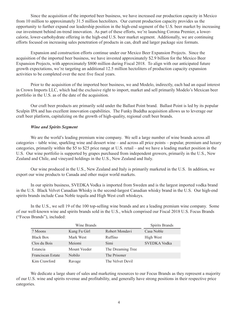Since the acquisition of the imported beer business, we have increased our production capacity in Mexico from 10 million to approximately 31.5 million hectoliters. Our current production capacity provides us the opportunity to further expand our leadership position in the high-end segment of the U.S. beer market by increasing our investment behind on-trend innovation. As part of these efforts, we're launching Corona Premier, a lowercalorie, lower-carbohydrate offering in the high-end U.S. beer market segment. Additionally, we are continuing efforts focused on increasing sales penetration of products in can, draft and larger package size formats.

Expansion and construction efforts continue under our Mexico Beer Expansion Projects. Since the acquisition of the imported beer business, we have invested approximately \$2.9 billion for the Mexico Beer Expansion Projects, with approximately \$800 million during Fiscal 2018. To align with our anticipated future growth expectations, we're targeting an additional 12.5 million hectoliters of production capacity expansion activities to be completed over the next five fiscal years.

Prior to the acquisition of the imported beer business, we and Modelo, indirectly, each had an equal interest in Crown Imports LLC, which had the exclusive right to import, market and sell primarily Modelo's Mexican beer portfolio in the U.S. as of the date of the acquisition.

Our craft beer products are primarily sold under the Ballast Point brand. Ballast Point is led by its popular Sculpin IPA and has excellent innovation capabilities. The Funky Buddha acquisition allows us to leverage our craft beer platform, capitalizing on the growth of high-quality, regional craft beer brands.

## *Wine and Spirits Segment*

We are the world's leading premium wine company. We sell a large number of wine brands across all categories – table wine, sparkling wine and dessert wine – and across all price points – popular, premium and luxury categories, primarily within the \$5 to \$25 price range at U.S. retail – and we have a leading market position in the U.S. Our wine portfolio is supported by grapes purchased from independent growers, primarily in the U.S., New Zealand and Chile, and vineyard holdings in the U.S., New Zealand and Italy.

Our wine produced in the U.S., New Zealand and Italy is primarily marketed in the U.S. In addition, we export our wine products to Canada and other major world markets.

In our spirits business, SVEDKA Vodka is imported from Sweden and is the largest imported vodka brand in the U.S. Black Velvet Canadian Whisky is the second-largest Canadian whisky brand in the U.S. Our high-end spirits brands include Casa Noble tequila and High West craft whiskeys.

In the U.S., we sell 19 of the 100 top-selling wine brands and are a leading premium wine company. Some of our well-known wine and spirits brands sold in the U.S., which comprised our Fiscal 2018 U.S. Focus Brands ("Focus Brands"), included:

|                   | Spirits Brands |                   |                     |
|-------------------|----------------|-------------------|---------------------|
| 7 Moons           | Kung Fu Girl   | Robert Mondavi    | Casa Noble          |
| <b>Black Box</b>  | Mark West      | Ruffino           | High West           |
| Clos du Bois      | Meiomi         | Simi              | <b>SVEDKA Vodka</b> |
| Estancia          | Mount Veeder   | The Dreaming Tree |                     |
| Franciscan Estate | <b>Nobilo</b>  | The Prisoner      |                     |
| Kim Crawford      | Ravage         | The Velvet Devil  |                     |

We dedicate a large share of sales and marketing resources to our Focus Brands as they represent a majority of our U.S. wine and spirits revenue and profitability, and generally have strong positions in their respective price categories.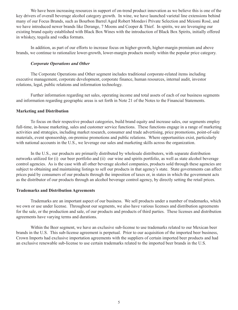We have been increasing resources in support of on-trend product innovation as we believe this is one of the key drivers of overall beverage alcohol category growth. In wine, we have launched varietal line extensions behind many of our Focus Brands, such as Bourbon Barrel Aged Robert Mondavi Private Selection and Meiomi Rosé, and we have introduced newer brands like Derange, 7 Moons and Cooper & Thief. In spirits, we are leveraging our existing brand equity established with Black Box Wines with the introduction of Black Box Spirits, initially offered in whiskey, tequila and vodka formats.

In addition, as part of our efforts to increase focus on higher-growth, higher-margin premium and above brands, we continue to rationalize lower-growth, lower-margin products mostly within the popular price category.

#### *Corporate Operations and Other*

The Corporate Operations and Other segment includes traditional corporate-related items including executive management, corporate development, corporate finance, human resources, internal audit, investor relations, legal, public relations and information technology.

Further information regarding net sales, operating income and total assets of each of our business segments and information regarding geographic areas is set forth in Note 21 of the Notes to the Financial Statements.

#### **Marketing and Distribution**

To focus on their respective product categories, build brand equity and increase sales, our segments employ full-time, in-house marketing, sales and customer service functions. These functions engage in a range of marketing activities and strategies, including market research, consumer and trade advertising, price promotions, point-of-sale materials, event sponsorship, on-premise promotions and public relations. Where opportunities exist, particularly with national accounts in the U.S., we leverage our sales and marketing skills across the organization.

In the U.S., our products are primarily distributed by wholesale distributors, with separate distribution networks utilized for (i) our beer portfolio and (ii) our wine and spirits portfolio, as well as state alcohol beverage control agencies. As is the case with all other beverage alcohol companies, products sold through these agencies are subject to obtaining and maintaining listings to sell our products in that agency's state. State governments can affect prices paid by consumers of our products through the imposition of taxes or, in states in which the government acts as the distributor of our products through an alcohol beverage control agency, by directly setting the retail prices.

#### **Trademarks and Distribution Agreements**

Trademarks are an important aspect of our business. We sell products under a number of trademarks, which we own or use under license. Throughout our segments, we also have various licenses and distribution agreements for the sale, or the production and sale, of our products and products of third parties. These licenses and distribution agreements have varying terms and durations.

Within the Beer segment, we have an exclusive sub-license to use trademarks related to our Mexican beer brands in the U.S. This sub-license agreement is perpetual. Prior to our acquisition of the imported beer business, Crown Imports had exclusive importation agreements with the suppliers of certain imported beer products and had an exclusive renewable sub-license to use certain trademarks related to the imported beer brands in the U.S.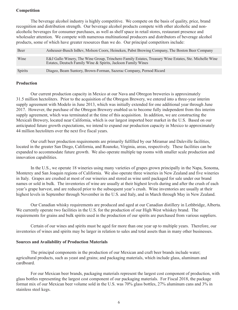# **Competition**

The beverage alcohol industry is highly competitive. We compete on the basis of quality, price, brand recognition and distribution strength. Our beverage alcohol products compete with other alcoholic and nonalcoholic beverages for consumer purchases, as well as shelf space in retail stores, restaurant presence and wholesaler attention. We compete with numerous multinational producers and distributors of beverage alcohol products, some of which have greater resources than we do. Our principal competitors include:

Beer Anheuser-Busch InBev, Molson Coors, Heineken, Pabst Brewing Company, The Boston Beer Company Wine E&J Gallo Winery, The Wine Group, Trinchero Family Estates, Treasury Wine Estates, Ste. Michelle Wine Estates, Deutsch Family Wine & Spirits, Jackson Family Wines Spirits Diageo, Beam Suntory, Brown-Forman, Sazerac Company, Pernod Ricard

## **Production**

Our current production capacity in Mexico at our Nava and Obregon breweries is approximately 31.5 million hectoliters. Prior to the acquisition of the Obregon Brewery, we entered into a three-year interim supply agreement with Modelo in June 2013, which was initially extended for one additional year through June 2017. However, the purchase of the Obregon Brewery enabled us to become fully independent from this interim supply agreement, which was terminated at the time of this acquisition. In addition, we are constructing the Mexicali Brewery, located near California, which is our largest imported beer market in the U.S. Based on our anticipated future growth expectations, we intend to expand our production capacity in Mexico to approximately 44 million hectoliters over the next five fiscal years.

Our craft beer production requirements are primarily fulfilled by our Miramar and Daleville facilities, located in the greater San Diego, California, and Roanoke, Virginia, areas, respectively. These facilities can be expanded to accommodate future growth. We also operate multiple tap rooms with smaller scale production and innovation capabilities.

In the U.S., we operate 18 wineries using many varieties of grapes grown principally in the Napa, Sonoma, Monterey and San Joaquin regions of California. We also operate three wineries in New Zealand and five wineries in Italy. Grapes are crushed at most of our wineries and stored as wine until packaged for sale under our brand names or sold in bulk. The inventories of wine are usually at their highest levels during and after the crush of each year's grape harvest, and are reduced prior to the subsequent year's crush. Wine inventories are usually at their highest levels in September through November in the U.S. and Italy, and in March through May in New Zealand.

Our Canadian whisky requirements are produced and aged at our Canadian distillery in Lethbridge, Alberta. We currently operate two facilities in the U.S. for the production of our High West whiskey brand. The requirements for grains and bulk spirits used in the production of our spirits are purchased from various suppliers.

Certain of our wines and spirits must be aged for more than one year up to multiple years. Therefore, our inventories of wines and spirits may be larger in relation to sales and total assets than in many other businesses.

#### **Sources and Availability of Production Materials**

The principal components in the production of our Mexican and craft beer brands include water; agricultural products, such as yeast and grains; and packaging materials, which include glass, aluminum and cardboard.

For our Mexican beer brands, packaging materials represent the largest cost component of production, with glass bottles representing the largest cost component of our packaging materials. For Fiscal 2018, the package format mix of our Mexican beer volume sold in the U.S. was 70% glass bottles, 27% aluminum cans and 3% in stainless steel kegs.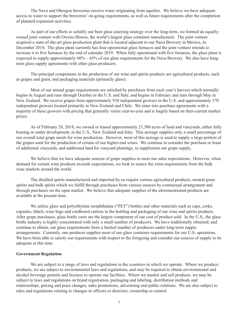The Nava and Obregon breweries receive water originating from aquifers. We believe we have adequate access to water to support the breweries' on-going requirements, as well as future requirements after the completion of planned expansion activities.

As part of our efforts to solidify our beer glass sourcing strategy over the long-term, we formed an equallyowned joint venture with Owens-Illinois, the world's largest glass container manufacturer. The joint venture acquired a state-of-the-art glass production plant that is located adjacent to our Nava Brewery in Mexico, in December 2014. The glass plant currently has four operational glass furnaces and the joint venture intends to increase it to five furnaces by the end of calendar 2019. When fully operational with five furnaces, the glass plant is expected to supply approximately 60% *–* 65% of our glass requirements for the Nava Brewery. We also have longterm glass supply agreements with other glass producers.

The principal components in the production of our wine and spirits products are agricultural products, such as grapes and grain, and packaging materials (primarily glass).

Most of our annual grape requirements are satisfied by purchases from each year's harvest which normally begins in August and runs through October in the U.S. and Italy, and begins in February and runs through May in New Zealand. We receive grapes from approximately 910 independent growers in the U.S. and approximately 170 independent growers located primarily in New Zealand and Chile. We enter into purchase agreements with a majority of these growers with pricing that generally varies year-to-year and is largely based on then-current market prices.

As of February 28, 2018, we owned or leased approximately 21,300 acres of land and vineyards, either fully bearing or under development, in the U.S., New Zealand and Italy. This acreage supplies only a small percentage of our overall total grape needs for wine production. However, most of this acreage is used to supply a large portion of the grapes used for the production of certain of our higher-end wines. We continue to consider the purchase or lease of additional vineyards, and additional land for vineyard plantings, to supplement our grape supply.

We believe that we have adequate sources of grape supplies to meet our sales expectations. However, when demand for certain wine products exceeds expectations, we look to source the extra requirements from the bulk wine markets around the world.

The distilled spirits manufactured and imported by us require various agricultural products, neutral grain spirits and bulk spirits which we fulfill through purchases from various sources by contractual arrangement and through purchases on the open market. We believe that adequate supplies of the aforementioned products are available at the present time.

We utilize glass and polyethylene terephthalate ("PET") bottles and other materials such as caps, corks, capsules, labels, wine bags and cardboard cartons in the bottling and packaging of our wine and spirits products. After grape purchases, glass bottle costs are the largest component of our cost of product sold. In the U.S., the glass bottle industry is highly concentrated with only a small number of producers. We have traditionally obtained, and continue to obtain, our glass requirements from a limited number of producers under long-term supply arrangements. Currently, one producer supplies most of our glass container requirements for our U.S. operations. We have been able to satisfy our requirements with respect to the foregoing and consider our sources of supply to be adequate at this time.

## **Government Regulation**

We are subject to a range of laws and regulations in the countries in which we operate. Where we produce products, we are subject to environmental laws and regulations, and may be required to obtain environmental and alcohol beverage permits and licenses to operate our facilities. Where we market and sell products, we may be subject to laws and regulations on brand registration, packaging and labeling, distribution methods and relationships, pricing and price changes, sales promotions, advertising and public relations. We are also subject to rules and regulations relating to changes in officers or directors, ownership or control.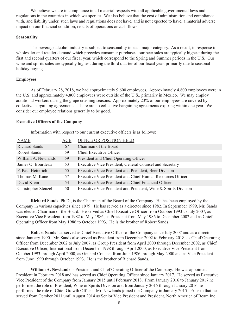We believe we are in compliance in all material respects with all applicable governmental laws and regulations in the countries in which we operate. We also believe that the cost of administration and compliance with, and liability under, such laws and regulations does not have, and is not expected to have, a material adverse impact on our financial condition, results of operations or cash flows.

## **Seasonality**

The beverage alcohol industry is subject to seasonality in each major category. As a result, in response to wholesaler and retailer demand which precedes consumer purchases, our beer sales are typically highest during the first and second quarters of our fiscal year, which correspond to the Spring and Summer periods in the U.S. Our wine and spirits sales are typically highest during the third quarter of our fiscal year, primarily due to seasonal holiday buying.

#### **Employees**

As of February 28, 2018, we had approximately 9,600 employees. Approximately 4,800 employees were in the U.S. and approximately 4,800 employees were outside of the U.S., primarily in Mexico. We may employ additional workers during the grape crushing seasons. Approximately 23% of our employees are covered by collective bargaining agreements. There are no collective bargaining agreements expiring within one year. We consider our employee relations generally to be good.

#### **Executive Officers of the Company**

Information with respect to our current executive officers is as follows:

| <b>NAME</b>          | AGE | OFFICE OR POSITION HELD                                         |
|----------------------|-----|-----------------------------------------------------------------|
| <b>Richard Sands</b> | 67  | Chairman of the Board                                           |
| Robert Sands         | 59  | Chief Executive Officer                                         |
| William A. Newlands  | 59  | President and Chief Operating Officer                           |
| James O. Bourdeau    | 53  | Executive Vice President, General Counsel and Secretary         |
| F. Paul Hetterich    | 55  | Executive Vice President and President, Beer Division           |
| Thomas M. Kane       | 57  | Executive Vice President and Chief Human Resources Officer      |
| David Klein          | 54  | Executive Vice President and Chief Financial Officer            |
| Christopher Stenzel  | 50  | Executive Vice President and President, Wine & Spirits Division |

**Richard Sands**, Ph.D., is the Chairman of the Board of the Company. He has been employed by the Company in various capacities since 1979. He has served as a director since 1982. In September 1999, Mr. Sands was elected Chairman of the Board. He served as Chief Executive Officer from October 1993 to July 2007, as Executive Vice President from 1982 to May 1986, as President from May 1986 to December 2002 and as Chief Operating Officer from May 1986 to October 1993. He is the brother of Robert Sands.

**Robert Sands** has served as Chief Executive Officer of the Company since July 2007 and as a director since January 1990. Mr. Sands also served as President from December 2002 to February 2018, as Chief Operating Officer from December 2002 to July 2007, as Group President from April 2000 through December 2002, as Chief Executive Officer, International from December 1998 through April 2000, as Executive Vice President from October 1993 through April 2000, as General Counsel from June 1986 through May 2000 and as Vice President from June 1990 through October 1993. He is the brother of Richard Sands.

**William A. Newlands** is President and Chief Operating Officer of the Company. He was appointed President in February 2018 and has served as Chief Operating Officer since January 2017. He served as Executive Vice President of the Company from January 2015 until February 2018. From January 2016 to January 2017 he performed the role of President, Wine & Spirits Division and from January 2015 through January 2016 he performed the role of Chief Growth Officer. Mr. Newlands joined the Company in January 2015. Prior to that he served from October 2011 until August 2014 as Senior Vice President and President, North America of Beam Inc.,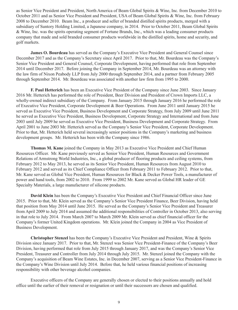as Senior Vice President and President, North America of Beam Global Spirits & Wine, Inc. from December 2010 to October 2011 and as Senior Vice President and President, USA of Beam Global Spirits & Wine, Inc. from February 2008 to December 2010. Beam Inc., a producer and seller of branded distilled spirits products, merged with a subsidiary of Suntory Holding Limited, a Japanese company, in 2014. Prior to October 2011, Beam Global Spirits & Wine, Inc. was the spirits operating segment of Fortune Brands, Inc., which was a leading consumer products company that made and sold branded consumer products worldwide in the distilled spirits, home and security, and golf markets.

**James O. Bourdeau** has served as the Company's Executive Vice President and General Counsel since December 2017 and as the Company's Secretary since April 2017. Prior to that, Mr. Bourdeau was the Company's Senior Vice President and General Counsel, Corporate Development, having performed that role from September 2014 until December 2017. Before joining the Company in September 2014, Mr. Bourdeau was an attorney with the law firm of Nixon Peabody LLP from July 2000 through September 2014, and a partner from February 2005 through September 2014. Mr. Bourdeau was associated with another law firm from 1995 to 2000.

**F. Paul Hetterich** has been an Executive Vice President of the Company since June 2003. Since January 2016 Mr. Hetterich has performed the role of President, Beer Division and President of Crown Imports LLC, a wholly-owned indirect subsidiary of the Company. From January 2015 through January 2016 he performed the role of Executive Vice President, Corporate Development & Beer Operations. From June 2011 until January 2015 he served as Executive Vice President, Business Development and Corporate Strategy, from July 2009 until June 2011 he served as Executive Vice President, Business Development, Corporate Strategy and International and from June 2003 until July 2009 he served as Executive Vice President, Business Development and Corporate Strategy. From April 2001 to June 2003 Mr. Hetterich served as the Company's Senior Vice President, Corporate Development. Prior to that, Mr. Hetterich held several increasingly senior positions in the Company's marketing and business development groups. Mr. Hetterich has been with the Company since 1986.

**Thomas M. Kane** joined the Company in May 2013 as Executive Vice President and Chief Human Resources Officer. Mr. Kane previously served as Senior Vice President, Human Resources and Government Relations of Armstrong World Industries, Inc., a global producer of flooring products and ceiling systems, from February 2012 to May 2013, he served as its Senior Vice President, Human Resources from August 2010 to February 2012 and served as its Chief Compliance Officer from February 2011 to February 2012. Prior to that, Mr. Kane served as Global Vice President, Human Resources for Black & Decker Power Tools, a manufacturer of power and hand tools, from 2002 to 2010. From 1999 to 2002 Mr. Kane served as Global HR leader of GE Specialty Materials, a large manufacturer of silicone products.

**David Klein** has been the Company's Executive Vice President and Chief Financial Officer since June 2015. Prior to that, Mr. Klein served as the Company's Senior Vice President Finance, Beer Division, having held that position from May 2014 until June 2015. He served as the Company's Senior Vice President and Treasurer from April 2009 to July 2014 and assumed the additional responsibilities of Controller in October 2013, also serving in that role to July 2014. From March 2007 to March 2009 Mr. Klein served as chief financial officer for the Company's former United Kingdom operations. Mr. Klein joined the Company in 2004 as Vice President of Business Development.

**Christopher Stenzel** has been the Company's Executive Vice President and President, Wine & Spirits Division since January 2017. Prior to that, Mr. Stenzel was Senior Vice President-Finance of the Company's Beer Division, having performed that role from July 2015 through January 2017, and was the Company's Senior Vice President, Treasurer and Controller from July 2014 through July 2015. Mr. Stenzel joined the Company with the Company's acquisition of Beam Wine Estates, Inc. in December 2007, serving as a Senior Vice President-Finance in the Company's Wine Division until July 2014. Before that, he held various financial positions of increasing responsibility with other beverage alcohol companies.

Executive officers of the Company are generally chosen or elected to their positions annually and hold office until the earlier of their removal or resignation or until their successors are chosen and qualified.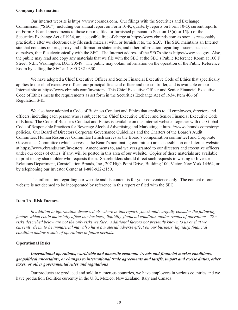#### **Company Information**

Our Internet website is https://www.cbrands.com. Our filings with the Securities and Exchange Commission ("SEC"), including our annual report on Form 10-K, quarterly reports on Form 10-Q, current reports on Form 8-K and amendments to those reports, filed or furnished pursuant to Section 13(a) or 15(d) of the Securities Exchange Act of 1934, are accessible free of charge at https://www.cbrands.com as soon as reasonably practicable after we electronically file such material with, or furnish it to, the SEC. The SEC maintains an Internet site that contains reports, proxy and information statements, and other information regarding issuers, such as ourselves, that file electronically with the SEC. The Internet address of the SEC's site is https://www.sec.gov. Also, the public may read and copy any materials that we file with the SEC at the SEC's Public Reference Room at 100 F Street, N.E., Washington, D.C. 20549. The public may obtain information on the operation of the Public Reference Room by calling the SEC at 1-800-732-0330.

We have adopted a Chief Executive Officer and Senior Financial Executive Code of Ethics that specifically applies to our chief executive officer, our principal financial officer and our controller, and is available on our Internet site at https://www.cbrands.com/investors. This Chief Executive Officer and Senior Financial Executive Code of Ethics meets the requirements as set forth in the Securities Exchange Act of 1934, Item 406 of Regulation S-K.

We also have adopted a Code of Business Conduct and Ethics that applies to all employees, directors and officers, including each person who is subject to the Chief Executive Officer and Senior Financial Executive Code of Ethics. The Code of Business Conduct and Ethics is available on our Internet website, together with our Global Code of Responsible Practices for Beverage Alcohol Advertising and Marketing at https://www.cbrands.com/story/ policies. Our Board of Directors Corporate Governance Guidelines and the Charters of the Board's Audit Committee, Human Resources Committee (which serves as the Board's compensation committee) and Corporate Governance Committee (which serves as the Board's nominating committee) are accessible on our Internet website at https://www.cbrands.com/investors. Amendments to, and waivers granted to our directors and executive officers under our codes of ethics, if any, will be posted in this area of our website. Copies of these materials are available in print to any shareholder who requests them. Shareholders should direct such requests in writing to Investor Relations Department, Constellation Brands, Inc., 207 High Point Drive, Building 100, Victor, New York 14564, or by telephoning our Investor Center at 1-888-922-2150.

The information regarding our website and its content is for your convenience only. The content of our website is not deemed to be incorporated by reference in this report or filed with the SEC.

#### **Item 1A. Risk Factors.**

*In addition to information discussed elsewhere in this report, you should carefully consider the following factors which could materially affect our business, liquidity, financial condition and/or results of operations. The risks described below are not the only risks we face. Additional factors not presently known to us or that we currently deem to be immaterial may also have a material adverse effect on our business, liquidity, financial condition and/or results of operations in future periods.*

#### **Operational Risks**

# *International operations, worldwide and domestic economic trends and financial market conditions, geopolitical uncertainty, or changes to international trade agreements and tariffs, import and excise duties, other taxes, or other governmental rules and regulations*

Our products are produced and sold in numerous countries, we have employees in various countries and we have production facilities currently in the U.S., Mexico, New Zealand, Italy and Canada.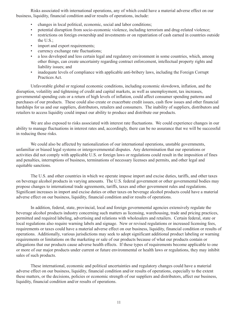Risks associated with international operations, any of which could have a material adverse effect on our business, liquidity, financial condition and/or results of operations, include:

- changes in local political, economic, social and labor conditions;
- potential disruption from socio-economic violence, including terrorism and drug-related violence;
- restrictions on foreign ownership and investments or on repatriation of cash earned in countries outside the U.S.;
- import and export requirements;
- currency exchange rate fluctuations;
- a less developed and less certain legal and regulatory environment in some countries, which, among other things, can create uncertainty regarding contract enforcement, intellectual property rights and liability issues; and
- inadequate levels of compliance with applicable anti-bribery laws, including the Foreign Corrupt Practices Act.

Unfavorable global or regional economic conditions, including economic slowdown, inflation, and the disruption, volatility and tightening of credit and capital markets, as well as unemployment, tax increases, governmental spending cuts or a return of high levels of inflation, could affect consumer spending patterns and purchases of our products. These could also create or exacerbate credit issues, cash flow issues and other financial hardships for us and our suppliers, distributors, retailers and consumers. The inability of suppliers, distributors and retailers to access liquidity could impact our ability to produce and distribute our products.

We are also exposed to risks associated with interest rate fluctuations. We could experience changes in our ability to manage fluctuations in interest rates and, accordingly, there can be no assurance that we will be successful in reducing those risks.

We could also be affected by nationalization of our international operations, unstable governments, unfamiliar or biased legal systems or intergovernmental disputes. Any determination that our operations or activities did not comply with applicable U.S. or foreign laws or regulations could result in the imposition of fines and penalties, interruptions of business, terminations of necessary licenses and permits, and other legal and equitable sanctions.

The U.S. and other countries in which we operate impose import and excise duties, tariffs, and other taxes on beverage alcohol products in varying amounts. The U.S. federal government or other governmental bodies may propose changes to international trade agreements, tariffs, taxes and other government rules and regulations. Significant increases in import and excise duties or other taxes on beverage alcohol products could have a material adverse effect on our business, liquidity, financial condition and/or results of operations.

In addition, federal, state, provincial, local and foreign governmental agencies extensively regulate the beverage alcohol products industry concerning such matters as licensing, warehousing, trade and pricing practices, permitted and required labeling, advertising and relations with wholesalers and retailers. Certain federal, state or local regulations also require warning labels and signage. New or revised regulations or increased licensing fees, requirements or taxes could have a material adverse effect on our business, liquidity, financial condition or results of operations. Additionally, various jurisdictions may seek to adopt significant additional product labeling or warning requirements or limitations on the marketing or sale of our products because of what our products contain or allegations that our products cause adverse health effects. If these types of requirements become applicable to one or more of our major products under current or future environmental or health laws or regulations, they may inhibit sales of such products.

These international, economic and political uncertainties and regulatory changes could have a material adverse effect on our business, liquidity, financial condition and/or results of operations, especially to the extent these matters, or the decisions, policies or economic strength of our suppliers and distributors, affect our business, liquidity, financial condition and/or results of operations.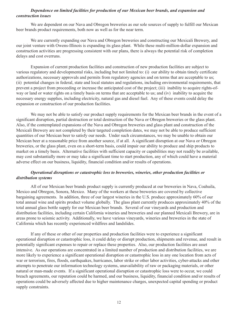# *Dependence on limited facilities for production of our Mexican beer brands, and expansion and construction issues*

We are dependent on our Nava and Obregon breweries as our sole sources of supply to fulfill our Mexican beer brands product requirements, both now as well as for the near term.

We are currently expanding our Nava and Obregon breweries and constructing our Mexicali Brewery, and our joint venture with Owens-Illinois is expanding its glass plant. While these multi-million-dollar expansion and construction activities are progressing consistent with our plans, there is always the potential risk of completion delays and cost overruns.

Expansion of current production facilities and construction of new production facilities are subject to various regulatory and developmental risks, including but not limited to: (i) our ability to obtain timely certificate authorizations, necessary approvals and permits from regulatory agencies and on terms that are acceptable to us; (ii) potential changes in federal, state and local statutes and regulations, including environmental requirements, that prevent a project from proceeding or increase the anticipated cost of the project; (iii) inability to acquire rights-ofway or land or water rights on a timely basis on terms that are acceptable to us; and (iv) inability to acquire the necessary energy supplies, including electricity, natural gas and diesel fuel. Any of these events could delay the expansion or construction of our production facilities.

We may not be able to satisfy our product supply requirements for the Mexican beer brands in the event of a significant disruption, partial destruction or total destruction of the Nava or Obregon breweries or the glass plant. Also, if the contemplated expansions of the Nava and Obregon breweries and glass plant and construction of the Mexicali Brewery are not completed by their targeted completion dates, we may not be able to produce sufficient quantities of our Mexican beer to satisfy our needs. Under such circumstances, we may be unable to obtain our Mexican beer at a reasonable price from another source, if at all. A significant disruption at our Nava or Obregon breweries, or the glass plant, even on a short-term basis, could impair our ability to produce and ship products to market on a timely basis. Alternative facilities with sufficient capacity or capabilities may not readily be available, may cost substantially more or may take a significant time to start production, any of which could have a material adverse effect on our business, liquidity, financial condition and/or results of operations.

# *Operational disruptions or catastrophic loss to breweries, wineries, other production facilities or distribution systems*

All of our Mexican beer brands product supply is currently produced at our breweries in Nava, Coahuila, Mexico and Obregon, Sonora, Mexico. Many of the workers at these breweries are covered by collective bargaining agreements. In addition, three of our largest wineries in the U.S. produce approximately 60% of our total annual wine and spirits product volume globally. The glass plant currently produces approximately 40% of the total annual glass bottle supply for our Mexican beer brands. Several of our vineyards and production and distribution facilities, including certain California wineries and breweries and our planned Mexicali Brewery, are in areas prone to seismic activity. Additionally, we have various vineyards, wineries and breweries in the state of California which has recently experienced wildfires and landslides.

If any of these or other of our properties and production facilities were to experience a significant operational disruption or catastrophic loss, it could delay or disrupt production, shipments and revenue, and result in potentially significant expenses to repair or replace these properties. Also, our production facilities are asset intensive. As our operations are concentrated in a limited number of production and distribution facilities, we are more likely to experience a significant operational disruption or catastrophic loss in any one location from acts of war or terrorism, fires, floods, earthquakes, hurricanes, labor strike or other labor activities, cyber-attacks and other attempts to penetrate our information technology systems, unavailability of raw or packaging materials, or other natural or man-made events. If a significant operational disruption or catastrophic loss were to occur, we could breach agreements, our reputation could be harmed, and our business, liquidity, financial condition and/or results of operations could be adversely affected due to higher maintenance charges, unexpected capital spending or product supply constraints.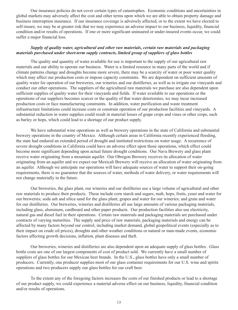Our insurance policies do not cover certain types of catastrophes. Economic conditions and uncertainties in global markets may adversely affect the cost and other terms upon which we are able to obtain property damage and business interruption insurance. If our insurance coverage is adversely affected, or to the extent we have elected to self-insure, we may be at greater risk that we may experience an adverse impact to our business, liquidity, financial condition and/or results of operations. If one or more significant uninsured or under-insured events occur, we could suffer a major financial loss.

# *Supply of quality water, agricultural and other raw materials, certain raw materials and packaging materials purchased under short-term supply contracts, limited group of suppliers of glass bottles*

The quality and quantity of water available for use is important to the supply of our agricultural raw materials and our ability to operate our business. Water is a limited resource in many parts of the world and if climate patterns change and droughts become more severe, there may be a scarcity of water or poor water quality which may affect our production costs or impose capacity constraints. We are dependent on sufficient amounts of quality water for operation of our breweries, our wineries and our distilleries, as well as to irrigate our vineyards and conduct our other operations. The suppliers of the agricultural raw materials we purchase are also dependent upon sufficient supplies of quality water for their vineyards and fields. If water available to our operations or the operations of our suppliers becomes scarcer or the quality of that water deteriorates, we may incur increased production costs or face manufacturing constraints. In addition, water purification and waste treatment infrastructure limitations could increase costs or constrain operation of our production facilities and vineyards. A substantial reduction in water supplies could result in material losses of grape crops and vines or other crops, such as barley or hops, which could lead to a shortage of our product supply.

We have substantial wine operations as well as brewery operations in the state of California and substantial brewery operations in the country of Mexico. Although certain areas in California recently experienced flooding, the state had endured an extended period of drought and instituted restrictions on water usage. A recurrence of severe drought conditions in California could have an adverse effect upon those operations, which effect could become more significant depending upon actual future drought conditions. Our Nava Brewery and glass plant receive water originating from a mountain aquifer. Our Obregon Brewery receives its allocation of water originating from an aquifer and we expect our Mexicali Brewery will receive an allocation of water originating from an aquifer. Although we anticipate our operations will have adequate sources of water to support their on-going requirements, there is no guarantee that the sources of water, methods of water delivery, or water requirements will not change materially in the future.

Our breweries, the glass plant, our wineries and our distilleries use a large volume of agricultural and other raw materials to produce their products. These include corn starch and sugars, malt, hops, fruits, yeast and water for our breweries; soda ash and silica sand for the glass plant; grapes and water for our wineries; and grain and water for our distilleries. Our breweries, wineries and distilleries all use large amounts of various packaging materials, including glass, aluminum, cardboard and other paper products. Our production facilities also use electricity, natural gas and diesel fuel in their operations. Certain raw materials and packaging materials are purchased under contracts of varying maturities. The supply and price of raw materials, packaging materials and energy can be affected by many factors beyond our control, including market demand, global geopolitical events (especially as to their impact on crude oil prices), droughts and other weather conditions or natural or man-made events, economic factors affecting growth decisions, inflation, plant diseases and theft.

Our breweries, wineries and distilleries are also dependent upon an adequate supply of glass bottles. Glass bottle costs are one of our largest components of cost of product sold. We currently have a small number of suppliers of glass bottles for our Mexican beer brands. In the U.S., glass bottles have only a small number of producers. Currently, one producer supplies most of our glass container requirements for our U.S. wine and spirits operations and two producers supply our glass bottles for our craft beer.

To the extent any of the foregoing factors increases the costs of our finished products or lead to a shortage of our product supply, we could experience a material adverse effect on our business, liquidity, financial condition and/or results of operations.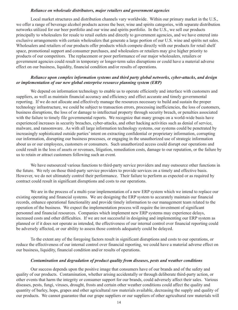#### *Reliance on wholesale distributors, major retailers and government agencies*

Local market structures and distribution channels vary worldwide. Within our primary market in the U.S., we offer a range of beverage alcohol products across the beer, wine and spirits categories, with separate distribution networks utilized for our beer portfolio and our wine and spirits portfolio. In the U.S., we sell our products principally to wholesalers for resale to retail outlets and directly to government agencies, and we have entered into exclusive arrangements with certain wholesalers that generate a large portion of our U.S. wine and spirits net sales. Wholesalers and retailers of our products offer products which compete directly with our products for retail shelf space, promotional support and consumer purchases, and wholesalers or retailers may give higher priority to products of our competitors. The replacement or poor performance of our major wholesalers, retailers or government agencies could result in temporary or longer-term sales disruptions or could have a material adverse effect on our business, liquidity, financial condition and/or results of operations.

# *Reliance upon complex information systems and third party global networks, cyber-attacks, and design or implementation of our new global enterprise resource planning system (ERP)*

We depend on information technology to enable us to operate efficiently and interface with customers and suppliers, as well as maintain financial accuracy and efficiency and effect accurate and timely governmental reporting. If we do not allocate and effectively manage the resources necessary to build and sustain the proper technology infrastructure, we could be subject to transaction errors, processing inefficiencies, the loss of customers, business disruptions, the loss of or damage to intellectual property through security breach, or penalties associated with the failure to timely file governmental reports. We recognize that many groups on a world-wide basis have experienced increases in security breaches, cyber-attacks, and other hacking activities such as denial of service, malware, and ransomware. As with all large information technology systems, our systems could be penetrated by increasingly sophisticated outside parties' intent on extracting confidential or proprietary information, corrupting our information, disrupting our business processes, or engaging in the unauthorized use of strategic information about us or our employees, customers or consumers. Such unauthorized access could disrupt our operations and could result in the loss of assets or revenues, litigation, remediation costs, damage to our reputation, or the failure by us to retain or attract customers following such an event.

We have outsourced various functions to third-party service providers and may outsource other functions in the future. We rely on those third-party service providers to provide services on a timely and effective basis. However, we do not ultimately control their performance. Their failure to perform as expected or as required by contract could result in significant disruptions and costs to our operations.

We are in the process of a multi-year implementation of a new ERP system which we intend to replace our existing operating and financial systems. We are designing the ERP system to accurately maintain our financial records, enhance operational functionality and provide timely information to our management team related to the operation of the business. We expect the implementation process will require the investment of significant personnel and financial resources. Companies which implement new ERP systems may experience delays, increased costs and other difficulties. If we are not successful in designing and implementing our ERP system as planned or if it does not operate as intended, the effectiveness of our internal control over financial reporting could be adversely affected, or our ability to assess those controls adequately could be delayed.

To the extent any of the foregoing factors result in significant disruptions and costs to our operations, or reduce the effectiveness of our internal control over financial reporting, we could have a material adverse effect on our business, liquidity, financial condition and/or results of operations.

#### *Contamination and degradation of product quality from diseases, pests and weather conditions*

Our success depends upon the positive image that consumers have of our brands and of the safety and quality of our products. Contamination, whether arising accidentally or through deliberate third-party action, or other events that harm the integrity or consumer support for our brands, could adversely affect their sales. Various diseases, pests, fungi, viruses, drought, frosts and certain other weather conditions could affect the quality and quantity of barley, hops, grapes and other agricultural raw materials available, decreasing the supply and quality of our products. We cannot guarantee that our grape suppliers or our suppliers of other agricultural raw materials will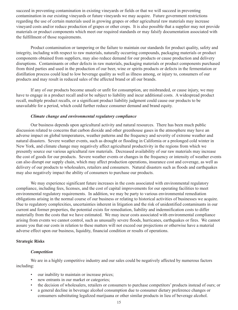succeed in preventing contamination in existing vineyards or fields or that we will succeed in preventing contamination in our existing vineyards or future vineyards we may acquire. Future government restrictions regarding the use of certain materials used in growing grapes or other agricultural raw materials may increase vineyard costs and/or reduce production of grapes or other crops. It is also possible that a supplier may not provide materials or product components which meet our required standards or may falsify documentation associated with the fulfillment of those requirements.

Product contamination or tampering or the failure to maintain our standards for product quality, safety and integrity, including with respect to raw materials, naturally occurring compounds, packaging materials or product components obtained from suppliers, may also reduce demand for our products or cause production and delivery disruptions. Contaminants or other defects in raw materials, packaging materials or product components purchased from third parties and used in the production of our beer, wine or spirits products or defects in the fermentation or distillation process could lead to low beverage quality as well as illness among, or injury to, consumers of our products and may result in reduced sales of the affected brand or all our brands.

If any of our products become unsafe or unfit for consumption, are misbranded, or cause injury, we may have to engage in a product recall and/or be subject to liability and incur additional costs. A widespread product recall, multiple product recalls, or a significant product liability judgment could cause our products to be unavailable for a period, which could further reduce consumer demand and brand equity.

#### *Climate change and environmental regulatory compliance*

Our business depends upon agricultural activity and natural resources. There has been much public discussion related to concerns that carbon dioxide and other greenhouse gases in the atmosphere may have an adverse impact on global temperatures, weather patterns and the frequency and severity of extreme weather and natural disasters. Severe weather events, such as drought or flooding in California or a prolonged cold winter in New York, and climate change may negatively affect agricultural productivity in the regions from which we presently source our various agricultural raw materials. Decreased availability of our raw materials may increase the cost of goods for our products. Severe weather events or changes in the frequency or intensity of weather events can also disrupt our supply chain, which may affect production operations, insurance cost and coverage, as well as delivery of our products to wholesalers, retailers and consumers. Natural disasters such as floods and earthquakes may also negatively impact the ability of consumers to purchase our products.

We may experience significant future increases in the costs associated with environmental regulatory compliance, including fees, licenses, and the cost of capital improvements for our operating facilities to meet environmental regulatory requirements. In addition, we may be party to various environmental remediation obligations arising in the normal course of our business or relating to historical activities of businesses we acquire. Due to regulatory complexities, uncertainties inherent in litigation and the risk of unidentified contaminants in our current and former properties, the potential exists for remediation, liability and indemnification costs to differ materially from the costs that we have estimated. We may incur costs associated with environmental compliance arising from events we cannot control, such as unusually severe floods, hurricanes, earthquakes or fires. We cannot assure you that our costs in relation to these matters will not exceed our projections or otherwise have a material adverse effect upon our business, liquidity, financial condition or results of operations.

#### **Strategic Risks**

#### *Competition*

We are in a highly competitive industry and our sales could be negatively affected by numerous factors including:

- our inability to maintain or increase prices;
- new entrants in our market or categories;
- the decision of wholesalers, retailers or consumers to purchase competitors' products instead of ours; or
- a general decline in beverage alcohol consumption due to consumer dietary preference changes or consumers substituting legalized marijuana or other similar products in lieu of beverage alcohol.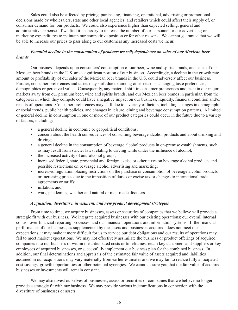Sales could also be affected by pricing, purchasing, financing, operational, advertising or promotional decisions made by wholesalers, state and other local agencies, and retailers which could affect their supply of, or consumer demand for, our products. We could also experience higher than expected selling, general and administrative expenses if we find it necessary to increase the number of our personnel or our advertising or marketing expenditures to maintain our competitive position or for other reasons. We cannot guarantee that we will be able to increase our prices to pass along to our customers any increased costs we incur.

# *Potential decline in the consumption of products we sell; dependence on sales of our Mexican beer brands*

Our business depends upon consumers' consumption of our beer, wine and spirits brands, and sales of our Mexican beer brands in the U.S. are a significant portion of our business. Accordingly, a decline in the growth rate, amount or profitability of our sales of the Mexican beer brands in the U.S. could adversely affect our business. Further, consumer preferences and tastes may shift due to, among other reasons, changing taste preferences, demographics or perceived value. Consequently, any material shift in consumer preferences and taste in our major markets away from our premium beer, wine and spirits brands, and our Mexican beer brands in particular, from the categories in which they compete could have a negative impact on our business, liquidity, financial condition and/or results of operations. Consumer preferences may shift due to a variety of factors, including changes in demographic or social trends, public health policies, and changes in leisure, dining and beverage consumption patterns. A limited or general decline in consumption in one or more of our product categories could occur in the future due to a variety of factors, including:

- a general decline in economic or geopolitical conditions;
- concern about the health consequences of consuming beverage alcohol products and about drinking and driving;
- a general decline in the consumption of beverage alcohol products in on-premise establishments, such as may result from stricter laws relating to driving while under the influence of alcohol;
- the increased activity of anti-alcohol groups;
- increased federal, state, provincial and foreign excise or other taxes on beverage alcohol products and possible restrictions on beverage alcohol advertising and marketing;
- increased regulation placing restrictions on the purchase or consumption of beverage alcohol products or increasing prices due to the imposition of duties or excise tax or changes to international trade agreements or tariffs;
- inflation; and
- wars, pandemics, weather and natural or man-made disasters.

### *Acquisition, divestiture, investment, and new product development strategies*

From time to time, we acquire businesses, assets or securities of companies that we believe will provide a strategic fit with our business. We integrate acquired businesses with our existing operations; our overall internal control over financial reporting processes; and our financial, operations and information systems. If the financial performance of our business, as supplemented by the assets and businesses acquired, does not meet our expectations, it may make it more difficult for us to service our debt obligations and our results of operations may fail to meet market expectations. We may not effectively assimilate the business or product offerings of acquired companies into our business or within the anticipated costs or timeframes, retain key customers and suppliers or key employees of acquired businesses, or successfully implement our business plan for the combined business. In addition, our final determinations and appraisals of the estimated fair value of assets acquired and liabilities assumed in our acquisitions may vary materially from earlier estimates and we may fail to realize fully anticipated cost savings, growth opportunities or other potential synergies. We cannot assure you that the fair value of acquired businesses or investments will remain constant.

We may also divest ourselves of businesses, assets or securities of companies that we believe no longer provide a strategic fit with our business. We may provide various indemnifications in connection with the divestiture of businesses or assets.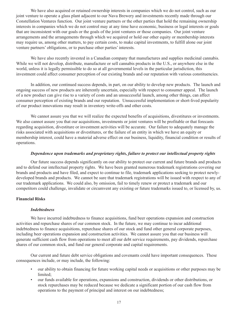We have also acquired or retained ownership interests in companies which we do not control, such as our joint venture to operate a glass plant adjacent to our Nava Brewery and investments recently made through our Constellation Ventures function. Our joint venture partners or the other parties that hold the remaining ownership interests in companies which we do not control may at any time have economic, business or legal interests or goals that are inconsistent with our goals or the goals of the joint ventures or those companies. Our joint venture arrangements and the arrangements through which we acquired or hold our other equity or membership interests may require us, among other matters, to pay certain costs, to make capital investments, to fulfill alone our joint venture partners' obligations, or to purchase other parties' interests.

We have also recently invested in a Canadian company that manufactures and supplies medicinal cannabis. While we will not develop, distribute, manufacture or sell cannabis products in the U.S., or anywhere else in the world, unless it is legally permissible to do so at all governmental levels in the particular jurisdiction, this investment could affect consumer perception of our existing brands and our reputation with various constituencies.

In addition, our continued success depends, in part, on our ability to develop new products. The launch and ongoing success of new products are inherently uncertain, especially with respect to consumer appeal. The launch of a new product can give rise to a variety of costs and an unsuccessful launch, among other things, can affect consumer perception of existing brands and our reputation. Unsuccessful implementation or short-lived popularity of our product innovations may result in inventory write-offs and other costs.

We cannot assure you that we will realize the expected benefits of acquisitions, divestitures or investments. We also cannot assure you that our acquisitions, investments or joint ventures will be profitable or that forecasts regarding acquisition, divestiture or investment activities will be accurate. Our failure to adequately manage the risks associated with acquisitions or divestitures, or the failure of an entity in which we have an equity or membership interest, could have a material adverse effect on our business, liquidity, financial condition or results of operations.

#### *Dependence upon trademarks and proprietary rights, failure to protect our intellectual property rights*

Our future success depends significantly on our ability to protect our current and future brands and products and to defend our intellectual property rights. We have been granted numerous trademark registrations covering our brands and products and have filed, and expect to continue to file, trademark applications seeking to protect newlydeveloped brands and products. We cannot be sure that trademark registrations will be issued with respect to any of our trademark applications. We could also, by omission, fail to timely renew or protect a trademark and our competitors could challenge, invalidate or circumvent any existing or future trademarks issued to, or licensed by, us.

#### **Financial Risks**

#### *Indebtedness*

We have incurred indebtedness to finance acquisitions, fund beer operations expansion and construction activities and repurchase shares of our common stock. In the future, we may continue to incur additional indebtedness to finance acquisitions, repurchase shares of our stock and fund other general corporate purposes, including beer operations expansion and construction activities. We cannot assure you that our business will generate sufficient cash flow from operations to meet all our debt service requirements, pay dividends, repurchase shares of our common stock, and fund our general corporate and capital requirements.

Our current and future debt service obligations and covenants could have important consequences. These consequences include, or may include, the following:

- our ability to obtain financing for future working capital needs or acquisitions or other purposes may be limited;
- our funds available for operations, expansions and construction, dividends or other distributions, or stock repurchases may be reduced because we dedicate a significant portion of our cash flow from operations to the payment of principal and interest on our indebtedness;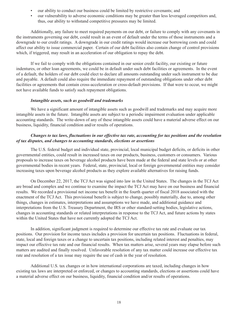- our ability to conduct our business could be limited by restrictive covenants; and
- our vulnerability to adverse economic conditions may be greater than less leveraged competitors and, thus, our ability to withstand competitive pressures may be limited.

Additionally, any failure to meet required payments on our debt, or failure to comply with any covenants in the instruments governing our debt, could result in an event of default under the terms of those instruments and a downgrade to our credit ratings. A downgrade in our credit ratings would increase our borrowing costs and could affect our ability to issue commercial paper. Certain of our debt facilities also contain change of control provisions which, if triggered, may result in an acceleration of our obligation to repay the debt.

If we fail to comply with the obligations contained in our senior credit facility, our existing or future indentures, or other loan agreements, we could be in default under such debt facilities or agreements. In the event of a default, the holders of our debt could elect to declare all amounts outstanding under such instrument to be due and payable. A default could also require the immediate repayment of outstanding obligations under other debt facilities or agreements that contain cross-acceleration or cross-default provisions. If that were to occur, we might not have available funds to satisfy such repayment obligations.

#### *Intangible assets, such as goodwill and trademarks*

We have a significant amount of intangible assets such as goodwill and trademarks and may acquire more intangible assets in the future. Intangible assets are subject to a periodic impairment evaluation under applicable accounting standards. The write-down of any of these intangible assets could have a material adverse effect on our business, liquidity, financial condition and/or results of operations.

# *Changes to tax laws, fluctuations in our effective tax rate, accounting for tax positions and the resolution of tax disputes, and changes to accounting standards, elections or assertions*

The U.S. federal budget and individual state, provincial, local municipal budget deficits, or deficits in other governmental entities, could result in increased taxes on our products, business, customers or consumers. Various proposals to increase taxes on beverage alcohol products have been made at the federal and state levels or at other governmental bodies in recent years. Federal, state, provincial, local or foreign governmental entities may consider increasing taxes upon beverage alcohol products as they explore available alternatives for raising funds.

On December 22, 2017, the TCJ Act was signed into law in the United States. The changes in the TCJ Act are broad and complex and we continue to examine the impact the TCJ Act may have on our business and financial results. We recorded a provisional net income tax benefit in the fourth quarter of fiscal 2018 associated with the enactment of the TCJ Act. This provisional benefit is subject to change, possibly materially, due to, among other things, changes in estimates, interpretations and assumptions we have made, and additional guidance and interpretations from the U.S. Treasury Department, the IRS or other standard-setting bodies, legislative actions, changes in accounting standards or related interpretations in response to the TCJ Act, and future actions by states within the United States that have not currently adopted the TCJ Act.

In addition, significant judgment is required to determine our effective tax rate and evaluate our tax positions. Our provision for income taxes includes a provision for uncertain tax positions. Fluctuations in federal, state, local and foreign taxes or a change to uncertain tax positions, including related interest and penalties, may impact our effective tax rate and our financial results. When tax matters arise, several years may elapse before such matters are audited and finally resolved. Unfavorable resolution of any tax matter could increase our effective tax rate and resolution of a tax issue may require the use of cash in the year of resolution.

Additional U.S. tax changes or in how international corporations are taxed, including changes in how existing tax laws are interpreted or enforced, or changes to accounting standards, elections or assertions could have a material adverse effect on our business, liquidity, financial condition and/or results of operations.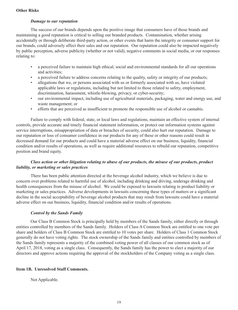# **Other Risks**

## *Damage to our reputation*

The success of our brands depends upon the positive image that consumers have of those brands and maintaining a good reputation is critical to selling our branded products. Contamination, whether arising accidentally or through deliberate third-party action, or other events that harm the integrity or consumer support for our brands, could adversely affect their sales and our reputation. Our reputation could also be impacted negatively by public perception, adverse publicity (whether or not valid), negative comments in social media, or our responses relating to:

- a perceived failure to maintain high ethical, social and environmental standards for all our operations and activities;
- a perceived failure to address concerns relating to the quality, safety or integrity of our products;
- allegations that we, or persons associated with us or formerly associated with us, have violated applicable laws or regulations, including but not limited to those related to safety, employment, discrimination, harassment, whistle-blowing, privacy, or cyber-security;
- our environmental impact, including use of agricultural materials, packaging, water and energy use, and waste management; or
- efforts that are perceived as insufficient to promote the responsible use of alcohol or cannabis.

Failure to comply with federal, state, or local laws and regulations, maintain an effective system of internal controls, provide accurate and timely financial statement information, or protect our information systems against service interruptions, misappropriation of data or breaches of security, could also hurt our reputation. Damage to our reputation or loss of consumer confidence in our products for any of these or other reasons could result in decreased demand for our products and could have a material adverse effect on our business, liquidity, financial condition and/or results of operations, as well as require additional resources to rebuild our reputation, competitive position and brand equity.

# *Class action or other litigation relating to abuse of our products, the misuse of our products, product liability, or marketing or sales practices*

There has been public attention directed at the beverage alcohol industry, which we believe is due to concern over problems related to harmful use of alcohol, including drinking and driving, underage drinking and health consequences from the misuse of alcohol. We could be exposed to lawsuits relating to product liability or marketing or sales practices. Adverse developments in lawsuits concerning these types of matters or a significant decline in the social acceptability of beverage alcohol products that may result from lawsuits could have a material adverse effect on our business, liquidity, financial condition and/or results of operations.

# *Control by the Sands Family*

Our Class B Common Stock is principally held by members of the Sands family, either directly or through entities controlled by members of the Sands family. Holders of Class A Common Stock are entitled to one vote per share and holders of Class B Common Stock are entitled to 10 votes per share. Holders of Class 1 Common Stock generally do not have voting rights. The stock ownership of the Sands family and entities controlled by members of the Sands family represents a majority of the combined voting power of all classes of our common stock as of April 17, 2018, voting as a single class. Consequently, the Sands family has the power to elect a majority of our directors and approve actions requiring the approval of the stockholders of the Company voting as a single class.

# **Item 1B. Unresolved Staff Comments.**

Not Applicable.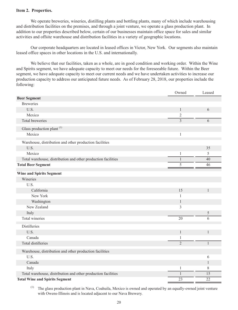#### **Item 2. Properties.**

We operate breweries, wineries, distilling plants and bottling plants, many of which include warehousing and distribution facilities on the premises, and through a joint venture, we operate a glass production plant. In addition to our properties described below, certain of our businesses maintain office space for sales and similar activities and offsite warehouse and distribution facilities in a variety of geographic locations.

Our corporate headquarters are located in leased offices in Victor, New York. Our segments also maintain leased office spaces in other locations in the U.S. and internationally.

We believe that our facilities, taken as a whole, are in good condition and working order. Within the Wine and Spirits segment, we have adequate capacity to meet our needs for the foreseeable future. Within the Beer segment, we have adequate capacity to meet our current needs and we have undertaken activities to increase our production capacity to address our anticipated future needs. As of February 28, 2018, our properties include the following:

|                                                               | Owned           | Leased          |
|---------------------------------------------------------------|-----------------|-----------------|
| <b>Beer Segment</b>                                           |                 |                 |
| <b>Breweries</b>                                              |                 |                 |
| U.S.                                                          | $\mathbf{1}$    | 6               |
| Mexico                                                        | $\overline{2}$  |                 |
| Total breweries                                               | $\overline{3}$  | 6               |
| Glass production plant <sup>(1)</sup>                         |                 |                 |
| Mexico                                                        | $\mathbf{1}$    |                 |
| Warehouse, distribution and other production facilities       |                 |                 |
| U.S.                                                          |                 | 35              |
| Mexico                                                        | 1               | 5               |
| Total warehouse, distribution and other production facilities | $\mathbf{1}$    | $\overline{40}$ |
| <b>Total Beer Segment</b>                                     | 5               | 46              |
| <b>Wine and Spirits Segment</b>                               |                 |                 |
| Wineries                                                      |                 |                 |
| U.S.                                                          |                 |                 |
| California                                                    | 15              | $\mathbf{1}$    |
| New York                                                      | $\mathbf{1}$    |                 |
| Washington                                                    | 1               |                 |
| New Zealand                                                   | 3               |                 |
|                                                               |                 |                 |
| Italy<br>Total wineries                                       | $\overline{20}$ | 5<br>6          |
|                                                               |                 |                 |
| <b>Distilleries</b>                                           |                 |                 |
| U.S.                                                          | $\mathbf{1}$    | $\,1\,$         |
| Canada                                                        | 1               |                 |
| Total distilleries                                            | $\overline{2}$  | $\mathbf{1}$    |
| Warehouse, distribution and other production facilities       |                 |                 |
| U.S.                                                          |                 | 6               |
| Canada                                                        |                 | $\mathbf{1}$    |
| Italy                                                         | $\mathbf{1}$    | 8               |
| Total warehouse, distribution and other production facilities | $\mathbf{1}$    | 15              |
| <b>Total Wine and Spirits Segment</b>                         | $\overline{23}$ | $\overline{22}$ |

 $(1)$  The glass production plant in Nava, Coahuila, Mexico is owned and operated by an equally-owned joint venture with Owens-Illinois and is located adjacent to our Nava Brewery.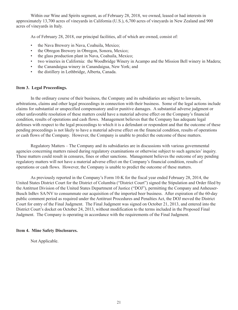Within our Wine and Spirits segment, as of February 28, 2018, we owned, leased or had interests in approximately 13,700 acres of vineyards in California (U.S.), 6,700 acres of vineyards in New Zealand and 900 acres of vineyards in Italy.

As of February 28, 2018, our principal facilities, all of which are owned, consist of:

- the Nava Brewery in Nava, Coahuila, Mexico;
- the Obregon Brewery in Obregon, Sonora, Mexico;
- the glass production plant in Nava, Coahuila, Mexico;
- two wineries in California: the Woodbridge Winery in Acampo and the Mission Bell winery in Madera;
- the Canandaigua winery in Canandaigua, New York; and
- the distillery in Lethbridge, Alberta, Canada.

# **Item 3. Legal Proceedings.**

In the ordinary course of their business, the Company and its subsidiaries are subject to lawsuits, arbitrations, claims and other legal proceedings in connection with their business. Some of the legal actions include claims for substantial or unspecified compensatory and/or punitive damages. A substantial adverse judgment or other unfavorable resolution of these matters could have a material adverse effect on the Company's financial condition, results of operations and cash flows. Management believes that the Company has adequate legal defenses with respect to the legal proceedings to which it is a defendant or respondent and that the outcome of these pending proceedings is not likely to have a material adverse effect on the financial condition, results of operations or cash flows of the Company. However, the Company is unable to predict the outcome of these matters.

Regulatory Matters – The Company and its subsidiaries are in discussions with various governmental agencies concerning matters raised during regulatory examinations or otherwise subject to such agencies' inquiry. These matters could result in censures, fines or other sanctions. Management believes the outcome of any pending regulatory matters will not have a material adverse effect on the Company's financial condition, results of operations or cash flows. However, the Company is unable to predict the outcome of these matters.

As previously reported in the Company's Form 10-K for the fiscal year ended February 28, 2014, the United States District Court for the District of Columbia ("District Court") signed the Stipulation and Order filed by the Antitrust Division of the United States Department of Justice ("DOJ"), permitting the Company and Anheuser-Busch InBev SA/NV to consummate our acquisition of the imported beer business. After expiration of the 60-day public comment period as required under the Antitrust Procedures and Penalties Act, the DOJ moved the District Court for entry of the Final Judgment. The Final Judgment was signed on October 21, 2013, and entered into the District Court's docket on October 24, 2013, without modification to the terms included in the Proposed Final Judgment. The Company is operating in accordance with the requirements of the Final Judgment.

#### **Item 4. Mine Safety Disclosures.**

Not Applicable.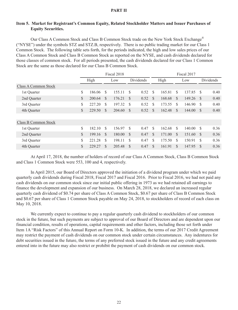### **PART II**

# **Item 5. Market for Registrant's Common Equity, Related Stockholder Matters and Issuer Purchases of Equity Securities.**

Our Class A Common Stock and Class B Common Stock trade on the New York Stock Exchange® ("NYSE") under the symbols STZ and STZ.B, respectively. There is no public trading market for our Class 1 Common Stock. The following table sets forth, for the periods indicated, the high and low sales prices of our Class A Common Stock and Class B Common Stock as reported on the NYSE, and cash dividends declared for those classes of common stock. For all periods presented, the cash dividends declared for our Class 1 Common Stock are the same as those declared for our Class B Common Stock.

|                      |              |        |               | Fiscal 2018 |               |           | Fiscal 2017   |        |               |        |               |           |  |
|----------------------|--------------|--------|---------------|-------------|---------------|-----------|---------------|--------|---------------|--------|---------------|-----------|--|
|                      |              | High   |               | Low         |               | Dividends |               | High   |               | Low    |               | Dividends |  |
| Class A Common Stock |              |        |               |             |               |           |               |        |               |        |               |           |  |
| 1st Quarter          | \$           | 186.06 | \$.           | 155.11      | \$            | 0.52      | <sup>\$</sup> | 165.81 | \$.           | 137.85 | -S            | 0.40      |  |
| 2nd Quarter          | $\mathbb{S}$ | 200.64 | <sup>S</sup>  | 176.21      | <sup>\$</sup> | 0.52      | <sup>\$</sup> | 168.68 | <sup>\$</sup> | 149.26 | - \$          | 0.40      |  |
| 3rd Quarter          | \$           | 227.20 | <sup>\$</sup> | 197.32      | \$.           | 0.52      | \$            | 173.55 | \$            | 146.90 | \$.           | 0.40      |  |
| 4th Quarter          | $\mathbb{S}$ | 229.50 | S             | 204.60      | <sup>\$</sup> | 0.52      | <sup>S</sup>  | 162.48 | S             | 144.00 | S             | 0.40      |  |
|                      |              |        |               |             |               |           |               |        |               |        |               |           |  |
| Class B Common Stock |              |        |               |             |               |           |               |        |               |        |               |           |  |
| 1st Quarter          | \$           | 182.10 | S             | 156.97      | <sup>\$</sup> | 0.47      | \$.           | 162.68 | <sup>\$</sup> | 140.00 | \$.           | 0.36      |  |
| 2nd Quarter          | $\mathbb{S}$ | 199.16 | S.            | 180.00      | <sup>\$</sup> | 0.47      | \$            | 171.00 | $\mathcal{S}$ | 151.60 | <sup>\$</sup> | 0.36      |  |
| 3rd Quarter          | \$           | 221.28 | \$            | 198.11      | \$            | 0.47      | \$            | 175.50 | \$            | 150.91 | \$.           | 0.36      |  |
| 4th Quarter          | \$           | 229.27 | <sup>\$</sup> | 205.48      | \$            | 0.47      | \$            | 161.91 | <sup>\$</sup> | 147.95 | <sup>\$</sup> | 0.36      |  |

At April 17, 2018, the number of holders of record of our Class A Common Stock, Class B Common Stock and Class 1 Common Stock were 553, 100 and 4, respectively.

In April 2015, our Board of Directors approved the initiation of a dividend program under which we paid quarterly cash dividends during Fiscal 2018, Fiscal 2017 and Fiscal 2016. Prior to Fiscal 2016, we had not paid any cash dividends on our common stock since our initial public offering in 1973 as we had retained all earnings to finance the development and expansion of our business. On March 28, 2018, we declared an increased regular quarterly cash dividend of \$0.74 per share of Class A Common Stock, \$0.67 per share of Class B Common Stock and \$0.67 per share of Class 1 Common Stock payable on May 24, 2018, to stockholders of record of each class on May 10, 2018.

We currently expect to continue to pay a regular quarterly cash dividend to stockholders of our common stock in the future, but such payments are subject to approval of our Board of Directors and are dependent upon our financial condition, results of operations, capital requirements and other factors, including those set forth under Item 1A "Risk Factors" of this Annual Report on Form 10-K. In addition, the terms of our 2017 Credit Agreement may restrict the payment of cash dividends on our common stock under certain circumstances. Any indentures for debt securities issued in the future, the terms of any preferred stock issued in the future and any credit agreements entered into in the future may also restrict or prohibit the payment of cash dividends on our common stock.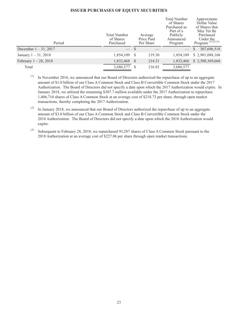# **ISSUER PURCHASES OF EQUITY SECURITIES**

| Period                   | <b>Total Number</b><br>of Shares<br>Purchased |              | Average<br>Price Paid<br>Per Share | <b>Total Number</b><br>of Shares<br>Purchased as<br>Part of a<br>Publicly<br>Announced<br>Program | Approximate<br>Dollar Value<br>of Shares that<br>May Yet Be<br>Purchased<br>Under the<br>Program <sup><math>(1)(2)(3)</math></sup> |  |  |
|--------------------------|-----------------------------------------------|--------------|------------------------------------|---------------------------------------------------------------------------------------------------|------------------------------------------------------------------------------------------------------------------------------------|--|--|
| December $1 - 31$ , 2017 | $\frac{1}{2}$                                 | <sup>S</sup> |                                    | $\overbrace{\phantom{aaaaa}}$                                                                     | 307,696,518<br>S                                                                                                                   |  |  |
| January $1 - 31$ , 2018  | 1,854,109                                     | S            | 219.30                             | 1,854,109                                                                                         | \$2,901,088,168                                                                                                                    |  |  |
| February $1-28$ , 2018   | 1,832,468                                     | S            | 214.31                             | 1,832,468                                                                                         | \$2,508,369,668                                                                                                                    |  |  |
| Total                    | 3,686,577                                     |              | 216.82                             | 3,686,577                                                                                         |                                                                                                                                    |  |  |

(1) In November 2016, we announced that our Board of Directors authorized the repurchase of up to an aggregate amount of \$1.0 billion of our Class A Common Stock and Class B Convertible Common Stock under the 2017 Authorization. The Board of Directors did not specify a date upon which the 2017 Authorization would expire. In January 2018, we utilized the remaining \$307.7 million available under the 2017 Authorization to repurchase 1,406,710 shares of Class A Common Stock at an average cost of \$218.73 per share, through open market transactions, thereby completing the 2017 Authorization.

(2) In January 2018, we announced that our Board of Directors authorized the repurchase of up to an aggregate amount of \$3.0 billion of our Class A Common Stock and Class B Convertible Common Stock under the 2018 Authorization. The Board of Directors did not specify a date upon which the 2018 Authorization would expire.

(3) Subsequent to February 28, 2018, we repurchased 93,287 shares of Class A Common Stock pursuant to the 2018 Authorization at an average cost of \$227.06 per share through open market transactions.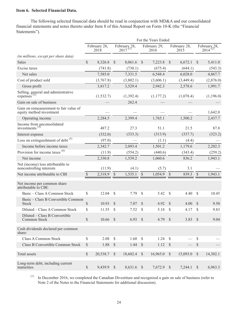# **Item 6. Selected Financial Data.**

The following selected financial data should be read in conjunction with MD&A and our consolidated financial statements and notes thereto under Item 8 of this Annual Report on Form 10-K (the "Financial Statements").

|                                                                    | For the Years Ended |                      |               |                                     |               |                      |               |                      |               |                                     |
|--------------------------------------------------------------------|---------------------|----------------------|---------------|-------------------------------------|---------------|----------------------|---------------|----------------------|---------------|-------------------------------------|
|                                                                    |                     | February 28,<br>2018 |               | February 28,<br>2017 <sup>{1}</sup> |               | February 29,<br>2016 |               | February 28,<br>2015 |               | February 28,<br>2014 <sup>(2)</sup> |
| (in millions, except per share data)                               |                     |                      |               |                                     |               |                      |               |                      |               |                                     |
| <b>Sales</b>                                                       | $\mathbb{S}$        | 8,326.8              | $\mathcal{S}$ | 8,061.6                             | $\mathcal{S}$ | 7,223.8              | $\mathcal{S}$ | 6,672.1              | $\mathcal{S}$ | 5,411.0                             |
| Excise taxes                                                       |                     | (741.8)              |               | (730.1)                             |               | (675.4)              |               | (644.1)              |               | (543.3)                             |
| Net sales                                                          |                     | 7,585.0              |               | 7,331.5                             |               | 6,548.4              |               | 6,028.0              |               | 4,867.7                             |
| Cost of product sold                                               |                     | (3,767.8)            |               | (3,802.1)                           |               | (3,606.1)            |               | (3,449.4)            |               | (2,876.0)                           |
| Gross profit                                                       |                     | 3,817.2              |               | 3,529.4                             |               | 2,942.3              |               | 2,578.6              |               | 1,991.7                             |
| Selling, general and administrative<br>$expenses$ <sup>(</sup>     |                     | (1, 532.7)           |               | (1,392.4)                           |               | (1,177.2)            |               | (1,078.4)            |               | (1,196.0)                           |
| Gain on sale of business                                           |                     |                      |               | 262.4                               |               |                      |               |                      |               |                                     |
| Gain on remeasurement to fair value of<br>equity method investment |                     |                      |               |                                     |               |                      |               |                      |               | 1,642.0                             |
| Operating income                                                   |                     | 2,284.5              |               | 2,399.4                             |               | 1,765.1              |               | 1,500.2              |               | 2,437.7                             |
| Income from unconsolidated<br>investments <sup>(4)</sup>           |                     | 487.2                |               | 27.3                                |               | 51.1                 |               | 21.5                 |               | 87.8                                |
| Interest expense                                                   |                     | (332.0)              |               | (333.3)                             |               | (313.9)              |               | (337.7)              |               | (323.2)                             |
| Loss on extinguishment of debt <sup>(5)</sup>                      |                     | (97.0)               |               |                                     |               | (1.1)                |               | (4.4)                |               |                                     |
| Income before income taxes                                         |                     | 2,342.7              |               | 2,093.4                             |               | 1,501.2              |               | 1,179.6              |               | 2,202.3                             |
| Provision for income taxes $^{(6)}$                                |                     | (11.9)               |               | (554.2)                             |               | (440.6)              |               | (343.4)              |               | (259.2)                             |
| Net income                                                         |                     | 2,330.8              |               | 1,539.2                             |               | 1,060.6              |               | 836.2                |               | 1,943.1                             |
| Net (income) loss attributable to<br>noncontrolling interests      |                     | (11.9)               |               | (4.1)                               |               | (5.7)                |               | 3.1                  |               |                                     |
| Net income attributable to CBI                                     | $\mathcal{S}$       | 2,318.9 \$           |               | $1,535.1$ \$                        |               | 1,054.9              | $\mathcal{S}$ | 839.3                | $\mathcal{S}$ | 1,943.1                             |
| Net income per common share<br>attributable to CBI:                |                     |                      |               |                                     |               |                      |               |                      |               |                                     |
| Basic - Class A Common Stock                                       | \$                  | 12.04                | $\mathcal{S}$ | 7.79                                | \$            | 5.42                 | $\mathcal{S}$ | 4.40                 | \$            | 10.45                               |
| Basic - Class B Convertible Common<br><b>Stock</b>                 | \$                  | 10.93                | $\mathcal{S}$ | 7.07                                | $\mathbb{S}$  | 4.92                 | \$            | 4.00                 | \$            | 9.50                                |
| Diluted - Class A Common Stock                                     | \$                  | 11.55                | \$            | 7.52                                | \$            | 5.18                 | \$            | 4.17                 | \$            | 9.83                                |
| Diluted - Class B Convertible<br>Common Stock                      | \$                  | $10.66$ \$           |               | 6.93S                               |               | $4.79$ \$            |               | $3.83$ \$            |               | 9.04                                |
| Cash dividends declared per common<br>share:                       |                     |                      |               |                                     |               |                      |               |                      |               |                                     |
| Class A Common Stock                                               | \$                  | 2.08                 | $\mathbb{S}$  | 1.60                                | $\mathbb{S}$  | 1.24                 | $\mathbb{S}$  |                      | \$            |                                     |
| Class B Convertible Common Stock                                   | \$                  | 1.88                 | $\mathbb{S}$  | 1.44                                | $\$$          | 1.12                 | $\mathbb{S}$  |                      | $\mathbb{S}$  |                                     |
| Total assets                                                       | $\mathbb{S}$        | 20,538.7             | $\mathbb{S}$  | 18,602.4                            | $\mathcal{S}$ | 16,965.0             | $\mathcal{S}$ | 15,093.0             | $\mathbb S$   | 14,302.1                            |
| Long-term debt, including current<br>maturities                    | \$                  | 9,439.9              | $\mathcal{S}$ | 8,631.6                             | $\mathbb{S}$  | 7,672.9              | $\mathbb{S}$  | 7,244.1              | $\mathbb{S}$  | 6,963.3                             |

(1) In December 2016, we completed the Canadian Divestiture and recognized a gain on sale of business (refer to Note 2 of the Notes to the Financial Statements for additional discussion).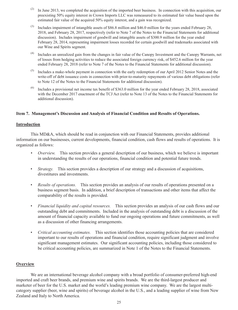- (2) In June 2013, we completed the acquisition of the imported beer business. In connection with this acquisition, our preexisting 50% equity interest in Crown Imports LLC was remeasured to its estimated fair value based upon the estimated fair value of the acquired 50% equity interest, and a gain was recognized.
- (3) Includes impairment of intangible assets of \$86.8 million and \$46.0 million for the years ended February 28, 2018, and February 28, 2017, respectively (refer to Note 7 of the Notes to the Financial Statements for additional discussion). Includes impairment of goodwill and intangible assets of \$300.9 million for the year ended February 28, 2014, representing impairment losses recorded for certain goodwill and trademarks associated with our Wine and Spirits segment.
- $(4)$  Includes an unrealized gain from the changes in fair value of the Canopy Investment and the Canopy Warrants, net of losses from hedging activities to reduce the associated foreign currency risk, of \$452.6 million for the year ended February 28, 2018 (refer to Note 7 of the Notes to the Financial Statements for additional discussion).
- (5) Includes a make-whole payment in connection with the early redemption of our April 2012 Senior Notes and the write-off of debt issuance costs in connection with prior-to-maturity repayments of various debt obligations (refer to Note 12 of the Notes to the Financial Statements for additional discussion).
- $(6)$  Includes a provisional net income tax benefit of \$363.0 million for the year ended February 28, 2018, associated with the December 2017 enactment of the TCJ Act (refer to Note 13 of the Notes to the Financial Statements for additional discussion).

## **Item 7. Management's Discussion and Analysis of Financial Condition and Results of Operations.**

#### **Introduction**

This MD&A, which should be read in conjunction with our Financial Statements, provides additional information on our businesses, current developments, financial condition, cash flows and results of operations. It is organized as follows:

- *Overview.* This section provides a general description of our business, which we believe is important in understanding the results of our operations, financial condition and potential future trends.
- *Strategy.* This section provides a description of our strategy and a discussion of acquisitions, divestitures and investments.
- *Results of operations.* This section provides an analysis of our results of operations presented on a business segment basis. In addition, a brief description of transactions and other items that affect the comparability of the results is provided.
- *Financial liquidity and capital resources.* This section provides an analysis of our cash flows and our outstanding debt and commitments. Included in the analysis of outstanding debt is a discussion of the amount of financial capacity available to fund our ongoing operations and future commitments, as well as a discussion of other financing arrangements.
- *Critical accounting estimates.* This section identifies those accounting policies that are considered important to our results of operations and financial condition, require significant judgment and involve significant management estimates. Our significant accounting policies, including those considered to be critical accounting policies, are summarized in Note 1 of the Notes to the Financial Statements.

# **Overview**

We are an international beverage alcohol company with a broad portfolio of consumer-preferred high-end imported and craft beer brands, and premium wine and spirits brands. We are the third-largest producer and marketer of beer for the U.S. market and the world's leading premium wine company. We are the largest multicategory supplier (beer, wine and spirits) of beverage alcohol in the U.S., and a leading supplier of wine from New Zealand and Italy to North America.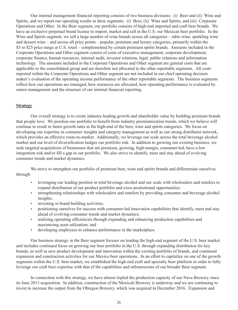Our internal management financial reporting consists of two business divisions: (i) Beer and (ii) Wine and Spirits, and we report our operating results in three segments: (i) Beer, (ii) Wine and Spirits, and (iii) Corporate Operations and Other. In the Beer segment, our portfolio consists of high-end imported and craft beer brands. We have an exclusive perpetual brand license to import, market and sell in the U.S. our Mexican beer portfolio. In the Wine and Spirits segment, we sell a large number of wine brands across all categories – table wine, sparkling wine and dessert wine – and across all price points – popular, premium and luxury categories, primarily within the \$5 to \$25 price range at U.S. retail – complemented by certain premium spirits brands. Amounts included in the Corporate Operations and Other segment consist of costs of executive management, corporate development, corporate finance, human resources, internal audit, investor relations, legal, public relations and information technology. The amounts included in the Corporate Operations and Other segment are general costs that are applicable to the consolidated group and are therefore not allocated to the other reportable segments. All costs reported within the Corporate Operations and Other segment are not included in our chief operating decision maker's evaluation of the operating income performance of the other reportable segments. The business segments reflect how our operations are managed, how resources are allocated, how operating performance is evaluated by senior management and the structure of our internal financial reporting.

#### **Strategy**

Our overall strategy is to create industry-leading growth and shareholder value by building premium brands that people love. We position our portfolio to benefit from industry premiumization trends, which we believe will continue to result in faster growth rates in the high-end of the beer, wine and spirits categories. We focus on developing our expertise in consumer insights and category management as well as our strong distributor network, which provides an effective route-to-market. Additionally, we leverage our scale across the total beverage alcohol market and our level of diversification hedges our portfolio risk. In addition to growing our existing business, we seek targeted acquisitions of businesses that are premium, growing, high-margin, consumer-led, have a low integration risk and/or fill a gap in our portfolio. We also strive to identify, meet and stay ahead of evolving consumer trends and market dynamics.

We strive to strengthen our portfolio of premium beer, wine and spirits brands and differentiate ourselves through:

- leveraging our leading position in total beverage alcohol and our scale with wholesalers and retailers to expand distribution of our product portfolio and cross promotional opportunities;
- strengthening relationships with wholesalers and retailers by providing consumer and beverage alcohol insights;
- investing in brand building activities;
- positioning ourselves for success with consumer-led innovation capabilities that identify, meet and stay ahead of evolving consumer trends and market dynamics;
- realizing operating efficiencies through expanding and enhancing production capabilities and maximizing asset utilization; and
- developing employees to enhance performance in the marketplace.

Our business strategy in the Beer segment focuses on leading the high-end segment of the U.S. beer market and includes continued focus on growing our beer portfolio in the U.S. through expanding distribution for key brands, as well as new product development and innovation within the existing portfolio of brands, and continued expansion and construction activities for our Mexico beer operations. In an effort to capitalize on one of the growth segments within the U.S. beer market, we established the high-end craft and specialty beer platform in order to fully leverage our craft beer expertise with that of the capabilities and infrastructure of our broader Beer segment.

In connection with this strategy, we have almost tripled the production capacity of our Nava Brewery since its June 2013 acquisition. In addition, construction of the Mexicali Brewery is underway and we are continuing to invest to increase the output from the Obregon Brewery, which was acquired in December 2016. Expansion and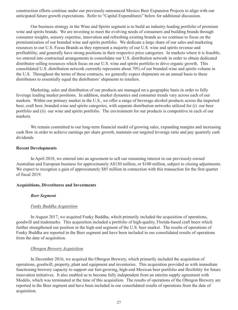construction efforts continue under our previously-announced Mexico Beer Expansion Projects to align with our anticipated future growth expectations. Refer to "Capital Expenditures" below for additional discussion.

Our business strategy in the Wine and Spirits segment is to build an industry-leading portfolio of premium wine and spirits brands. We are investing to meet the evolving needs of consumers and building brands through consumer insights, sensory expertise, innovation and refreshing existing brands as we continue to focus on the premiumization of our branded wine and spirits portfolio. We dedicate a large share of our sales and marketing resources to our U.S. Focus Brands as they represent a majority of our U.S. wine and spirits revenue and profitability, and generally have strong positions in their respective price categories. In markets where it is feasible, we entered into contractual arrangements to consolidate our U.S. distribution network in order to obtain dedicated distributor selling resources which focus on our U.S. wine and spirits portfolio to drive organic growth. This consolidated U.S. distribution network currently represents about 70% of our branded wine and spirits volume in the U.S. Throughout the terms of these contracts, we generally expect shipments on an annual basis to these distributors to essentially equal the distributors' shipments to retailers.

Marketing, sales and distribution of our products are managed on a geographic basis in order to fully leverage leading market positions. In addition, market dynamics and consumer trends vary across each of our markets. Within our primary market in the U.S., we offer a range of beverage alcohol products across the imported beer, craft beer, branded wine and spirits categories, with separate distribution networks utilized for (i) our beer portfolio and (ii) our wine and spirits portfolio. The environment for our products is competitive in each of our markets.

We remain committed to our long-term financial model of growing sales, expanding margins and increasing cash flow in order to achieve earnings per share growth, maintain our targeted leverage ratio and pay quarterly cash dividends.

## **Recent Developments**

In April 2018, we entered into an agreement to sell our remaining interest in our previously-owned Australian and European business for approximately A\$130 million, or \$100 million, subject to closing adjustments. We expect to recognize a gain of approximately \$85 million in connection with this transaction for the first quarter of fiscal 2019.

#### **Acquisitions, Divestitures and Investments**

#### *Beer Segment*

#### *Funky Buddha Acquisition*

In August 2017, we acquired Funky Buddha, which primarily included the acquisition of operations, goodwill and trademarks. This acquisition included a portfolio of high-quality, Florida-based craft beers which further strengthened our position in the high-end segment of the U.S. beer market. The results of operations of Funky Buddha are reported in the Beer segment and have been included in our consolidated results of operations from the date of acquisition.

#### *Obregon Brewery Acquisition*

In December 2016, we acquired the Obregon Brewery, which primarily included the acquisition of operations, goodwill, property, plant and equipment and inventories. This acquisition provided us with immediate functioning brewery capacity to support our fast-growing, high-end Mexican beer portfolio and flexibility for future innovation initiatives. It also enabled us to become fully independent from an interim supply agreement with Modelo, which was terminated at the time of this acquisition. The results of operations of the Obregon Brewery are reported in the Beer segment and have been included in our consolidated results of operations from the date of acquisition.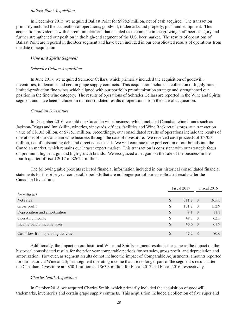#### *Ballast Point Acquisition*

In December 2015, we acquired Ballast Point for \$998.5 million, net of cash acquired. The transaction primarily included the acquisition of operations, goodwill, trademarks and property, plant and equipment. This acquisition provided us with a premium platform that enabled us to compete in the growing craft beer category and further strengthened our position in the high-end segment of the U.S. beer market. The results of operations of Ballast Point are reported in the Beer segment and have been included in our consolidated results of operations from the date of acquisition.

# *Wine and Spirits Segment*

## *Schrader Cellars Acquisition*

In June 2017, we acquired Schrader Cellars, which primarily included the acquisition of goodwill, inventories, trademarks and certain grape supply contracts. This acquisition included a collection of highly-rated, limited-production fine wines which aligned with our portfolio premiumization strategy and strengthened our position in the fine wine category. The results of operations of Schrader Cellars are reported in the Wine and Spirits segment and have been included in our consolidated results of operations from the date of acquisition.

## *Canadian Divestiture*

In December 2016, we sold our Canadian wine business, which included Canadian wine brands such as Jackson-Triggs and Inniskillin, wineries, vineyards, offices, facilities and Wine Rack retail stores, at a transaction value of C\$1.03 billion, or \$775.1 million. Accordingly, our consolidated results of operations include the results of operations of our Canadian wine business through the date of divestiture. We received cash proceeds of \$570.3 million, net of outstanding debt and direct costs to sell. We will continue to export certain of our brands into the Canadian market, which remains our largest export market. This transaction is consistent with our strategic focus on premium, high-margin and high-growth brands. We recognized a net gain on the sale of the business in the fourth quarter of fiscal 2017 of \$262.4 million.

The following table presents selected financial information included in our historical consolidated financial statements for the prior year comparable periods that are no longer part of our consolidated results after the Canadian Divestiture.

|                                     |    | Fiscal 2017 |  | Fiscal 2016 |  |
|-------------------------------------|----|-------------|--|-------------|--|
| (in millions)                       |    |             |  |             |  |
| Net sales                           | \$ | 311.2 \$    |  | 365.1       |  |
| Gross profit                        | S  | 131.2 \$    |  | 152.9       |  |
| Depreciation and amortization       | \$ | 9.1 S       |  | 11.1        |  |
| Operating income                    | S  | 49.8 S      |  | 62.5        |  |
| Income before income taxes          | \$ | $46.6$ \$   |  | 61.9        |  |
|                                     |    |             |  |             |  |
| Cash flow from operating activities | S  | 47.2 \$     |  | 80.0        |  |

Additionally, the impact on our historical Wine and Spirits segment results is the same as the impact on the historical consolidated results for the prior year comparable periods for net sales, gross profit, and depreciation and amortization. However, as segment results do not include the impact of Comparable Adjustments, amounts reported for our historical Wine and Spirits segment operating income that are no longer part of the segment's results after the Canadian Divestiture are \$50.1 million and \$63.3 million for Fiscal 2017 and Fiscal 2016, respectively.

# *Charles Smith Acquisition*

In October 2016, we acquired Charles Smith, which primarily included the acquisition of goodwill, trademarks, inventories and certain grape supply contracts. This acquisition included a collection of five super and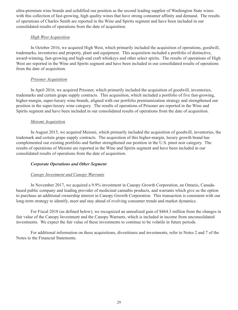ultra-premium wine brands and solidified our position as the second leading supplier of Washington State wines with this collection of fast-growing, high quality wines that have strong consumer affinity and demand. The results of operations of Charles Smith are reported in the Wine and Spirits segment and have been included in our consolidated results of operations from the date of acquisition.

## *High West Acquisition*

In October 2016, we acquired High West, which primarily included the acquisition of operations, goodwill, trademarks, inventories and property, plant and equipment. This acquisition included a portfolio of distinctive, award-winning, fast-growing and high-end craft whiskeys and other select spirits. The results of operations of High West are reported in the Wine and Spirits segment and have been included in our consolidated results of operations from the date of acquisition.

## *Prisoner Acquisition*

In April 2016, we acquired Prisoner, which primarily included the acquisition of goodwill, inventories, trademarks and certain grape supply contracts. This acquisition, which included a portfolio of five fast-growing, higher-margin, super-luxury wine brands, aligned with our portfolio premiumization strategy and strengthened our position in the super-luxury wine category. The results of operations of Prisoner are reported in the Wine and Spirits segment and have been included in our consolidated results of operations from the date of acquisition.

## *Meiomi Acquisition*

In August 2015, we acquired Meiomi, which primarily included the acquisition of goodwill, inventories, the trademark and certain grape supply contracts. The acquisition of this higher-margin, luxury growth brand has complemented our existing portfolio and further strengthened our position in the U.S. pinot noir category. The results of operations of Meiomi are reported in the Wine and Spirits segment and have been included in our consolidated results of operations from the date of acquisition.

# *Corporate Operations and Other Segment*

### *Canopy Investment and Canopy Warrants*

In November 2017, we acquired a 9.9% investment in Canopy Growth Corporation, an Ontario, Canadabased public company and leading provider of medicinal cannabis products, and warrants which give us the option to purchase an additional ownership interest in Canopy Growth Corporation. This transaction is consistent with our long-term strategy to identify, meet and stay ahead of evolving consumer trends and market dynamics.

For Fiscal 2018 (as defined below), we recognized an unrealized gain of \$464.3 million from the changes in fair value of the Canopy Investment and the Canopy Warrants, which is included in income from unconsolidated investments. We expect the fair value of these investments to continue to be volatile in future periods.

For additional information on these acquisitions, divestitures and investments, refer to Notes 2 and 7 of the Notes to the Financial Statements.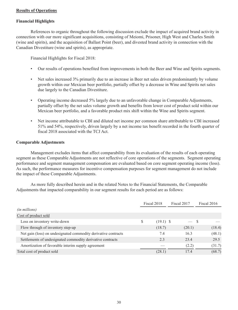# **Results of Operations**

# **Financial Highlights**

References to organic throughout the following discussion exclude the impact of acquired brand activity in connection with our more significant acquisitions, consisting of Meiomi, Prisoner, High West and Charles Smith (wine and spirits), and the acquisition of Ballast Point (beer), and divested brand activity in connection with the Canadian Divestiture (wine and spirits), as appropriate.

Financial Highlights for Fiscal 2018:

- Our results of operations benefited from improvements in both the Beer and Wine and Spirits segments.
- Net sales increased 3% primarily due to an increase in Beer net sales driven predominantly by volume growth within our Mexican beer portfolio, partially offset by a decrease in Wine and Spirits net sales due largely to the Canadian Divestiture.
- Operating income decreased 5% largely due to an unfavorable change in Comparable Adjustments, partially offset by the net sales volume growth and benefits from lower cost of product sold within our Mexican beer portfolio, and a favorable product mix shift within the Wine and Spirits segment.
- Net income attributable to CBI and diluted net income per common share attributable to CBI increased 51% and 54%, respectively, driven largely by a net income tax benefit recorded in the fourth quarter of fiscal 2018 associated with the TCJ Act.

# **Comparable Adjustments**

Management excludes items that affect comparability from its evaluation of the results of each operating segment as these Comparable Adjustments are not reflective of core operations of the segments. Segment operating performance and segment management compensation are evaluated based on core segment operating income (loss). As such, the performance measures for incentive compensation purposes for segment management do not include the impact of these Comparable Adjustments.

As more fully described herein and in the related Notes to the Financial Statements, the Comparable Adjustments that impacted comparability in our segment results for each period are as follows:

|                                                                | Fiscal 2018 |             | Fiscal 2017 | Fiscal 2016 |
|----------------------------------------------------------------|-------------|-------------|-------------|-------------|
| ( <i>in millions</i> )                                         |             |             |             |             |
| Cost of product sold                                           |             |             |             |             |
| Loss on inventory write-down                                   | \$          | $(19.1)$ \$ |             | -S          |
| Flow through of inventory step-up                              |             | (18.7)      | (20.1)      | (18.4)      |
| Net gain (loss) on undesignated commodity derivative contracts |             | 7.4         | 16.3        | (48.1)      |
| Settlements of undesignated commodity derivative contracts     |             | 2.3         | 23.4        | 29.5        |
| Amortization of favorable interim supply agreement             |             |             | (2.2)       | (31.7)      |
| Total cost of product sold                                     |             | (28.1)      | 17.4        | (68.7)      |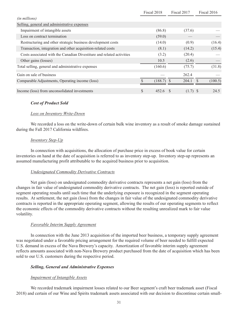|                                                                       | Fiscal 2018  | Fiscal 2017 | Fiscal 2016 |
|-----------------------------------------------------------------------|--------------|-------------|-------------|
| (in millions)                                                         |              |             |             |
| Selling, general and administrative expenses                          |              |             |             |
| Impairment of intangible assets                                       | (86.8)       | (37.6)      |             |
| Loss on contract termination                                          | (59.0)       |             |             |
| Restructuring and other strategic business development costs          | (14.0)       | (0.9)       | (16.4)      |
| Transaction, integration and other acquisition-related costs          | (8.1)        | (14.2)      | (15.4)      |
| Costs associated with the Canadian Divestiture and related activities | (3.2)        | (20.4)      |             |
| Other gains (losses)                                                  | 10.5         | (2.6)       |             |
| Total selling, general and administrative expenses                    | (160.6)      | (75.7)      | (31.8)      |
| Gain on sale of business                                              |              | 262.4       |             |
| Comparable Adjustments, Operating income (loss)                       | $(188.7)$ \$ | 204.1       | (100.5)     |
| Income (loss) from unconsolidated investments                         | \$<br>452.6  | $(1.7)$ \$  | 24.5        |

# *Cost of Product Sold*

## *Loss on Inventory Write-Down*

We recorded a loss on the write-down of certain bulk wine inventory as a result of smoke damage sustained during the Fall 2017 California wildfires.

### *Inventory Step-Up*

In connection with acquisitions, the allocation of purchase price in excess of book value for certain inventories on hand at the date of acquisition is referred to as inventory step-up. Inventory step-up represents an assumed manufacturing profit attributable to the acquired business prior to acquisition.

### *Undesignated Commodity Derivative Contracts*

Net gain (loss) on undesignated commodity derivative contracts represents a net gain (loss) from the changes in fair value of undesignated commodity derivative contracts. The net gain (loss) is reported outside of segment operating results until such time that the underlying exposure is recognized in the segment operating results. At settlement, the net gain (loss) from the changes in fair value of the undesignated commodity derivative contracts is reported in the appropriate operating segment, allowing the results of our operating segments to reflect the economic effects of the commodity derivative contracts without the resulting unrealized mark to fair value volatility.

### *Favorable Interim Supply Agreement*

In connection with the June 2013 acquisition of the imported beer business, a temporary supply agreement was negotiated under a favorable pricing arrangement for the required volume of beer needed to fulfill expected U.S. demand in excess of the Nava Brewery's capacity. Amortization of favorable interim supply agreement reflects amounts associated with non-Nava Brewery product purchased from the date of acquisition which has been sold to our U.S. customers during the respective period.

### *Selling, General and Administrative Expenses*

### *Impairment of Intangible Assets*

We recorded trademark impairment losses related to our Beer segment's craft beer trademark asset (Fiscal 2018) and certain of our Wine and Spirits trademark assets associated with our decision to discontinue certain small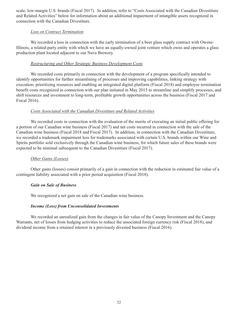scale, low-margin U.S. brands (Fiscal 2017). In addition, refer to "Costs Associated with the Canadian Divestiture and Related Activities" below for information about an additional impairment of intangible assets recognized in connection with the Canadian Divestiture.

# *Loss on Contract Termination*

We recorded a loss in connection with the early termination of a beer glass supply contract with Owens-Illinois, a related-party entity with which we have an equally-owned joint venture which owns and operates a glass production plant located adjacent to our Nava Brewery.

# *Restructuring and Other Strategic Business Development Costs*

We recorded costs primarily in connection with the development of a program specifically intended to identify opportunities for further streamlining of processes and improving capabilities, linking strategy with execution, prioritizing resources and enabling an integrated digital platform (Fiscal 2018) and employee termination benefit costs recognized in connection with our plan initiated in May 2015 to streamline and simplify processes, and shift resources and investment to long-term, profitable growth opportunities across the business (Fiscal 2017 and Fiscal 2016).

# *Costs Associated with the Canadian Divestiture and Related Activities*

We recorded costs in connection with the evaluation of the merits of executing an initial public offering for a portion of our Canadian wine business (Fiscal 2017) and net costs incurred in connection with the sale of the Canadian wine business (Fiscal 2018 and Fiscal 2017). In addition, in connection with the Canadian Divestiture, we recorded a trademark impairment loss for trademarks associated with certain U.S. brands within our Wine and Spirits portfolio sold exclusively through the Canadian wine business, for which future sales of these brands were expected to be minimal subsequent to the Canadian Divestiture (Fiscal 2017).

# *Other Gains (Losses)*

Other gains (losses) consist primarily of a gain in connection with the reduction in estimated fair value of a contingent liability associated with a prior period acquisition (Fiscal 2018).

# *Gain on Sale of Business*

We recognized a net gain on sale of the Canadian wine business.

# *Income (Loss) from Unconsolidated Investments*

We recorded an unrealized gain from the changes in fair value of the Canopy Investment and the Canopy Warrants, net of losses from hedging activities to reduce the associated foreign currency risk (Fiscal 2018), and dividend income from a retained interest in a previously divested business (Fiscal 2016).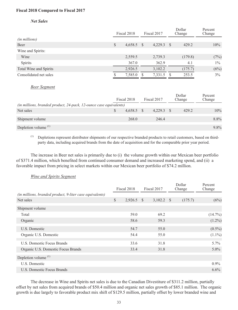## **Fiscal 2018 Compared to Fiscal 2017**

#### *Net Sales*

|                        | Fiscal 2018 |         |      | Fiscal 2017 |          | Dollar<br>Change | Percent<br>Change |
|------------------------|-------------|---------|------|-------------|----------|------------------|-------------------|
| (in millions)          |             |         |      |             |          |                  |                   |
| Beer                   | S           | 4,658.5 | - \$ | 4,229.3     | -S       | 429.2            | 10%               |
| Wine and Spirits:      |             |         |      |             |          |                  |                   |
| Wine                   |             | 2,559.5 |      | 2,739.3     |          | (179.8)          | (7%)              |
| <b>Spirits</b>         |             | 367.0   |      | 362.9       |          | 4.1              | $1\%$             |
| Total Wine and Spirits |             | 2,926.5 |      | 3,102.2     |          | (175.7)          | (6%)              |
| Consolidated net sales |             | 7,585.0 |      | 7,331.5     | <b>S</b> | 253.5            | 3%                |

## *Beer Segment*

|                                                                    | Fiscal 2018  | Fiscal 2017 |         | Dollar<br>Change |       | Percent<br>Change |
|--------------------------------------------------------------------|--------------|-------------|---------|------------------|-------|-------------------|
| (in millions, branded product, 24-pack, 12-ounce case equivalents) |              |             |         |                  |       |                   |
| Net sales                                                          | $4,658.5$ \$ |             | 4.229.3 | - \$             | 429.2 | 10%               |
| Shipment volume                                                    | 268.0        |             | 246.4   |                  |       | 8.8%              |
| Depletion volume $(1)$                                             |              |             |         |                  |       | 9.8%              |

(1) Depletions represent distributor shipments of our respective branded products to retail customers, based on thirdparty data, including acquired brands from the date of acquisition and for the comparable prior year period.

The increase in Beer net sales is primarily due to (i) the volume growth within our Mexican beer portfolio of \$371.4 million, which benefited from continued consumer demand and increased marketing spend, and (ii) a favorable impact from pricing in select markets within our Mexican beer portfolio of \$74.2 million.

| (in millions, branded product, 9-liter case equivalents) |               | Fiscal 2018  | Fiscal 2017 |              | Dollar<br>Change |         | Percent<br>Change |  |
|----------------------------------------------------------|---------------|--------------|-------------|--------------|------------------|---------|-------------------|--|
|                                                          |               |              |             |              |                  |         |                   |  |
| Net sales                                                | $\mathcal{S}$ | $2,926.5$ \$ |             | $3,102.2$ \$ |                  | (175.7) | (6%)              |  |
| Shipment volume                                          |               |              |             |              |                  |         |                   |  |
| Total                                                    |               | 59.0         |             | 69.2         |                  |         | $(14.7\%)$        |  |
| Organic                                                  |               | 58.6         |             | 59.3         |                  |         | $(1.2\%)$         |  |
| U.S. Domestic                                            |               | 54.7         |             | 55.0         |                  |         | $(0.5\%)$         |  |
| Organic U.S. Domestic                                    |               | 54.4         |             | 55.0         |                  |         | $(1.1\%)$         |  |
| U.S. Domestic Focus Brands                               |               | 33.6         |             | 31.8         |                  |         | $5.7\%$           |  |
| Organic U.S. Domestic Focus Brands                       |               | 33.4         |             | 31.8         |                  |         | $5.0\%$           |  |
| Depletion volume $(1)$                                   |               |              |             |              |                  |         |                   |  |
| U.S. Domestic                                            |               |              |             |              |                  |         | $0.9\%$           |  |
| U.S. Domestic Focus Brands                               |               |              |             |              |                  |         | $6.6\%$           |  |

*Wine and Spirits Segment*

The decrease in Wine and Spirits net sales is due to the Canadian Divestiture of \$311.2 million, partially offset by net sales from acquired brands of \$50.4 million and organic net sales growth of \$85.1 million. The organic growth is due largely to favorable product mix shift of \$129.5 million, partially offset by lower branded wine and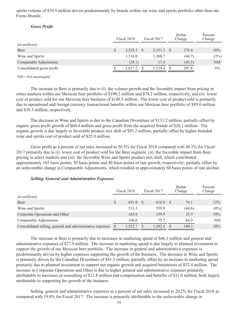spirits volume of \$39.9 million driven predominantly by brands within our wine and spirits portfolio other than our Focus Brands.

## *Gross Profit*

|                           | Fiscal 2018  |         | Fiscal 2017 |         | Dollar<br>Change |        | Percent<br>Change |
|---------------------------|--------------|---------|-------------|---------|------------------|--------|-------------------|
| ( <i>in millions</i> )    |              |         |             |         |                  |        |                   |
| Beer                      | <sup>S</sup> | 2,529.3 |             | 2,151.3 |                  | 378.0  | 18%               |
| Wine and Spirits          |              | 1,316.0 |             | 1,360.7 |                  | (44.7) | (3%)              |
| Comparable Adjustments    |              | (28.1)  |             | 17.4    |                  | (45.5) | NM                |
| Consolidated gross profit |              | 3.817.2 |             | 3,529.4 | S                | 287.8  | $8\%$             |

NM = Not meaningful

The increase in Beer is primarily due to (i) the volume growth and the favorable impact from pricing in select markets within our Mexican beer portfolio of \$190.2 million and \$74.2 million, respectively, and (ii) lower cost of product sold for our Mexican beer business of \$140.5 million. The lower cost of product sold is primarily due to operational and foreign currency transactional benefits within our Mexican beer portfolio of \$89.6 million and \$30.3 million, respectively.

The decrease in Wine and Spirits is due to the Canadian Divestiture of \$131.2 million, partially offset by organic gross profit growth of \$60.4 million and gross profit from the acquired brands of \$26.1 million. The organic growth is due largely to favorable product mix shift of \$93.2 million, partially offset by higher branded wine and spirits cost of product sold of \$25.9 million.

Gross profit as a percent of net sales increased to 50.3% for Fiscal 2018 compared with 48.1% for Fiscal 2017 primarily due to (i) lower cost of product sold for the Beer segment, (ii) the favorable impact from Beer pricing in select markets and (iii) the favorable Wine and Spirits product mix shift, which contributed approximately 185 basis points, 50 basis points and 40 basis points of rate growth, respectively; partially offset by an unfavorable change in Comparable Adjustments, which resulted in approximately 60 basis points of rate decline.

| <i>(in millions)</i>                                      |   | Fiscal 2018 |      | Fiscal 2017 |  | Dollar<br>Change | Percent<br>Change |
|-----------------------------------------------------------|---|-------------|------|-------------|--|------------------|-------------------|
|                                                           |   |             |      |             |  |                  |                   |
| Beer                                                      | S | 691.0       | - \$ | 616.9       |  | 74.1             | $12\%$            |
| Wine and Spirits                                          |   | 515.3       |      | 559.9       |  | (44.6)           | (8%)              |
| Corporate Operations and Other                            |   | 165.8       |      | 139.9       |  | 25.9             | 19%               |
| Comparable Adjustments                                    |   | 160.6       |      | 75.7        |  | 84.9             | <b>NM</b>         |
| Consolidated selling, general and administrative expenses |   | 1.532.7     |      | 1.392.4     |  | 140.3            | $10\%$            |

#### *Selling, General and Administrative Expenses*

The increase in Beer is primarily due to increases in marketing spend of \$46.1 million and general and administrative expenses of \$27.9 million. The increase in marketing spend is due largely to planned investment to support the growth of our Mexican beer portfolio. The increase in general and administrative expenses is predominantly driven by higher expenses supporting the growth of the business. The decrease in Wine and Spirits is primarily driven by the Canadian Divestiture of \$81.1 million, partially offset by an increase in marketing spend primarily due to planned investment to support our organic growth and acquired businesses of \$32.4 million. The increase in Corporate Operations and Other is due to higher general and administrative expenses primarily attributable to increases in consulting of \$12.8 million and compensation and benefits of \$11.0 million, both largely attributable to supporting the growth of the business.

Selling, general and administrative expenses as a percent of net sales increased to 20.2% for Fiscal 2018 as compared with 19.0% for Fiscal 2017. The increase is primarily attributable to the unfavorable change in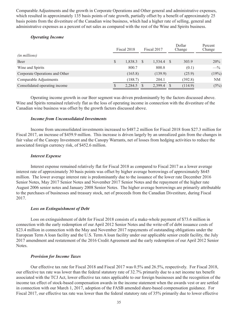Comparable Adjustments and the growth in Corporate Operations and Other general and administrative expenses, which resulted in approximately 135 basis points of rate growth, partially offset by a benefit of approximately 25 basis points from the divestiture of the Canadian wine business, which had a higher rate of selling, general and administrative expenses as a percent of net sales as compared with the rest of the Wine and Spirits business.

## *Operating Income*

|                                | Fiscal 2018 |         | Fiscal 2017 |         | Dollar<br>Change |         | Percent<br>Change |
|--------------------------------|-------------|---------|-------------|---------|------------------|---------|-------------------|
| ( <i>in millions</i> )         |             |         |             |         |                  |         |                   |
| Beer                           | \$          | 1,838.3 | $\mathbf S$ | 1,534.4 | - S              | 303.9   | 20%               |
| Wine and Spirits               |             | 800.7   |             | 800.8   |                  | (0.1)   | $- \frac{0}{0}$   |
| Corporate Operations and Other |             | (165.8) |             | (139.9) |                  | (25.9)  | (19%)             |
| Comparable Adjustments         |             | (188.7) |             | 204.1   |                  | (392.8) | NM                |
| Consolidated operating income  |             | 2,284.5 |             | 2,399.4 | -S               | (114.9) | (5%)              |

Operating income growth in our Beer segment was driven predominantly by the factors discussed above. Wine and Spirits remained relatively flat as the loss of operating income in connection with the divestiture of the Canadian wine business was offset by the growth factors discussed above.

## *Income from Unconsolidated Investments*

Income from unconsolidated investments increased to \$487.2 million for Fiscal 2018 from \$27.3 million for Fiscal 2017, an increase of \$459.9 million. This increase is driven largely by an unrealized gain from the changes in fair value of the Canopy Investment and the Canopy Warrants, net of losses from hedging activities to reduce the associated foreign currency risk, of \$452.6 million.

## *Interest Expense*

Interest expense remained relatively flat for Fiscal 2018 as compared to Fiscal 2017 as a lower average interest rate of approximately 30 basis points was offset by higher average borrowings of approximately \$645 million. The lower average interest rate is predominantly due to the issuance of the lower rate December 2016 Senior Notes, May 2017 Senior Notes and November 2017 Senior Notes and the repayment of the higher rate August 2006 senior notes and January 2008 Senior Notes. The higher average borrowings are primarily attributable to the purchases of businesses and treasury stock, net of proceeds from the Canadian Divestiture, during Fiscal 2017.

# *Loss on Extinguishment of Debt*

Loss on extinguishment of debt for Fiscal 2018 consists of a make-whole payment of \$73.6 million in connection with the early redemption of our April 2012 Senior Notes and the write-off of debt issuance costs of \$23.4 million in connection with the May and November 2017 repayments of outstanding obligations under the European Term A loan facility and the U.S. Term A loan facility under our applicable senior credit facility, the July 2017 amendment and restatement of the 2016 Credit Agreement and the early redemption of our April 2012 Senior Notes.

# *Provision for Income Taxes*

Our effective tax rate for Fiscal 2018 and Fiscal 2017 was 0.5% and 26.5%, respectively. For Fiscal 2018, our effective tax rate was lower than the federal statutory rate of 32.7% primarily due to a net income tax benefit associated with the TCJ Act, lower effective tax rates applicable to our foreign businesses and the recognition of the income tax effect of stock-based compensation awards in the income statement when the awards vest or are settled in connection with our March 1, 2017, adoption of the FASB amended share-based compensation guidance. For Fiscal 2017, our effective tax rate was lower than the federal statutory rate of 35% primarily due to lower effective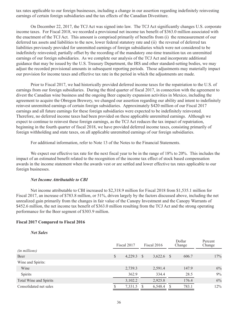tax rates applicable to our foreign businesses, including a change in our assertion regarding indefinitely reinvesting earnings of certain foreign subsidiaries and the tax effects of the Canadian Divestiture.

On December 22, 2017, the TCJ Act was signed into law. The TCJ Act significantly changes U.S. corporate income taxes. For Fiscal 2018, we recorded a provisional net income tax benefit of \$363.0 million associated with the enactment of the TCJ Act. This amount is comprised primarily of benefits from (i) the remeasurement of our deferred tax assets and liabilities to the new, lower federal statutory rate and (ii) the reversal of deferred tax liabilities previously provided for unremitted earnings of foreign subsidiaries which were not considered to be indefinitely reinvested; partially offset by the recording of the mandatory one-time transition tax on unremitted earnings of our foreign subsidiaries. As we complete our analysis of the TCJ Act and incorporate additional guidance that may be issued by the U.S. Treasury Department, the IRS and other standard-setting bodies, we may adjust the recorded provisional amounts in subsequent reporting periods. Those adjustments may materially impact our provision for income taxes and effective tax rate in the period in which the adjustments are made.

Prior to Fiscal 2017, we had historically provided deferred income taxes for the repatriation to the U.S. of earnings from our foreign subsidiaries. During the third quarter of fiscal 2017, in connection with the agreement to divest the Canadian wine business and the ongoing Beer capacity expansion activities in Mexico, including the agreement to acquire the Obregon Brewery, we changed our assertion regarding our ability and intent to indefinitely reinvest unremitted earnings of certain foreign subsidiaries. Approximately \$420 million of our Fiscal 2017 earnings and all future earnings for these foreign subsidiaries were expected to be indefinitely reinvested. Therefore, no deferred income taxes had been provided on these applicable unremitted earnings. Although we expect to continue to reinvest these foreign earnings, as the TCJ Act reduces the tax impact of repatriation, beginning in the fourth quarter of fiscal 2018, we have provided deferred income taxes, consisting primarily of foreign withholding and state taxes, on all applicable unremitted earnings of our foreign subsidiaries.

For additional information, refer to Note 13 of the Notes to the Financial Statements.

We expect our effective tax rate for the next fiscal year to be in the range of 18% to 20%. This includes the impact of an estimated benefit related to the recognition of the income tax effect of stock based compensation awards in the income statement when the awards vest or are settled and lower effective tax rates applicable to our foreign businesses.

#### *Net Income Attributable to CBI*

Net income attributable to CBI increased to \$2,318.9 million for Fiscal 2018 from \$1,535.1 million for Fiscal 2017, an increase of \$783.8 million, or 51%, driven largely by the factors discussed above, including the net unrealized gain primarily from the changes in fair value of the Canopy Investment and the Canopy Warrants of \$452.6 million, the net income tax benefit of \$363.0 million resulting from the TCJ Act and the strong operating performance for the Beer segment of \$303.9 million.

#### **Fiscal 2017 Compared to Fiscal 2016**

#### *Net Sales*

|                        | Fiscal 2017 |         |    | Fiscal 2016 |     | Dollar<br>Change | Percent<br>Change |  |
|------------------------|-------------|---------|----|-------------|-----|------------------|-------------------|--|
| (in millions)          |             |         |    |             |     |                  |                   |  |
| Beer                   | S           | 4,229.3 | -S | 3,622.6     | - S | 606.7            | 17%               |  |
| Wine and Spirits:      |             |         |    |             |     |                  |                   |  |
| Wine                   |             | 2,739.3 |    | 2,591.4     |     | 147.9            | 6%                |  |
| <b>Spirits</b>         |             | 362.9   |    | 334.4       |     | 28.5             | 9%                |  |
| Total Wine and Spirits |             | 3,102.2 |    | 2,925.8     |     | 176.4            | 6%                |  |
| Consolidated net sales |             | 7,331.5 |    | 6,548.4     | S   | 783.1            | 12%               |  |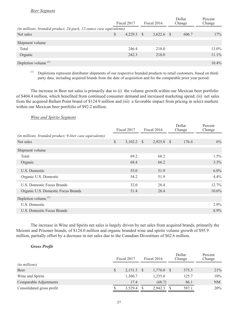## *Beer Segment*

|                                                                    |   | Fiscal 2017 | Fiscal 2016  |              | Dollar<br>Change |       | Percent<br>Change |  |  |  |  |
|--------------------------------------------------------------------|---|-------------|--------------|--------------|------------------|-------|-------------------|--|--|--|--|
| (in millions, branded product, 24-pack, 12-ounce case equivalents) |   |             |              |              |                  |       |                   |  |  |  |  |
| Net sales                                                          | S | 4,229.3     | <sup>S</sup> | $3,622.6$ \$ |                  | 606.7 | 17%               |  |  |  |  |
| Shipment volume                                                    |   |             |              |              |                  |       |                   |  |  |  |  |
| Total                                                              |   | 246.4       |              | 218.0        |                  |       | 13.0%             |  |  |  |  |
| Organic                                                            |   | 242.3       |              | 218.0        |                  |       | 11.1%             |  |  |  |  |
| Depletion volume $(1)$                                             |   |             |              |              |                  |       | 10.4%             |  |  |  |  |

(1) Depletions represent distributor shipments of our respective branded products to retail customers, based on thirdparty data, including acquired brands from the date of acquisition and for the comparable prior year period.

The increase in Beer net sales is primarily due to (i) the volume growth within our Mexican beer portfolio of \$404.4 million, which benefited from continued consumer demand and increased marketing spend; (ii) net sales from the acquired Ballast Point brand of \$124.9 million and (iii) a favorable impact from pricing in select markets within our Mexican beer portfolio of \$92.2 million.

### *Wine and Spirits Segment*

|                                                          |    | Fiscal 2017  | Fiscal 2016 |         | Dollar<br>Change |       | Percent<br>Change |  |
|----------------------------------------------------------|----|--------------|-------------|---------|------------------|-------|-------------------|--|
| (in millions, branded product, 9-liter case equivalents) |    |              |             |         |                  |       |                   |  |
| Net sales                                                | \$ | $3,102.2$ \$ |             | 2,925.8 | - S              | 176.4 | $6\%$             |  |
| Shipment volume                                          |    |              |             |         |                  |       |                   |  |
| Total                                                    |    | 69.2         |             | 68.2    |                  |       | $1.5\%$           |  |
| Organic                                                  |    | 68.4         |             | 66.2    |                  |       | 3.3%              |  |
| U.S. Domestic                                            |    | 55.0         |             | 51.9    |                  |       | 6.0%              |  |
| Organic U.S. Domestic                                    |    | 54.2         |             | 51.9    |                  |       | $4.4\%$           |  |
| U.S. Domestic Focus Brands                               |    | 32.0         |             | 28.4    |                  |       | 12.7%             |  |
| Organic U.S. Domestic Focus Brands                       |    | 31.4         |             | 28.4    |                  |       | 10.6%             |  |
| Depletion volume <sup>(1)</sup>                          |    |              |             |         |                  |       |                   |  |
| U.S. Domestic                                            |    |              |             |         |                  |       | $2.9\%$           |  |
| U.S. Domestic Focus Brands                               |    |              |             |         |                  |       | 8.9%              |  |

The increase in Wine and Spirits net sales is largely driven by net sales from acquired brands, primarily the Meiomi and Prisoner brands, of \$124.0 million and organic branded wine and spirits volume growth of \$95.9 million, partially offset by a decrease in net sales due to the Canadian Divestiture of \$62.6 million.

#### *Gross Profit*

|                           | Fiscal 2017 |         | Fiscal 2016  |              | Dollar<br>Change |       | Percent<br>Change |
|---------------------------|-------------|---------|--------------|--------------|------------------|-------|-------------------|
| (in millions)             |             |         |              |              |                  |       |                   |
| Beer                      |             | 2,151.3 | <sup>S</sup> | $1,776.0$ \$ |                  | 375.3 | 21%               |
| Wine and Spirits          |             | 1.360.7 |              | 1.235.0      |                  | 125.7 | 10%               |
| Comparable Adjustments    |             | 17.4    |              | (68.7)       |                  | 86.1  | NM                |
| Consolidated gross profit |             | 3.529.4 |              | 2.942.3      |                  | 587.1 | 20%               |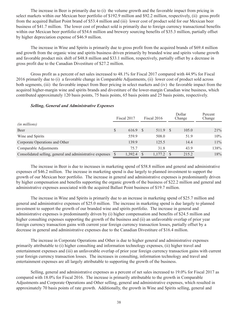The increase in Beer is primarily due to (i) the volume growth and the favorable impact from pricing in select markets within our Mexican beer portfolio of \$192.9 million and \$92.2 million, respectively, (ii) gross profit from the acquired Ballast Point brand of \$53.4 million and (iii) lower cost of product sold for our Mexican beer business of \$41.7 million. The lower cost of product sold is primarily due to foreign currency transactional benefits within our Mexican beer portfolio of \$54.6 million and brewery sourcing benefits of \$35.3 million, partially offset by higher depreciation expense of \$46.9 million.

The increase in Wine and Spirits is primarily due to gross profit from the acquired brands of \$69.4 million and growth from the organic wine and spirits business driven primarily by branded wine and spirits volume growth and favorable product mix shift of \$48.8 million and \$33.1 million, respectively, partially offset by a decrease in gross profit due to the Canadian Divestiture of \$27.2 million.

Gross profit as a percent of net sales increased to 48.1% for Fiscal 2017 compared with 44.9% for Fiscal 2016 primarily due to (i) a favorable change in Comparable Adjustments, (ii) lower cost of product sold across both segments, (iii) the favorable impact from Beer pricing in select markets and (iv) the favorable impact from the acquired higher-margin wine and spirits brands and divestiture of the lower-margin Canadian wine business, which contributed approximately 120 basis points, 75 basis points, 65 basis points and 25 basis points, respectively.

## *Selling, General and Administrative Expenses*

|                                                           | Fiscal 2017 | Fiscal 2016  |         |      | Dollar<br>Change | Percent<br>Change |  |
|-----------------------------------------------------------|-------------|--------------|---------|------|------------------|-------------------|--|
| (in millions)                                             |             |              |         |      |                  |                   |  |
| Beer                                                      | \$<br>616.9 | - S          | 511.9   | - \$ | 105.0            | 21%               |  |
| Wine and Spirits                                          | 559.9       |              | 508.0   |      | 51.9             | 10%               |  |
| Corporate Operations and Other                            | 139.9       |              | 125.5   |      | 14.4             | 11%               |  |
| Comparable Adjustments                                    | 75.7        |              | 31.8    |      | 43.9             | 138%              |  |
| Consolidated selling, general and administrative expenses | 1.392.4     | <sup>S</sup> | 1.177.2 |      | 215.2            | 18%               |  |

The increase in Beer is due to increases in marketing spend of \$58.8 million and general and administrative expenses of \$46.2 million. The increase in marketing spend is due largely to planned investment to support the growth of our Mexican beer portfolio. The increase in general and administrative expenses is predominantly driven by higher compensation and benefits supporting the organic growth of the business of \$22.2 million and general and administrative expenses associated with the acquired Ballast Point business of \$19.7 million.

The increase in Wine and Spirits is primarily due to an increase in marketing spend of \$25.7 million and general and administrative expenses of \$25.0 million. The increase in marketing spend is due largely to planned investment to support the growth of our branded wine and spirits portfolio. The increase in general and administrative expenses is predominantly driven by (i) higher compensation and benefits of \$24.5 million and higher consulting expenses supporting the growth of the business and (ii) an unfavorable overlap of prior year foreign currency transaction gains with current year foreign currency transaction losses, partially offset by a decrease in general and administrative expenses due to the Canadian Divestiture of \$16.4 million.

The increase in Corporate Operations and Other is due to higher general and administrative expenses primarily attributable to (i) higher consulting and information technology expenses, (ii) higher travel and entertainment expenses and (iii) an unfavorable overlap of prior year foreign currency transaction gains with current year foreign currency transaction losses. The increases in consulting, information technology and travel and entertainment expenses are all largely attributable to supporting the growth of the business.

Selling, general and administrative expenses as a percent of net sales increased to 19.0% for Fiscal 2017 as compared with 18.0% for Fiscal 2016. The increase is primarily attributable to the growth in Comparable Adjustments and Corporate Operations and Other selling, general and administrative expenses, which resulted in approximately 70 basis points of rate growth. Additionally, the growth in Wine and Spirits selling, general and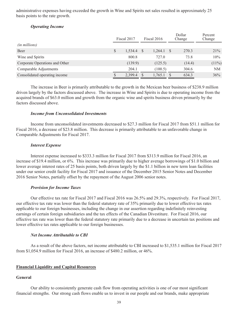administrative expenses having exceeded the growth in Wine and Spirits net sales resulted in approximately 25 basis points to the rate growth.

## *Operating Income*

|                                |   | Fiscal 2017 |     | Fiscal 2016 |              | Dollar<br>Change | Percent<br>Change |  |
|--------------------------------|---|-------------|-----|-------------|--------------|------------------|-------------------|--|
| ( <i>in millions</i> )         |   |             |     |             |              |                  |                   |  |
| Beer                           | S | 1,534.4     | - S | 1,264.1     | <sup>S</sup> | 270.3            | 21%               |  |
| Wine and Spirits               |   | 800.8       |     | 727.0       |              | 73.8             | 10%               |  |
| Corporate Operations and Other |   | (139.9)     |     | (125.5)     |              | (14.4)           | $(11\%)$          |  |
| Comparable Adjustments         |   | 204.1       |     | (100.5)     |              | 304.6            | NM                |  |
| Consolidated operating income  |   | 2,399.4     | S   | 1,765.1     |              | 634.3            | 36%               |  |

The increase in Beer is primarily attributable to the growth in the Mexican beer business of \$238.9 million driven largely by the factors discussed above. The increase in Wine and Spirits is due to operating income from the acquired brands of \$63.0 million and growth from the organic wine and spirits business driven primarily by the factors discussed above.

## *Income from Unconsolidated Investments*

Income from unconsolidated investments decreased to \$27.3 million for Fiscal 2017 from \$51.1 million for Fiscal 2016, a decrease of \$23.8 million. This decrease is primarily attributable to an unfavorable change in Comparable Adjustments for Fiscal 2017.

### *Interest Expense*

Interest expense increased to \$333.3 million for Fiscal 2017 from \$313.9 million for Fiscal 2016, an increase of \$19.4 million, or 6%. This increase was primarily due to higher average borrowings of \$1.0 billion and lower average interest rates of 25 basis points, both driven largely by the \$1.1 billion in new term loan facilities under our senior credit facility for Fiscal 2017 and issuance of the December 2015 Senior Notes and December 2016 Senior Notes, partially offset by the repayment of the August 2006 senior notes.

### *Provision for Income Taxes*

Our effective tax rate for Fiscal 2017 and Fiscal 2016 was 26.5% and 29.3%, respectively. For Fiscal 2017, our effective tax rate was lower than the federal statutory rate of 35% primarily due to lower effective tax rates applicable to our foreign businesses, including the change in our assertion regarding indefinitely reinvesting earnings of certain foreign subsidiaries and the tax effects of the Canadian Divestiture. For Fiscal 2016, our effective tax rate was lower than the federal statutory rate primarily due to a decrease in uncertain tax positions and lower effective tax rates applicable to our foreign businesses.

### *Net Income Attributable to CBI*

As a result of the above factors, net income attributable to CBI increased to \$1,535.1 million for Fiscal 2017 from \$1,054.9 million for Fiscal 2016, an increase of \$480.2 million, or 46%.

### **Financial Liquidity and Capital Resources**

## **General**

Our ability to consistently generate cash flow from operating activities is one of our most significant financial strengths. Our strong cash flows enable us to invest in our people and our brands, make appropriate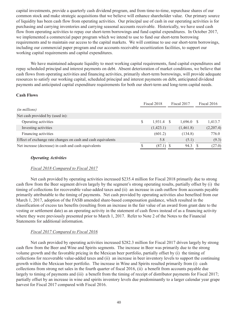capital investments, provide a quarterly cash dividend program, and from time-to-time, repurchase shares of our common stock and make strategic acquisitions that we believe will enhance shareholder value. Our primary source of liquidity has been cash flow from operating activities. Our principal use of cash in our operating activities is for purchasing and carrying inventories and carrying seasonal accounts receivable. Historically, we have used cash flow from operating activities to repay our short-term borrowings and fund capital expenditures. In October 2017, we implemented a commercial paper program which we intend to use to fund our short-term borrowing requirements and to maintain our access to the capital markets. We will continue to use our short-term borrowings, including our commercial paper program and our accounts receivable securitization facilities, to support our working capital requirements and capital expenditures.

We have maintained adequate liquidity to meet working capital requirements, fund capital expenditures and repay scheduled principal and interest payments on debt. Absent deterioration of market conditions, we believe that cash flows from operating activities and financing activities, primarily short-term borrowings, will provide adequate resources to satisfy our working capital, scheduled principal and interest payments on debt, anticipated dividend payments and anticipated capital expenditure requirements for both our short-term and long-term capital needs.

## **Cash Flows**

|                                                              | Fiscal 2018 |              |  | Fiscal 2017 | Fiscal 2016 |           |
|--------------------------------------------------------------|-------------|--------------|--|-------------|-------------|-----------|
| <i>(in millions)</i>                                         |             |              |  |             |             |           |
| Net cash provided by (used in):                              |             |              |  |             |             |           |
| Operating activities                                         | S           | $1,931.4$ \$ |  | 1,696.0     | - \$        | 1,413.7   |
| Investing activities                                         |             | (1,423.1)    |  | (1,461.8)   |             | (2,207.4) |
| Financing activities                                         |             | (601.2)      |  | (134.8)     |             | 776.0     |
| Effect of exchange rate changes on cash and cash equivalents |             | 5.8          |  | (5.1)       |             | (9.3)     |
| Net increase (decrease) in cash and cash equivalents         |             | $(87.1)$ \$  |  | 94.3        |             | (27.0)    |

# *Operating Activities*

# *Fiscal 2018 Compared to Fiscal 2017*

Net cash provided by operating activities increased \$235.4 million for Fiscal 2018 primarily due to strong cash flow from the Beer segment driven largely by the segment's strong operating results, partially offset by (i) the timing of collections for recoverable value-added taxes and (ii) an increase in cash outflow from accounts payable primarily attributable to the timing of payments. Net cash provided by operating activities also benefited from our March 1, 2017, adoption of the FASB amended share-based compensation guidance, which resulted in the classification of excess tax benefits (resulting from an increase in the fair value of an award from grant date to the vesting or settlement date) as an operating activity in the statement of cash flows instead of as a financing activity where they were previously presented prior to March 1, 2017. Refer to Note 2 of the Notes to the Financial Statements for additional information.

# *Fiscal 2017 Compared to Fiscal 2016*

Net cash provided by operating activities increased \$282.3 million for Fiscal 2017 driven largely by strong cash flow from the Beer and Wine and Spirits segments. The increase in Beer was primarily due to the strong volume growth and the favorable pricing in the Mexican beer portfolio, partially offset by (i) the timing of collections for recoverable value-added taxes and (ii) an increase in beer inventory levels to support the continuing growth within the Mexican beer portfolio. The increase in Wine and Spirits resulted primarily from (i) cash collections from strong net sales in the fourth quarter of fiscal 2016, (ii) a benefit from accounts payable due largely to timing of payments and (iii) a benefit from the timing of receipt of distributor payments for Fiscal 2017; partially offset by an increase in wine and spirits inventory levels due predominantly to a larger calendar year grape harvest for Fiscal 2017 compared with Fiscal 2016.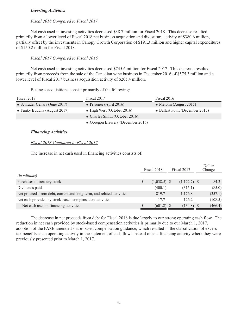## *Investing Activities*

## *Fiscal 2018 Compared to Fiscal 2017*

Net cash used in investing activities decreased \$38.7 million for Fiscal 2018. This decrease resulted primarily from a lower level of Fiscal 2018 net business acquisition and divestiture activity of \$380.6 million, partially offset by the investments in Canopy Growth Corporation of \$191.3 million and higher capital expenditures of \$150.2 million for Fiscal 2018.

### *Fiscal 2017 Compared to Fiscal 2016*

Net cash used in investing activities decreased \$745.6 million for Fiscal 2017. This decrease resulted primarily from proceeds from the sale of the Canadian wine business in December 2016 of \$575.3 million and a lower level of Fiscal 2017 business acquisition activity of \$205.4 million.

Business acquisitions consist primarily of the following:

| Fiscal 2018                    | Fiscal 2017                        | Fiscal 2016                     |
|--------------------------------|------------------------------------|---------------------------------|
| • Schrader Cellars (June 2017) | • Prisoner (April 2016)            | • Meiomi (August 2015)          |
| • Funky Buddha (August 2017)   | $\bullet$ High West (October 2016) | • Ballast Point (December 2015) |
|                                | • Charles Smith (October 2016)     |                                 |
|                                | • Obregon Brewery (December 2016)  |                                 |

#### *Financing Activities*

#### *Fiscal 2018 Compared to Fiscal 2017*

The increase in net cash used in financing activities consists of:

|                                                                       | Fiscal 2018 |                |  | Fiscal 2017    | Dollar<br>Change |  |
|-----------------------------------------------------------------------|-------------|----------------|--|----------------|------------------|--|
| ( <i>in millions</i> )                                                |             |                |  |                |                  |  |
| Purchases of treasury stock                                           | S           | $(1,038.5)$ \$ |  | $(1,122.7)$ \$ | 84.2             |  |
| Dividends paid                                                        |             | (400.1)        |  | (315.1)        | (85.0)           |  |
| Net proceeds from debt, current and long-term, and related activities |             | 819.7          |  | 1,176.8        | (357.1)          |  |
| Net cash provided by stock-based compensation activities              |             | 17.7           |  | 126.2          | (108.5)          |  |
| Net cash used in financing activities                                 |             | $(601.2)$ \$   |  | $(134.8)$ \$   | (466.4)          |  |

The decrease in net proceeds from debt for Fiscal 2018 is due largely to our strong operating cash flow. The reduction in net cash provided by stock-based compensation activities is primarily due to our March 1, 2017, adoption of the FASB amended share-based compensation guidance, which resulted in the classification of excess tax benefits as an operating activity in the statement of cash flows instead of as a financing activity where they were previously presented prior to March 1, 2017.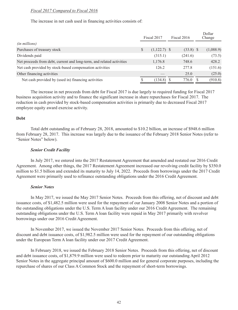# *Fiscal 2017 Compared to Fiscal 2016*

The increase in net cash used in financing activities consists of:

|                                                                       | Fiscal 2017          | Fiscal 2016 | Dollar<br>Change |
|-----------------------------------------------------------------------|----------------------|-------------|------------------|
| ( <i>in millions</i> )                                                |                      |             |                  |
| Purchases of treasury stock                                           | \$<br>$(1,122.7)$ \$ | $(33.8)$ \$ | (1,088.9)        |
| Dividends paid                                                        | (315.1)              | (241.6)     | (73.5)           |
| Net proceeds from debt, current and long-term, and related activities | 1,176.8              | 748.6       | 428.2            |
| Net cash provided by stock-based compensation activities              | 126.2                | 277.8       | (151.6)          |
| Other financing activities                                            |                      | 25.0        | (25.0)           |
| Net cash provided by (used in) financing activities                   | $(134.8)$ \$         | 776.0       | (910.8)          |

The increase in net proceeds from debt for Fiscal 2017 is due largely to required funding for Fiscal 2017 business acquisition activity and to finance the significant increase in share repurchases for Fiscal 2017. The reduction in cash provided by stock-based compensation activities is primarily due to decreased Fiscal 2017 employee equity award exercise activity.

#### **Debt**

Total debt outstanding as of February 28, 2018, amounted to \$10.2 billion, an increase of \$948.6 million from February 28, 2017. This increase was largely due to the issuance of the February 2018 Senior Notes (refer to "Senior Notes" below).

#### *Senior Credit Facility*

In July 2017, we entered into the 2017 Restatement Agreement that amended and restated our 2016 Credit Agreement. Among other things, the 2017 Restatement Agreement increased our revolving credit facility by \$350.0 million to \$1.5 billion and extended its maturity to July 14, 2022. Proceeds from borrowings under the 2017 Credit Agreement were primarily used to refinance outstanding obligations under the 2016 Credit Agreement.

#### *Senior Notes*

In May 2017, we issued the May 2017 Senior Notes. Proceeds from this offering, net of discount and debt issuance costs, of \$1,482.5 million were used for the repayment of our January 2008 Senior Notes and a portion of the outstanding obligations under the U.S. Term A loan facility under our 2016 Credit Agreement. The remaining outstanding obligations under the U.S. Term A loan facility were repaid in May 2017 primarily with revolver borrowings under our 2016 Credit Agreement.

In November 2017, we issued the November 2017 Senior Notes. Proceeds from this offering, net of discount and debt issuance costs, of \$1,982.5 million were used for the repayment of our outstanding obligations under the European Term A loan facility under our 2017 Credit Agreement.

In February 2018, we issued the February 2018 Senior Notes. Proceeds from this offering, net of discount and debt issuance costs, of \$1,879.9 million were used to redeem prior to maturity our outstanding April 2012 Senior Notes in the aggregate principal amount of \$600.0 million and for general corporate purposes, including the repurchase of shares of our Class A Common Stock and the repayment of short-term borrowings.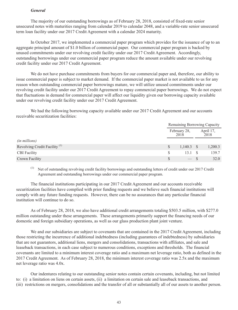### *General*

The majority of our outstanding borrowings as of February 28, 2018, consisted of fixed-rate senior unsecured notes with maturities ranging from calendar 2019 to calendar 2048, and a variable-rate senior unsecured term loan facility under our 2017 Credit Agreement with a calendar 2024 maturity.

In October 2017, we implemented a commercial paper program which provides for the issuance of up to an aggregate principal amount of \$1.0 billion of commercial paper. Our commercial paper program is backed by unused commitments under our revolving credit facility under our 2017 Credit Agreement. Accordingly, outstanding borrowings under our commercial paper program reduce the amount available under our revolving credit facility under our 2017 Credit Agreement.

We do not have purchase commitments from buyers for our commercial paper and, therefore, our ability to issue commercial paper is subject to market demand. If the commercial paper market is not available to us for any reason when outstanding commercial paper borrowings mature, we will utilize unused commitments under our revolving credit facility under our 2017 Credit Agreement to repay commercial paper borrowings. We do not expect that fluctuations in demand for commercial paper will affect our liquidity given our borrowing capacity available under our revolving credit facility under our 2017 Credit Agreement.

We had the following borrowing capacity available under our 2017 Credit Agreement and our accounts receivable securitization facilities:

|                                          | Remaining Borrowing Capacity |     |                   |  |  |
|------------------------------------------|------------------------------|-----|-------------------|--|--|
|                                          | February 28,<br>2018         |     | April 17,<br>2018 |  |  |
| <i>(in millions)</i>                     |                              |     |                   |  |  |
| Revolving Credit Facility <sup>(1)</sup> | $1,140.3$ \$                 |     | 1,200.3           |  |  |
| <b>CBI</b> Facility                      | 13.1                         | - S | 139.7             |  |  |
| Crown Facility                           | $-$ \$                       |     | 32.0              |  |  |

(1) Net of outstanding revolving credit facility borrowings and outstanding letters of credit under our 2017 Credit Agreement and outstanding borrowings under our commercial paper program.

The financial institutions participating in our 2017 Credit Agreement and our accounts receivable securitization facilities have complied with prior funding requests and we believe such financial institutions will comply with any future funding requests. However, there can be no assurances that any particular financial institution will continue to do so.

As of February 28, 2018, we also have additional credit arrangements totaling \$503.5 million, with \$277.0 million outstanding under these arrangements. These arrangements primarily support the financing needs of our domestic and foreign subsidiary operations, as well as our glass production plant joint venture.

We and our subsidiaries are subject to covenants that are contained in the 2017 Credit Agreement, including those restricting the incurrence of additional indebtedness (including guarantees of indebtedness) by subsidiaries that are not guarantors, additional liens, mergers and consolidations, transactions with affiliates, and sale and leaseback transactions, in each case subject to numerous conditions, exceptions and thresholds. The financial covenants are limited to a minimum interest coverage ratio and a maximum net leverage ratio, both as defined in the 2017 Credit Agreement. As of February 28, 2018, the minimum interest coverage ratio was 2.5x and the maximum net leverage ratio was 4.0x.

Our indentures relating to our outstanding senior notes contain certain covenants, including, but not limited to: (i) a limitation on liens on certain assets, (ii) a limitation on certain sale and leaseback transactions, and (iii) restrictions on mergers, consolidations and the transfer of all or substantially all of our assets to another person.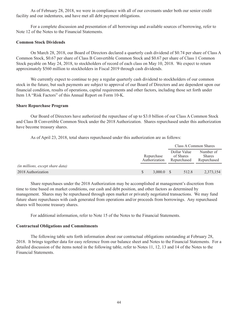As of February 28, 2018, we were in compliance with all of our covenants under both our senior credit facility and our indentures, and have met all debt payment obligations.

For a complete discussion and presentation of all borrowings and available sources of borrowing, refer to Note 12 of the Notes to the Financial Statements.

#### **Common Stock Dividends**

On March 28, 2018, our Board of Directors declared a quarterly cash dividend of \$0.74 per share of Class A Common Stock, \$0.67 per share of Class B Convertible Common Stock and \$0.67 per share of Class 1 Common Stock payable on May 24, 2018, to stockholders of record of each class on May 10, 2018. We expect to return approximately \$560 million to stockholders in Fiscal 2019 through cash dividends.

We currently expect to continue to pay a regular quarterly cash dividend to stockholders of our common stock in the future, but such payments are subject to approval of our Board of Directors and are dependent upon our financial condition, results of operations, capital requirements and other factors, including those set forth under Item 1A "Risk Factors" of this Annual Report on Form 10-K.

### **Share Repurchase Program**

Our Board of Directors have authorized the repurchase of up to \$3.0 billion of our Class A Common Stock and Class B Convertible Common Stock under the 2018 Authorization. Shares repurchased under this authorization have become treasury shares.

As of April 23, 2018, total shares repurchased under this authorization are as follows:

|                                  |                             |              |                                          |       | Class A Common Shares                     |  |
|----------------------------------|-----------------------------|--------------|------------------------------------------|-------|-------------------------------------------|--|
|                                  | Repurchase<br>Authorization |              | Dollar Value<br>of Shares<br>Repurchased |       | Number of<br><b>Shares</b><br>Repurchased |  |
| (in millions, except share data) |                             |              |                                          |       |                                           |  |
| 2018 Authorization               | S.                          | $3,000.0$ \$ |                                          | 512.8 | 2,373,154                                 |  |

Share repurchases under the 2018 Authorization may be accomplished at management's discretion from time to time based on market conditions, our cash and debt position, and other factors as determined by management. Shares may be repurchased through open market or privately negotiated transactions. We may fund future share repurchases with cash generated from operations and/or proceeds from borrowings. Any repurchased shares will become treasury shares.

For additional information, refer to Note 15 of the Notes to the Financial Statements.

#### **Contractual Obligations and Commitments**

The following table sets forth information about our contractual obligations outstanding at February 28, 2018. It brings together data for easy reference from our balance sheet and Notes to the Financial Statements. For a detailed discussion of the items noted in the following table, refer to Notes 11, 12, 13 and 14 of the Notes to the Financial Statements.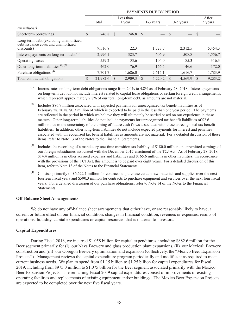|                                                                                            |             |                     |         |      | FAINENTS DUE DI FENIUD |    |           |    |                  |
|--------------------------------------------------------------------------------------------|-------------|---------------------|---------|------|------------------------|----|-----------|----|------------------|
|                                                                                            | Total       | Less than<br>l year |         |      | 1-3 years              |    | 3-5 years |    | After<br>5 years |
| (in millions)                                                                              |             |                     |         |      |                        |    |           |    |                  |
| Short-term borrowings                                                                      | \$<br>746.8 | -S                  | 746.8   | - \$ |                        | -S |           | -S |                  |
| Long-term debt (excluding unamortized<br>debt issuance costs and unamortized<br>discounts) | 9,516.8     |                     | 22.3    |      | 1,727.7                |    | 2,312.5   |    | 5,454.3          |
| Interest payments on long-term debt <sup>(1)</sup>                                         | 2,996.1     |                     | 323.7   |      | 606.9                  |    | 508.8     |    | 1,556.7          |
| Operating leases                                                                           | 559.2       |                     | 53.6    |      | 104.0                  |    | 85.3      |    | 316.3            |
| Other long-term liabilities $(2)(3)$                                                       | 462.0       |                     | 76.9    |      | 166.5                  |    | 46.6      |    | 172.0            |
| Purchase obligations <sup>(4)</sup>                                                        | 7,701.7     |                     | 1,686.0 |      | 2,615.1                |    | 1,616.7   |    | 1,783.9          |
| Total contractual obligations                                                              | 21,982.6    |                     | 2,909.3 |      | 5,220.2                |    | 4,569.9   | \$ | 9,283.2          |

PAYMENTS DUE BY PERIOD

(1) Interest rates on long-term debt obligations range from 2.0% to 4.8% as of February 28, 2018. Interest payments on long-term debt do not include interest related to capital lease obligations or certain foreign credit arrangements, which represent approximately 2.8% of our total long-term debt, as amounts are not material.

- (2) Includes \$86.7 million associated with expected payments for unrecognized tax benefit liabilities as of February 28, 2018, \$0.3 million of which is expected to be paid in the less than one year period. The payments are reflected in the period in which we believe they will ultimately be settled based on our experience in these matters. Other long-term liabilities do not include payments for unrecognized tax benefit liabilities of \$2.6 million due to the uncertainty of the timing of future cash flows associated with these unrecognized tax benefit liabilities. In addition, other long-term liabilities do not include expected payments for interest and penalties associated with unrecognized tax benefit liabilities as amounts are not material. For a detailed discussion of these items, refer to Note 13 of the Notes to the Financial Statements.
- $(3)$  Includes the recording of a mandatory one-time transition tax liability of \$180.0 million on unremitted earnings of our foreign subsidiaries associated with the December 2017 enactment of the TCJ Act. As of February 28, 2018, \$14.4 million is in other accrued expenses and liabilities and \$165.6 million is in other liabilities. In accordance with the provisions of the TCJ Act, this amount is to be paid over eight years. For a detailed discussion of this item, refer to Note 13 of the Notes to the Financial Statements.
- $(4)$  Consists primarily of \$6,622.1 million for contracts to purchase certain raw materials and supplies over the next fourteen fiscal years and \$590.3 million for contracts to purchase equipment and services over the next four fiscal years. For a detailed discussion of our purchase obligations, refer to Note 14 of the Notes to the Financial Statements.

### **Off-Balance Sheet Arrangements**

We do not have any off-balance sheet arrangements that either have, or are reasonably likely to have, a current or future effect on our financial condition, changes in financial condition, revenues or expenses, results of operations, liquidity, capital expenditures or capital resources that is material to investors.

### **Capital Expenditures**

During Fiscal 2018, we incurred \$1.058 billion for capital expenditures, including \$882.6 million for the Beer segment primarily for (i) our Nava Brewery and glass production plant expansions, (ii) our Mexicali Brewery construction and (iii) our Obregon Brewery optimization and expansion (collectively, the "Mexico Beer Expansion Projects"). Management reviews the capital expenditure program periodically and modifies it as required to meet current business needs. We plan to spend from \$1.15 billion to \$1.25 billion for capital expenditures for Fiscal 2019, including from \$975.0 million to \$1.075 billion for the Beer segment associated primarily with the Mexico Beer Expansion Projects. The remaining Fiscal 2019 capital expenditures consist of improvements of existing operating facilities and replacements of existing equipment and/or buildings. The Mexico Beer Expansion Projects are expected to be completed over the next five fiscal years.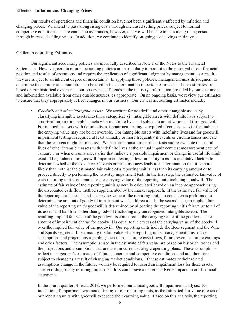### **Effects of Inflation and Changing Prices**

Our results of operations and financial condition have not been significantly affected by inflation and changing prices. We intend to pass along rising costs through increased selling prices, subject to normal competitive conditions. There can be no assurances, however, that we will be able to pass along rising costs through increased selling prices. In addition, we continue to identify on-going cost savings initiatives.

#### **Critical Accounting Estimates**

Our significant accounting policies are more fully described in Note 1 of the Notes to the Financial Statements. However, certain of our accounting policies are particularly important to the portrayal of our financial position and results of operations and require the application of significant judgment by management; as a result, they are subject to an inherent degree of uncertainty. In applying those policies, management uses its judgment to determine the appropriate assumptions to be used in the determination of certain estimates. Those estimates are based on our historical experience, our observance of trends in the industry, information provided by our customers and information available from other outside sources, as appropriate. On an ongoing basis, we review our estimates to ensure that they appropriately reflect changes in our business. Our critical accounting estimates include:

• *Goodwill and other intangible assets.* We account for goodwill and other intangible assets by classifying intangible assets into three categories: (i) intangible assets with definite lives subject to amortization, (ii) intangible assets with indefinite lives not subject to amortization and (iii) goodwill. For intangible assets with definite lives, impairment testing is required if conditions exist that indicate the carrying value may not be recoverable. For intangible assets with indefinite lives and for goodwill, impairment testing is required at least annually or more frequently if events or circumstances indicate that these assets might be impaired. We perform annual impairment tests and re-evaluate the useful lives of other intangible assets with indefinite lives at the annual impairment test measurement date of January 1 or when circumstances arise that indicate a possible impairment or change in useful life might exist. The guidance for goodwill impairment testing allows an entity to assess qualitative factors to determine whether the existence of events or circumstances leads to a determination that it is more likely than not that the estimated fair value of a reporting unit is less than its carrying amount or to proceed directly to performing the two-step impairment test. In the first step, the estimated fair value of each reporting unit is compared to the carrying value of the reporting unit, including goodwill. The estimate of fair value of the reporting unit is generally calculated based on an income approach using the discounted cash flow method supplemented by the market approach. If the estimated fair value of the reporting unit is less than the carrying value of the reporting unit, a second step is performed to determine the amount of goodwill impairment we should record. In the second step, an implied fair value of the reporting unit's goodwill is determined by allocating the reporting unit's fair value to all of its assets and liabilities other than goodwill (including any unrecognized intangible assets). The resulting implied fair value of the goodwill is compared to the carrying value of the goodwill. The amount of impairment charge for goodwill is equal to the excess of the carrying value of the goodwill over the implied fair value of the goodwill. Our reporting units include the Beer segment and the Wine and Spirits segment. In estimating the fair value of the reporting units, management must make assumptions and projections regarding such items as future cash flows, future revenues, future earnings and other factors. The assumptions used in the estimate of fair value are based on historical trends and the projections and assumptions that are used in current strategic operating plans. These assumptions reflect management's estimates of future economic and competitive conditions and are, therefore, subject to change as a result of changing market conditions. If these estimates or their related assumptions change in the future, we may be required to record an impairment loss for these assets. The recording of any resulting impairment loss could have a material adverse impact on our financial statements.

In the fourth quarter of fiscal 2018, we performed our annual goodwill impairment analysis. No indication of impairment was noted for any of our reporting units, as the estimated fair value of each of our reporting units with goodwill exceeded their carrying value. Based on this analysis, the reporting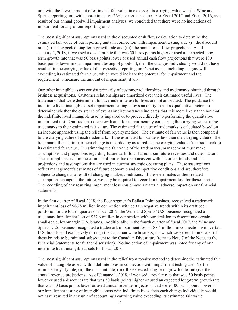unit with the lowest amount of estimated fair value in excess of its carrying value was the Wine and Spirits reporting unit with approximately 126% excess fair value. For Fiscal 2017 and Fiscal 2016, as a result of our annual goodwill impairment analyses, we concluded that there were no indications of impairment for any of our reporting units.

The most significant assumptions used in the discounted cash flows calculation to determine the estimated fair value of our reporting units in connection with impairment testing are: (i) the discount rate, (ii) the expected long-term growth rate and (iii) the annual cash flow projections. As of January 1, 2018, if we used a discount rate that was 50 basis points higher or used an expected longterm growth rate that was 50 basis points lower or used annual cash flow projections that were 100 basis points lower in our impairment testing of goodwill, then the changes individually would not have resulted in the carrying value of the respective reporting unit's net assets, including its goodwill, exceeding its estimated fair value, which would indicate the potential for impairment and the requirement to measure the amount of impairment, if any.

Our other intangible assets consist primarily of customer relationships and trademarks obtained through business acquisitions. Customer relationships are amortized over their estimated useful lives. The trademarks that were determined to have indefinite useful lives are not amortized. The guidance for indefinite lived intangible asset impairment testing allows an entity to assess qualitative factors to determine whether the existence of events or circumstances indicates that it is more likely than not that the indefinite lived intangible asset is impaired or to proceed directly to performing the quantitative impairment test. Our trademarks are evaluated for impairment by comparing the carrying value of the trademarks to their estimated fair value. The estimated fair value of trademarks is calculated based on an income approach using the relief from royalty method. The estimate of fair value is then compared to the carrying value of each trademark. If the estimated fair value is less than the carrying value of the trademark, then an impairment charge is recorded by us to reduce the carrying value of the trademark to its estimated fair value. In estimating the fair value of the trademarks, management must make assumptions and projections regarding future cash flows based upon future revenues and other factors. The assumptions used in the estimate of fair value are consistent with historical trends and the projections and assumptions that are used in current strategic operating plans. These assumptions reflect management's estimates of future economic and competitive conditions and are, therefore, subject to change as a result of changing market conditions. If these estimates or their related assumptions change in the future, we may be required to record an impairment loss for these assets. The recording of any resulting impairment loss could have a material adverse impact on our financial statements.

In the first quarter of fiscal 2018, the Beer segment's Ballast Point business recognized a trademark impairment loss of \$86.8 million in connection with certain negative trends within its craft beer portfolio. In the fourth quarter of fiscal 2017, the Wine and Spirits' U.S. business recognized a trademark impairment loss of \$37.6 million in connection with our decision to discontinue certain small-scale, low-margin U.S. brands. Additionally, in the fourth quarter of fiscal 2017, the Wine and Spirits' U.S. business recognized a trademark impairment loss of \$8.4 million in connection with certain U.S. brands sold exclusively through the Canadian wine business, for which we expect future sales of these brands to be minimal subsequent to the Canadian Divestiture (refer to Note 7 of the Notes to the Financial Statements for further discussion). No indication of impairment was noted for any of our indefinite lived intangible assets for Fiscal 2016.

The most significant assumptions used in the relief from royalty method to determine the estimated fair value of intangible assets with indefinite lives in connection with impairment testing are: (i) the estimated royalty rate, (ii) the discount rate, (iii) the expected long-term growth rate and (iv) the annual revenue projections. As of January 1, 2018, if we used a royalty rate that was 50 basis points lower or used a discount rate that was 50 basis points higher or used an expected long-term growth rate that was 50 basis points lower or used annual revenue projections that were 100 basis points lower in our impairment testing of intangible assets with indefinite lives, then each change individually would not have resulted in any unit of accounting's carrying value exceeding its estimated fair value.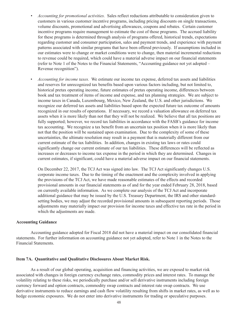- *Accounting for promotional activities.* Sales reflect reductions attributable to consideration given to customers in various customer incentive programs, including pricing discounts on single transactions, volume discounts, promotional and advertising allowances, coupons and rebates. Certain customer incentive programs require management to estimate the cost of those programs. The accrued liability for these programs is determined through analysis of programs offered, historical trends, expectations regarding customer and consumer participation, sales and payment trends, and experience with payment patterns associated with similar programs that have been offered previously. If assumptions included in our estimates were to change or market conditions were to change, then material incremental reductions to revenue could be required, which could have a material adverse impact on our financial statements (refer to Note 1 of the Notes to the Financial Statements, "Accounting guidance not yet adopted – Revenue recognition").
- • *Accounting for income taxes.* We estimate our income tax expense, deferred tax assets and liabilities and reserves for unrecognized tax benefits based upon various factors including, but not limited to, historical pretax operating income, future estimates of pretax operating income, differences between book and tax treatment of items of income and expense, and tax planning strategies. We are subject to income taxes in Canada, Luxembourg, Mexico, New Zealand, the U.S. and other jurisdictions. We recognize our deferred tax assets and liabilities based upon the expected future tax outcome of amounts recognized in our results of operations. If necessary, we record a valuation allowance on deferred tax assets when it is more likely than not that they will not be realized. We believe that all tax positions are fully supported; however, we record tax liabilities in accordance with the FASB's guidance for income tax accounting. We recognize a tax benefit from an uncertain tax position when it is more likely than not that the position will be sustained upon examination. Due to the complexity of some of these uncertainties, the ultimate resolution may result in a payment that is materially different from our current estimate of the tax liabilities. In addition, changes in existing tax laws or rates could significantly change our current estimate of our tax liabilities. These differences will be reflected as increases or decreases to income tax expense in the period in which they are determined. Changes in current estimates, if significant, could have a material adverse impact on our financial statements.

On December 22, 2017, the TCJ Act was signed into law. The TCJ Act significantly changes U.S. corporate income taxes. Due to the timing of the enactment and the complexity involved in applying the provisions of the TCJ Act, we have made reasonable estimates of the effects and recorded provisional amounts in our financial statements as of and for the year ended February 28, 2018, based on currently available information. As we complete our analysis of the TCJ Act and incorporate additional guidance that may be issued by the U.S. Treasury Department, the IRS and other standardsetting bodies, we may adjust the recorded provisional amounts in subsequent reporting periods. Those adjustments may materially impact our provision for income taxes and effective tax rate in the period in which the adjustments are made.

## **Accounting Guidance**

Accounting guidance adopted for Fiscal 2018 did not have a material impact on our consolidated financial statements. For further information on accounting guidance not yet adopted, refer to Note 1 in the Notes to the Financial Statements.

## **Item 7A. Quantitative and Qualitative Disclosures About Market Risk.**

As a result of our global operating, acquisition and financing activities, we are exposed to market risk associated with changes in foreign currency exchange rates, commodity prices and interest rates. To manage the volatility relating to these risks, we periodically purchase and/or sell derivative instruments including foreign currency forward and option contracts, commodity swap contracts and interest rate swap contracts. We use derivative instruments to reduce earnings and cash flow volatility resulting from shifts in market rates, as well as to hedge economic exposures. We do not enter into derivative instruments for trading or speculative purposes.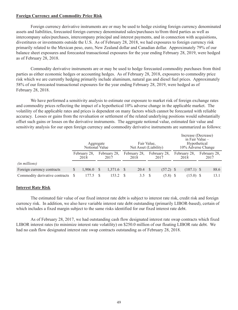## **Foreign Currency and Commodity Price Risk**

Foreign currency derivative instruments are or may be used to hedge existing foreign currency denominated assets and liabilities, forecasted foreign currency denominated sales/purchases to/from third parties as well as intercompany sales/purchases, intercompany principal and interest payments, and in connection with acquisitions, divestitures or investments outside the U.S. As of February 28, 2018, we had exposures to foreign currency risk primarily related to the Mexican peso, euro, New Zealand dollar and Canadian dollar. Approximately 79% of our balance sheet exposures and forecasted transactional exposures for the year ending February 28, 2019, were hedged as of February 28, 2018.

Commodity derivative instruments are or may be used to hedge forecasted commodity purchases from third parties as either economic hedges or accounting hedges. As of February 28, 2018, exposures to commodity price risk which we are currently hedging primarily include aluminum, natural gas and diesel fuel prices. Approximately 58% of our forecasted transactional exposures for the year ending February 28, 2019, were hedged as of February 28, 2018.

We have performed a sensitivity analysis to estimate our exposure to market risk of foreign exchange rates and commodity prices reflecting the impact of a hypothetical 10% adverse change in the applicable market. The volatility of the applicable rates and prices is dependent on many factors which cannot be forecasted with reliable accuracy. Losses or gains from the revaluation or settlement of the related underlying positions would substantially offset such gains or losses on the derivative instruments. The aggregate notional value, estimated fair value and sensitivity analysis for our open foreign currency and commodity derivative instruments are summarized as follows:

|                                   | Aggregate<br>Notional Value |                      |              |                      | Fair Value,<br>Net Asset (Liability) |    |                      | Increase (Decrease)<br>in Fair Value –<br>Hypothetical<br>10% Adverse Change |                      |  |                      |
|-----------------------------------|-----------------------------|----------------------|--------------|----------------------|--------------------------------------|----|----------------------|------------------------------------------------------------------------------|----------------------|--|----------------------|
|                                   |                             | February 28.<br>2018 |              | February 28.<br>2017 | February 28,<br>2018                 |    | February 28,<br>2017 |                                                                              | February 28,<br>2018 |  | February 28,<br>2017 |
| ( <i>in millions</i> )            |                             |                      |              |                      |                                      |    |                      |                                                                              |                      |  |                      |
| Foreign currency contracts        | S                           | 1,906.0              | <sup>S</sup> | 1.371.6              | 20.4                                 | -S | $(57.2)$ \$          |                                                                              | $(107.1)$ \$         |  | 88.6                 |
| Commodity derivative contracts \$ |                             | 177.5                |              | 53.2                 | 3.5 <sup>5</sup>                     |    | $(5.8)$ \$           |                                                                              | $(15.0)$ \$          |  | 13.1                 |

### **Interest Rate Risk**

The estimated fair value of our fixed interest rate debt is subject to interest rate risk, credit risk and foreign currency risk. In addition, we also have variable interest rate debt outstanding (primarily LIBOR-based), certain of which includes a fixed margin subject to the same risks identified for our fixed interest rate debt.

As of February 28, 2017, we had outstanding cash flow designated interest rate swap contracts which fixed LIBOR interest rates (to minimize interest rate volatility) on \$250.0 million of our floating LIBOR rate debt. We had no cash flow designated interest rate swap contracts outstanding as of February 28, 2018.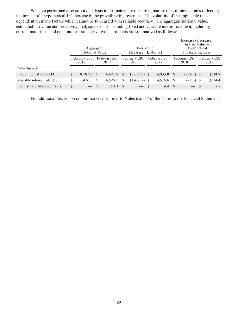We have performed a sensitivity analysis to estimate our exposure to market risk of interest rates reflecting the impact of a hypothetical 1% increase in the prevailing interest rates. The volatility of the applicable rates is dependent on many factors which cannot be forecasted with reliable accuracy. The aggregate notional value, estimated fair value and sensitivity analysis for our outstanding fixed and variable interest rate debt, including current maturities, and open interest rate derivative instruments are summarized as follows:

|                              |    | Aggregate<br>Notional Value |              |                      |                                              | Fair Value,<br>Net Asset (Liability) |                | Increase (Decrease)<br>in Fair Value –<br>Hypothetical<br>1% Rate Increase |                      |  |         |
|------------------------------|----|-----------------------------|--------------|----------------------|----------------------------------------------|--------------------------------------|----------------|----------------------------------------------------------------------------|----------------------|--|---------|
|                              |    | February 28,<br>2018        |              | February 28,<br>2017 | February 28,<br>February 28,<br>2018<br>2017 |                                      |                | February 28,<br>2018                                                       | February 28,<br>2017 |  |         |
| (in millions)                |    |                             |              |                      |                                              |                                      |                |                                                                            |                      |  |         |
| Fixed interest rate debt     | S. | 8,787.5                     | <sup>S</sup> | 4,693.6              |                                              | $(8,682.9)$ \$                       | $(4,933.8)$ \$ |                                                                            | $(524.3)$ \$         |  | (234.8) |
| Variable interest rate debt  | S  | 1.476.1                     | S            | 4,596.1              |                                              | $(1,460.7)$ \$                       | $(4,515.6)$ \$ |                                                                            | $(29.6)$ \$          |  | (124.4) |
| Interest rate swap contracts | \$ | $-$ \$                      |              | 250.0                |                                              | $-$ \$                               | 4.4 S          |                                                                            | $-$ S                |  | 7.7     |

For additional discussion on our market risk, refer to Notes 6 and 7 of the Notes to the Financial Statements.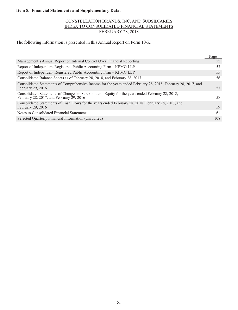# **Item 8. Financial Statements and Supplementary Data.**

# CONSTELLATION BRANDS, INC. AND SUBSIDIARIES INDEX TO CONSOLIDATED FINANCIAL STATEMENTS FEBRUARY 28, 2018

The following information is presented in this Annual Report on Form 10-K:

|                                                                                                                                               | Page |
|-----------------------------------------------------------------------------------------------------------------------------------------------|------|
| Management's Annual Report on Internal Control Over Financial Reporting                                                                       | 52   |
| Report of Independent Registered Public Accounting Firm - KPMG LLP                                                                            | 53   |
| Report of Independent Registered Public Accounting Firm – KPMG LLP                                                                            | 55   |
| Consolidated Balance Sheets as of February 28, 2018, and February 28, 2017                                                                    | 56   |
| Consolidated Statements of Comprehensive Income for the years ended February 28, 2018, February 28, 2017, and<br>February 29, 2016            | 57   |
| Consolidated Statements of Changes in Stockholders' Equity for the years ended February 28, 2018,<br>February 28, 2017, and February 29, 2016 | 58   |
| Consolidated Statements of Cash Flows for the years ended February 28, 2018, February 28, 2017, and<br>February 29, 2016                      | 59   |
| Notes to Consolidated Financial Statements                                                                                                    | 61   |
| Selected Quarterly Financial Information (unaudited)                                                                                          | 108  |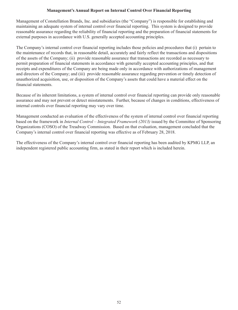# **Management's Annual Report on Internal Control Over Financial Reporting**

Management of Constellation Brands, Inc. and subsidiaries (the "Company") is responsible for establishing and maintaining an adequate system of internal control over financial reporting. This system is designed to provide reasonable assurance regarding the reliability of financial reporting and the preparation of financial statements for external purposes in accordance with U.S. generally accepted accounting principles.

The Company's internal control over financial reporting includes those policies and procedures that (i) pertain to the maintenance of records that, in reasonable detail, accurately and fairly reflect the transactions and dispositions of the assets of the Company; (ii) provide reasonable assurance that transactions are recorded as necessary to permit preparation of financial statements in accordance with generally accepted accounting principles, and that receipts and expenditures of the Company are being made only in accordance with authorizations of management and directors of the Company; and (iii) provide reasonable assurance regarding prevention or timely detection of unauthorized acquisition, use, or disposition of the Company's assets that could have a material effect on the financial statements.

Because of its inherent limitations, a system of internal control over financial reporting can provide only reasonable assurance and may not prevent or detect misstatements. Further, because of changes in conditions, effectiveness of internal controls over financial reporting may vary over time.

Management conducted an evaluation of the effectiveness of the system of internal control over financial reporting based on the framework in *Internal Control – Integrated Framework (2013)* issued by the Committee of Sponsoring Organizations (COSO) of the Treadway Commission. Based on that evaluation, management concluded that the Company's internal control over financial reporting was effective as of February 28, 2018.

The effectiveness of the Company's internal control over financial reporting has been audited by KPMG LLP, an independent registered public accounting firm, as stated in their report which is included herein.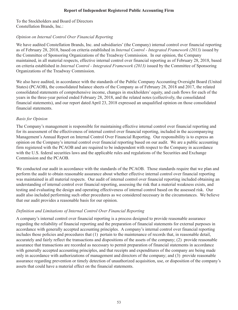# **Report of Independent Registered Public Accounting Firm**

To the Stockholders and Board of Directors Constellation Brands, Inc.:

# *Opinion on Internal Control Over Financial Reporting*

We have audited Constellation Brands, Inc. and subsidiaries' (the Company) internal control over financial reporting as of February 28, 2018, based on criteria established in *Internal Control - Integrated Framework (2013)* issued by the Committee of Sponsoring Organizations of the Treadway Commission. In our opinion, the Company maintained, in all material respects, effective internal control over financial reporting as of February 28, 2018, based on criteria established in *Internal Control - Integrated Framework (2013)* issued by the Committee of Sponsoring Organizations of the Treadway Commission.

We also have audited, in accordance with the standards of the Public Company Accounting Oversight Board (United States) (PCAOB), the consolidated balance sheets of the Company as of February 28, 2018 and 2017, the related consolidated statements of comprehensive income, changes in stockholders' equity, and cash flows for each of the years in the three-year period ended February 28, 2018, and the related notes (collectively, the consolidated financial statements), and our report dated April 23, 2018 expressed an unqualified opinion on those consolidated financial statements.

# *Basis for Opinion*

The Company's management is responsible for maintaining effective internal control over financial reporting and for its assessment of the effectiveness of internal control over financial reporting, included in the accompanying Management's Annual Report on Internal Control Over Financial Reporting. Our responsibility is to express an opinion on the Company's internal control over financial reporting based on our audit. We are a public accounting firm registered with the PCAOB and are required to be independent with respect to the Company in accordance with the U.S. federal securities laws and the applicable rules and regulations of the Securities and Exchange Commission and the PCAOB.

We conducted our audit in accordance with the standards of the PCAOB. Those standards require that we plan and perform the audit to obtain reasonable assurance about whether effective internal control over financial reporting was maintained in all material respects. Our audit of internal control over financial reporting included obtaining an understanding of internal control over financial reporting, assessing the risk that a material weakness exists, and testing and evaluating the design and operating effectiveness of internal control based on the assessed risk. Our audit also included performing such other procedures as we considered necessary in the circumstances. We believe that our audit provides a reasonable basis for our opinion.

# *Definition and Limitations of Internal Control Over Financial Reporting*

A company's internal control over financial reporting is a process designed to provide reasonable assurance regarding the reliability of financial reporting and the preparation of financial statements for external purposes in accordance with generally accepted accounting principles. A company's internal control over financial reporting includes those policies and procedures that (1) pertain to the maintenance of records that, in reasonable detail, accurately and fairly reflect the transactions and dispositions of the assets of the company; (2) provide reasonable assurance that transactions are recorded as necessary to permit preparation of financial statements in accordance with generally accepted accounting principles, and that receipts and expenditures of the company are being made only in accordance with authorizations of management and directors of the company; and (3) provide reasonable assurance regarding prevention or timely detection of unauthorized acquisition, use, or disposition of the company's assets that could have a material effect on the financial statements.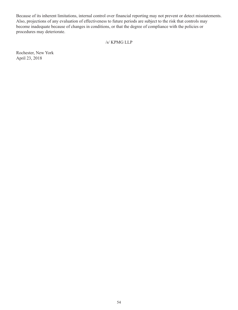Because of its inherent limitations, internal control over financial reporting may not prevent or detect misstatements. Also, projections of any evaluation of effectiveness to future periods are subject to the risk that controls may become inadequate because of changes in conditions, or that the degree of compliance with the policies or procedures may deteriorate.

# /s/ KPMG LLP

Rochester, New York April 23, 2018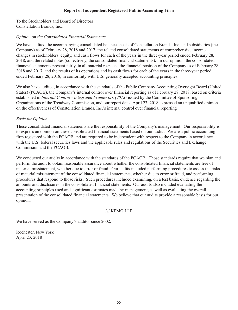# **Report of Independent Registered Public Accounting Firm**

To the Stockholders and Board of Directors Constellation Brands, Inc.:

# *Opinion on the Consolidated Financial Statements*

We have audited the accompanying consolidated balance sheets of Constellation Brands, Inc. and subsidiaries (the Company) as of February 28, 2018 and 2017, the related consolidated statements of comprehensive income, changes in stockholders' equity, and cash flows for each of the years in the three-year period ended February 28, 2018, and the related notes (collectively, the consolidated financial statements). In our opinion, the consolidated financial statements present fairly, in all material respects, the financial position of the Company as of February 28, 2018 and 2017, and the results of its operations and its cash flows for each of the years in the three-year period ended February 28, 2018, in conformity with U.S. generally accepted accounting principles.

We also have audited, in accordance with the standards of the Public Company Accounting Oversight Board (United States) (PCAOB), the Company's internal control over financial reporting as of February 28, 2018, based on criteria established in *Internal Control - Integrated Framework (2013)* issued by the Committee of Sponsoring Organizations of the Treadway Commission, and our report dated April 23, 2018 expressed an unqualified opinion on the effectiveness of Constellation Brands, Inc.'s internal control over financial reporting*.*

# *Basis for Opinion*

These consolidated financial statements are the responsibility of the Company's management. Our responsibility is to express an opinion on these consolidated financial statements based on our audits. We are a public accounting firm registered with the PCAOB and are required to be independent with respect to the Company in accordance with the U.S. federal securities laws and the applicable rules and regulations of the Securities and Exchange Commission and the PCAOB.

We conducted our audits in accordance with the standards of the PCAOB. Those standards require that we plan and perform the audit to obtain reasonable assurance about whether the consolidated financial statements are free of material misstatement, whether due to error or fraud. Our audits included performing procedures to assess the risks of material misstatement of the consolidated financial statements, whether due to error or fraud, and performing procedures that respond to those risks. Such procedures included examining, on a test basis, evidence regarding the amounts and disclosures in the consolidated financial statements. Our audits also included evaluating the accounting principles used and significant estimates made by management, as well as evaluating the overall presentation of the consolidated financial statements. We believe that our audits provide a reasonable basis for our opinion.

# /s/ KPMG LLP

We have served as the Company's auditor since 2002.

Rochester, New York April 23, 2018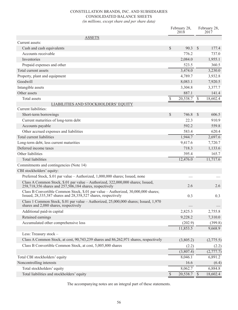### CONSTELLATION BRANDS, INC. AND SUBSIDIARIES CONSOLIDATED BALANCE SHEETS *(in millions, except share and per share data)*

|                                                                                                                                                     | February 28,<br>2018 |             | February 28,<br>2017 |           |
|-----------------------------------------------------------------------------------------------------------------------------------------------------|----------------------|-------------|----------------------|-----------|
| <b>ASSETS</b>                                                                                                                                       |                      |             |                      |           |
| Current assets:                                                                                                                                     |                      |             |                      |           |
| Cash and cash equivalents                                                                                                                           | $\mathbb S$          | 90.3        | $\mathcal{S}$        | 177.4     |
| Accounts receivable                                                                                                                                 |                      | 776.2       |                      | 737.0     |
| Inventories                                                                                                                                         |                      | 2,084.0     |                      | 1,955.1   |
| Prepaid expenses and other                                                                                                                          |                      | 523.5       |                      | 360.5     |
| Total current assets                                                                                                                                |                      | 3,474.0     |                      | 3,230.0   |
| Property, plant and equipment                                                                                                                       |                      | 4,789.7     |                      | 3,932.8   |
| Goodwill                                                                                                                                            |                      | 8,083.1     |                      | 7,920.5   |
| Intangible assets                                                                                                                                   |                      | 3,304.8     |                      | 3,377.7   |
| Other assets                                                                                                                                        |                      | 887.1       |                      | 141.4     |
| Total assets                                                                                                                                        | \$                   | 20,538.7 \$ |                      | 18,602.4  |
| LIABILITIES AND STOCKHOLDERS' EQUITY<br>Current liabilities:                                                                                        |                      |             |                      |           |
| Short-term borrowings                                                                                                                               | $\mathcal{S}$        | 746.8       | $\mathcal{S}$        | 606.5     |
| Current maturities of long-term debt                                                                                                                |                      | 22.3        |                      | 910.9     |
| Accounts payable                                                                                                                                    |                      | 592.2       |                      | 559.8     |
| Other accrued expenses and liabilities                                                                                                              |                      | 583.4       |                      | 620.4     |
| Total current liabilities                                                                                                                           |                      | 1,944.7     |                      | 2,697.6   |
| Long-term debt, less current maturities                                                                                                             |                      | 9,417.6     |                      | 7,720.7   |
| Deferred income taxes                                                                                                                               |                      | 718.3       |                      | 1,133.6   |
| Other liabilities                                                                                                                                   |                      | 395.4       |                      | 165.7     |
| <b>Total liabilities</b>                                                                                                                            |                      | 12,476.0    |                      | 11,717.6  |
| Commitments and contingencies (Note 14)                                                                                                             |                      |             |                      |           |
| CBI stockholders' equity:                                                                                                                           |                      |             |                      |           |
| Preferred Stock, \$.01 par value - Authorized, 1,000,000 shares; Issued, none                                                                       |                      |             |                      |           |
| Class A Common Stock, \$.01 par value - Authorized, 322,000,000 shares; Issued,<br>258,718,356 shares and 257,506,184 shares, respectively          |                      | 2.6         |                      | 2.6       |
| Class B Convertible Common Stock, \$.01 par value - Authorized, 30,000,000 shares;<br>Issued, 28,335,387 shares and 28,358,527 shares, respectively |                      | 0.3         |                      | 0.3       |
| Class 1 Common Stock, \$.01 par value - Authorized, 25,000,000 shares; Issued, 1,970<br>shares and 2,080 shares, respectively                       |                      |             |                      |           |
| Additional paid-in capital                                                                                                                          |                      | 2,825.3     |                      | 2,755.8   |
| Retained earnings                                                                                                                                   |                      | 9,228.2     |                      | 7,310.0   |
| Accumulated other comprehensive loss                                                                                                                |                      | (202.9)     |                      | (399.8)   |
|                                                                                                                                                     |                      | 11,853.5    |                      | 9,668.9   |
| Less: Treasury stock -                                                                                                                              |                      |             |                      |           |
| Class A Common Stock, at cost, 90,743,239 shares and 86,262,971 shares, respectively                                                                |                      | (3,805.2)   |                      | (2,775.5) |
| Class B Convertible Common Stock, at cost, 5,005,800 shares                                                                                         |                      | (2.2)       |                      | (2.2)     |
|                                                                                                                                                     |                      | (3,807.4)   |                      | (2,777.7) |
| Total CBI stockholders' equity                                                                                                                      |                      | 8,046.1     |                      | 6,891.2   |
| Noncontrolling interests                                                                                                                            |                      | 16.6        |                      | (6.4)     |
| Total stockholders' equity                                                                                                                          |                      | 8,062.7     |                      | 6,884.8   |
| Total liabilities and stockholders' equity                                                                                                          | $\mathbb S$          | 20,538.7 \$ |                      | 18,602.4  |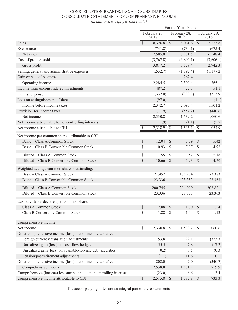## CONSTELLATION BRANDS, INC. AND SUBSIDIARIES CONSOLIDATED STATEMENTS OF COMPREHENSIVE INCOME *(in millions, except per share data)*

|                                                                      | For the Years Ended      |                         |                            |                         |                          |                      |  |
|----------------------------------------------------------------------|--------------------------|-------------------------|----------------------------|-------------------------|--------------------------|----------------------|--|
| February 28,<br>2018                                                 |                          |                         |                            | February 28,<br>2017    |                          | February 29,<br>2016 |  |
| Sales                                                                | $\overline{\mathcal{S}}$ | 8,326.8                 | $\overline{\$}$            | 8,061.6                 | $\overline{\mathcal{S}}$ | 7,223.8              |  |
| Excise taxes                                                         |                          | (741.8)                 |                            | (730.1)                 |                          | (675.4)              |  |
| Net sales                                                            |                          | 7,585.0                 |                            | 7,331.5                 |                          | 6,548.4              |  |
| Cost of product sold                                                 |                          | (3,767.8)               |                            | (3,802.1)               |                          | (3,606.1)            |  |
| Gross profit                                                         |                          | 3,817.2                 |                            | 3,529.4                 |                          | 2,942.3              |  |
| Selling, general and administrative expenses                         |                          | (1, 532.7)              |                            | (1,392.4)               |                          | (1,177.2)            |  |
| Gain on sale of business                                             |                          |                         |                            | 262.4                   |                          |                      |  |
| Operating income                                                     |                          | 2,284.5                 |                            | 2,399.4                 |                          | 1,765.1              |  |
| Income from unconsolidated investments                               |                          | 487.2                   |                            | 27.3                    |                          | 51.1                 |  |
| Interest expense                                                     |                          | (332.0)                 |                            | (333.3)                 |                          | (313.9)              |  |
| Loss on extinguishment of debt                                       |                          | (97.0)                  |                            |                         |                          | (1.1)                |  |
| Income before income taxes                                           |                          | 2,342.7                 |                            | 2,093.4                 |                          | 1,501.2              |  |
| Provision for income taxes                                           |                          | (11.9)                  |                            | (554.2)                 |                          | (440.6)              |  |
| Net income                                                           |                          | 2,330.8                 |                            | 1,539.2                 |                          | 1,060.6              |  |
| Net income attributable to noncontrolling interests                  |                          | (11.9)                  |                            | (4.1)                   |                          | (5.7)                |  |
| Net income attributable to CBI                                       | \$                       | 2,318.9 \$              |                            | $1,535.1$ \$            |                          | 1,054.9              |  |
| Net income per common share attributable to CBI:                     |                          |                         |                            |                         |                          |                      |  |
| Basic - Class A Common Stock                                         | \$                       | 12.04                   | $\mathcal{S}$              | 7.79                    | $\mathcal{S}$            | 5.42                 |  |
| Basic - Class B Convertible Common Stock                             | \$                       | 10.93                   | $\mathcal{S}$              | 7.07                    | $\mathcal{S}$            | 4.92                 |  |
| Diluted - Class A Common Stock                                       | \$                       | 11.55                   | $\mathbb{S}$               | 7.52                    | $\mathbb{S}$             | 5.18                 |  |
| Diluted - Class B Convertible Common Stock                           | \$                       | 10.66                   | $\mathcal{S}$              | 6.93                    | $\mathcal{S}$            | 4.79                 |  |
| Weighted average common shares outstanding:                          |                          |                         |                            |                         |                          |                      |  |
| Basic - Class A Common Stock                                         |                          | 171.457                 |                            | 175.934                 |                          | 173.383              |  |
| Basic - Class B Convertible Common Stock                             |                          | 23.336                  |                            | 23.353                  |                          | 23.363               |  |
| Diluted - Class A Common Stock                                       |                          | 200.745                 |                            | 204.099                 |                          | 203.821              |  |
| Diluted - Class B Convertible Common Stock                           |                          | 23.336                  |                            | 23.353                  |                          | 23.363               |  |
| Cash dividends declared per common share:                            |                          |                         |                            |                         |                          |                      |  |
| <b>Class A Common Stock</b>                                          | \$                       | 2.08                    | $\boldsymbol{\mathcal{S}}$ | 1.60                    | <sup>\$</sup>            | 1.24                 |  |
| Class B Convertible Common Stock                                     | \$                       | 1.88                    | <sup>\$</sup>              | 1.44                    | <sup>\$</sup>            | 1.12                 |  |
| Comprehensive income:                                                |                          |                         |                            |                         |                          |                      |  |
| Net income                                                           | \$                       | 2,330.8                 | $\mathcal{S}$              | 1,539.2                 | - \$                     | 1,060.6              |  |
| Other comprehensive income (loss), net of income tax effect:         |                          |                         |                            |                         |                          |                      |  |
| Foreign currency translation adjustments                             |                          | 153.8                   |                            | 22.1                    |                          | (323.3)              |  |
| Unrealized gain (loss) on cash flow hedges                           |                          | 55.5                    |                            | 7.8                     |                          | (17.2)               |  |
| Unrealized gain (loss) on available-for-sale debt securities         |                          | (0.2)                   |                            | 0.5                     |                          | (0.3)                |  |
| Pension/postretirement adjustments                                   |                          | (1.1)                   |                            | 11.6                    |                          | 0.1                  |  |
| Other comprehensive income (loss), net of income tax effect          |                          | 208.0                   |                            | 42.0                    |                          | (340.7)              |  |
| Comprehensive income                                                 |                          | 2,538.8                 |                            | 1,581.2                 |                          | 719.9                |  |
| Comprehensive (income) loss attributable to noncontrolling interests |                          | (23.0)                  |                            | 6.6                     |                          | 13.4                 |  |
| Comprehensive income attributable to CBI                             | $\overline{\mathcal{S}}$ | $\overline{2,515.8}$ \$ |                            | $\overline{1,587.8}$ \$ |                          | 733.3                |  |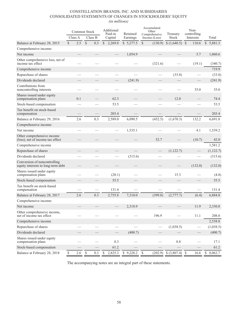### CONSTELLATION BRANDS, INC. AND SUBSIDIARIES CONSOLIDATED STATEMENTS OF CHANGES IN STOCKHOLDERS' EQUITY *(in millions)*

|                                                                    |                      |                      | Additional              |           | Accumulated             | Non-           |             |            |  |  |  |  |
|--------------------------------------------------------------------|----------------------|----------------------|-------------------------|-----------|-------------------------|----------------|-------------|------------|--|--|--|--|
|                                                                    |                      | Common Stock         | Paid-in                 | Retained  | Other<br>Comprehensive  | Treasury       | controlling |            |  |  |  |  |
|                                                                    | Class A              | Class B              | Capital                 | Earnings  | Income (Loss)           | <b>Stock</b>   | Interests   | Total      |  |  |  |  |
| Balance at February 28, 2015                                       | $\mathcal{S}$<br>2.5 | $\mathcal{S}$<br>0.3 | \$2,269.8               | \$5,277.5 | \$<br>(130.9)           | $(1,648.5)$ \$ | 110.6       | \$5,881.3  |  |  |  |  |
| Comprehensive income:                                              |                      |                      |                         |           |                         |                |             |            |  |  |  |  |
| Net income                                                         |                      |                      |                         | 1,054.9   |                         |                | 5.7         | 1,060.6    |  |  |  |  |
| Other comprehensive loss, net of<br>income tax effect              |                      |                      |                         |           | (321.6)                 |                | (19.1)      | (340.7)    |  |  |  |  |
| Comprehensive income                                               |                      |                      |                         |           |                         |                |             | 719.9      |  |  |  |  |
| Repurchase of shares                                               |                      |                      |                         |           |                         | (33.8)         |             | (33.8)     |  |  |  |  |
| Dividends declared                                                 |                      |                      |                         | (241.9)   |                         |                |             | (241.9)    |  |  |  |  |
| Contributions from<br>noncontrolling interests                     |                      |                      |                         |           |                         |                | 35.0        | 35.0       |  |  |  |  |
| Shares issued under equity<br>compensation plans                   | 0.1                  |                      | 62.3                    |           |                         | 12.0           |             | 74.4       |  |  |  |  |
| Stock-based compensation                                           |                      |                      | 53.5                    |           |                         |                |             | 53.5       |  |  |  |  |
| Tax benefit on stock-based<br>compensation                         |                      |                      | 203.4                   |           |                         |                |             | 203.4      |  |  |  |  |
| Balance at February 29, 2016                                       | 2.6                  | 0.3                  | 2,589.0                 | 6,090.5   | (452.5)                 | (1,670.3)      | 132.2       | 6,691.8    |  |  |  |  |
| Comprehensive income:                                              |                      |                      |                         |           |                         |                |             |            |  |  |  |  |
| Net income                                                         |                      |                      |                         | 1,535.1   |                         |                | 4.1         | 1,539.2    |  |  |  |  |
| Other comprehensive income<br>(loss), net of income tax effect     |                      |                      |                         |           | 52.7                    |                | (10.7)      | 42.0       |  |  |  |  |
| Comprehensive income                                               |                      |                      |                         |           |                         |                |             | 1,581.2    |  |  |  |  |
| Repurchase of shares                                               |                      |                      |                         |           |                         | (1, 122.7)     |             | (1, 122.7) |  |  |  |  |
| Dividends declared                                                 |                      |                      |                         | (315.6)   |                         |                |             | (315.6)    |  |  |  |  |
| Conversion of noncontrolling<br>equity interests to long-term debt |                      |                      |                         |           |                         |                | (132.0)     | (132.0)    |  |  |  |  |
| Shares issued under equity<br>compensation plans                   |                      |                      | (20.1)                  |           |                         | 15.3           |             | (4.8)      |  |  |  |  |
| Stock-based compensation                                           |                      |                      | 55.5                    |           |                         |                |             | 55.5       |  |  |  |  |
| Tax benefit on stock-based<br>compensation                         |                      |                      | 131.4                   |           |                         |                |             | 131.4      |  |  |  |  |
| Balance at February 28, 2017                                       | 2.6                  | 0.3                  | 2,755.8                 | 7,310.0   | (399.8)                 | (2,777.7)      | (6.4)       | 6,884.8    |  |  |  |  |
| Comprehensive income:                                              |                      |                      |                         |           |                         |                |             |            |  |  |  |  |
| Net income                                                         |                      |                      |                         | 2,318.9   |                         |                | 11.9        | 2,330.8    |  |  |  |  |
| Other comprehensive income,<br>net of income tax effect            |                      |                      |                         |           | 196.9                   |                | 11.1        | 208.0      |  |  |  |  |
| Comprehensive income                                               |                      |                      |                         |           |                         |                |             | 2,538.8    |  |  |  |  |
| Repurchase of shares                                               |                      |                      |                         |           |                         | (1,038.5)      |             | (1,038.5)  |  |  |  |  |
| Dividends declared                                                 |                      |                      |                         | (400.7)   |                         |                |             | (400.7)    |  |  |  |  |
| Shares issued under equity<br>compensation plans                   |                      |                      | 8.3                     |           |                         | 8.8            |             | 17.1       |  |  |  |  |
| Stock-based compensation                                           |                      |                      | 61.2                    |           |                         |                |             | 61.2       |  |  |  |  |
| Balance at February 28, 2018                                       | \$<br>2.6            | \$<br>0.3            | $\mathbb{S}$<br>2,825.3 | \$9,228.2 | $\mathbb{S}$<br>(202.9) |                | 16.6        | \$8,062.7  |  |  |  |  |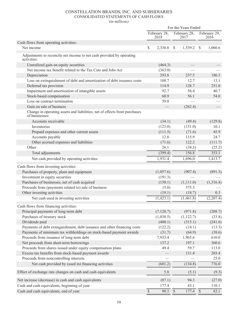## CONSTELLATION BRANDS, INC. AND SUBSIDIARIES CONSOLIDATED STATEMENTS OF CASH FLOWS *(in millions)*

|                                                                                             | For the Years Ended |                      |                                    |                       |                      |                   |
|---------------------------------------------------------------------------------------------|---------------------|----------------------|------------------------------------|-----------------------|----------------------|-------------------|
|                                                                                             |                     | February 28,<br>2018 | February $\overline{28}$ ,<br>2017 |                       | February 29,<br>2016 |                   |
| Cash flows from operating activities:                                                       |                     |                      |                                    |                       |                      |                   |
| Net income                                                                                  | \$                  | 2,330.8              | $\mathcal{S}$                      | $1,539.2$ \$          |                      | 1,060.6           |
| Adjustments to reconcile net income to net cash provided by operating<br>activities:        |                     |                      |                                    |                       |                      |                   |
| Unrealized gain on equity securities                                                        |                     | (464.3)              |                                    |                       |                      |                   |
| Net income tax benefit related to the Tax Cuts and Jobs Act                                 |                     | (363.0)              |                                    |                       |                      |                   |
| Depreciation                                                                                |                     | 293.8                |                                    | 237.5                 |                      | 180.3             |
| Loss on extinguishment of debt and amortization of debt issuance costs                      |                     | 108.7                |                                    | 12.7                  |                      | 13.1              |
| Deferred tax provision                                                                      |                     | 114.9                |                                    | 128.7                 |                      | 251.0             |
| Impairment and amortization of intangible assets                                            |                     | 92.7                 |                                    | 56.4                  |                      | 40.7              |
| Stock-based compensation                                                                    |                     | 60.9                 |                                    | 56.1                  |                      | 54.0              |
| Loss on contract termination                                                                |                     | 59.0                 |                                    |                       |                      |                   |
| Gain on sale of business                                                                    |                     |                      |                                    | (262.4)               |                      |                   |
| Change in operating assets and liabilities, net of effects from purchases<br>of businesses: |                     |                      |                                    |                       |                      |                   |
| Accounts receivable                                                                         |                     | (34.1)               |                                    | (49.4)                |                      | (129.8)           |
| Inventories                                                                                 |                     | (123.8)              |                                    | (151.0)               |                      | 10.1              |
| Prepaid expenses and other current assets                                                   |                     | (111.5)              |                                    | (71.6)                |                      | 45.9              |
| Accounts payable                                                                            |                     | 12.8                 |                                    | 115.9                 |                      | 24.7              |
| Other accrued expenses and liabilities                                                      |                     | (71.6)               |                                    | 122.2                 |                      | (111.7)           |
| Other                                                                                       |                     | 26.1                 |                                    | (38.3)                |                      | (25.2)            |
| Total adjustments                                                                           |                     | (399.4)              |                                    | 156.8                 |                      | 353.1             |
| Net cash provided by operating activities                                                   |                     | 1,931.4              |                                    | 1,696.0               |                      | 1,413.7           |
| Cash flows from investing activities:                                                       |                     |                      |                                    |                       |                      |                   |
| Purchases of property, plant and equipment                                                  |                     | (1,057.6)            |                                    | (907.4)               |                      | (891.3)           |
| Investment in equity securities                                                             |                     | (191.3)              |                                    |                       |                      |                   |
| Purchases of businesses, net of cash acquired                                               |                     | (150.1)              |                                    | (1,111.0)             |                      | (1,316.4)         |
| Proceeds from (payments related to) sale of business                                        |                     | (5.0)                |                                    | 575.3                 |                      |                   |
| Other investing activities                                                                  |                     | (19.1)               |                                    | (18.7)                |                      | 0.3               |
| Net cash used in investing activities                                                       |                     | (1, 423.1)           |                                    | (1,461.8)             |                      | (2,207.4)         |
| Cash flows from financing activities:                                                       |                     |                      |                                    |                       |                      |                   |
| Principal payments of long-term debt                                                        |                     | (7, 128.7)           |                                    | (971.8)               |                      | (208.7)           |
| Purchases of treasury stock                                                                 |                     |                      |                                    |                       |                      |                   |
| Dividends paid                                                                              |                     | (1,038.5)<br>(400.1) |                                    | (1, 122.7)<br>(315.1) |                      | (33.8)<br>(241.6) |
| Payments of debt extinguishment, debt issuance and other financing costs                    |                     | (122.2)              |                                    | (14.1)                |                      | (13.3)            |
| Payments of minimum tax withholdings on stock-based payment awards                          |                     | (31.7)               |                                    | (64.9)                |                      | (38.6)            |
| Proceeds from issuance of long-term debt                                                    |                     | 7,933.4              |                                    | 1,965.6               |                      | 610.0             |
| Net proceeds from short-term borrowings                                                     |                     | 137.2                |                                    | 197.1                 |                      | 360.6             |
| Proceeds from shares issued under equity compensation plans                                 |                     | 49.4                 |                                    | 59.7                  |                      | 113.0             |
| Excess tax benefits from stock-based payment awards                                         |                     |                      |                                    | 131.4                 |                      | 203.4             |
|                                                                                             |                     |                      |                                    |                       |                      | 25.0              |
| Proceeds from noncontrolling interests                                                      |                     |                      |                                    |                       |                      |                   |
| Net cash provided by (used in) financing activities                                         |                     | (601.2)              |                                    | (134.8)               |                      | 776.0             |
| Effect of exchange rate changes on cash and cash equivalents                                |                     | 5.8                  |                                    | (5.1)                 |                      | (9.3)             |
| Net increase (decrease) in cash and cash equivalents                                        |                     | (87.1)               |                                    | 94.3                  |                      | (27.0)            |
| Cash and cash equivalents, beginning of year                                                |                     | 177.4                |                                    | 83.1                  |                      | 110.1             |
| Cash and cash equivalents, end of year                                                      | $\mathbb{S}$        | 90.3                 | $\mathcal{S}$                      | 177.4 \$              |                      | 83.1              |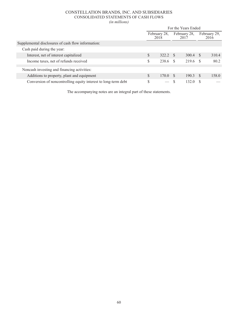## CONSTELLATION BRANDS, INC. AND SUBSIDIARIES CONSOLIDATED STATEMENTS OF CASH FLOWS *(in millions)*

|                                                                | For the Years Ended  |       |                      |       |      |                      |
|----------------------------------------------------------------|----------------------|-------|----------------------|-------|------|----------------------|
|                                                                | February 28,<br>2018 |       | February 28,<br>2017 |       |      | February 29,<br>2016 |
| Supplemental disclosures of cash flow information:             |                      |       |                      |       |      |                      |
| Cash paid during the year:                                     |                      |       |                      |       |      |                      |
| Interest, net of interest capitalized                          | \$                   | 322.2 | - S                  | 300.4 | - \$ | 310.4                |
| Income taxes, net of refunds received                          | \$                   | 238.6 | -S                   | 219.6 | - S  | 80.2                 |
| Noncash investing and financing activities:                    |                      |       |                      |       |      |                      |
| Additions to property, plant and equipment                     | \$                   | 170.0 | - S                  | 190.3 | - S  | 158.0                |
| Conversion of noncontrolling equity interest to long-term debt | \$                   |       |                      | 132.0 |      |                      |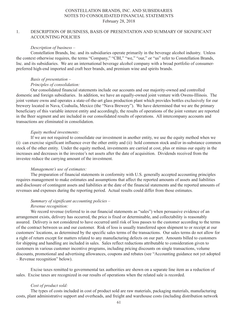## CONSTELLATION BRANDS, INC. AND SUBSIDIARIES NOTES TO CONSOLIDATED FINANCIAL STATEMENTS February 28, 2018

## 1. DESCRIPTION OF BUSINESS, BASIS OF PRESENTATION AND SUMMARY OF SIGNIFICANT ACCOUNTING POLICIES

#### *Description of business –*

Constellation Brands, Inc. and its subsidiaries operate primarily in the beverage alcohol industry. Unless the context otherwise requires, the terms "Company," "CBI," "we," "our," or "us" refer to Constellation Brands, Inc. and its subsidiaries. We are an international beverage alcohol company with a broad portfolio of consumerpreferred high-end imported and craft beer brands, and premium wine and spirits brands.

#### *Basis of presentation –*

### *Principles of consolidation:*

Our consolidated financial statements include our accounts and our majority-owned and controlled domestic and foreign subsidiaries. In addition, we have an equally-owned joint venture with Owens-Illinois. The joint venture owns and operates a state-of-the-art glass production plant which provides bottles exclusively for our brewery located in Nava, Coahuila, Mexico (the "Nava Brewery"). We have determined that we are the primary beneficiary of this variable interest entity and accordingly, the results of operations of the joint venture are reported in the Beer segment and are included in our consolidated results of operations. All intercompany accounts and transactions are eliminated in consolidation.

### *Equity method investments:*

If we are not required to consolidate our investment in another entity, we use the equity method when we (i) can exercise significant influence over the other entity and (ii) hold common stock and/or in-substance common stock of the other entity. Under the equity method, investments are carried at cost, plus or minus our equity in the increases and decreases in the investee's net assets after the date of acquisition. Dividends received from the investee reduce the carrying amount of the investment.

### *Management's use of estimates:*

The preparation of financial statements in conformity with U.S. generally accepted accounting principles requires management to make estimates and assumptions that affect the reported amounts of assets and liabilities and disclosure of contingent assets and liabilities at the date of the financial statements and the reported amounts of revenues and expenses during the reporting period. Actual results could differ from those estimates.

### *Summary of significant accounting policies –*

### *Revenue recognition:*

We record revenue (referred to in our financial statements as "sales") when persuasive evidence of an arrangement exists, delivery has occurred, the price is fixed or determinable, and collectability is reasonably assured. Delivery is not considered to have occurred until risk of loss passes to the customer according to the terms of the contract between us and our customer. Risk of loss is usually transferred upon shipment to or receipt at our customers' locations, as determined by the specific sales terms of the transactions. Our sales terms do not allow for a right of return except for matters related to any manufacturing defects on our part. Amounts billed to customers for shipping and handling are included in sales. Sales reflect reductions attributable to consideration given to customers in various customer incentive programs, including pricing discounts on single transactions, volume discounts, promotional and advertising allowances, coupons and rebates (see "Accounting guidance not yet adopted – Revenue recognition" below).

Excise taxes remitted to governmental tax authorities are shown on a separate line item as a reduction of sales. Excise taxes are recognized in our results of operations when the related sale is recorded.

### *Cost of product sold:*

The types of costs included in cost of product sold are raw materials, packaging materials, manufacturing costs, plant administrative support and overheads, and freight and warehouse costs (including distribution network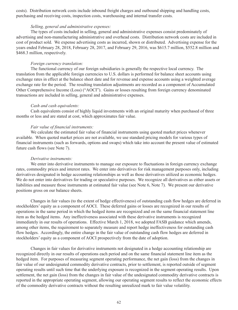costs). Distribution network costs include inbound freight charges and outbound shipping and handling costs, purchasing and receiving costs, inspection costs, warehousing and internal transfer costs.

## *Selling, general and administrative expenses:*

The types of costs included in selling, general and administrative expenses consist predominately of advertising and non-manufacturing administrative and overhead costs. Distribution network costs are included in cost of product sold. We expense advertising costs as incurred, shown or distributed. Advertising expense for the years ended February 28, 2018, February 28, 2017, and February 29, 2016, was \$615.7 million, \$552.8 million and \$468.3 million, respectively.

#### *Foreign currency translation:*

The functional currency of our foreign subsidiaries is generally the respective local currency. The translation from the applicable foreign currencies to U.S. dollars is performed for balance sheet accounts using exchange rates in effect at the balance sheet date and for revenue and expense accounts using a weighted average exchange rate for the period. The resulting translation adjustments are recorded as a component of Accumulated Other Comprehensive Income (Loss) ("AOCI"). Gains or losses resulting from foreign currency denominated transactions are included in selling, general and administrative expenses.

#### *Cash and cash equivalents:*

Cash equivalents consist of highly liquid investments with an original maturity when purchased of three months or less and are stated at cost, which approximates fair value.

#### *Fair value of financial instruments:*

We calculate the estimated fair value of financial instruments using quoted market prices whenever available. When quoted market prices are not available, we use standard pricing models for various types of financial instruments (such as forwards, options and swaps) which take into account the present value of estimated future cash flows (see Note 7).

#### *Derivative instruments:*

We enter into derivative instruments to manage our exposure to fluctuations in foreign currency exchange rates, commodity prices and interest rates. We enter into derivatives for risk management purposes only, including derivatives designated in hedge accounting relationships as well as those derivatives utilized as economic hedges. We do not enter into derivatives for trading or speculative purposes. We recognize all derivatives as either assets or liabilities and measure those instruments at estimated fair value (see Note 6, Note 7). We present our derivative positions gross on our balance sheets.

Changes in fair values (to the extent of hedge effectiveness) of outstanding cash flow hedges are deferred in stockholders' equity as a component of AOCI. These deferred gains or losses are recognized in our results of operations in the same period in which the hedged items are recognized and on the same financial statement line item as the hedged items. Any ineffectiveness associated with these derivative instruments is recognized immediately in our results of operations. Effective March 1, 2018, we adopted FASB guidance which amends, among other items, the requirement to separately measure and report hedge ineffectiveness for outstanding cash flow hedges. Accordingly, the entire change in the fair value of outstanding cash flow hedges are deferred in stockholders' equity as a component of AOCI prospectively from the date of adoption.

Changes in fair values for derivative instruments not designated in a hedge accounting relationship are recognized directly in our results of operations each period and on the same financial statement line item as the hedged item. For purposes of measuring segment operating performance, the net gain (loss) from the changes in fair value of our undesignated commodity derivative contracts, prior to settlement, is reported outside of segment operating results until such time that the underlying exposure is recognized in the segment operating results. Upon settlement, the net gain (loss) from the changes in fair value of the undesignated commodity derivative contracts is reported in the appropriate operating segment, allowing our operating segment results to reflect the economic effects of the commodity derivative contracts without the resulting unrealized mark to fair value volatility.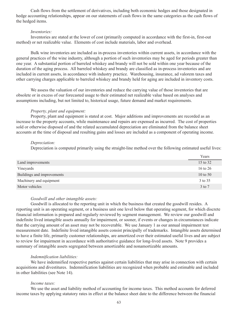Cash flows from the settlement of derivatives, including both economic hedges and those designated in hedge accounting relationships, appear on our statements of cash flows in the same categories as the cash flows of the hedged items.

#### *Inventories:*

Inventories are stated at the lower of cost (primarily computed in accordance with the first-in, first-out method) or net realizable value. Elements of cost include materials, labor and overhead.

Bulk wine inventories are included as in-process inventories within current assets, in accordance with the general practices of the wine industry, although a portion of such inventories may be aged for periods greater than one year. A substantial portion of barreled whiskey and brandy will not be sold within one year because of the duration of the aging process. All barreled whiskey and brandy are classified as in-process inventories and are included in current assets, in accordance with industry practice. Warehousing, insurance, ad valorem taxes and other carrying charges applicable to barreled whiskey and brandy held for aging are included in inventory costs.

We assess the valuation of our inventories and reduce the carrying value of those inventories that are obsolete or in excess of our forecasted usage to their estimated net realizable value based on analyses and assumptions including, but not limited to, historical usage, future demand and market requirements.

#### *Property, plant and equipment:*

Property, plant and equipment is stated at cost. Major additions and improvements are recorded as an increase to the property accounts, while maintenance and repairs are expensed as incurred. The cost of properties sold or otherwise disposed of and the related accumulated depreciation are eliminated from the balance sheet accounts at the time of disposal and resulting gains and losses are included as a component of operating income.

#### *Depreciation:*

Depreciation is computed primarily using the straight-line method over the following estimated useful lives:

|                            | Years      |
|----------------------------|------------|
| Land improvements          | 15 to 32   |
| Vineyards                  | 16 to 26   |
| Buildings and improvements | 10 to $50$ |
| Machinery and equipment    | 3 to 35    |
| Motor vehicles             | 3 to 7     |

#### *Goodwill and other intangible assets:*

Goodwill is allocated to the reporting unit in which the business that created the goodwill resides. A reporting unit is an operating segment, or a business unit one level below that operating segment, for which discrete financial information is prepared and regularly reviewed by segment management. We review our goodwill and indefinite lived intangible assets annually for impairment, or sooner, if events or changes in circumstances indicate that the carrying amount of an asset may not be recoverable. We use January 1 as our annual impairment test measurement date. Indefinite lived intangible assets consist principally of trademarks. Intangible assets determined to have a finite life, primarily customer relationships, are amortized over their estimated useful lives and are subject to review for impairment in accordance with authoritative guidance for long-lived assets. Note 9 provides a summary of intangible assets segregated between amortizable and nonamortizable amounts.

## *Indemnification liabilities:*

We have indemnified respective parties against certain liabilities that may arise in connection with certain acquisitions and divestitures. Indemnification liabilities are recognized when probable and estimable and included in other liabilities (see Note 14).

#### *Income taxes:*

We use the asset and liability method of accounting for income taxes. This method accounts for deferred income taxes by applying statutory rates in effect at the balance sheet date to the difference between the financial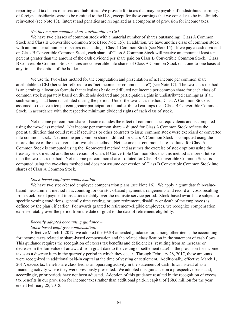reporting and tax bases of assets and liabilities. We provide for taxes that may be payable if undistributed earnings of foreign subsidiaries were to be remitted to the U.S., except for those earnings that we consider to be indefinitely reinvested (see Note 13). Interest and penalties are recognized as a component of provision for income taxes.

## *Net income per common share attributable to CBI:*

We have two classes of common stock with a material number of shares outstanding: Class A Common Stock and Class B Convertible Common Stock (see Note 15). In addition, we have another class of common stock with an immaterial number of shares outstanding: Class 1 Common Stock (see Note 15). If we pay a cash dividend on Class B Convertible Common Stock, each share of Class A Common Stock will receive an amount at least ten percent greater than the amount of the cash dividend per share paid on Class B Convertible Common Stock. Class B Convertible Common Stock shares are convertible into shares of Class A Common Stock on a one-to-one basis at any time at the option of the holder.

We use the two-class method for the computation and presentation of net income per common share attributable to CBI (hereafter referred to as "net income per common share") (see Note 17). The two-class method is an earnings allocation formula that calculates basic and diluted net income per common share for each class of common stock separately based on dividends declared and participation rights in undistributed earnings as if all such earnings had been distributed during the period. Under the two-class method, Class A Common Stock is assumed to receive a ten percent greater participation in undistributed earnings than Class B Convertible Common Stock, in accordance with the respective minimum dividend rights of each class of stock.

Net income per common share – basic excludes the effect of common stock equivalents and is computed using the two-class method. Net income per common share – diluted for Class A Common Stock reflects the potential dilution that could result if securities or other contracts to issue common stock were exercised or converted into common stock. Net income per common share – diluted for Class A Common Stock is computed using the more dilutive of the if-converted or two-class method. Net income per common share – diluted for Class A Common Stock is computed using the if-converted method and assumes the exercise of stock options using the treasury stock method and the conversion of Class B Convertible Common Stock as this method is more dilutive than the two-class method. Net income per common share – diluted for Class B Convertible Common Stock is computed using the two-class method and does not assume conversion of Class B Convertible Common Stock into shares of Class A Common Stock.

#### *Stock-based employee compensation:*

We have two stock-based employee compensation plans (see Note 16). We apply a grant date fair-valuebased measurement method in accounting for our stock-based payment arrangements and record all costs resulting from stock-based payment transactions ratably over the requisite service period. Stock-based awards are subject to specific vesting conditions, generally time vesting, or upon retirement, disability or death of the employee (as defined by the plan), if earlier. For awards granted to retirement-eligible employees, we recognize compensation expense ratably over the period from the date of grant to the date of retirement-eligibility.

#### *Recently adopted accounting guidance –*

## *Stock-based employee compensation:*

Effective March 1, 2017, we adopted the FASB amended guidance for, among other items, the accounting for income taxes related to share-based compensation and the related classification in the statement of cash flows. This guidance requires the recognition of excess tax benefits and deficiencies (resulting from an increase or decrease in the fair value of an award from grant date to the vesting or settlement date) in the provision for income taxes as a discrete item in the quarterly period in which they occur. Through February 28, 2017, these amounts were recognized in additional paid-in capital at the time of vesting or settlement. Additionally, effective March 1, 2017, excess tax benefits are classified as an operating activity in the statement of cash flows instead of as a financing activity where they were previously presented. We adopted this guidance on a prospective basis and, accordingly, prior periods have not been adjusted. Adoption of this guidance resulted in the recognition of excess tax benefits in our provision for income taxes rather than additional paid-in capital of \$68.6 million for the year ended February 28, 2018.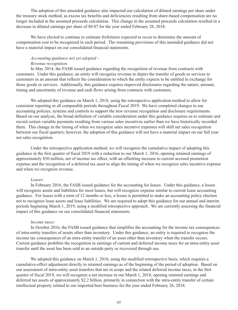The adoption of this amended guidance also impacted our calculation of diluted earnings per share under the treasury stock method, as excess tax benefits and deficiencies resulting from share-based compensation are no longer included in the assumed proceeds calculation. This change in the assumed proceeds calculation resulted in a decrease in diluted earnings per share of \$0.07 for the year ended February 28, 2018.

We have elected to continue to estimate forfeitures expected to occur to determine the amount of compensation cost to be recognized in each period. The remaining provisions of this amended guidance did not have a material impact on our consolidated financial statements.

## *Accounting guidance not yet adopted –*

### *Revenue recognition:*

In May 2014, the FASB issued guidance regarding the recognition of revenue from contracts with customers. Under this guidance, an entity will recognize revenue to depict the transfer of goods or services to customers in an amount that reflects the consideration to which the entity expects to be entitled in exchange for those goods or services. Additionally, this guidance requires improved disclosures regarding the nature, amount, timing and uncertainty of revenue and cash flows arising from contracts with customers.

We adopted this guidance on March 1, 2018, using the retrospective application method to allow for consistent reporting in all comparable periods throughout Fiscal 2019. We have completed changes to our accounting policies, systems and controls to support the new revenue recognition and disclosure requirements. Based on our analysis, the broad definition of variable consideration under this guidance requires us to estimate and record certain variable payments resulting from various sales incentives earlier than we have historically recorded them. This change in the timing of when we recognize sales incentive expenses will shift net sales recognition between our fiscal quarters; however, the adoption of this guidance will not have a material impact on our full year net sales recognition.

Under the retrospective application method, we will recognize the cumulative impact of adopting this guidance in the first quarter of fiscal 2019 with a reduction to our March 1, 2016, opening retained earnings of approximately \$50 million, net of income tax effect, with an offsetting increase to current accrued promotion expense and the recognition of a deferred tax asset to align the timing of when we recognize sales incentive expense and when we recognize revenue.

#### *Leases:*

In February 2016, the FASB issued guidance for the accounting for leases. Under this guidance, a lessee will recognize assets and liabilities for most leases, but will recognize expense similar to current lease accounting guidance. For leases with a term of 12 months or less, a lessee is permitted to make an accounting policy election not to recognize lease assets and lease liabilities. We are required to adopt this guidance for our annual and interim periods beginning March 1, 2019, using a modified retrospective approach. We are currently assessing the financial impact of this guidance on our consolidated financial statements.

#### *Income taxes:*

In October 2016, the FASB issued guidance that simplifies the accounting for the income tax consequences of intra-entity transfers of assets other than inventory. Under this guidance, an entity is required to recognize the income tax consequences of an intra-entity transfer of an asset other than inventory when the transfer occurs. Current guidance prohibits the recognition in earnings of current and deferred income taxes for an intra-entity asset transfer until the asset has been sold to an outside party or recovered through use.

We adopted this guidance on March 1, 2018, using the modified retrospective basis, which requires a cumulative-effect adjustment directly to retained earnings as of the beginning of the period of adoption. Based on our assessment of intra-entity asset transfers that are in scope and the related deferred income taxes, in the first quarter of fiscal 2019, we will recognize a net increase in our March 1, 2018, opening retained earnings and deferred tax assets of approximately \$2.2 billion, primarily in connection with the intra-entity transfer of certain intellectual property related to our imported beer business for the year ended February 28, 2018.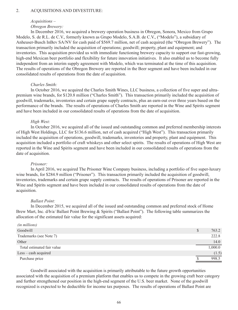### 2. ACQUISITIONS AND DIVESTITURE:

# *Acquisitions –*

*Obregon Brewery:*

In December 2016, we acquired a brewery operation business in Obregon, Sonora, Mexico from Grupo Modelo, S. de R.L. de C.V., formerly known as Grupo Modelo, S.A.B. de C.V., ("Modelo"), a subsidiary of Anheuser-Busch InBev SA/NV for cash paid of \$569.7 million, net of cash acquired (the "Obregon Brewery"). The transaction primarily included the acquisition of operations; goodwill; property, plant and equipment; and inventories. This acquisition provided us with immediate functioning brewery capacity to support our fast-growing, high-end Mexican beer portfolio and flexibility for future innovation initiatives. It also enabled us to become fully independent from an interim supply agreement with Modelo, which was terminated at the time of this acquisition. The results of operations of the Obregon Brewery are reported in the Beer segment and have been included in our consolidated results of operations from the date of acquisition.

### *Charles Smith:*

In October 2016, we acquired the Charles Smith Wines, LLC business, a collection of five super and ultrapremium wine brands, for \$120.8 million ("Charles Smith"). This transaction primarily included the acquisition of goodwill, trademarks, inventories and certain grape supply contracts, plus an earn-out over three years based on the performance of the brands. The results of operations of Charles Smith are reported in the Wine and Spirits segment and have been included in our consolidated results of operations from the date of acquisition.

### *High West:*

In October 2016, we acquired all of the issued and outstanding common and preferred membership interests of High West Holdings, LLC for \$136.6 million, net of cash acquired ("High West"). This transaction primarily included the acquisition of operations, goodwill, trademarks, inventories and property, plant and equipment. This acquisition included a portfolio of craft whiskeys and other select spirits. The results of operations of High West are reported in the Wine and Spirits segment and have been included in our consolidated results of operations from the date of acquisition.

#### *Prisoner:*

In April 2016, we acquired The Prisoner Wine Company business, including a portfolio of five super-luxury wine brands, for \$284.9 million ("Prisoner"). This transaction primarily included the acquisition of goodwill, inventories, trademarks and certain grape supply contracts. The results of operations of Prisoner are reported in the Wine and Spirits segment and have been included in our consolidated results of operations from the date of acquisition.

#### *Ballast Point:*

In December 2015, we acquired all of the issued and outstanding common and preferred stock of Home Brew Mart, Inc. d/b/a/ Ballast Point Brewing & Spirits ("Ballast Point"). The following table summarizes the allocation of the estimated fair value for the significant assets acquired:

| (in millions)              |   |         |
|----------------------------|---|---------|
| Goodwill                   | S | 763.2   |
| Trademarks (see Note 7)    |   | 222.8   |
| Other                      |   | 14.0    |
| Total estimated fair value |   | 1,000.0 |
| $Less - cash acquired$     |   | (1.5)   |
| Purchase price             |   | 998.5   |

Goodwill associated with the acquisition is primarily attributable to the future growth opportunities associated with the acquisition of a premium platform that enables us to compete in the growing craft beer category and further strengthened our position in the high-end segment of the U.S. beer market. None of the goodwill recognized is expected to be deductible for income tax purposes. The results of operations of Ballast Point are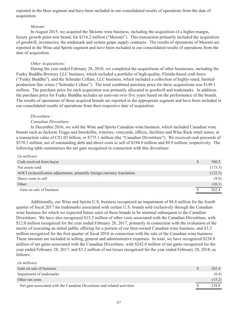reported in the Beer segment and have been included in our consolidated results of operations from the date of acquisition.

### *Meiomi:*

In August 2015, we acquired the Meiomi wine business, including the acquisition of a higher-margin, luxury growth pinot noir brand, for \$316.2 million ("Meiomi"). This transaction primarily included the acquisition of goodwill, inventories, the trademark and certain grape supply contracts. The results of operations of Meiomi are reported in the Wine and Spirits segment and have been included in our consolidated results of operations from the date of acquisition.

### *Other Acquisitions:*

During the year ended February 28, 2018, we completed the acquisitions of other businesses, including the Funky Buddha Brewery LLC business, which included a portfolio of high-quality, Florida-based craft beers ("Funky Buddha"), and the Schrader Cellars, LLC business, which included a collection of highly-rated, limitedproduction fine wines ("Schrader Cellars"). The total combined purchase price for these acquisitions was \$149.1 million. The purchase price for each acquisition was primarily allocated to goodwill and trademarks. In addition, the purchase price for Funky Buddha includes an earn-out over five years based on the performance of the brands. The results of operations of these acquired brands are reported in the appropriate segment and have been included in our consolidated results of operations from their respective date of acquisition.

#### *Divestiture –*

### *Canadian Divestiture:*

In December 2016, we sold the Wine and Spirits Canadian wine business, which included Canadian wine brands such as Jackson-Triggs and Inniskillin, wineries, vineyards, offices, facilities and Wine Rack retail stores, at a transaction value of C\$1.03 billion, or \$775.1 million (the "Canadian Divestiture"). We received cash proceeds of \$570.3 million, net of outstanding debt and direct costs to sell of \$194.9 million and \$9.9 million, respectively. The following table summarizes the net gain recognized in connection with this divestiture:

| (in millions)                                                             |   |         |
|---------------------------------------------------------------------------|---|---------|
| Cash received from buyer                                                  | S | 580.2   |
| Net assets sold                                                           |   | (175.3) |
| AOCI reclassification adjustments, primarily foreign currency translation |   | (122.5) |
| Direct costs to sell                                                      |   | (9.9)   |
| Other                                                                     |   | (10.1)  |
| Gain on sale of business                                                  |   | 262.4   |

Additionally, our Wine and Spirits U.S. business recognized an impairment of \$8.4 million for the fourth quarter of fiscal 2017 for trademarks associated with certain U.S. brands sold exclusively through the Canadian wine business for which we expected future sales of these brands to be minimal subsequent to the Canadian Divestiture. We have also recognized \$15.2 million of other costs associated with the Canadian Divestiture, with \$12.0 million recognized for the year ended February 28, 2017, primarily in connection with the evaluation of the merits of executing an initial public offering for a portion of our then-owned Canadian wine business, and \$3.2 million recognized for the first quarter of fiscal 2018 in connection with the sale of the Canadian wine business. These amounts are included in selling, general and administrative expenses. In total, we have recognized \$238.8 million of net gains associated with the Canadian Divestiture, with \$242.0 million of net gains recognized for the year ended February 28, 2017, and \$3.2 million of net losses recognized for the year ended February 28, 2018, as follows:

| <i>(in millions)</i>                                                     |        |
|--------------------------------------------------------------------------|--------|
| Gain on sale of business                                                 | 262.4  |
| Impairment of trademarks                                                 | (8.4)  |
| Other net costs                                                          | (15.2) |
| Net gain associated with the Canadian Divestiture and related activities | 238.8  |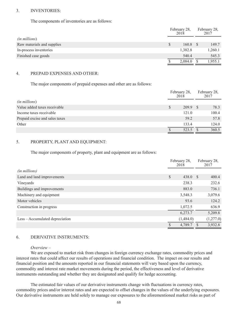### 3. INVENTORIES:

The components of inventories are as follows:

|                            |              | February 28,<br>2018 | February 28,<br>2017 |         |
|----------------------------|--------------|----------------------|----------------------|---------|
| (in millions)              |              |                      |                      |         |
| Raw materials and supplies | <sup>S</sup> |                      |                      | 149.7   |
| In-process inventories     |              | 1,382.8              |                      | 1,260.1 |
| Finished case goods        |              | 540.4                |                      | 545.3   |
|                            |              | 2,084.0              |                      | 1,955.1 |

#### 4. PREPAID EXPENSES AND OTHER:

The major components of prepaid expenses and other are as follows:

|                                |   | February 28,<br>2018 | February 28,<br>2017 |
|--------------------------------|---|----------------------|----------------------|
| ( <i>in millions</i> )         |   |                      |                      |
| Value added taxes receivable   | S | 209.9 \$             | 78.3                 |
| Income taxes receivable        |   | 121.0                | 100.4                |
| Prepaid excise and sales taxes |   | 59.2                 | 57.8                 |
| Other                          |   | 133.4                | 124.0                |
|                                |   | 523.5                | 360.5                |

### 5. PROPERTY, PLANT AND EQUIPMENT:

The major components of property, plant and equipment are as follows:

|                                 | February 28,<br>2018    |               | February 28,<br>2017 |
|---------------------------------|-------------------------|---------------|----------------------|
| (in millions)                   |                         |               |                      |
| Land and land improvements      | \$<br>438.0 S           |               | 400.4                |
| Vineyards                       | 238.3                   |               | 232.6                |
| Buildings and improvements      | 883.0                   |               | 736.1                |
| Machinery and equipment         | 3,548.3                 |               | 3,079.6              |
| Motor vehicles                  | 93.6                    |               | 124.2                |
| Construction in progress        | 1,072.5                 |               | 636.9                |
|                                 | 6,273.7                 |               | 5,209.8              |
| Less – Accumulated depreciation | (1,484.0)               |               | (1,277.0)            |
|                                 | $\mathbb{S}$<br>4,789.7 | <sup>\$</sup> | 3,932.8              |

### 6. DERIVATIVE INSTRUMENTS:

#### *Overview –*

We are exposed to market risk from changes in foreign currency exchange rates, commodity prices and interest rates that could affect our results of operations and financial condition. The impact on our results and financial position and the amounts reported in our financial statements will vary based upon the currency, commodity and interest rate market movements during the period, the effectiveness and level of derivative instruments outstanding and whether they are designated and qualify for hedge accounting.

The estimated fair values of our derivative instruments change with fluctuations in currency rates, commodity prices and/or interest rates and are expected to offset changes in the values of the underlying exposures. Our derivative instruments are held solely to manage our exposures to the aforementioned market risks as part of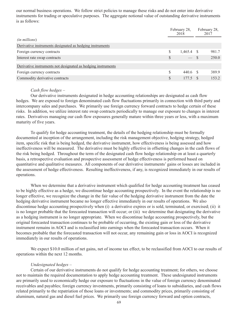our normal business operations. We follow strict policies to manage these risks and do not enter into derivative instruments for trading or speculative purposes. The aggregate notional value of outstanding derivative instruments is as follows:

|                                                              |    | February 28,<br>2018 |  | February 28.<br>2017 |
|--------------------------------------------------------------|----|----------------------|--|----------------------|
| ( <i>in millions</i> )                                       |    |                      |  |                      |
| Derivative instruments designated as hedging instruments     |    |                      |  |                      |
| Foreign currency contracts                                   | S  | $1,465.4$ \$         |  | 981.7                |
| Interest rate swap contracts                                 | \$ | $-$ \$               |  | 250.0                |
| Derivative instruments not designated as hedging instruments |    |                      |  |                      |
| Foreign currency contracts                                   | S  | 440.6 \$             |  | 389.9                |
| Commodity derivative contracts                               | \$ | 177.5                |  | 1532                 |

### *Cash flow hedges –*

Our derivative instruments designated in hedge accounting relationships are designated as cash flow hedges. We are exposed to foreign denominated cash flow fluctuations primarily in connection with third party and intercompany sales and purchases. We primarily use foreign currency forward contracts to hedge certain of these risks. In addition, we utilize interest rate swap contracts periodically to manage our exposure to changes in interest rates. Derivatives managing our cash flow exposures generally mature within three years or less, with a maximum maturity of five years.

To qualify for hedge accounting treatment, the details of the hedging relationship must be formally documented at inception of the arrangement, including the risk management objective, hedging strategy, hedged item, specific risk that is being hedged, the derivative instrument, how effectiveness is being assessed and how ineffectiveness will be measured. The derivative must be highly effective in offsetting changes in the cash flows of the risk being hedged. Throughout the term of the designated cash flow hedge relationship on at least a quarterly basis, a retrospective evaluation and prospective assessment of hedge effectiveness is performed based on quantitative and qualitative measures. All components of our derivative instruments' gains or losses are included in the assessment of hedge effectiveness. Resulting ineffectiveness, if any, is recognized immediately in our results of operations.

When we determine that a derivative instrument which qualified for hedge accounting treatment has ceased to be highly effective as a hedge, we discontinue hedge accounting prospectively. In the event the relationship is no longer effective, we recognize the change in the fair value of the hedging derivative instrument from the date the hedging derivative instrument became no longer effective immediately in our results of operations. We also discontinue hedge accounting prospectively when (i) a derivative expires or is sold, terminated, or exercised; (ii) it is no longer probable that the forecasted transaction will occur; or (iii) we determine that designating the derivative as a hedging instrument is no longer appropriate. When we discontinue hedge accounting prospectively, but the original forecasted transaction continues to be probable of occurring, the existing gain or loss of the derivative instrument remains in AOCI and is reclassified into earnings when the forecasted transaction occurs. When it becomes probable that the forecasted transaction will not occur, any remaining gain or loss in AOCI is recognized immediately in our results of operations.

We expect \$10.0 million of net gains, net of income tax effect, to be reclassified from AOCI to our results of operations within the next 12 months.

### *Undesignated hedges –*

Certain of our derivative instruments do not qualify for hedge accounting treatment; for others, we choose not to maintain the required documentation to apply hedge accounting treatment. These undesignated instruments are primarily used to economically hedge our exposure to fluctuations in the value of foreign currency denominated receivables and payables; foreign currency investments, primarily consisting of loans to subsidiaries, and cash flows related primarily to the repatriation of those loans or investments; and commodity prices, primarily consisting of aluminum, natural gas and diesel fuel prices. We primarily use foreign currency forward and option contracts,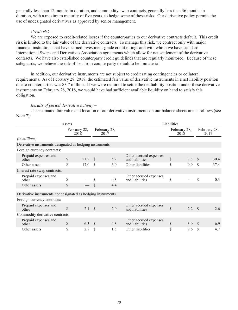generally less than 12 months in duration, and commodity swap contracts, generally less than 36 months in duration, with a maximum maturity of five years, to hedge some of these risks. Our derivative policy permits the use of undesignated derivatives as approved by senior management.

### *Credit risk –*

We are exposed to credit-related losses if the counterparties to our derivative contracts default. This credit risk is limited to the fair value of the derivative contracts. To manage this risk, we contract only with major financial institutions that have earned investment-grade credit ratings and with whom we have standard International Swaps and Derivatives Association agreements which allow for net settlement of the derivative contracts. We have also established counterparty credit guidelines that are regularly monitored. Because of these safeguards, we believe the risk of loss from counterparty default to be immaterial.

In addition, our derivative instruments are not subject to credit rating contingencies or collateral requirements. As of February 28, 2018, the estimated fair value of derivative instruments in a net liability position due to counterparties was \$3.7 million. If we were required to settle the net liability position under these derivative instruments on February 28, 2018, we would have had sufficient available liquidity on hand to satisfy this obligation.

### *Results of period derivative activity –*

The estimated fair value and location of our derivative instruments on our balance sheets are as follows (see Note 7):

| Assets                                                       |      |                      |               |                      | Liabilities                               |    |                      |               |                      |  |  |
|--------------------------------------------------------------|------|----------------------|---------------|----------------------|-------------------------------------------|----|----------------------|---------------|----------------------|--|--|
|                                                              |      | February 28,<br>2018 |               | February 28,<br>2017 |                                           |    | February 28,<br>2018 |               | February 28,<br>2017 |  |  |
| (in millions)                                                |      |                      |               |                      |                                           |    |                      |               |                      |  |  |
| Derivative instruments designated as hedging instruments     |      |                      |               |                      |                                           |    |                      |               |                      |  |  |
| Foreign currency contracts:                                  |      |                      |               |                      |                                           |    |                      |               |                      |  |  |
| Prepaid expenses and<br>other                                | $\$$ | 21.2 S               |               | 5.2                  | Other accrued expenses<br>and liabilities | \$ | 7.8 <sup>°</sup>     |               | 30.4                 |  |  |
| Other assets                                                 | \$   | 17.0                 | <sup>\$</sup> | 6.0                  | Other liabilities                         | \$ | 9.9                  | $\mathcal{S}$ | 37.4                 |  |  |
| Interest rate swap contracts:                                |      |                      |               |                      |                                           |    |                      |               |                      |  |  |
| Prepaid expenses and<br>other                                | \$   |                      | \$            | 0.3                  | Other accrued expenses<br>and liabilities | \$ |                      | $\mathcal{S}$ | 0.3                  |  |  |
| Other assets                                                 | $\$$ |                      | $\mathcal{S}$ | 4.4                  |                                           |    |                      |               |                      |  |  |
| Derivative instruments not designated as hedging instruments |      |                      |               |                      |                                           |    |                      |               |                      |  |  |
| Foreign currency contracts:                                  |      |                      |               |                      |                                           |    |                      |               |                      |  |  |
| Prepaid expenses and<br>other                                | \$   | 2.1 S                |               | 2.0                  | Other accrued expenses<br>and liabilities | \$ | 2.2 S                |               | 2.6                  |  |  |
| Commodity derivative contracts:                              |      |                      |               |                      |                                           |    |                      |               |                      |  |  |
| Prepaid expenses and<br>other                                | \$   | 6.3 S                |               | 4.3                  | Other accrued expenses<br>and liabilities | \$ | 3.0 <sup>5</sup>     |               | 6.9                  |  |  |
| Other assets                                                 | \$   | 2.8                  | S             | 1.5                  | Other liabilities                         | \$ | 2.6                  | S             | 4.7                  |  |  |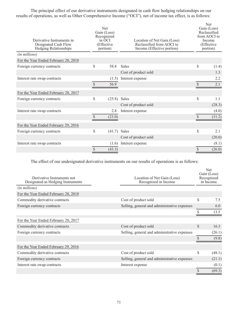The principal effect of our derivative instruments designated in cash flow hedging relationships on our results of operations, as well as Other Comprehensive Income ("OCI"), net of income tax effect, is as follows:

| Derivative Instruments in<br>Designated Cash Flow<br><b>Hedging Relationships</b> | <b>Net</b><br>Gain (Loss)<br>Recognized<br>in OCI<br>(Effective<br>portion) |        | Location of Net Gain (Loss)<br>Reclassified from AOCI to<br>Income (Effective portion) | <b>Net</b><br>Gain (Loss)<br>Reclassified<br>from AOCI to<br>Income<br>(Effective)<br>portion) |
|-----------------------------------------------------------------------------------|-----------------------------------------------------------------------------|--------|----------------------------------------------------------------------------------------|------------------------------------------------------------------------------------------------|
| (in millions)                                                                     |                                                                             |        |                                                                                        |                                                                                                |
| For the Year Ended February 28, 2018                                              |                                                                             |        |                                                                                        |                                                                                                |
| Foreign currency contracts                                                        | \$                                                                          | 58.4   | <b>Sales</b>                                                                           | \$<br>(1.4)                                                                                    |
|                                                                                   |                                                                             |        | Cost of product sold                                                                   | 1.3                                                                                            |
| Interest rate swap contracts                                                      |                                                                             | (1.5)  | Interest expense                                                                       | 2.2                                                                                            |
|                                                                                   | \$                                                                          | 56.9   |                                                                                        | \$<br>2.1                                                                                      |
| For the Year Ended February 28, 2017                                              |                                                                             |        |                                                                                        |                                                                                                |
| Foreign currency contracts                                                        | $\mathbb{S}% _{t}\left( t\right) \equiv\mathbb{S}_{t}\left( t\right)$       | (25.8) | Sales                                                                                  | \$<br>1.1                                                                                      |
|                                                                                   |                                                                             |        | Cost of product sold                                                                   | (28.3)                                                                                         |
| Interest rate swap contracts                                                      |                                                                             | 2.8    | Interest expense                                                                       | (4.0)                                                                                          |
|                                                                                   | $\$$                                                                        | (23.0) |                                                                                        | \$<br>(31.2)                                                                                   |
| For the Year Ended February 29, 2016                                              |                                                                             |        |                                                                                        |                                                                                                |
| Foreign currency contracts                                                        | \$                                                                          | (41.7) | Sales                                                                                  | \$<br>2.1                                                                                      |
|                                                                                   |                                                                             |        | Cost of product sold                                                                   | (20.0)                                                                                         |
| Interest rate swap contracts                                                      |                                                                             | (1.6)  | Interest expense                                                                       | (8.1)                                                                                          |
|                                                                                   | \$                                                                          | (43.3) |                                                                                        | \$<br>(26.0)                                                                                   |

The effect of our undesignated derivative instruments on our results of operations is as follows:

| Derivative Instruments not<br>Designated as Hedging Instruments | Location of Net Gain (Loss)<br>Recognized in Income |               | <b>Net</b><br>Gain (Loss)<br>Recognized<br>in Income |
|-----------------------------------------------------------------|-----------------------------------------------------|---------------|------------------------------------------------------|
| ( <i>in millions</i> )                                          |                                                     |               |                                                      |
| For the Year Ended February 28, 2018                            |                                                     |               |                                                      |
| Commodity derivative contracts                                  | Cost of product sold                                | \$            | 7.5                                                  |
| Foreign currency contracts                                      | Selling, general and administrative expenses        |               | 6.0                                                  |
|                                                                 |                                                     |               | 13.5                                                 |
| For the Year Ended February 28, 2017                            |                                                     |               |                                                      |
| Commodity derivative contracts                                  | Cost of product sold                                | \$            | 16.3                                                 |
| Foreign currency contracts                                      | Selling, general and administrative expenses        |               | (26.1)                                               |
|                                                                 |                                                     | $\mathcal{S}$ | (9.8)                                                |
| For the Year Ended February 29, 2016                            |                                                     |               |                                                      |
| Commodity derivative contracts                                  | Cost of product sold                                | \$            | (48.1)                                               |
| Foreign currency contracts                                      | Selling, general and administrative expenses        |               | (21.1)                                               |
| Interest rate swap contracts                                    | Interest expense                                    |               | (0.1)                                                |
|                                                                 |                                                     | S             | (69.3)                                               |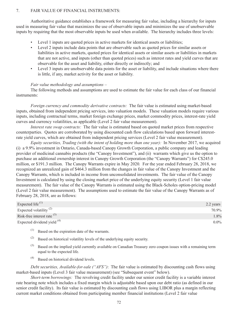### 7. FAIR VALUE OF FINANCIAL INSTRUMENTS:

Authoritative guidance establishes a framework for measuring fair value, including a hierarchy for inputs used in measuring fair value that maximizes the use of observable inputs and minimizes the use of unobservable inputs by requiring that the most observable inputs be used when available. The hierarchy includes three levels:

- Level 1 inputs are quoted prices in active markets for identical assets or liabilities;
- Level 2 inputs include data points that are observable such as quoted prices for similar assets or liabilities in active markets, quoted prices for identical assets or similar assets or liabilities in markets that are not active, and inputs (other than quoted prices) such as interest rates and yield curves that are observable for the asset and liability, either directly or indirectly; and
- Level 3 inputs are unobservable data points for the asset or liability, and include situations where there is little, if any, market activity for the asset or liability.

### *Fair value methodology and assumptions –*

The following methods and assumptions are used to estimate the fair value for each class of our financial instruments:

*Foreign currency and commodity derivative contracts:* The fair value is estimated using market-based inputs, obtained from independent pricing services, into valuation models. These valuation models require various inputs, including contractual terms, market foreign exchange prices, market commodity prices, interest-rate yield curves and currency volatilities, as applicable (Level 2 fair value measurement).

*Interest rate swap contracts:* The fair value is estimated based on quoted market prices from respective counterparties. Quotes are corroborated by using discounted cash flow calculations based upon forward interestrate yield curves, which are obtained from independent pricing services (Level 2 fair value measurement).

*Equity securities, Trading (with the intent of holding more than one year):* In November 2017, we acquired (i) a 9.9% investment in Ontario, Canada-based Canopy Growth Corporation, a public company and leading provider of medicinal cannabis products (the "Canopy Investment"), and (ii) warrants which give us the option to purchase an additional ownership interest in Canopy Growth Corporation (the "Canopy Warrants") for C\$245.0 million, or \$191.3 million. The Canopy Warrants expire in May 2020*.* For the year ended February 28, 2018, we recognized an unrealized gain of \$464.3 million from the changes in fair value of the Canopy Investment and the Canopy Warrants, which is included in income from unconsolidated investments. The fair value of the Canopy Investment is calculated by using the closing market price of the underlying equity security (Level 1 fair value measurement). The fair value of the Canopy Warrants is estimated using the Black-Scholes option-pricing model (Level 2 fair value measurement). The assumptions used to estimate the fair value of the Canopy Warrants as of February 28, 2018, are as follows:

| Expected life $^{(1)}$        | 2.2 years |
|-------------------------------|-----------|
| Expected volatility $(2)$     | 70.9%     |
| Risk-free interest rate $(3)$ | 1.8%      |
| Expected dividend yield $(4)$ | $0.0\%$   |

- (1) Based on the expiration date of the warrants.
- (2) Based on historical volatility levels of the underlying equity security.
- $(3)$  Based on the implied yield currently available on Canadian Treasury zero coupon issues with a remaining term equal to the expected life.
- (4) Based on historical dividend levels.

*Debt securities, Available-for-sale ("AFS")*: The fair value is estimated by discounting cash flows using market-based inputs (Level 3 fair value measurement) (see "Subsequent event" below).

*Short-term borrowings:* The revolving credit facility under our senior credit facility is a variable interest rate bearing note which includes a fixed margin which is adjustable based upon our debt ratio (as defined in our senior credit facility). Its fair value is estimated by discounting cash flows using LIBOR plus a margin reflecting current market conditions obtained from participating member financial institutions (Level 2 fair value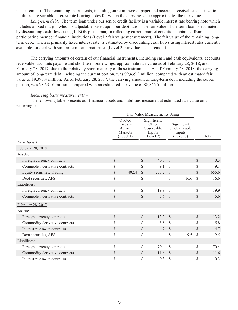measurement). The remaining instruments, including our commercial paper and accounts receivable securitization facilities, are variable interest rate bearing notes for which the carrying value approximates the fair value.

*Long-term debt:* The term loan under our senior credit facility is a variable interest rate bearing note which includes a fixed margin which is adjustable based upon our debt ratio. The fair value of the term loan is estimated by discounting cash flows using LIBOR plus a margin reflecting current market conditions obtained from participating member financial institutions (Level 2 fair value measurement). The fair value of the remaining longterm debt, which is primarily fixed interest rate, is estimated by discounting cash flows using interest rates currently available for debt with similar terms and maturities (Level 2 fair value measurement).

The carrying amounts of certain of our financial instruments, including cash and cash equivalents, accounts receivable, accounts payable and short-term borrowings, approximate fair value as of February 28, 2018, and February 28, 2017, due to the relatively short maturity of these instruments. As of February 28, 2018, the carrying amount of long-term debt, including the current portion, was \$9,439.9 million, compared with an estimated fair value of \$9,398.4 million. As of February 28, 2017, the carrying amount of long-term debt, including the current portion, was \$8,631.6 million, compared with an estimated fair value of \$8,845.5 million.

### *Recurring basis measurements –*

The following table presents our financial assets and liabilities measured at estimated fair value on a recurring basis:

|                                | Fair Value Measurements Using                         |               |                                                           |               |                                                    |               |       |
|--------------------------------|-------------------------------------------------------|---------------|-----------------------------------------------------------|---------------|----------------------------------------------------|---------------|-------|
|                                | Ouoted<br>Prices in<br>Active<br>Markets<br>(Level 1) |               | Significant<br>Other<br>Observable<br>Inputs<br>(Level 2) |               | Significant<br>Unobservable<br>Inputs<br>(Level 3) |               | Total |
| (in millions)                  |                                                       |               |                                                           |               |                                                    |               |       |
| February 28, 2018              |                                                       |               |                                                           |               |                                                    |               |       |
| Assets:                        |                                                       |               |                                                           |               |                                                    |               |       |
| Foreign currency contracts     | \$                                                    | $\mathcal{S}$ | 40.3                                                      | $\mathcal{S}$ |                                                    | \$            | 40.3  |
| Commodity derivative contracts | \$                                                    | \$            | 9.1                                                       | \$            |                                                    | \$            | 9.1   |
| Equity securities, Trading     | \$<br>402.4                                           | $\mathcal{S}$ | 253.2                                                     | $\mathcal{S}$ |                                                    | $\$$          | 655.6 |
| Debt securities, AFS           | \$                                                    | \$            |                                                           | \$            | 16.6                                               | $\mathcal{S}$ | 16.6  |
| Liabilities:                   |                                                       |               |                                                           |               |                                                    |               |       |
| Foreign currency contracts     | \$                                                    | \$            | 19.9                                                      | $\mathbb{S}$  |                                                    | \$            | 19.9  |
| Commodity derivative contracts | \$                                                    | $\mathcal{S}$ | 5.6                                                       | $\mathcal{S}$ |                                                    | $\$$          | 5.6   |
| February 28, 2017              |                                                       |               |                                                           |               |                                                    |               |       |
| Assets:                        |                                                       |               |                                                           |               |                                                    |               |       |
| Foreign currency contracts     | \$                                                    | $\mathcal{S}$ | 13.2                                                      | $\mathcal{S}$ |                                                    | $\mathcal{S}$ | 13.2  |
| Commodity derivative contracts | \$                                                    | $\mathbb{S}$  | 5.8                                                       | $\mathcal{S}$ |                                                    | $\mathbb{S}$  | 5.8   |
| Interest rate swap contracts   | \$                                                    | $\mathcal{S}$ | 4.7                                                       | $\mathcal{S}$ |                                                    | $\mathcal{S}$ | 4.7   |
| Debt securities, AFS           | \$                                                    | \$            |                                                           | $\mathbb{S}$  | 9.5                                                | $\mathbf{s}$  | 9.5   |
| Liabilities:                   |                                                       |               |                                                           |               |                                                    |               |       |
| Foreign currency contracts     | \$                                                    | \$            | 70.4                                                      | $\mathbb{S}$  |                                                    | \$            | 70.4  |
| Commodity derivative contracts | \$                                                    | $\mathcal{S}$ | 11.6                                                      | $\mathcal{S}$ |                                                    | $\mathbb{S}$  | 11.6  |
| Interest rate swap contracts   | \$                                                    | \$            | 0.3                                                       | $\mathbb{S}$  |                                                    | \$            | 0.3   |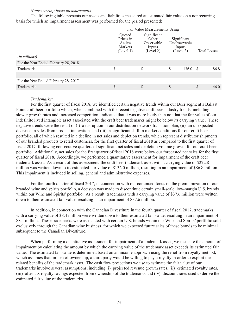### *Nonrecurring basis measurements –*

The following table presents our assets and liabilities measured at estimated fair value on a nonrecurring basis for which an impairment assessment was performed for the period presented:

|                                      | Fair Value Measurements Using                         |  |                                                           |  |                                                    |       |                     |      |
|--------------------------------------|-------------------------------------------------------|--|-----------------------------------------------------------|--|----------------------------------------------------|-------|---------------------|------|
|                                      | Ouoted<br>Prices in<br>Active<br>Markets<br>(Level 1) |  | Significant<br>Other<br>Observable<br>Inputs<br>(Level 2) |  | Significant<br>Unobservable<br>Inputs<br>(Level 3) |       | <b>Total Losses</b> |      |
| ( <i>in millions</i> )               |                                                       |  |                                                           |  |                                                    |       |                     |      |
| For the Year Ended February 28, 2018 |                                                       |  |                                                           |  |                                                    |       |                     |      |
| Trademarks                           | \$                                                    |  | <sup>S</sup>                                              |  | - \$                                               | 136.0 | - S                 | 86.8 |
|                                      |                                                       |  |                                                           |  |                                                    |       |                     |      |
| For the Year Ended February 28, 2017 |                                                       |  |                                                           |  |                                                    |       |                     |      |
| Trademarks                           | \$                                                    |  |                                                           |  | -S                                                 |       | <sup>S</sup>        | 46.0 |

### *Trademarks:*

For the first quarter of fiscal 2018, we identified certain negative trends within our Beer segment's Ballast Point craft beer portfolio which, when combined with the recent negative craft beer industry trends, including slower growth rates and increased competition, indicated that it was more likely than not that the fair value of our indefinite lived intangible asset associated with the craft beer trademarks might be below its carrying value. These negative trends were the result of (i) a disruption in our distribution network transition plan, (ii) an unexpected decrease in sales from product innovations and (iii) a significant shift in market conditions for our craft beer portfolio, all of which resulted in a decline in net sales and depletion trends, which represent distributor shipments of our branded products to retail customers, for the first quarter of fiscal 2018 as compared to the first quarter of fiscal 2017, following consecutive quarters of significant net sales and depletion volume growth for our craft beer portfolio. Additionally, net sales for the first quarter of fiscal 2018 were below our forecasted net sales for the first quarter of fiscal 2018. Accordingly, we performed a quantitative assessment for impairment of the craft beer trademark asset. As a result of this assessment, the craft beer trademark asset with a carrying value of \$222.8 million was written down to its estimated fair value of \$136.0 million, resulting in an impairment of \$86.8 million. This impairment is included in selling, general and administrative expenses.

For the fourth quarter of fiscal 2017, in connection with our continued focus on the premiumization of our branded wine and spirits portfolio, a decision was made to discontinue certain small-scale, low-margin U.S. brands within our Wine and Spirits' portfolio. As a result, trademarks with a carrying value of \$37.6 million were written down to their estimated fair value, resulting in an impairment of \$37.6 million.

In addition, in connection with the Canadian Divestiture in the fourth quarter of fiscal 2017, trademarks with a carrying value of \$8.4 million were written down to their estimated fair value, resulting in an impairment of \$8.4 million. These trademarks were associated with certain U.S. brands within our Wine and Spirits' portfolio sold exclusively through the Canadian wine business, for which we expected future sales of these brands to be minimal subsequent to the Canadian Divestiture.

When performing a quantitative assessment for impairment of a trademark asset, we measure the amount of impairment by calculating the amount by which the carrying value of the trademark asset exceeds its estimated fair value. The estimated fair value is determined based on an income approach using the relief from royalty method, which assumes that, in lieu of ownership, a third party would be willing to pay a royalty in order to exploit the related benefits of the trademark asset. The cash flow projections we use to estimate the fair value of our trademarks involve several assumptions, including (i) projected revenue growth rates, (ii) estimated royalty rates, (iii) after-tax royalty savings expected from ownership of the trademarks and (iv) discount rates used to derive the estimated fair value of the trademarks.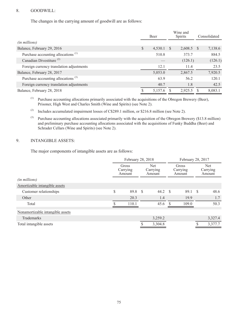### 8. GOODWILL:

The changes in the carrying amount of goodwill are as follows:

|                                                | Beer          |     | Wine and<br>Spirits |  | Consolidated |
|------------------------------------------------|---------------|-----|---------------------|--|--------------|
| (in millions)                                  |               |     |                     |  |              |
| Balance, February 29, 2016                     | \$<br>4,530.1 | - S | $2,608.5$ \$        |  | 7,138.6      |
| Purchase accounting allocations <sup>(1)</sup> | 510.8         |     | 373.7               |  | 884.5        |
| Canadian Divestiture <sup>(2)</sup>            |               |     | (126.1)             |  | (126.1)      |
| Foreign currency translation adjustments       | 12.1          |     | 11.4                |  | 23.5         |
| Balance, February 28, 2017                     | 5,053.0       |     | 2,867.5             |  | 7,920.5      |
| Purchase accounting allocations $(3)$          | 63.9          |     | 56.2                |  | 120.1        |
| Foreign currency translation adjustments       | 40.7          |     | 1.8                 |  | 42.5         |
| Balance, February 28, 2018                     | 5,157.6       |     | 2.925.5             |  | 8,083.1      |

(1) Purchase accounting allocations primarily associated with the acquisitions of the Obregon Brewery (Beer), Prisoner, High West and Charles Smith (Wine and Spirits) (see Note 2).

(2) Includes accumulated impairment losses of C\$289.1 million, or \$216.8 million (see Note 2).

(3) Purchase accounting allocations associated primarily with the acquisition of the Obregon Brewery (\$13.8 million) and preliminary purchase accounting allocations associated with the acquisitions of Funky Buddha (Beer) and Schrader Cellars (Wine and Spirits) (see Note 2).

### 9. INTANGIBLE ASSETS:

The major components of intangible assets are as follows:

|                                  |    | February 28, 2018           |      |                                  |  | February 28, 2017 |  |         |  |  |  |                             |  |  |  |  |  |  |  |                           |
|----------------------------------|----|-----------------------------|------|----------------------------------|--|-------------------|--|---------|--|--|--|-----------------------------|--|--|--|--|--|--|--|---------------------------|
|                                  |    | Gross<br>Carrying<br>Amount |      | <b>Net</b><br>Carrying<br>Amount |  |                   |  |         |  |  |  | Gross<br>Carrying<br>Amount |  |  |  |  |  |  |  | Net<br>Carrying<br>Amount |
| (in millions)                    |    |                             |      |                                  |  |                   |  |         |  |  |  |                             |  |  |  |  |  |  |  |                           |
| Amortizable intangible assets    |    |                             |      |                                  |  |                   |  |         |  |  |  |                             |  |  |  |  |  |  |  |                           |
| Customer relationships           | \$ | 89.8                        | - \$ | 44.2 \$                          |  | 89.1 S            |  | 48.6    |  |  |  |                             |  |  |  |  |  |  |  |                           |
| Other                            |    | 20.3                        |      | 1.4                              |  | 19.9              |  | 1.7     |  |  |  |                             |  |  |  |  |  |  |  |                           |
| Total                            | ¢  | 110.1                       |      | 45.6                             |  | 109.0             |  | 50.3    |  |  |  |                             |  |  |  |  |  |  |  |                           |
| Nonamortizable intangible assets |    |                             |      |                                  |  |                   |  |         |  |  |  |                             |  |  |  |  |  |  |  |                           |
| Trademarks                       |    |                             |      | 3,259.2                          |  |                   |  | 3,327.4 |  |  |  |                             |  |  |  |  |  |  |  |                           |
| Total intangible assets          |    |                             |      | 3,304.8                          |  |                   |  | 3,377.7 |  |  |  |                             |  |  |  |  |  |  |  |                           |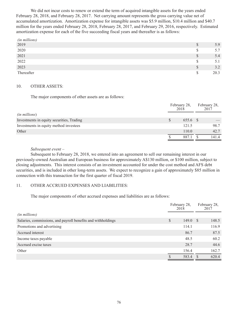We did not incur costs to renew or extend the term of acquired intangible assets for the years ended February 28, 2018, and February 28, 2017. Net carrying amount represents the gross carrying value net of accumulated amortization. Amortization expense for intangible assets was \$5.9 million, \$10.4 million and \$40.7 million for the years ended February 28, 2018, February 28, 2017, and February 29, 2016, respectively. Estimated amortization expense for each of the five succeeding fiscal years and thereafter is as follows:

| (in millions) |   |      |
|---------------|---|------|
| 2019          |   | 5.9  |
| 2020          |   | 5.7  |
| 2021          | S | 5.4  |
| 2022          | S | 5.1  |
| 2023          | S | 3.2  |
| Thereafter    |   | 20.3 |

### 10. OTHER ASSETS:

The major components of other assets are as follows:

|                                           |   | February 28,<br>2018 |  |       |  |  |  | February 28,<br>2017 |
|-------------------------------------------|---|----------------------|--|-------|--|--|--|----------------------|
| ( <i>in millions</i> )                    |   |                      |  |       |  |  |  |                      |
| Investments in equity securities, Trading | S | 655.6 \$             |  |       |  |  |  |                      |
| Investments in equity method investees    |   | 121.5                |  | 98.7  |  |  |  |                      |
| Other                                     |   | 110.0                |  | 42.7  |  |  |  |                      |
|                                           |   | 887.1                |  | 141.4 |  |  |  |                      |

### *Subsequent event –*

Subsequent to February 28, 2018, we entered into an agreement to sell our remaining interest in our previously-owned Australian and European business for approximately A\$130 million, or \$100 million, subject to closing adjustments. This interest consists of an investment accounted for under the cost method and AFS debt securities, and is included in other long-term assets. We expect to recognize a gain of approximately \$85 million in connection with this transaction for the first quarter of fiscal 2019.

### 11. OTHER ACCRUED EXPENSES AND LIABILITIES:

The major components of other accrued expenses and liabilities are as follows:

|                                                              | February 28,<br>2018 |         | February 28.<br>2017 |
|--------------------------------------------------------------|----------------------|---------|----------------------|
| ( <i>in millions</i> )                                       |                      |         |                      |
| Salaries, commissions, and payroll benefits and withholdings | \$                   | 149.0 S | 148.5                |
| Promotions and advertising                                   |                      | 114.1   | 116.9                |
| Accrued interest                                             |                      | 86.7    | 87.5                 |
| Income taxes payable                                         |                      | 48.5    | 60.2                 |
| Accrued excise taxes                                         |                      | 28.7    | 44.6                 |
| Other                                                        |                      | 156.4   | 162.7                |
|                                                              | S                    | 583.4   | 620.4                |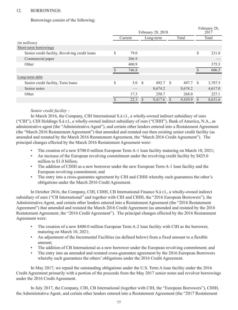### 12. BORROWINGS:

Borrowings consist of the following:

|                                                | February 28, 2018 |                  |          |           |               |          | February 28,<br>2017 |         |  |
|------------------------------------------------|-------------------|------------------|----------|-----------|---------------|----------|----------------------|---------|--|
|                                                | Current           |                  |          | Long-term |               | Total    |                      | Total   |  |
| (in millions)                                  |                   |                  |          |           |               |          |                      |         |  |
| Short-term borrowings                          |                   |                  |          |           |               |          |                      |         |  |
| Senior credit facility, Revolving credit loans | \$                | 79.0             |          |           |               |          | \$                   | 231.0   |  |
| Commercial paper                               |                   | 266.9            |          |           |               |          |                      |         |  |
| Other                                          |                   | 400.9            |          |           |               |          |                      | 375.5   |  |
|                                                |                   | 746.8            |          |           |               |          |                      | 606.5   |  |
| Long-term debt                                 |                   |                  |          |           |               |          |                      |         |  |
| Senior credit facility, Term loans             | \$                | 5.0 <sup>°</sup> |          | 492.7 \$  |               | 497.7 \$ |                      | 3,787.5 |  |
| Senior notes                                   |                   |                  |          | 8,674.2   |               | 8,674.2  |                      | 4,617.0 |  |
| Other                                          |                   | 17.3             |          | 250.7     |               | 268.0    |                      | 227.1   |  |
|                                                | \$                | 22.3             | <b>S</b> | 9,417.6   | <sup>\$</sup> | 9,439.9  | $\mathbb{S}$         | 8,631.6 |  |

### *Senior credit facility –*

In March 2016, the Company, CIH International S.à r.l., a wholly-owned indirect subsidiary of ours ("CIH"), CIH Holdings S.à r.l., a wholly-owned indirect subsidiary of ours ("CIHH"), Bank of America, N.A., as administrative agent (the "Administrative Agent"), and certain other lenders entered into a Restatement Agreement (the "March 2016 Restatement Agreement") that amended and restated our then existing senior credit facility (as amended and restated by the March 2016 Restatement Agreement, the "March 2016 Credit Agreement"). The principal changes effected by the March 2016 Restatement Agreement were:

- The creation of a new \$700.0 million European Term A-1 loan facility maturing on March 10, 2021;
- An increase of the European revolving commitment under the revolving credit facility by \$425.0 million to \$1.0 billion;
- The addition of CIHH as a new borrower under the new European Term A-1 loan facility and the European revolving commitment; and
- The entry into a cross-guarantee agreement by CIH and CIHH whereby each guarantees the other's obligations under the March 2016 Credit Agreement.

In October 2016, the Company, CIH, CIHH, CB International Finance S.à r.l., a wholly-owned indirect subsidiary of ours ("CB International" and together with CIH and CIHH, the "2016 European Borrowers"), the Administrative Agent, and certain other lenders entered into a Restatement Agreement (the "2016 Restatement Agreement") that amended and restated the March 2016 Credit Agreement (as amended and restated by the 2016 Restatement Agreement, the "2016 Credit Agreement"). The principal changes effected by the 2016 Restatement Agreement were:

- The creation of a new \$400.0 million European Term A-2 loan facility with CIH as the borrower, maturing on March 10, 2021;
- An adjustment of the Incremental Facilities (as defined below) from a fixed amount to a flexible amount;
- The addition of CB International as a new borrower under the European revolving commitment; and
- The entry into an amended and restated cross-guarantee agreement by the 2016 European Borrowers whereby each guarantees the others' obligations under the 2016 Credit Agreement.

In May 2017, we repaid the outstanding obligations under the U.S. Term A loan facility under the 2016 Credit Agreement primarily with a portion of the proceeds from the May 2017 senior notes and revolver borrowings under the 2016 Credit Agreement.

In July 2017, the Company, CIH, CB International (together with CIH, the "European Borrowers"), CIHH, the Administrative Agent, and certain other lenders entered into a Restatement Agreement (the "2017 Restatement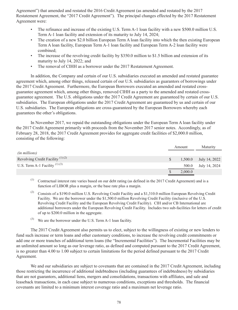Agreement") that amended and restated the 2016 Credit Agreement (as amended and restated by the 2017 Restatement Agreement, the "2017 Credit Agreement"). The principal changes effected by the 2017 Restatement Agreement were:

- The refinance and increase of the existing U.S. Term A-1 loan facility with a new \$500.0 million U.S. Term A-1 loan facility and extension of its maturity to July 14, 2024;
- The creation of a new \$2.0 billion European Term A loan facility into which the then existing European Term A loan facility, European Term A-1 loan facility and European Term A-2 loan facility were combined;
- The increase of the revolving credit facility by \$350.0 million to \$1.5 billion and extension of its maturity to July 14, 2022; and
- The removal of CIHH as a borrower under the 2017 Restatement Agreement.

In addition, the Company and certain of our U.S. subsidiaries executed an amended and restated guarantee agreement which, among other things, released certain of our U.S. subsidiaries as guarantors of borrowings under the 2017 Credit Agreement. Furthermore, the European Borrowers executed an amended and restated crossguarantee agreement which, among other things, removed CIHH as a party to the amended and restated crossguarantee agreement. The U.S. obligations under the 2017 Credit Agreement are guaranteed by certain of our U.S. subsidiaries. The European obligations under the 2017 Credit Agreement are guaranteed by us and certain of our U.S. subsidiaries. The European obligations are cross-guaranteed by the European Borrowers whereby each guarantees the other's obligations.

In November 2017, we repaid the outstanding obligations under the European Term A loan facility under the 2017 Credit Agreement primarily with proceeds from the November 2017 senior notes. Accordingly, as of February 28, 2018, the 2017 Credit Agreement provides for aggregate credit facilities of \$2,000.0 million, consisting of the following:

|                                             |              | Amount  | Maturity                |
|---------------------------------------------|--------------|---------|-------------------------|
| <i>(in millions)</i>                        |              |         |                         |
| Revolving Credit Facility <sup>(1)(2)</sup> | <sup>S</sup> |         | $1,500.0$ July 14, 2022 |
| U.S. Term A-1 Facility $^{(1)(3)}$          |              | 500.0   | July 14, 2024           |
|                                             |              | 2,000.0 |                         |

- $(1)$  Contractual interest rate varies based on our debt rating (as defined in the 2017 Credit Agreement) and is a function of LIBOR plus a margin, or the base rate plus a margin.
- (2) Consists of a \$190.0 million U.S. Revolving Credit Facility and a \$1,310.0 million European Revolving Credit Facility. We are the borrower under the \$1,500.0 million Revolving Credit Facility (inclusive of the U.S. Revolving Credit Facility and the European Revolving Credit Facility). CIH and/or CB International are additional borrowers under the European Revolving Credit Facility. Includes two sub-facilities for letters of credit of up to \$200.0 million in the aggregate.
- (3) We are the borrower under the U.S. Term A-1 loan facility.

The 2017 Credit Agreement also permits us to elect, subject to the willingness of existing or new lenders to fund such increase or term loans and other customary conditions, to increase the revolving credit commitments or add one or more tranches of additional term loans (the "Incremental Facilities"). The Incremental Facilities may be an unlimited amount so long as our leverage ratio, as defined and computed pursuant to the 2017 Credit Agreement, is no greater than 4.00 to 1.00 subject to certain limitations for the period defined pursuant to the 2017 Credit Agreement.

We and our subsidiaries are subject to covenants that are contained in the 2017 Credit Agreement, including those restricting the incurrence of additional indebtedness (including guarantees of indebtedness) by subsidiaries that are not guarantors, additional liens, mergers and consolidations, transactions with affiliates, and sale and leaseback transactions, in each case subject to numerous conditions, exceptions and thresholds. The financial covenants are limited to a minimum interest coverage ratio and a maximum net leverage ratio.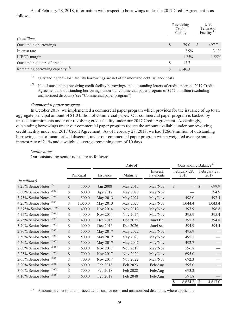As of February 28, 2018, information with respect to borrowings under the 2017 Credit Agreement is as follows:

|                                             | Revolving<br>Credit<br>Facility |          | U.S.<br>Term A-1<br>Facility <sup><math>(1)</math></sup> |       |
|---------------------------------------------|---------------------------------|----------|----------------------------------------------------------|-------|
| ( <i>in millions</i> )                      |                                 |          |                                                          |       |
| Outstanding borrowings                      | \$                              | 79.0     | $\mathbb{S}$                                             | 497.7 |
| Interest rate                               |                                 | 2.9%     |                                                          | 3.1%  |
| LIBOR margin                                |                                 | $1.25\%$ |                                                          | 1.55% |
| Outstanding letters of credit               | \$                              | 13.7     |                                                          |       |
| Remaining borrowing capacity <sup>(2)</sup> | S                               | 1,140.3  |                                                          |       |

(1) Outstanding term loan facility borrowings are net of unamortized debt issuance costs.

(2) Net of outstanding revolving credit facility borrowings and outstanding letters of credit under the 2017 Credit Agreement and outstanding borrowings under our commercial paper program of \$267.0 million (excluding unamortized discount) (see "Commercial paper program").

### *Commercial paper program* –

In October 2017, we implemented a commercial paper program which provides for the issuance of up to an aggregate principal amount of \$1.0 billion of commercial paper. Our commercial paper program is backed by unused commitments under our revolving credit facility under our 2017 Credit Agreement. Accordingly, outstanding borrowings under our commercial paper program reduce the amount available under our revolving credit facility under our 2017 Credit Agreement. As of February 28, 2018, we had \$266.9 million of outstanding borrowings, net of unamortized discount, under our commercial paper program with a weighted average annual interest rate of 2.1% and a weighted average remaining term of 10 days.

### *Senior notes –*

Our outstanding senior notes are as follows:

|                                  |               |           |          | Date of  |                      |               |                      | Outstanding Balance <sup>(1)</sup> |                      |  |
|----------------------------------|---------------|-----------|----------|----------|----------------------|---------------|----------------------|------------------------------------|----------------------|--|
|                                  |               | Principal | Issuance | Maturity | Interest<br>Payments |               | February 28,<br>2018 |                                    | February 28,<br>2017 |  |
| (in millions)                    |               |           |          |          |                      |               |                      |                                    |                      |  |
| 7.25% Senior Notes $^{(2)}$      | \$            | 700.0     | Jan 2008 | May 2017 | May/Nov              | $\mathcal{S}$ |                      | <sup>S</sup>                       | 699.9                |  |
| 6.00% Senior Notes $^{(2)(3)}$   | \$            | 600.0     | Apr 2012 | May 2022 | May/Nov              |               |                      |                                    | 594.9                |  |
| 3.75% Senior Notes $^{(2) (4)}$  | \$            | 500.0     | May 2013 | May 2021 | May/Nov              |               | 498.0                |                                    | 497.4                |  |
| 4.25% Senior Notes $^{(2)(4)}$   | \$            | 1,050.0   | May 2013 | May 2023 | May/Nov              |               | 1,044.4              |                                    | 1,043.4              |  |
| 3.875% Senior Notes $^{(2) (4)}$ | \$            | 400.0     | Nov 2014 | Nov 2019 | May/Nov              |               | 397.9                |                                    | 396.8                |  |
| 4.75% Senior Notes $^{(2)(4)}$   | \$            | 400.0     | Nov 2014 | Nov 2024 | May/Nov              |               | 395.9                |                                    | 395.4                |  |
| 4.75% Senior Notes $^{(2) (4)}$  | $\mathcal{S}$ | 400.0     | Dec 2015 | Dec 2025 | Jun/Dec              |               | 395.3                |                                    | 394.8                |  |
| 3.70% Senior Notes $^{(2)(5)}$   | \$            | 600.0     | Dec 2016 | Dec 2026 | Jun/Dec              |               | 594.9                |                                    | 594.4                |  |
| 2.70% Senior Notes $^{(2)(5)}$   | $\mathbb{S}$  | 500.0     | May 2017 | May 2022 | May/Nov              |               | 495.9                |                                    |                      |  |
| 3.50% Senior Notes $^{(2)(5)}$   | \$            | 500.0     | May 2017 | May 2027 | May/Nov              |               | 495.1                |                                    |                      |  |
| 4.50% Senior Notes $^{(2)(5)}$   | \$            | 500.0     | May 2017 | May 2047 | May/Nov              |               | 492.7                |                                    |                      |  |
| 2.00% Senior Notes $(2)(6)$      | \$            | 600.0     | Nov 2017 | Nov 2019 | May/Nov              |               | 596.8                |                                    |                      |  |
| 2.25% Senior Notes $^{(2)(6)}$   | $\mathbb{S}$  | 700.0     | Nov 2017 | Nov 2020 | May/Nov              |               | 695.0                |                                    |                      |  |
| 2.65% Senior Notes $^{(2)(5)}$   | \$            | 700.0     | Nov 2017 | Nov 2022 | May/Nov              |               | 692.3                |                                    |                      |  |
| 3.20% Senior Notes $^{(2)(5)}$   | \$            | 600.0     | Feb 2018 | Feb 2023 | Feb/Aug              |               | 595.0                |                                    |                      |  |
| 3.60% Senior Notes $^{(2)(5)}$   | \$            | 700.0     | Feb 2018 | Feb 2028 | Feb/Aug              |               | 693.2                |                                    |                      |  |
| 4.10% Senior Notes $^{(2)(5)}$   | $\mathbb{S}$  | 600.0     | Feb 2018 | Feb 2048 | Feb/Aug              |               | 591.8                |                                    |                      |  |
|                                  |               |           |          |          |                      | \$            | 8,674.2              | $\mathcal{S}$                      | 4,617.0              |  |

(1) Amounts are net of unamortized debt issuance costs and unamortized discounts, where applicable.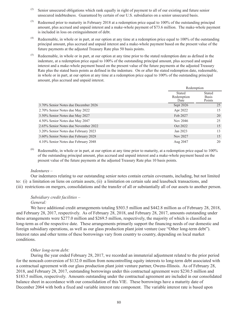- Senior unsecured obligations which rank equally in right of payment to all of our existing and future senior unsecured indebtedness. Guaranteed by certain of our U.S. subsidiaries on a senior unsecured basis.
- $(3)$  Redeemed prior to maturity in February 2018 at a redemption price equal to 100% of the outstanding principal amount, plus accrued and unpaid interest and a make-whole payment of \$73.6 million. The make-whole payment is included in loss on extinguishment of debt.
- $(4)$  Redeemable, in whole or in part, at our option at any time at a redemption price equal to 100% of the outstanding principal amount, plus accrued and unpaid interest and a make-whole payment based on the present value of the future payments at the adjusted Treasury Rate plus 50 basis points.
- $(5)$  Redeemable, in whole or in part, at our option at any time prior to the stated redemption date as defined in the indenture, at a redemption price equal to 100% of the outstanding principal amount, plus accrued and unpaid interest and a make-whole payment based on the present value of the future payments at the adjusted Treasury Rate plus the stated basis points as defined in the indenture. On or after the stated redemption date, redeemable, in whole or in part, at our option at any time at a redemption price equal to 100% of the outstanding principal amount, plus accrued and unpaid interest.

|                                      | Redemption                   |                                  |
|--------------------------------------|------------------------------|----------------------------------|
|                                      | Stated<br>Redemption<br>Date | Stated<br><b>Basis</b><br>Points |
| 3.70% Senior Notes due December 2026 | Sept 2026                    | 25                               |
| 2.70% Senior Notes due May 2022      | Apr 2022                     | 15                               |
| 3.50% Senior Notes due May 2027      | Feb 2027                     | 20                               |
| 4.50% Senior Notes due May 2047      | Nov 2046                     | 25                               |
| 2.65% Senior Notes due November 2022 | Oct 2022                     | 15                               |
| 3.20% Senior Notes due February 2023 | Jan 2023                     | 13                               |
| 3.60% Senior Notes due February 2028 | Nov 2027                     | 15                               |
| 4.10% Senior Notes due February 2048 | Aug 2047                     | 20                               |

 $(6)$  Redeemable, in whole or in part, at our option at any time prior to maturity, at a redemption price equal to 100% of the outstanding principal amount, plus accrued and unpaid interest and a make-whole payment based on the present value of the future payments at the adjusted Treasury Rate plus 10 basis points.

### *Indentures* –

Our indentures relating to our outstanding senior notes contain certain covenants, including, but not limited to: (i) a limitation on liens on certain assets, (ii) a limitation on certain sale and leaseback transactions, and (iii) restrictions on mergers, consolidations and the transfer of all or substantially all of our assets to another person.

## *Subsidiary credit facilities –*

### *General:*

We have additional credit arrangements totaling \$503.5 million and \$442.8 million as of February 28, 2018, and February 28, 2017, respectively. As of February 28, 2018, and February 28, 2017, amounts outstanding under these arrangements were \$277.0 million and \$269.5 million, respectively, the majority of which is classified as long-term as of the respective date. These arrangements primarily support the financing needs of our domestic and foreign subsidiary operations, as well as our glass production plant joint venture (see "Other long-term debt"). Interest rates and other terms of these borrowings vary from country to country, depending on local market conditions.

### *Other long-term debt:*

During the year ended February 28, 2017, we recorded an immaterial adjustment related to the prior period for the noncash conversion of \$132.0 million from noncontrolling equity interests to long-term debt associated with a contractual agreement with our glass production plant joint venture partner, Owens-Illinois. As of February 28, 2018, and February 28, 2017, outstanding borrowings under this contractual agreement were \$230.5 million and \$183.5 million, respectively. Amounts outstanding under the contractual agreement are included in our consolidated balance sheet in accordance with our consolidation of this VIE. These borrowings have a maturity date of December 2064 with both a fixed and variable interest rate component. The variable interest rate is based upon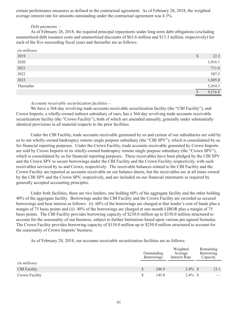certain performance measures as defined in the contractual agreement. As of February 28, 2018, the weighted average interest rate for amounts outstanding under the contractual agreement was 4.3%.

### *Debt payments* –

As of February 28, 2018, the required principal repayments under long-term debt obligations (excluding unamortized debt issuance costs and unamortized discounts of \$63.6 million and \$13.3 million, respectively) for each of the five succeeding fiscal years and thereafter are as follows:

| (in millions) |    |         |
|---------------|----|---------|
| 2019          | \$ | 22.3    |
| 2020          |    | 1,016.1 |
| 2021          |    | 711.6   |
| 2022          |    | 507.5   |
| 2023          |    | 1,805.0 |
| Thereafter    |    | 5,454.3 |
|               | S  | 9,516.8 |

### *Accounts receivable securitization facilities –*

We have a 364-day revolving trade accounts receivable securitization facility (the "CBI Facility"), and Crown Imports, a wholly-owned indirect subsidiary of ours, has a 364-day revolving trade accounts receivable securitization facility (the "Crown Facility"), both of which are amended annually, generally under substantially identical provisions in all material respects to the prior facilities.

Under the CBI Facility, trade accounts receivable generated by us and certain of our subsidiaries are sold by us to our wholly-owned bankruptcy remote single purpose subsidiary (the "CBI SPV"), which is consolidated by us for financial reporting purposes. Under the Crown Facility, trade accounts receivable generated by Crown Imports are sold by Crown Imports to its wholly-owned bankruptcy remote single purpose subsidiary (the "Crown SPV"), which is consolidated by us for financial reporting purposes. These receivables have been pledged by the CBI SPV and the Crown SPV to secure borrowings under the CBI Facility and the Crown Facility, respectively, with such receivables serviced by us and Crown, respectively. The receivable balances related to the CBI Facility and the Crown Facility are reported as accounts receivable on our balance sheets, but the receivables are at all times owned by the CBI SPV and the Crown SPV, respectively, and are included on our financial statements as required by generally accepted accounting principles.

Under both facilities, there are two lenders, one holding 60% of the aggregate facility and the other holding 40% of the aggregate facility. Borrowings under the CBI Facility and the Crown Facility are recorded as secured borrowings and bear interest as follows: (i) 60% of the borrowings are charged at that lender's cost of funds plus a margin of 75 basis points and (ii) 40% of the borrowings are charged at one-month LIBOR plus a margin of 75 basis points. The CBI Facility provides borrowing capacity of \$230.0 million up to \$330.0 million structured to account for the seasonality of our business, subject to further limitations based upon various pre-agreed formulas. The Crown Facility provides borrowing capacity of \$130.0 million up to \$250.0 million structured to account for the seasonality of Crown Imports' business.

As of February 28, 2018, our accounts receivable securitization facilities are as follows:

|                     | Outstanding<br><b>Borrowings</b> | Weighted<br>Average<br><b>Interest Rate</b> | Remaining<br><b>Borrowing</b><br>Capacity |
|---------------------|----------------------------------|---------------------------------------------|-------------------------------------------|
| (in millions)       |                                  |                                             |                                           |
| <b>CBI</b> Facility | 246.9                            | $2.4\%$ \$                                  | 13.1                                      |
| Crown Facility      | 145.0                            | $2.4\%$ \$                                  |                                           |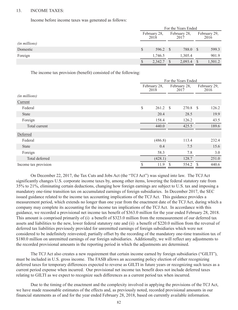#### 13. INCOME TAXES:

Income before income taxes was generated as follows:

|               | For the Years Ended |                      |  |                      |                      |         |  |  |  |
|---------------|---------------------|----------------------|--|----------------------|----------------------|---------|--|--|--|
|               |                     | February 28,<br>2018 |  | February 28,<br>2017 | February 29,<br>2016 |         |  |  |  |
| (in millions) |                     |                      |  |                      |                      |         |  |  |  |
| Domestic      | S.                  | 596.2 \$             |  | 788.0 \$             |                      | 599.3   |  |  |  |
| Foreign       |                     | 1,746.5              |  | 1,305.4              |                      | 901.9   |  |  |  |
|               |                     | $2,342.7$ \$         |  | $2,093.4$ \$         |                      | 1,501.2 |  |  |  |

The income tax provision (benefit) consisted of the following:

|                      | For the Years Ended |                      |                      |          |                      |       |  |  |
|----------------------|---------------------|----------------------|----------------------|----------|----------------------|-------|--|--|
|                      |                     | February 28,<br>2018 | February 28,<br>2017 |          | February 29,<br>2016 |       |  |  |
| (in millions)        |                     |                      |                      |          |                      |       |  |  |
| Current              |                     |                      |                      |          |                      |       |  |  |
| Federal              | $\mathcal{S}$       | 261.2                | <sup>S</sup>         | 270.8 \$ |                      | 126.2 |  |  |
| <b>State</b>         |                     | 20.4                 |                      | 28.5     |                      | 19.9  |  |  |
| Foreign              |                     | 158.4                |                      | 126.2    |                      | 43.5  |  |  |
| Total current        |                     | 440.0                |                      | 425.5    |                      | 189.6 |  |  |
| Deferred             |                     |                      |                      |          |                      |       |  |  |
| Federal              |                     | (486.8)              |                      | 113.4    |                      | 232.4 |  |  |
| <b>State</b>         |                     | 0.4                  |                      | 7.5      |                      | 15.6  |  |  |
| Foreign              |                     | 58.3                 |                      | 7.8      |                      | 3.0   |  |  |
| Total deferred       |                     | (428.1)              |                      | 128.7    |                      | 251.0 |  |  |
| Income tax provision | $\mathcal{S}$       | 11.9                 | <sup>\$</sup>        | 554.2    | <sup>S</sup>         | 440.6 |  |  |

On December 22, 2017, the Tax Cuts and Jobs Act (the "TCJ Act") was signed into law. The TCJ Act significantly changes U.S. corporate income taxes by, among other items, lowering the federal statutory rate from 35% to 21%, eliminating certain deductions, changing how foreign earnings are subject to U.S. tax and imposing a mandatory one-time transition tax on accumulated earnings of foreign subsidiaries. In December 2017, the SEC issued guidance related to the income tax accounting implications of the TCJ Act. This guidance provides a measurement period, which extends no longer than one year from the enactment date of the TCJ Act, during which a company may complete its accounting for the income tax implications of the TCJ Act. In accordance with this guidance, we recorded a provisional net income tax benefit of \$363.0 million for the year ended February 28, 2018. This amount is comprised primarily of (i) a benefit of \$323.0 million from the remeasurement of our deferred tax assets and liabilities to the new, lower federal statutory rate and (ii) a benefit of \$220.0 million from the reversal of deferred tax liabilities previously provided for unremitted earnings of foreign subsidiaries which were not considered to be indefinitely reinvested; partially offset by the recording of the mandatory one-time transition tax of \$180.0 million on unremitted earnings of our foreign subsidiaries. Additionally, we will reflect any adjustments to the recorded provisional amounts in the reporting period in which the adjustments are determined.

The TCJ Act also creates a new requirement that certain income earned by foreign subsidiaries ("GILTI"), must be included in U.S. gross income. The FASB allows an accounting policy election of either recognizing deferred taxes for temporary differences expected to reverse as GILTI in future years or recognizing such taxes as a current period expense when incurred. Our provisional net income tax benefit does not include deferred taxes relating to GILTI as we expect to recognize such differences as a current period tax when incurred.

Due to the timing of the enactment and the complexity involved in applying the provisions of the TCJ Act, we have made reasonable estimates of the effects and, as previously noted, recorded provisional amounts in our financial statements as of and for the year ended February 28, 2018, based on currently available information.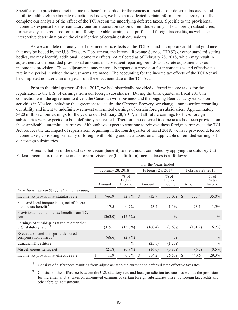Specific to the provisional net income tax benefit recorded for the remeasurement of our deferred tax assets and liabilities, although the tax rate reduction is known, we have not collected certain information necessary to fully complete our analysis of the effect of the TCJ Act on the underlying deferred taxes. Specific to the provisional income tax expense for the mandatory one-time transition tax on unremitted earnings of our foreign subsidiaries, further analysis is required for certain foreign taxable earnings and profits and foreign tax credits, as well as an interpretive determination on the classification of certain cash equivalents.

As we complete our analysis of the income tax effects of the TCJ Act and incorporate additional guidance that may be issued by the U.S. Treasury Department, the Internal Revenue Service ("IRS") or other standard-setting bodies, we may identify additional income tax effects not reflected as of February 28, 2018, which may result in adjustment to the recorded provisional amounts in subsequent reporting periods as discrete adjustments to our income tax provision. Those adjustments may materially impact our provision for income taxes and effective tax rate in the period in which the adjustments are made. The accounting for the income tax effects of the TCJ Act will be completed no later than one year from the enactment date of the TCJ Act.

Prior to the third quarter of fiscal 2017, we had historically provided deferred income taxes for the repatriation to the U.S. of earnings from our foreign subsidiaries. During the third quarter of fiscal 2017, in connection with the agreement to divest the Canadian wine business and the ongoing Beer capacity expansion activities in Mexico, including the agreement to acquire the Obregon Brewery, we changed our assertion regarding our ability and intent to indefinitely reinvest unremitted earnings of certain foreign subsidiaries. Approximately \$420 million of our earnings for the year ended February 28, 2017, and all future earnings for these foreign subsidiaries were expected to be indefinitely reinvested. Therefore, no deferred income taxes had been provided on these applicable unremitted earnings. Although we expect to continue to reinvest these foreign earnings, as the TCJ Act reduces the tax impact of repatriation, beginning in the fourth quarter of fiscal 2018, we have provided deferred income taxes, consisting primarily of foreign withholding and state taxes, on all applicable unremitted earnings of our foreign subsidiaries.

A reconciliation of the total tax provision (benefit) to the amount computed by applying the statutory U.S. Federal income tax rate to income before provision for (benefit from) income taxes is as follows:

|                                                                                                | For the Years Ended |                   |                            |               |                   |                            |                   |         |                            |  |
|------------------------------------------------------------------------------------------------|---------------------|-------------------|----------------------------|---------------|-------------------|----------------------------|-------------------|---------|----------------------------|--|
|                                                                                                |                     | February 28, 2018 |                            |               | February 28, 2017 |                            | February 29, 2016 |         |                            |  |
|                                                                                                |                     | Amount            | $%$ of<br>Pretax<br>Income | Amount        |                   | $%$ of<br>Pretax<br>Income | Amount            |         | $%$ of<br>Pretax<br>Income |  |
| $(in$ millions, except $%$ of pretax income data)                                              |                     |                   |                            |               |                   |                            |                   |         |                            |  |
| Income tax provision at statutory rate                                                         | \$                  | 766.9             | 32.7%                      | <sup>\$</sup> | 732.7             | $35.0\%$                   | <sup>S</sup>      | 525.4   | 35.0%                      |  |
| State and local income taxes, net of federal<br>income tax benefit <sup><math>(1)</math></sup> |                     | 17.5              | $0.7\%$                    |               | 23.4              | $1.1\%$                    |                   | 23.1    | 1.5%                       |  |
| Provisional net income tax benefit from TCJ<br>Act                                             |                     | (363.0)           | $(15.5\%)$                 |               |                   | $- \frac{0}{0}$            |                   |         | $- \frac{9}{6}$            |  |
| Earnings of subsidiaries taxed at other than U.S. statutory rate $(2)$                         |                     | (319.1)           | $(13.6\%)$                 |               | (160.4)           | $(7.6\%)$                  |                   | (101.2) | $(6.7\%)$                  |  |
| Excess tax benefits from stock-based<br>compensation awards $(3)$                              |                     | (68.6)            | $(2.9\%)$                  |               |                   | $- \frac{0}{0}$            |                   |         | $- \frac{9}{6}$            |  |
| Canadian Divestiture                                                                           |                     |                   | $- \frac{0}{0}$            |               | (25.5)            | $(1.2\%)$                  |                   |         | $- \frac{9}{6}$            |  |
| Miscellaneous items, net                                                                       |                     | (21.8)            | $(0.9\%)$                  |               | (16.0)            | $(0.8\%)$                  |                   | (6.7)   | $(0.5\%)$                  |  |
| Income tax provision at effective rate                                                         | S                   | 11.9              | $0.5\%$                    | <sup>\$</sup> | 554.2             | 26.5%                      | <sup>\$</sup>     | 440.6   | 29.3%                      |  |

(1) Consists of differences resulting from adjustments to the current and deferred state effective tax rates.

(2) Consists of the difference between the U.S. statutory rate and local jurisdiction tax rates, as well as the provision for incremental U.S. taxes on unremitted earnings of certain foreign subsidiaries offset by foreign tax credits and other foreign adjustments.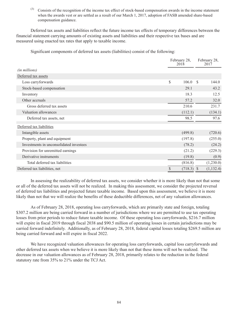Consists of the recognition of the income tax effect of stock-based compensation awards in the income statement when the awards vest or are settled as a result of our March 1, 2017, adoption of FASB amended share-based compensation guidance.

Deferred tax assets and liabilities reflect the future income tax effects of temporary differences between the financial statement carrying amounts of existing assets and liabilities and their respective tax bases and are measured using enacted tax rates that apply to taxable income.

Significant components of deferred tax assets (liabilities) consist of the following:

|                                         |              | February 28,<br>2018 |    | February 28,<br>2017 |
|-----------------------------------------|--------------|----------------------|----|----------------------|
| (in millions)                           |              |                      |    |                      |
| Deferred tax assets                     |              |                      |    |                      |
| Loss carryforwards                      | $\mathbb{S}$ | 106.0                | -S | 144.0                |
| Stock-based compensation                |              | 29.1                 |    | 43.2                 |
| Inventory                               |              | 18.3                 |    | 12.5                 |
| Other accruals                          |              | 57.2                 |    | 32.0                 |
| Gross deferred tax assets               |              | 210.6                |    | 231.7                |
| Valuation allowances                    |              | (112.1)              |    | (134.1)              |
| Deferred tax assets, net                |              | 98.5                 |    | 97.6                 |
| Deferred tax liabilities                |              |                      |    |                      |
| Intangible assets                       |              | (499.8)              |    | (720.6)              |
| Property, plant and equipment           |              | (197.8)              |    | (255.0)              |
| Investments in unconsolidated investees |              | (78.2)               |    | (24.2)               |
| Provision for unremitted earnings       |              | (21.2)               |    | (229.3)              |
| Derivative instruments                  |              | (19.8)               |    | (0.9)                |
| Total deferred tax liabilities          |              | (816.8)              |    | (1,230.0)            |
| Deferred tax liabilities, net           | \$           | $(718.3)$ \$         |    | (1, 132.4)           |

In assessing the realizability of deferred tax assets, we consider whether it is more likely than not that some or all of the deferred tax assets will not be realized. In making this assessment, we consider the projected reversal of deferred tax liabilities and projected future taxable income. Based upon this assessment, we believe it is more likely than not that we will realize the benefits of these deductible differences, net of any valuation allowances.

As of February 28, 2018, operating loss carryforwards, which are primarily state and foreign, totaling \$307.2 million are being carried forward in a number of jurisdictions where we are permitted to use tax operating losses from prior periods to reduce future taxable income. Of these operating loss carryforwards, \$216.7 million will expire in fiscal 2019 through fiscal 2038 and \$90.5 million of operating losses in certain jurisdictions may be carried forward indefinitely. Additionally, as of February 28, 2018, federal capital losses totaling \$269.5 million are being carried forward and will expire in fiscal 2022.

We have recognized valuation allowances for operating loss carryforwards, capital loss carryforwards and other deferred tax assets when we believe it is more likely than not that these items will not be realized. The decrease in our valuation allowances as of February 28, 2018, primarily relates to the reduction in the federal statutory rate from 35% to 21% under the TCJ Act.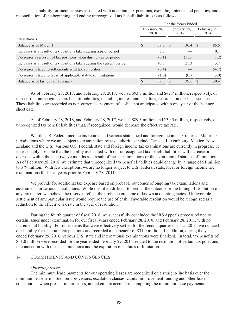The liability for income taxes associated with uncertain tax positions, excluding interest and penalties, and a reconciliation of the beginning and ending unrecognized tax benefit liabilities is as follows:

|                                                                        |              |                      | For the Years Ended  |  |                      |
|------------------------------------------------------------------------|--------------|----------------------|----------------------|--|----------------------|
|                                                                        |              | February 28,<br>2018 | February 28,<br>2017 |  | February 29,<br>2016 |
| ( <i>in millions</i> )                                                 |              |                      |                      |  |                      |
| Balance as of March 1                                                  | $\mathbb{S}$ | $39.5$ \$            | 30.4 \$              |  | 85.5                 |
| Increases as a result of tax positions taken during a prior period     |              | 7.5                  |                      |  | 0.1                  |
| Decreases as a result of tax positions taken during a prior period     |              | (0.1)                | (11.5)               |  | (1.2)                |
| Increases as a result of tax positions taken during the current period |              | 43.8                 | 21.3                 |  | 3.7                  |
| Decreases related to settlements with tax authorities                  |              | (0.4)                |                      |  | (54.7)               |
| Decreases related to lapse of applicable statute of limitations        |              | (1.0)                | (0.7)                |  | (3.0)                |
| Balance as of last day of February                                     |              | 89.3                 | 39.5                 |  | 30.4                 |

As of February 28, 2018, and February 28, 2017, we had \$93.7 million and \$42.7 million, respectively, of non-current unrecognized tax benefit liabilities, including interest and penalties, recorded on our balance sheets. These liabilities are recorded as non-current as payment of cash is not anticipated within one year of the balance sheet date.

As of February 28, 2018, and February 28, 2017, we had \$89.3 million and \$39.5 million, respectively, of unrecognized tax benefit liabilities that, if recognized, would decrease the effective tax rate.

We file U.S. Federal income tax returns and various state, local and foreign income tax returns. Major tax jurisdictions where we are subject to examination by tax authorities include Canada, Luxembourg, Mexico, New Zealand and the U.S. Various U.S. Federal, state and foreign income tax examinations are currently in progress. It is reasonably possible that the liability associated with our unrecognized tax benefit liabilities will increase or decrease within the next twelve months as a result of these examinations or the expiration of statutes of limitation. As of February 28, 2018, we estimate that unrecognized tax benefit liabilities could change by a range of \$1 million to \$79 million. With few exceptions, we are no longer subject to U.S. Federal, state, local or foreign income tax examinations for fiscal years prior to February 28, 2011.

We provide for additional tax expense based on probable outcomes of ongoing tax examinations and assessments in various jurisdictions. While it is often difficult to predict the outcome or the timing of resolution of any tax matter, we believe the reserves reflect the probable outcome of known tax contingencies. Unfavorable settlement of any particular issue would require the use of cash. Favorable resolution would be recognized as a reduction to the effective tax rate in the year of resolution.

During the fourth quarter of fiscal 2018, we successfully concluded the IRS Appeals process related to certain issues under examination for our fiscal years ended February 28, 2010, and February 28, 2011, with no incremental liability. For other items that were effectively settled for the second quarter of fiscal 2016, we reduced our liability for uncertain tax positions and recorded a tax benefit of \$31.9 million. In addition, during the year ended February 29, 2016, various U.S. state and international examinations were finalized. In total, tax benefits of \$51.0 million were recorded for the year ended February 29, 2016, related to the resolution of certain tax positions in connection with those examinations and the expiration of statutes of limitation.

### 14. COMMITMENTS AND CONTINGENCIES:

### *Operating leases –*

The minimum lease payments for our operating leases are recognized on a straight-line basis over the minimum lease term. Step rent provisions, escalation clauses, capital improvement funding and other lease concessions, when present in our leases, are taken into account in computing the minimum lease payments.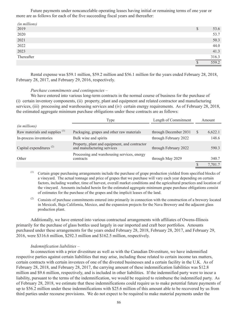Future payments under noncancelable operating leases having initial or remaining terms of one year or more are as follows for each of the five succeeding fiscal years and thereafter:

| $(in\,millions)$<br>2019                    | S | 53.6  |
|---------------------------------------------|---|-------|
| $\begin{array}{c} 2020 \\ 2021 \end{array}$ |   | 53.7  |
|                                             |   | 50.3  |
| $\begin{array}{c} 2022 \\ 2023 \end{array}$ |   | 44.0  |
|                                             |   | 41.3  |
| Thereafter                                  |   | 316.3 |
|                                             | P | 559.2 |

Rental expense was \$59.1 million, \$59.2 million and \$56.1 million for the years ended February 28, 2018, February 28, 2017, and February 29, 2016, respectively.

### *Purchase commitments and contingencies –*

We have entered into various long-term contracts in the normal course of business for the purchase of (i) certain inventory components, (ii) property, plant and equipment and related contractor and manufacturing services, (iii) processing and warehousing services and (iv) certain energy requirements. As of February 28, 2018, the estimated aggregate minimum purchase obligations under these contracts are as follows:

|                                           | Type                                                                        | Length of Commitment  |              | Amount  |
|-------------------------------------------|-----------------------------------------------------------------------------|-----------------------|--------------|---------|
| ( <i>in millions</i> )                    |                                                                             |                       |              |         |
| Raw materials and supplies <sup>(1)</sup> | Packaging, grapes and other raw materials                                   | through December 2031 | <sup>S</sup> | 6,622.1 |
| In-process inventories                    | Bulk wine and spirits                                                       | through February 2022 |              | 148.6   |
| Capital expenditures $(2)$                | Property, plant and equipment, and contractor<br>and manufacturing services | through February 2022 |              | 590.3   |
| Other                                     | Processing and warehousing services, energy<br>contracts                    | through May 2029      |              | 340.7   |
|                                           |                                                                             |                       |              | 7,701.7 |

(1) Certain grape purchasing arrangements include the purchase of grape production yielded from specified blocks of a vineyard. The actual tonnage and price of grapes that we purchase will vary each year depending on certain factors, including weather, time of harvest, overall market conditions and the agricultural practices and location of the vineyard. Amounts included herein for the estimated aggregate minimum grape purchase obligations consist of estimates for the purchase of the grapes and the implicit leases of the land.

 $(2)$  Consists of purchase commitments entered into primarily in connection with the construction of a brewery located in Mexicali, Baja California, Mexico, and the expansion projects for the Nava Brewery and the adjacent glass production plant.

Additionally, we have entered into various contractual arrangements with affiliates of Owens-Illinois primarily for the purchase of glass bottles used largely in our imported and craft beer portfolios. Amounts purchased under these arrangements for the years ended February 28, 2018, February 28, 2017, and February 29, 2016, were \$316.6 million, \$292.3 million and \$162.5 million, respectively.

### *Indemnification liabilities –*

In connection with a prior divestiture as well as with the Canadian Divestiture, we have indemnified respective parties against certain liabilities that may arise, including those related to certain income tax matters, certain contracts with certain investees of one of the divested businesses and a certain facility in the U.K. As of February 28, 2018, and February 28, 2017, the carrying amount of these indemnification liabilities was \$12.8 million and \$9.6 million, respectively, and is included in other liabilities. If the indemnified party were to incur a liability, pursuant to the terms of the indemnification, we would be required to reimburse the indemnified party. As of February 28, 2018, we estimate that these indemnifications could require us to make potential future payments of up to \$56.2 million under these indemnifications with \$25.6 million of this amount able to be recovered by us from third parties under recourse provisions. We do not expect to be required to make material payments under the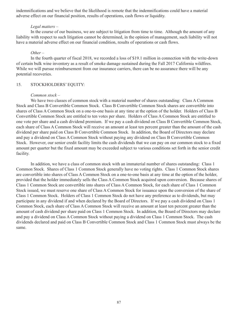indemnifications and we believe that the likelihood is remote that the indemnifications could have a material adverse effect on our financial position, results of operations, cash flows or liquidity.

#### *Legal matters –*

In the course of our business, we are subject to litigation from time to time. Although the amount of any liability with respect to such litigation cannot be determined, in the opinion of management, such liability will not have a material adverse effect on our financial condition, results of operations or cash flows.

### *Other –*

In the fourth quarter of fiscal 2018, we recorded a loss of \$19.1 million in connection with the write-down of certain bulk wine inventory as a result of smoke damage sustained during the Fall 2017 California wildfires. While we will pursue reimbursement from our insurance carriers, there can be no assurance there will be any potential recoveries.

### 15. STOCKHOLDERS' EQUITY:

#### *Common stock –*

We have two classes of common stock with a material number of shares outstanding: Class A Common Stock and Class B Convertible Common Stock. Class B Convertible Common Stock shares are convertible into shares of Class A Common Stock on a one-to-one basis at any time at the option of the holder. Holders of Class B Convertible Common Stock are entitled to ten votes per share. Holders of Class A Common Stock are entitled to one vote per share and a cash dividend premium. If we pay a cash dividend on Class B Convertible Common Stock, each share of Class A Common Stock will receive an amount at least ten percent greater than the amount of the cash dividend per share paid on Class B Convertible Common Stock. In addition, the Board of Directors may declare and pay a dividend on Class A Common Stock without paying any dividend on Class B Convertible Common Stock. However, our senior credit facility limits the cash dividends that we can pay on our common stock to a fixed amount per quarter but the fixed amount may be exceeded subject to various conditions set forth in the senior credit facility.

In addition, we have a class of common stock with an immaterial number of shares outstanding: Class 1 Common Stock. Shares of Class 1 Common Stock generally have no voting rights. Class 1 Common Stock shares are convertible into shares of Class A Common Stock on a one-to-one basis at any time at the option of the holder, provided that the holder immediately sells the Class A Common Stock acquired upon conversion. Because shares of Class 1 Common Stock are convertible into shares of Class A Common Stock, for each share of Class 1 Common Stock issued, we must reserve one share of Class A Common Stock for issuance upon the conversion of the share of Class 1 Common Stock. Holders of Class 1 Common Stock do not have any preference as to dividends, but may participate in any dividend if and when declared by the Board of Directors. If we pay a cash dividend on Class 1 Common Stock, each share of Class A Common Stock will receive an amount at least ten percent greater than the amount of cash dividend per share paid on Class 1 Common Stock. In addition, the Board of Directors may declare and pay a dividend on Class A Common Stock without paying a dividend on Class 1 Common Stock. The cash dividends declared and paid on Class B Convertible Common Stock and Class 1 Common Stock must always be the same.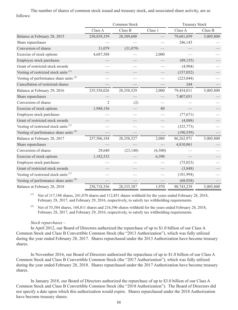The number of shares of common stock issued and treasury stock, and associated share activity, are as follows:

|                                                   |                | Common Stock |         | <b>Treasury Stock</b> |           |  |  |
|---------------------------------------------------|----------------|--------------|---------|-----------------------|-----------|--|--|
|                                                   | Class A        | Class B      | Class 1 | Class A               | Class B   |  |  |
| Balance at February 28, 2015                      | 250,839,359    | 28,389,608   |         | 79,681,859            | 5,005,800 |  |  |
| Share repurchases                                 |                |              |         | 246,143               |           |  |  |
| Conversion of shares                              | 31,079         | (31,079)     |         |                       |           |  |  |
| Exercise of stock options                         | 4,687,588      |              | 2,000   |                       |           |  |  |
| Employee stock purchases                          |                |              |         | (89, 155)             |           |  |  |
| Grant of restricted stock awards                  |                |              |         | (4,984)               |           |  |  |
| Vesting of restricted stock units $(1)$           |                |              |         | (157, 052)            |           |  |  |
| Vesting of performance share units $(2)$          |                |              |         | (223, 044)            |           |  |  |
| Cancellation of restricted shares                 |                |              |         | 244                   |           |  |  |
| Balance at February 29, 2016                      | 255,558,026    | 28,358,529   | 2,000   | 79,454,011            | 5,005,800 |  |  |
| Share repurchases                                 |                |              |         | 7,407,051             |           |  |  |
| Conversion of shares                              | $\overline{2}$ | (2)          |         |                       |           |  |  |
| Exercise of stock options                         | 1,948,156      |              | 80      |                       |           |  |  |
| Employee stock purchases                          |                |              |         | (77, 671)             |           |  |  |
| Grant of restricted stock awards                  |                |              |         | (4,088)               |           |  |  |
| Vesting of restricted stock units $(1)$           |                |              |         | (325,773)             |           |  |  |
| Vesting of performance share units $(2)$          |                |              |         | (190, 559)            |           |  |  |
| Balance at February 28, 2017                      | 257,506,184    | 28,358,527   | 2,080   | 86,262,971            | 5,005,800 |  |  |
| Share repurchases                                 |                |              |         | 4,810,061             |           |  |  |
| Conversion of shares                              | 29,640         | (23, 140)    | (6,500) |                       |           |  |  |
| Exercise of stock options                         | 1,182,532      |              | 6,390   |                       |           |  |  |
| Employee stock purchases                          |                |              |         | (75, 023)             |           |  |  |
| Grant of restricted stock awards                  |                |              |         | (3,848)               |           |  |  |
| Vesting of restricted stock units $(1)$           |                |              |         | (181, 994)            |           |  |  |
| Vesting of performance share units <sup>(2)</sup> |                |              |         | (68, 928)             |           |  |  |
| Balance at February 28, 2018                      | 258,718,356    | 28,335,387   | 1,970   | 90,743,239            | 5,005,800 |  |  |

(1) Net of 117,188 shares, 241,870 shares and 112,851 shares withheld for the years ended February 28, 2018, February 28, 2017, and February 29, 2016, respectively, to satisfy tax withholding requirements.

(2) Net of 55,584 shares, 168,811 shares and 216,396 shares withheld for the years ended February 28, 2018, February 28, 2017, and February 29, 2016, respectively, to satisfy tax withholding requirements.

#### *Stock repurchases –*

In April 2012, our Board of Directors authorized the repurchase of up to \$1.0 billion of our Class A Common Stock and Class B Convertible Common Stock (the "2013 Authorization"), which was fully utilized during the year ended February 28, 2017. Shares repurchased under the 2013 Authorization have become treasury shares.

In November 2016, our Board of Directors authorized the repurchase of up to \$1.0 billion of our Class A Common Stock and Class B Convertible Common Stock (the "2017 Authorization"), which was fully utilized during the year ended February 28, 2018. Shares repurchased under the 2017 Authorization have become treasury shares.

In January 2018, our Board of Directors authorized the repurchase of up to \$3.0 billion of our Class A Common Stock and Class B Convertible Common Stock (the "2018 Authorization"). The Board of Directors did not specify a date upon which this authorization would expire. Shares repurchased under the 2018 Authorization have become treasury shares.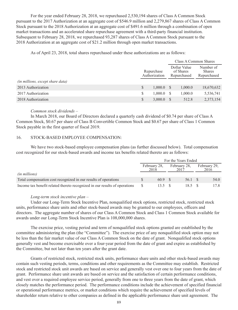For the year ended February 28, 2018, we repurchased 2,530,194 shares of Class A Common Stock pursuant to the 2017 Authorization at an aggregate cost of \$546.9 million and 2,279,867 shares of Class A Common Stock pursuant to the 2018 Authorization at an aggregate cost of \$491.6 million through a combination of open market transactions and an accelerated share repurchase agreement with a third-party financial institution. Subsequent to February 28, 2018, we repurchased 93,287 shares of Class A Common Stock pursuant to the 2018 Authorization at an aggregate cost of \$21.2 million through open market transactions.

As of April 23, 2018, total shares repurchased under these authorizations are as follows:

|                                  |              |                             |      | Class A Common Shares                    |                                           |  |
|----------------------------------|--------------|-----------------------------|------|------------------------------------------|-------------------------------------------|--|
|                                  |              | Repurchase<br>Authorization |      | Dollar Value<br>of Shares<br>Repurchased | Number of<br><b>Shares</b><br>Repurchased |  |
| (in millions, except share data) |              |                             |      |                                          |                                           |  |
| 2013 Authorization               | <sup>S</sup> | 1,000.0                     |      | 1,000.0                                  | 18,670,632                                |  |
| 2017 Authorization               | <sup>S</sup> | 1.000.0                     | - \$ | 1,000.0                                  | 5,536,741                                 |  |
| 2018 Authorization               | S.           | 3,000.0                     |      | 512.8                                    | 2,373,154                                 |  |

### *Common stock dividends –*

In March 2018, our Board of Directors declared a quarterly cash dividend of \$0.74 per share of Class A Common Stock, \$0.67 per share of Class B Convertible Common Stock and \$0.67 per share of Class 1 Common Stock payable in the first quarter of fiscal 2019.

### 16. STOCK-BASED EMPLOYEE COMPENSATION:

We have two stock-based employee compensation plans (as further discussed below). Total compensation cost recognized for our stock-based awards and income tax benefits related thereto are as follows:

|                                                                            | For the Years Ended |                      |  |                      |  |                      |  |  |
|----------------------------------------------------------------------------|---------------------|----------------------|--|----------------------|--|----------------------|--|--|
|                                                                            |                     | February 28.<br>2018 |  | February 28.<br>2017 |  | February 29.<br>2016 |  |  |
| <i>(in millions)</i>                                                       |                     |                      |  |                      |  |                      |  |  |
| Total compensation cost recognized in our results of operations            |                     | 60.9 S               |  | 56.1 S               |  | 54.0                 |  |  |
| Income tax benefit related thereto recognized in our results of operations |                     |                      |  | 18.5                 |  | 17 8                 |  |  |

### *Long-term stock incentive plan –*

Under our Long-Term Stock Incentive Plan, nonqualified stock options, restricted stock, restricted stock units, performance share units and other stock-based awards may be granted to our employees, officers and directors. The aggregate number of shares of our Class A Common Stock and Class 1 Common Stock available for awards under our Long-Term Stock Incentive Plan is 108,000,000 shares.

The exercise price, vesting period and term of nonqualified stock options granted are established by the committee administering the plan (the "Committee"). The exercise price of any nonqualified stock option may not be less than the fair market value of our Class A Common Stock on the date of grant. Nonqualified stock options generally vest and become exercisable over a four-year period from the date of grant and expire as established by the Committee, but not later than ten years after the grant date.

Grants of restricted stock, restricted stock units, performance share units and other stock-based awards may contain such vesting periods, terms, conditions and other requirements as the Committee may establish. Restricted stock and restricted stock unit awards are based on service and generally vest over one to four years from the date of grant. Performance share unit awards are based on service and the satisfaction of certain performance conditions, and vest over a required employee service period, generally from one to three years from the date of grant, which closely matches the performance period. The performance conditions include the achievement of specified financial or operational performance metrics, or market conditions which require the achievement of specified levels of shareholder return relative to other companies as defined in the applicable performance share unit agreement. The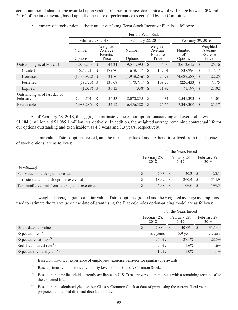actual number of shares to be awarded upon vesting of a performance share unit award will range between 0% and 200% of the target award, based upon the measure of performance as certified by the Committee.

|                                           | For the Years Ended     |               |                                          |                         |              |                                          |                         |               |                                          |  |  |
|-------------------------------------------|-------------------------|---------------|------------------------------------------|-------------------------|--------------|------------------------------------------|-------------------------|---------------|------------------------------------------|--|--|
|                                           | February 28, 2018       |               |                                          | February 28, 2017       |              |                                          | February 29, 2016       |               |                                          |  |  |
|                                           | Number<br>of<br>Options |               | Weighted<br>Average<br>Exercise<br>Price | Number<br>of<br>Options |              | Weighted<br>Average<br>Exercise<br>Price | Number<br>of<br>Options |               | Weighted<br>Average<br>Exercise<br>Price |  |  |
| Outstanding as of March 1                 | 8,070,255               | <sup>\$</sup> | 44.31                                    | 9,541,393               | \$           | 34.03                                    | 13,613,615              | <sup>\$</sup> | 25.46                                    |  |  |
| Granted                                   | 624,121                 | \$            | 172.70                                   | 648,147                 | \$           | 157.01                                   | 838,996                 | <sup>\$</sup> | 117.17                                   |  |  |
| Exercised                                 | $(1,188,922)$ \$        |               | 31.86                                    | $(1,948,236)$ \$        |              | 25.79                                    | $(4,689,588)$ \$        |               | 22.25                                    |  |  |
| Forfeited                                 | $(59, 725)$ \$          |               | 136.08                                   | $(170, 711)$ \$         |              | 109.23                                   | $(220, 433)$ \$         |               | 71.75                                    |  |  |
| Expired                                   | $(1,028)$ \$            |               | 36.13                                    | $(338)$ \$              |              | 31.92                                    | $(1,197)$ \$            |               | 21.02                                    |  |  |
| Outstanding as of last day of<br>February | 7,444,701               | \$            | 56.33                                    | 8,070,255               | S            | 44.31                                    | 9,541,393               | S             | 34.03                                    |  |  |
| Exercisable                               | 5,983,286               | S             | 34.12                                    | 6,456,382               | <sup>S</sup> | 26.66                                    | 7,348,309               | S             | 21.37                                    |  |  |

A summary of stock option activity under our Long-Term Stock Incentive Plan is as follows:

As of February 28, 2018, the aggregate intrinsic value of our options outstanding and exercisable was \$1,184.8 million and \$1,085.1 million, respectively. In addition, the weighted average remaining contractual life for our options outstanding and exercisable was 4.3 years and 3.3 years, respectively.

The fair value of stock options vested, and the intrinsic value of and tax benefit realized from the exercise of stock options, are as follows:

|                                                   |    | For the Years Ended  |  |                      |  |                      |  |  |  |  |  |  |
|---------------------------------------------------|----|----------------------|--|----------------------|--|----------------------|--|--|--|--|--|--|
|                                                   |    | February 28,<br>2018 |  | February 28,<br>2017 |  | February 29,<br>2016 |  |  |  |  |  |  |
| ( <i>in millions</i> )                            |    |                      |  |                      |  |                      |  |  |  |  |  |  |
| Fair value of stock options vested                | S. | 20.3 S               |  | 20.3 \$              |  | 20.1                 |  |  |  |  |  |  |
| Intrinsic value of stock options exercised        | S. | 189.9                |  | 260.4 \$             |  | 514.9                |  |  |  |  |  |  |
| Tax benefit realized from stock options exercised |    | 59.8 \$              |  | 106.0                |  | 193.5                |  |  |  |  |  |  |

The weighted average grant-date fair value of stock options granted and the weighted average assumptions used to estimate the fair value on the date of grant using the Black-Scholes option-pricing model are as follows:

|                                        | For the Years Ended  |           |                      |           |   |                      |  |  |  |
|----------------------------------------|----------------------|-----------|----------------------|-----------|---|----------------------|--|--|--|
|                                        | February 28,<br>2018 |           | February 28,<br>2017 |           |   | February 29,<br>2016 |  |  |  |
| Grant-date fair value                  | S                    | 42.88     | <sup>S</sup>         | 40.09     | S | 31.14                |  |  |  |
| Expected life $(1)$                    |                      | 5.9 years |                      | 5.9 years |   | 5.9 years            |  |  |  |
| Expected volatility <sup>(2)</sup>     |                      | $26.0\%$  |                      | 27.1%     |   | 28.5%                |  |  |  |
| Risk-free interest rate $(3)$          |                      | $2.0\%$   |                      | $1.6\%$   |   | 1.6%                 |  |  |  |
| Expected dividend yield <sup>(4)</sup> |                      | $1.2\%$   |                      | $1.0\%$   |   | 1.1%                 |  |  |  |

(1) Based on historical experience of employees' exercise behavior for similar type awards.

 $(2)$  Based primarily on historical volatility levels of our Class A Common Stock.

- <sup>(3)</sup> Based on the implied yield currently available on U.S. Treasury zero coupon issues with a remaining term equal to the expected life.
- (4) Based on the calculated yield on our Class A Common Stock at date of grant using the current fiscal year projected annualized dividend distribution rate.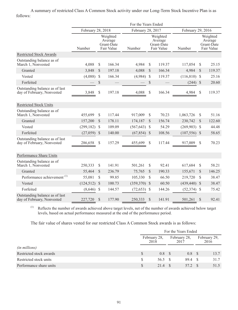A summary of restricted Class A Common Stock activity under our Long-Term Stock Incentive Plan is as follows:

|                                                              | For the Years Ended |               |                                                 |                   |               |                                                 |                   |               |                                                 |  |  |
|--------------------------------------------------------------|---------------------|---------------|-------------------------------------------------|-------------------|---------------|-------------------------------------------------|-------------------|---------------|-------------------------------------------------|--|--|
|                                                              | February 28, 2018   |               |                                                 | February 28, 2017 |               |                                                 | February 29, 2016 |               |                                                 |  |  |
|                                                              | Number              |               | Weighted<br>Average<br>Grant-Date<br>Fair Value | Number            |               | Weighted<br>Average<br>Grant-Date<br>Fair Value | Number            |               | Weighted<br>Average<br>Grant-Date<br>Fair Value |  |  |
| <b>Restricted Stock Awards</b>                               |                     |               |                                                 |                   |               |                                                 |                   |               |                                                 |  |  |
| Outstanding balance as of<br>March 1, Nonvested              | 4,088               | \$            | 166.34                                          | 4,984             | \$            | 119.37                                          | 117,054           | \$            | 25.15                                           |  |  |
| Granted                                                      | 3,848               | \$            | 197.18                                          | 4,088             | \$            | 166.34                                          | 4,984             | $\mathbb{S}$  | 119.37                                          |  |  |
| Vested                                                       | (4,088)             | $\mathbb{S}$  | 166.34                                          | (4,984)           | $\mathcal{S}$ | 119.37                                          | $(116,810)$ \$    |               | 25.16                                           |  |  |
| Forfeited                                                    |                     | \$            |                                                 |                   | \$            |                                                 | (244)             | $\mathcal{S}$ | 20.60                                           |  |  |
| Outstanding balance as of last<br>day of February, Nonvested | 3,848               | $\mathbb{S}$  | 197.18                                          | 4,088             | \$            | 166.34                                          | 4,984             | \$            | 119.37                                          |  |  |
| <b>Restricted Stock Units</b>                                |                     |               |                                                 |                   |               |                                                 |                   |               |                                                 |  |  |
| Outstanding balance as of<br>March 1, Nonvested              | 455,699             | \$            | 117.44                                          | 917,009           | \$            | 70.23                                           | 1,063,726         | \$            | 51.16                                           |  |  |
| Granted                                                      | 157,200             | <sup>S</sup>  | 178.11                                          | 174,187           | <sup>\$</sup> | 156.74                                          | 230,742           | $\mathcal{S}$ | 122.60                                          |  |  |
| Vested                                                       | (299, 182)          | $\mathcal{S}$ | 109.09                                          | $(567, 643)$ \$   |               | 54.29                                           | $(269,903)$ \$    |               | 44.48                                           |  |  |
| Forfeited                                                    | (27,059)            | $\mathcal{S}$ | 140.00                                          | $(67,854)$ \$     |               | 108.56                                          | (107, 556)        | $\mathcal{S}$ | 58.65                                           |  |  |
| Outstanding balance as of last<br>day of February, Nonvested | 286,658             | $\mathbb{S}$  | 157.29                                          | 455,699           | \$            | 117.44                                          | 917,009           | \$            | 70.23                                           |  |  |
| Performance Share Units                                      |                     |               |                                                 |                   |               |                                                 |                   |               |                                                 |  |  |
| Outstanding balance as of<br>March 1, Nonvested              | 250,333             | $\mathbb{S}$  | 141.91                                          | 501,261           | S             | 92.41                                           | 617,684           | \$            | 58.21                                           |  |  |
| Granted                                                      | 55,464              | $\mathbb{S}$  | 236.79                                          | 75,765            | \$            | 190.33                                          | 155,671           | $\mathcal{S}$ | 146.25                                          |  |  |
| Performance achievement <sup>(1)</sup>                       | 55,081              | \$            | 99.85                                           | 105,330           | \$            | 66.50                                           | 219,720           | $\mathcal{S}$ | 38.47                                           |  |  |
| Vested                                                       | (124, 512)          | $\mathcal{S}$ | 100.73                                          | $(359,370)$ \$    |               | 60.50                                           | (439, 440)        | $\mathcal{S}$ | 38.47                                           |  |  |
| Forfeited                                                    | (8,646)             | $\mathcal{S}$ | 144.57                                          | (72, 653)         | $\mathcal{S}$ | 144.26                                          | (52, 374)         | \$            | 75.42                                           |  |  |
| Outstanding balance as of last<br>day of February, Nonvested | 227,720             | $\mathcal{S}$ | 177.90                                          | 250,333           | \$            | 141.91                                          | 501,261           | \$            | 92.41                                           |  |  |

(1) Reflects the number of awards achieved above target levels, net of the number of awards achieved below target levels, based on actual performance measured at the end of the performance period.

The fair value of shares vested for our restricted Class A Common Stock awards is as follows:

|                         |               | For the Years Ended  |  |                      |  |                      |  |  |  |  |  |  |  |
|-------------------------|---------------|----------------------|--|----------------------|--|----------------------|--|--|--|--|--|--|--|
|                         |               | February 28,<br>2018 |  | February 28,<br>2017 |  | February 29,<br>2016 |  |  |  |  |  |  |  |
| (in millions)           |               |                      |  |                      |  |                      |  |  |  |  |  |  |  |
| Restricted stock awards |               | 0.8 <sup>°</sup>     |  | 0.8 <sup>°</sup>     |  | 13.7                 |  |  |  |  |  |  |  |
| Restricted stock units  | <sup>\$</sup> | 56.5 \$              |  | 89.4 \$              |  | 31.7                 |  |  |  |  |  |  |  |
| Performance share units | S             | 21.4 \$              |  | 57.2 \$              |  | 51.5                 |  |  |  |  |  |  |  |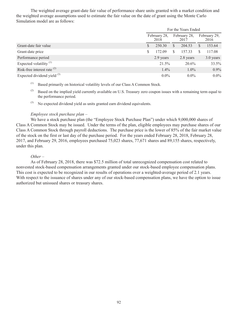The weighted average grant-date fair value of performance share units granted with a market condition and the weighted average assumptions used to estimate the fair value on the date of grant using the Monte Carlo Simulation model are as follows:

|                               |    |                      |    | For the Years Ended  |          |                      |
|-------------------------------|----|----------------------|----|----------------------|----------|----------------------|
|                               |    | February 28,<br>2018 |    | February 28,<br>2017 |          | February 29,<br>2016 |
| Grant-date fair value         | S. | 250.30               | S. | 204.53               |          | 153.64               |
| Grant-date price              | S. | 172.09               | S  | 157.33               | <b>S</b> | 117.08               |
| Performance period            |    | 2.9 years            |    | 2.8 years            |          | 3.0 years            |
| Expected volatility $(1)$     |    | 21.5%                |    | 20.6%                |          | 33.5%                |
| Risk-free interest rate $(2)$ |    | $1.4\%$              |    | $1.0\%$              |          | 0.9%                 |
| Expected dividend yield $(3)$ |    | $0.0\%$              |    | $0.0\%$              |          | $0.0\%$              |

- (1) Based primarily on historical volatility levels of our Class A Common Stock.
- <sup>(2)</sup> Based on the implied yield currently available on U.S. Treasury zero coupon issues with a remaining term equal to the performance period.
- (3) No expected dividend yield as units granted earn dividend equivalents.

### *Employee stock purchase plan –*

We have a stock purchase plan (the "Employee Stock Purchase Plan") under which 9,000,000 shares of Class A Common Stock may be issued. Under the terms of the plan, eligible employees may purchase shares of our Class A Common Stock through payroll deductions. The purchase price is the lower of 85% of the fair market value of the stock on the first or last day of the purchase period. For the years ended February 28, 2018, February 28, 2017, and February 29, 2016, employees purchased 75,023 shares, 77,671 shares and 89,155 shares, respectively, under this plan.

### *Other –*

As of February 28, 2018, there was \$72.5 million of total unrecognized compensation cost related to nonvested stock-based compensation arrangements granted under our stock-based employee compensation plans. This cost is expected to be recognized in our results of operations over a weighted-average period of 2.1 years. With respect to the issuance of shares under any of our stock-based compensation plans, we have the option to issue authorized but unissued shares or treasury shares.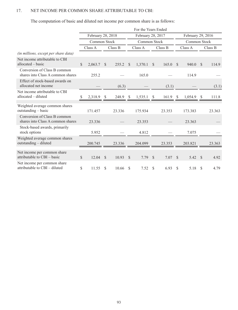## 17. NET INCOME PER COMMON SHARE ATTRIBUTABLE TO CBI:

|                                                                   |              |                   |               |              |              | For the Years Ended |               |            |               |                   |               |         |
|-------------------------------------------------------------------|--------------|-------------------|---------------|--------------|--------------|---------------------|---------------|------------|---------------|-------------------|---------------|---------|
|                                                                   |              | February 28, 2018 |               |              |              | February 28, 2017   |               |            |               | February 29, 2016 |               |         |
|                                                                   |              | Common Stock      |               | Common Stock |              |                     |               |            | Common Stock  |                   |               |         |
|                                                                   |              | Class A           |               | Class B      |              | Class A             |               | Class B    |               | Class A           |               | Class B |
| (in millions, except per share data)                              |              |                   |               |              |              |                     |               |            |               |                   |               |         |
| Net income attributable to CBI<br>allocated – basic               | $\mathbb{S}$ | $2,063.7$ \$      |               | 255.2        | <sup>S</sup> | 1,370.1             | <sup>S</sup>  | 165.0      | <sup>S</sup>  | 940.0             | $\mathcal{S}$ | 114.9   |
| Conversion of Class B common<br>shares into Class A common shares |              | 255.2             |               |              |              | 165.0               |               |            |               | 114.9             |               |         |
| Effect of stock-based awards on<br>allocated net income           |              |                   |               | (6.3)        |              |                     |               | (3.1)      |               |                   |               | (3.1)   |
| Net income attributable to CBI<br>allocated - diluted             | S.           | 2,318.9           | <sup>\$</sup> | 248.9        | $\mathbb{S}$ | 1,535.1             | <sup>\$</sup> | $161.9$ \$ |               | 1,054.9           | -S            | 111.8   |
| Weighted average common shares<br>outstanding - basic             |              | 171.457           |               | 23.336       |              | 175.934             |               | 23.353     |               | 173.383           |               | 23.363  |
| Conversion of Class B common<br>shares into Class A common shares |              | 23.336            |               |              |              | 23.353              |               |            |               | 23.363            |               |         |
| Stock-based awards, primarily<br>stock options                    |              | 5.952             |               |              |              | 4.812               |               |            |               | 7.075             |               |         |
| Weighted average common shares<br>outstanding - diluted           |              | 200.745           |               | 23.336       |              | 204.099             |               | 23.353     |               | 203.821           |               | 23.363  |
| Net income per common share<br>attributable to CBI - basic        | \$           | $12.04$ \$        |               | 10.93        | $\mathbb{S}$ | 7.79                | $\mathcal{S}$ | 7.07       | $\mathcal{S}$ | 5.42              | $\mathcal{S}$ | 4.92    |
| Net income per common share<br>attributable to CBI – diluted      | \$           | 11.55             | <sup>\$</sup> | 10.66        | <sup>S</sup> | 7.52                | $\mathbb{S}$  | 6.93       | $\mathcal{S}$ | 5.18              | S             | 4.79    |

The computation of basic and diluted net income per common share is as follows: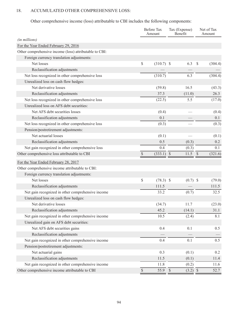## 18. ACCUMULATED OTHER COMPREHENSIVE LOSS:

Other comprehensive income (loss) attributable to CBI includes the following components:

|                                                        |              | Before Tax<br>Amount | Tax (Expense)<br>Benefit    | Net of Tax<br>Amount     |
|--------------------------------------------------------|--------------|----------------------|-----------------------------|--------------------------|
| (in millions)                                          |              |                      |                             |                          |
| For the Year Ended February 29, 2016                   |              |                      |                             |                          |
| Other comprehensive income (loss) attributable to CBI: |              |                      |                             |                          |
| Foreign currency translation adjustments:              |              |                      |                             |                          |
| Net losses                                             | \$           | $(310.7)$ \$         | 6.3                         | $\mathcal{S}$<br>(304.4) |
| Reclassification adjustments                           |              |                      |                             |                          |
| Net loss recognized in other comprehensive loss        |              | (310.7)              | 6.3                         | (304.4)                  |
| Unrealized loss on cash flow hedges:                   |              |                      |                             |                          |
| Net derivative losses                                  |              | (59.8)               | 16.5                        | (43.3)                   |
| Reclassification adjustments                           |              | 37.3                 | (11.0)                      | 26.3                     |
| Net loss recognized in other comprehensive loss        |              | (22.5)               | 5.5                         | (17.0)                   |
| Unrealized loss on AFS debt securities:                |              |                      |                             |                          |
| Net AFS debt securities losses                         |              | (0.4)                |                             | (0.4)                    |
| Reclassification adjustments                           |              | 0.1                  |                             | 0.1                      |
| Net loss recognized in other comprehensive loss        |              | (0.3)                |                             | (0.3)                    |
| Pension/postretirement adjustments:                    |              |                      |                             |                          |
| Net actuarial losses                                   |              | (0.1)                |                             | (0.1)                    |
| Reclassification adjustments                           |              | 0.5                  | (0.3)                       | 0.2                      |
| Net gain recognized in other comprehensive loss        |              | 0.4                  | (0.3)                       | 0.1                      |
| Other comprehensive loss attributable to CBI           | $\mathbb{S}$ | $(333.1)$ \$         | 11.5                        | $\mathcal{S}$<br>(321.6) |
| For the Year Ended February 28, 2017                   |              |                      |                             |                          |
| Other comprehensive income attributable to CBI:        |              |                      |                             |                          |
| Foreign currency translation adjustments:              |              |                      |                             |                          |
| Net losses                                             | \$           | $(78.3)$ \$          | $(0.7)$ \$                  | (79.0)                   |
| Reclassification adjustments                           |              | 111.5                |                             | 111.5                    |
| Net gain recognized in other comprehensive income      |              | 33.2                 | (0.7)                       | 32.5                     |
| Unrealized loss on cash flow hedges:                   |              |                      |                             |                          |
| Net derivative losses                                  |              | (34.7)               | 11.7                        | (23.0)                   |
| Reclassification adjustments                           |              | 45.2                 | (14.1)                      | 31.1                     |
| Net gain recognized in other comprehensive income      |              | 10.5                 | (2.4)                       | 8.1                      |
| Unrealized gain on AFS debt securities:                |              |                      |                             |                          |
| Net AFS debt securities gains                          |              | 0.4                  | 0.1                         | 0.5                      |
| Reclassification adjustments                           |              |                      |                             |                          |
| Net gain recognized in other comprehensive income      |              | 0.4                  | 0.1                         | 0.5                      |
| Pension/postretirement adjustments:                    |              |                      |                             |                          |
| Net actuarial gains                                    |              | 0.3                  | (0.1)                       | 0.2                      |
| Reclassification adjustments                           |              | 11.5                 | (0.1)                       | 11.4                     |
| Net gain recognized in other comprehensive income      |              | 11.8                 | (0.2)                       | 11.6                     |
| Other comprehensive income attributable to CBI         | $\mathbb{S}$ | 55.9                 | $\mathcal{S}$<br>$(3.2)$ \$ | 52.7                     |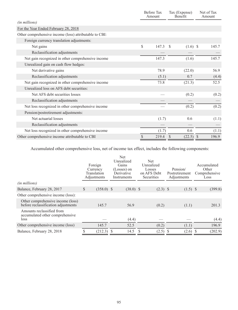|                                                        | Before Tax<br>Amount | Tax (Expense)<br>Benefit | Net of Tax<br>Amount  |
|--------------------------------------------------------|----------------------|--------------------------|-----------------------|
| (in millions)                                          |                      |                          |                       |
| For the Year Ended February 28, 2018                   |                      |                          |                       |
| Other comprehensive income (loss) attributable to CBI: |                      |                          |                       |
| Foreign currency translation adjustments:              |                      |                          |                       |
| Net gains                                              | \$<br>147.3          | $(1.6)$ \$               | 145.7                 |
| Reclassification adjustments                           |                      |                          |                       |
| Net gain recognized in other comprehensive income      | 147.3                | (1.6)                    | 145.7                 |
| Unrealized gain on cash flow hedges:                   |                      |                          |                       |
| Net derivative gains                                   | 78.9                 | (22.0)                   | 56.9                  |
| Reclassification adjustments                           | (5.1)                | 0.7                      | (4.4)                 |
| Net gain recognized in other comprehensive income      | 73.8                 | (21.3)                   | 52.5                  |
| Unrealized loss on AFS debt securities:                |                      |                          |                       |
| Net AFS debt securities losses                         |                      | (0.2)                    | (0.2)                 |
| Reclassification adjustments                           |                      |                          |                       |
| Net loss recognized in other comprehensive income      |                      | (0.2)                    | (0.2)                 |
| Pension/postretirement adjustments:                    |                      |                          |                       |
| Net actuarial losses                                   | (1.7)                | 0.6                      | (1.1)                 |
| Reclassification adjustments                           |                      |                          |                       |
| Net loss recognized in other comprehensive income      | (1.7)                | 0.6                      | (1.1)                 |
| Other comprehensive income attributable to CBI         | \$<br>219.4          | <sup>S</sup><br>(22.5)   | 196.9<br><sup>S</sup> |

Accumulated other comprehensive loss, net of income tax effect, includes the following components:

|                                                                          |               | Net<br>Unrealized<br>Net<br>Unrealized<br>Gains<br>Foreign<br>(Losses) on<br>Pension/<br>Currency<br>Losses<br>on AFS Debt<br>Translation<br>Derivative<br>Adjustments<br>Adjustments<br><b>Securities</b><br>Instruments |  |             |  |            | Postretirement |            | Accumulated<br>Other<br>Comprehensive<br>Loss |
|--------------------------------------------------------------------------|---------------|---------------------------------------------------------------------------------------------------------------------------------------------------------------------------------------------------------------------------|--|-------------|--|------------|----------------|------------|-----------------------------------------------|
| (in millions)                                                            |               |                                                                                                                                                                                                                           |  |             |  |            |                |            |                                               |
| Balance, February 28, 2017                                               | $\mathcal{S}$ | $(358.0)$ \$                                                                                                                                                                                                              |  | $(38.0)$ \$ |  | $(2.3)$ \$ |                | $(1.5)$ \$ | (399.8)                                       |
| Other comprehensive income (loss):                                       |               |                                                                                                                                                                                                                           |  |             |  |            |                |            |                                               |
| Other comprehensive income (loss)<br>before reclassification adjustments |               | 145.7                                                                                                                                                                                                                     |  | 56.9        |  | (0.2)      |                | (1.1)      | 201.3                                         |
| Amounts reclassified from<br>accumulated other comprehensive<br>loss     |               |                                                                                                                                                                                                                           |  | (4.4)       |  |            |                |            | (4.4)                                         |
| Other comprehensive income (loss)                                        |               | 145.7                                                                                                                                                                                                                     |  | 52.5        |  | (0.2)      |                | (1.1)      | 196.9                                         |
| Balance, February 28, 2018                                               |               | $(212.3)$ \$                                                                                                                                                                                                              |  | 14.5        |  | (2.5)      |                | (2.6)      | (202.9)                                       |
|                                                                          |               |                                                                                                                                                                                                                           |  |             |  |            |                |            |                                               |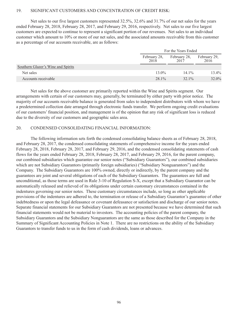### 19. SIGNIFICANT CUSTOMERS AND CONCENTRATION OF CREDIT RISK:

Net sales to our five largest customers represented 32.5%, 32.6% and 31.7% of our net sales for the years ended February 28, 2018, February 28, 2017, and February 29, 2016, respectively. Net sales to our five largest customers are expected to continue to represent a significant portion of our revenues. Net sales to an individual customer which amount to 10% or more of our net sales, and the associated amounts receivable from this customer as a percentage of our accounts receivable, are as follows:

|                                    |                      | For the Years Ended  |                      |  |  |  |  |  |  |  |
|------------------------------------|----------------------|----------------------|----------------------|--|--|--|--|--|--|--|
|                                    | February 28,<br>2018 | February 28,<br>2017 | February 29,<br>2016 |  |  |  |  |  |  |  |
| Southern Glazer's Wine and Spirits |                      |                      |                      |  |  |  |  |  |  |  |
| Net sales                          | $13.0\%$             | $141\%$              | 13.4%                |  |  |  |  |  |  |  |
| Accounts receivable                | $28.1\%$             | 32.1%                | 32.0%                |  |  |  |  |  |  |  |

Net sales for the above customer are primarily reported within the Wine and Spirits segment. Our arrangements with certain of our customers may, generally, be terminated by either party with prior notice. The majority of our accounts receivable balance is generated from sales to independent distributors with whom we have a predetermined collection date arranged through electronic funds transfer. We perform ongoing credit evaluations of our customers' financial position, and management is of the opinion that any risk of significant loss is reduced due to the diversity of our customers and geographic sales area.

### 20. CONDENSED CONSOLIDATING FINANCIAL INFORMATION:

The following information sets forth the condensed consolidating balance sheets as of February 28, 2018, and February 28, 2017, the condensed consolidating statements of comprehensive income for the years ended February 28, 2018, February 28, 2017, and February 29, 2016, and the condensed consolidating statements of cash flows for the years ended February 28, 2018, February 28, 2017, and February 29, 2016, for the parent company, our combined subsidiaries which guarantee our senior notes ("Subsidiary Guarantors"), our combined subsidiaries which are not Subsidiary Guarantors (primarily foreign subsidiaries) ("Subsidiary Nonguarantors") and the Company. The Subsidiary Guarantors are 100% owned, directly or indirectly, by the parent company and the guarantees are joint and several obligations of each of the Subsidiary Guarantors. The guarantees are full and unconditional, as those terms are used in Rule 3-10 of Regulation S-X, except that a Subsidiary Guarantor can be automatically released and relieved of its obligations under certain customary circumstances contained in the indentures governing our senior notes. These customary circumstances include, so long as other applicable provisions of the indentures are adhered to, the termination or release of a Subsidiary Guarantor's guarantee of other indebtedness or upon the legal defeasance or covenant defeasance or satisfaction and discharge of our senior notes. Separate financial statements for our Subsidiary Guarantors are not presented because we have determined that such financial statements would not be material to investors. The accounting policies of the parent company, the Subsidiary Guarantors and the Subsidiary Nonguarantors are the same as those described for the Company in the Summary of Significant Accounting Policies in Note 1. There are no restrictions on the ability of the Subsidiary Guarantors to transfer funds to us in the form of cash dividends, loans or advances.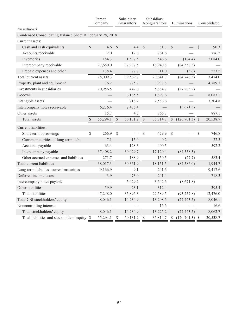|                                                            | Parent<br>Company        |          | Subsidiary<br>Guarantors |          | Subsidiary<br>Nonguarantors |          | Eliminations  |                          |               | Consolidated |
|------------------------------------------------------------|--------------------------|----------|--------------------------|----------|-----------------------------|----------|---------------|--------------------------|---------------|--------------|
| (in millions)                                              |                          |          |                          |          |                             |          |               |                          |               |              |
| Condensed Consolidating Balance Sheet at February 28, 2018 |                          |          |                          |          |                             |          |               |                          |               |              |
| Current assets:                                            |                          |          |                          |          |                             |          |               |                          |               |              |
| Cash and cash equivalents                                  | $\mathcal{S}$            | 4.6      | $\mathcal{S}$            | 4.4      | $\mathcal{S}$               | 81.3     | $\mathcal{S}$ |                          | $\mathcal{S}$ | 90.3         |
| Accounts receivable                                        |                          | 2.0      |                          | 12.6     |                             | 761.6    |               |                          |               | 776.2        |
| Inventories                                                |                          | 184.3    |                          | 1,537.5  |                             | 546.6    |               | (184.4)                  |               | 2,084.0      |
| Intercompany receivable                                    |                          | 27,680.0 |                          | 37,937.5 |                             | 18,940.8 |               | (84, 558.3)              |               |              |
| Prepaid expenses and other                                 |                          | 138.4    |                          | 77.7     |                             | 311.0    |               | (3.6)                    |               | 523.5        |
| Total current assets                                       |                          | 28,009.3 |                          | 39,569.7 |                             | 20,641.3 |               | (84, 746.3)              |               | 3,474.0      |
| Property, plant and equipment                              |                          | 76.2     |                          | 775.7    |                             | 3,937.8  |               |                          |               | 4,789.7      |
| Investments in subsidiaries                                |                          | 20,956.5 |                          | 442.0    |                             | 5,884.7  |               | (27, 283.2)              |               |              |
| Goodwill                                                   |                          |          |                          | 6,185.5  |                             | 1,897.6  |               |                          |               | 8,083.1      |
| Intangible assets                                          |                          |          |                          | 718.2    |                             | 2,586.6  |               |                          |               | 3,304.8      |
| Intercompany notes receivable                              |                          | 6,236.4  |                          | 2,435.4  |                             |          |               | (8,671.8)                |               |              |
| Other assets                                               |                          | 15.7     |                          | 4.7      |                             | 866.7    |               |                          |               | 887.1        |
| Total assets                                               | $\overline{\mathcal{S}}$ | 55,294.1 | $\mathcal{S}$            | 50,131.2 | $\mathcal{S}$               | 35,814.7 | $\mathcal{S}$ | $(120, 701.3)$ \$        |               | 20,538.7     |
| Current liabilities:                                       |                          |          |                          |          |                             |          |               |                          |               |              |
| Short-term borrowings                                      | $\mathsf{\$}$            | 266.9    | $\mathcal{S}$            |          | $\mathsf{\$}$               | 479.9    | $\mathcal{S}$ |                          | $\mathbb{S}$  | 746.8        |
| Current maturities of long-term debt                       |                          | 7.1      |                          | 15.0     |                             | 0.2      |               |                          |               | 22.3         |
| Accounts payable                                           |                          | 63.4     |                          | 128.3    |                             | 400.5    |               |                          |               | 592.2        |
| Intercompany payable                                       |                          | 37,408.2 |                          | 30,029.7 |                             | 17,120.4 |               | (84, 558.3)              |               |              |
| Other accrued expenses and liabilities                     |                          | 271.7    |                          | 188.9    |                             | 150.5    |               | (27.7)                   |               | 583.4        |
| Total current liabilities                                  |                          | 38,017.3 |                          | 30,361.9 |                             | 18,151.5 |               | (84, 586.0)              |               | 1,944.7      |
| Long-term debt, less current maturities                    |                          | 9,166.9  |                          | 9.1      |                             | 241.6    |               |                          |               | 9,417.6      |
| Deferred income taxes                                      |                          | 3.9      |                          | 473.0    |                             | 241.4    |               | $\overline{\phantom{0}}$ |               | 718.3        |
| Intercompany notes payable                                 |                          |          |                          | 5,029.2  |                             | 3,642.6  |               | (8,671.8)                |               |              |
| Other liabilities                                          |                          | 59.9     |                          | 23.1     |                             | 312.4    |               |                          |               | 395.4        |
| <b>Total liabilities</b>                                   |                          | 47,248.0 |                          | 35,896.3 |                             | 22,589.5 |               | (93, 257.8)              |               | 12,476.0     |
| Total CBI stockholders' equity                             |                          | 8,046.1  |                          | 14,234.9 |                             | 13,208.6 |               | (27, 443.5)              |               | 8,046.1      |
| Noncontrolling interests                                   |                          |          |                          |          |                             | 16.6     |               |                          |               | 16.6         |
| Total stockholders' equity                                 |                          | 8,046.1  |                          | 14,234.9 |                             | 13,225.2 |               | (27, 443.5)              |               | 8,062.7      |
| Total liabilities and stockholders' equity \$              |                          | 55,294.1 | $\mathcal{S}$            | 50,131.2 | $\mathcal{S}$               | 35,814.7 | $\mathcal{S}$ | $(120, 701.3)$ \$        |               | 20,538.7     |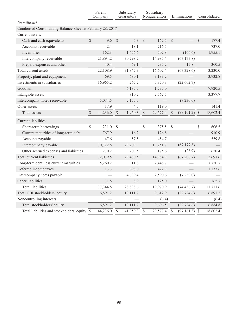|                                                            | Parent<br>Company |          | Subsidiary<br>Guarantors |          |               | Subsidiary<br>Nonguarantors | Eliminations  |                  |               | Consolidated |
|------------------------------------------------------------|-------------------|----------|--------------------------|----------|---------------|-----------------------------|---------------|------------------|---------------|--------------|
| (in millions)                                              |                   |          |                          |          |               |                             |               |                  |               |              |
| Condensed Consolidating Balance Sheet at February 28, 2017 |                   |          |                          |          |               |                             |               |                  |               |              |
| Current assets:                                            |                   |          |                          |          |               |                             |               |                  |               |              |
| Cash and cash equivalents                                  | $\mathbb{S}$      | 9.6      | $\mathcal{S}$            | 5.3      | $\mathcal{S}$ | 162.5                       | $\mathcal{S}$ |                  | $\mathcal{S}$ | 177.4        |
| Accounts receivable                                        |                   | 2.4      |                          | 18.1     |               | 716.5                       |               |                  |               | 737.0        |
| Inventories                                                |                   | 162.3    |                          | 1,456.6  |               | 502.8                       |               | (166.6)          |               | 1,955.1      |
| Intercompany receivable                                    |                   | 21,894.2 |                          | 30,298.2 |               | 14,985.4                    |               | (67, 177.8)      |               |              |
| Prepaid expenses and other                                 |                   | 40.4     |                          | 69.1     |               | 235.2                       |               | 15.8             |               | 360.5        |
| Total current assets                                       |                   | 22,108.9 |                          | 31,847.3 |               | 16,602.4                    |               | (67,328.6)       |               | 3,230.0      |
| Property, plant and equipment                              |                   | 69.5     |                          | 680.1    |               | 3,183.2                     |               |                  |               | 3,932.8      |
| Investments in subsidiaries                                |                   | 16,965.2 |                          | 267.2    |               | 5,370.3                     |               | (22,602.7)       |               |              |
| Goodwill                                                   |                   |          |                          | 6,185.5  |               | 1,735.0                     |               |                  |               | 7,920.5      |
| Intangible assets                                          |                   |          |                          | 810.2    |               | 2,567.5                     |               |                  |               | 3,377.7      |
| Intercompany notes receivable                              |                   | 5,074.5  |                          | 2,155.5  |               |                             |               | (7,230.0)        |               |              |
| Other assets                                               |                   | 17.9     |                          | 4.5      |               | 119.0                       |               |                  |               | 141.4        |
| Total assets                                               | $\mathcal{S}$     | 44,236.0 | $\mathcal{S}$            | 41,950.3 | $\mathcal{S}$ | 29,577.4                    | $\mathcal{S}$ | $(97, 161.3)$ \$ |               | 18,602.4     |
| Current liabilities:                                       |                   |          |                          |          |               |                             |               |                  |               |              |
| Short-term borrowings                                      | $\mathcal{S}$     | 231.0    | $\mathcal{S}$            |          | \$            | 375.5                       | $\mathbb{S}$  |                  | $\mathcal{S}$ | 606.5        |
| Current maturities of long-term debt                       |                   | 767.9    |                          | 16.2     |               | 126.8                       |               |                  |               | 910.9        |
| Accounts payable                                           |                   | 47.6     |                          | 57.5     |               | 454.7                       |               |                  |               | 559.8        |
| Intercompany payable                                       |                   | 30,722.8 |                          | 23,203.3 |               | 13,251.7                    |               | (67, 177.8)      |               |              |
| Other accrued expenses and liabilities                     |                   | 270.2    |                          | 203.5    |               | 175.6                       |               | (28.9)           |               | 620.4        |
| Total current liabilities                                  |                   | 32,039.5 |                          | 23,480.5 |               | 14,384.3                    |               | (67, 206.7)      |               | 2,697.6      |
| Long-term debt, less current maturities                    |                   | 5,260.2  |                          | 11.8     |               | 2,448.7                     |               |                  |               | 7,720.7      |
| Deferred income taxes                                      |                   | 13.3     |                          | 698.0    |               | 422.3                       |               |                  |               | 1,133.6      |
| Intercompany notes payable                                 |                   |          |                          | 4,639.4  |               | 2,590.6                     |               | (7,230.0)        |               |              |
| Other liabilities                                          |                   | 31.8     |                          | 8.9      |               | 125.0                       |               |                  |               | 165.7        |
| <b>Total liabilities</b>                                   |                   | 37,344.8 |                          | 28,838.6 |               | 19,970.9                    |               | (74, 436.7)      |               | 11,717.6     |
| Total CBI stockholders' equity                             |                   | 6,891.2  |                          | 13,111.7 |               | 9,612.9                     |               | (22, 724.6)      |               | 6,891.2      |
| Noncontrolling interests                                   |                   |          |                          |          |               | (6.4)                       |               |                  |               | (6.4)        |
| Total stockholders' equity                                 |                   | 6,891.2  |                          | 13,111.7 |               | 9,606.5                     |               | (22, 724.6)      |               | 6,884.8      |
| Total liabilities and stockholders' equity \$              |                   | 44,236.0 | $\mathcal{S}$            | 41,950.3 | $\mathcal{S}$ | 29,577.4                    | \$            | $(97,161.3)$ \$  |               | 18,602.4     |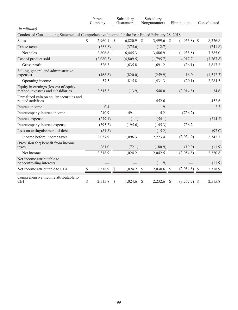|                                                                                                | Parent<br>Company        | Subsidiary<br>Guarantors | Subsidiary<br>Nonguarantors | Eliminations                    | Consolidated |
|------------------------------------------------------------------------------------------------|--------------------------|--------------------------|-----------------------------|---------------------------------|--------------|
| (in millions)                                                                                  |                          |                          |                             |                                 |              |
| Condensed Consolidating Statement of Comprehensive Income for the Year Ended February 28, 2018 |                          |                          |                             |                                 |              |
| <b>Sales</b>                                                                                   | 2,960.1<br>S             | <sup>\$</sup><br>6,820.9 | -S<br>3,499.6               | $\mathcal{S}$<br>$(4,953.8)$ \$ | 8,326.8      |
| Excise taxes                                                                                   | (353.5)                  | (375.6)                  | (12.7)                      |                                 | (741.8)      |
| Net sales                                                                                      | 2,606.6                  | 6,445.3                  | 3,486.9                     | (4,953.8)                       | 7,585.0      |
| Cost of product sold                                                                           | (2,080.3)                | (4,809.5)                | (1,795.7)                   | 4,917.7                         | (3,767.8)    |
| Gross profit                                                                                   | 526.3                    | 1,635.8                  | 1,691.2                     | (36.1)                          | 3,817.2      |
| Selling, general and administrative<br>expenses                                                | (468.8)                  | (820.0)                  | (259.9)                     | 16.0                            | (1, 532.7)   |
| Operating income                                                                               | 57.5                     | 815.8                    | 1,431.3                     | (20.1)                          | 2,284.5      |
| Equity in earnings (losses) of equity<br>method investees and subsidiaries                     | 2,515.3                  | (13.9)                   | 548.0                       | (3,014.8)                       | 34.6         |
| Unrealized gain on equity securities and<br>related activities                                 |                          |                          | 452.6                       |                                 | 452.6        |
| Interest income                                                                                | 0.4                      |                          | 1.9                         |                                 | 2.3          |
| Intercompany interest income                                                                   | 240.9                    | 491.1                    | 4.2                         | (736.2)                         |              |
| Interest expense                                                                               | (279.1)                  | (1.1)                    | (54.1)                      |                                 | (334.3)      |
| Intercompany interest expense                                                                  | (395.3)                  | (195.6)                  | (145.3)                     | 736.2                           |              |
| Loss on extinguishment of debt                                                                 | (81.8)                   |                          | (15.2)                      |                                 | (97.0)       |
| Income before income taxes                                                                     | 2,057.9                  | 1,096.3                  | 2,223.4                     | (3,034.9)                       | 2,342.7      |
| (Provision for) benefit from income<br>taxes                                                   | 261.0                    | (72.1)                   | (180.9)                     | (19.9)                          | (11.9)       |
| Net income                                                                                     | 2,318.9                  | 1,024.2                  | 2,042.5                     | (3,054.8)                       | 2,330.8      |
| Net income attributable to<br>noncontrolling interests                                         |                          |                          | (11.9)                      |                                 | (11.9)       |
| Net income attributable to CBI                                                                 | 2,318.9<br>$\mathcal{S}$ | $\mathcal{S}$<br>1,024.2 | $\mathcal{S}$<br>2,030.6    | $\mathcal{S}$<br>$(3,054.8)$ \$ | 2,318.9      |
| Comprehensive income attributable to<br><b>CBI</b>                                             | $\mathbb{S}$<br>2,515.8  | 1,024.6<br><sup>S</sup>  | 2,232.6<br><sup>S</sup>     | $(3,257.2)$ \$<br><sup>S</sup>  | 2,515.8      |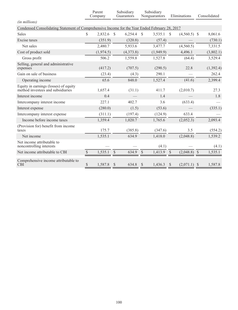|                                                                                                | Parent<br>Company |           | Subsidiary<br>Guarantors | Subsidiary<br>Nonguarantors | Eliminations                    | Consolidated |
|------------------------------------------------------------------------------------------------|-------------------|-----------|--------------------------|-----------------------------|---------------------------------|--------------|
| (in millions)                                                                                  |                   |           |                          |                             |                                 |              |
| Condensed Consolidating Statement of Comprehensive Income for the Year Ended February 28, 2017 |                   |           |                          |                             |                                 |              |
| <b>Sales</b>                                                                                   | \$                | 2,832.6   | <sup>\$</sup><br>6,254.4 | <sup>S</sup><br>3,535.1     | $(4,560.5)$ \$<br><sup>\$</sup> | 8,061.6      |
| Excise taxes                                                                                   |                   | (351.9)   | (320.8)                  | (57.4)                      |                                 | (730.1)      |
| Net sales                                                                                      |                   | 2,480.7   | 5,933.6                  | 3,477.7                     | (4,560.5)                       | 7,331.5      |
| Cost of product sold                                                                           |                   | (1,974.5) | (4,373.8)                | (1,949.9)                   | 4,496.1                         | (3,802.1)    |
| Gross profit                                                                                   |                   | 506.2     | 1,559.8                  | 1,527.8                     | (64.4)                          | 3,529.4      |
| Selling, general and administrative<br>expenses                                                |                   | (417.2)   | (707.5)                  | (290.5)                     | 22.8                            | (1, 392.4)   |
| Gain on sale of business                                                                       |                   | (23.4)    | (4.3)                    | 290.1                       |                                 | 262.4        |
| Operating income                                                                               |                   | 65.6      | 848.0                    | 1,527.4                     | (41.6)                          | 2,399.4      |
| Equity in earnings (losses) of equity<br>method investees and subsidiaries                     |                   | 1,657.4   | (31.1)                   | 411.7                       | (2,010.7)                       | 27.3         |
| Interest income                                                                                |                   | 0.4       |                          | 1.4                         |                                 | 1.8          |
| Intercompany interest income                                                                   |                   | 227.1     | 402.7                    | 3.6                         | (633.4)                         |              |
| Interest expense                                                                               |                   | (280.0)   | (1.5)                    | (53.6)                      |                                 | (335.1)      |
| Intercompany interest expense                                                                  |                   | (311.1)   | (197.4)                  | (124.9)                     | 633.4                           |              |
| Income before income taxes                                                                     |                   | 1,359.4   | 1,020.7                  | 1,765.6                     | (2,052.3)                       | 2,093.4      |
| (Provision for) benefit from income<br>taxes                                                   |                   | 175.7     | (385.8)                  | (347.6)                     | 3.5                             | (554.2)      |
| Net income                                                                                     |                   | 1,535.1   | 634.9                    | 1,418.0                     | (2,048.8)                       | 1,539.2      |
| Net income attributable to<br>noncontrolling interests                                         |                   |           |                          | (4.1)                       |                                 | (4.1)        |
| Net income attributable to CBI                                                                 | S                 | 1,535.1   | $\mathcal{S}$<br>634.9   | 1,413.9<br>$\mathcal{S}$    | $(2,048.8)$ \$<br>$\mathcal{S}$ | 1,535.1      |
| Comprehensive income attributable to<br><b>CBI</b>                                             | \$                | 1,587.8   | 634.8<br>$\mathcal{S}$   | $\mathcal{S}$<br>1,436.3    | $\mathcal{S}$<br>$(2,071.1)$ \$ | 1,587.8      |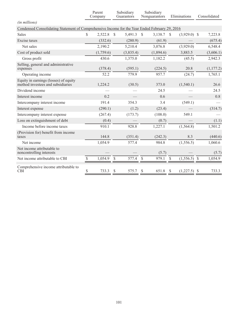|                                                                                                |    | Parent<br>Company |               | Subsidiary<br>Guarantors |               | Subsidiary<br>Nonguarantors |             | Eliminations   | Consolidated |
|------------------------------------------------------------------------------------------------|----|-------------------|---------------|--------------------------|---------------|-----------------------------|-------------|----------------|--------------|
| (in millions)                                                                                  |    |                   |               |                          |               |                             |             |                |              |
| Condensed Consolidating Statement of Comprehensive Income for the Year Ended February 29, 2016 |    |                   |               |                          |               |                             |             |                |              |
| <b>Sales</b>                                                                                   | S  | 2,522.8           | S             | 5,491.3                  | <sup>\$</sup> | 3,138.7                     | -S          | $(3,929.0)$ \$ | 7,223.8      |
| Excise taxes                                                                                   |    | (332.6)           |               | (280.9)                  |               | (61.9)                      |             |                | (675.4)      |
| Net sales                                                                                      |    | 2,190.2           |               | 5,210.4                  |               | 3,076.8                     |             | (3,929.0)      | 6,548.4      |
| Cost of product sold                                                                           |    | (1,759.6)         |               | (3,835.4)                |               | (1,894.6)                   |             | 3,883.5        | (3,606.1)    |
| Gross profit                                                                                   |    | 430.6             |               | 1,375.0                  |               | 1,182.2                     |             | (45.5)         | 2,942.3      |
| Selling, general and administrative<br>expenses                                                |    | (378.4)           |               | (595.1)                  |               | (224.5)                     |             | 20.8           | (1,177.2)    |
| Operating income                                                                               |    | 52.2              |               | 779.9                    |               | 957.7                       |             | (24.7)         | 1,765.1      |
| Equity in earnings (losses) of equity<br>method investees and subsidiaries                     |    | 1,224.2           |               | (30.5)                   |               | 373.0                       |             | (1,540.1)      | 26.6         |
| Dividend income                                                                                |    |                   |               |                          |               | 24.5                        |             |                | 24.5         |
| Interest income                                                                                |    | 0.2               |               |                          |               | 0.6                         |             |                | 0.8          |
| Intercompany interest income                                                                   |    | 191.4             |               | 354.3                    |               | 3.4                         |             | (549.1)        |              |
| Interest expense                                                                               |    | (290.1)           |               | (1.2)                    |               | (23.4)                      |             |                | (314.7)      |
| Intercompany interest expense                                                                  |    | (267.4)           |               | (173.7)                  |               | (108.0)                     |             | 549.1          |              |
| Loss on extinguishment of debt                                                                 |    | (0.4)             |               |                          |               | (0.7)                       |             |                | (1.1)        |
| Income before income taxes                                                                     |    | 910.1             |               | 928.8                    |               | 1,227.1                     |             | (1, 564.8)     | 1,501.2      |
| (Provision for) benefit from income<br>taxes                                                   |    | 144.8             |               | (351.4)                  |               | (242.3)                     |             | 8.3            | (440.6)      |
| Net income                                                                                     |    | 1,054.9           |               | 577.4                    |               | 984.8                       |             | (1, 556.5)     | 1,060.6      |
| Net income attributable to<br>noncontrolling interests                                         |    |                   |               |                          |               | (5.7)                       |             |                | (5.7)        |
| Net income attributable to CBI                                                                 | \$ | 1,054.9           | $\mathcal{S}$ | 577.4                    | $\mathcal{S}$ | 979.1                       | $\mathbf S$ | $(1,556.5)$ \$ | 1,054.9      |
| Comprehensive income attributable to<br><b>CBI</b>                                             | \$ | 733.3             | $\mathcal{S}$ | 575.7                    | $\mathcal{S}$ | 651.8                       | $\sqrt{\ }$ | $(1,227.5)$ \$ | 733.3        |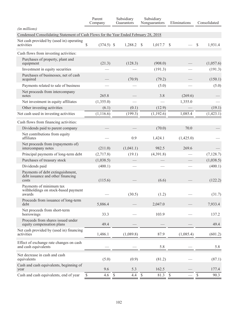|                                                                                      | Parent<br>Company  | Subsidiary<br>Guarantors | Subsidiary<br>Nonguarantors | Eliminations  | Consolidated             |
|--------------------------------------------------------------------------------------|--------------------|--------------------------|-----------------------------|---------------|--------------------------|
| (in millions)                                                                        |                    |                          |                             |               |                          |
| Condensed Consolidating Statement of Cash Flows for the Year Ended February 28, 2018 |                    |                          |                             |               |                          |
| Net cash provided by (used in) operating<br>activities                               | \$<br>$(374.5)$ \$ | $1,288.2$ \$             | 1,017.7                     | $\mathcal{S}$ | $\mathcal{S}$<br>1,931.4 |
| Cash flows from investing activities:                                                |                    |                          |                             |               |                          |
| Purchases of property, plant and<br>equipment                                        | (21.3)             | (128.3)                  | (908.0)                     |               | (1,057.6)                |
| Investment in equity securities                                                      |                    |                          | (191.3)                     |               | (191.3)                  |
| Purchases of businesses, net of cash<br>acquired                                     |                    | (70.9)                   | (79.2)                      |               | (150.1)                  |
| Payments related to sale of business                                                 |                    |                          | (5.0)                       |               | (5.0)                    |
| Net proceeds from intercompany                                                       |                    |                          |                             |               |                          |
| notes                                                                                | 265.8              |                          | 3.8                         | (269.6)       |                          |
| Net investment in equity affiliates                                                  | (1,355.0)          |                          |                             | 1,355.0       |                          |
| Other investing activities                                                           | (6.1)              | (0.1)                    | (12.9)                      |               | (19.1)                   |
| Net cash used in investing activities                                                | (1,116.6)          | (199.3)                  | (1,192.6)                   | 1,085.4       | (1,423.1)                |
| Cash flows from financing activities:                                                |                    |                          |                             |               |                          |
| Dividends paid to parent company                                                     |                    |                          | (70.0)                      | 70.0          |                          |
| Net contributions from equity<br>affiliates                                          |                    | 0.9                      | 1,424.1                     | (1,425.0)     |                          |
| Net proceeds from (repayments of)<br>intercompany notes                              | (211.0)            | (1,041.1)                | 982.5                       | 269.6         |                          |
| Principal payments of long-term debt                                                 | (2,717.8)          | (19.1)                   | (4,391.8)                   |               | (7, 128.7)               |
| Purchases of treasury stock                                                          | (1,038.5)          |                          |                             |               | (1,038.5)                |
| Dividends paid                                                                       | (400.1)            |                          |                             |               | (400.1)                  |
| Payments of debt extinguishment,<br>debt issuance and other financing<br>costs       | (115.6)            |                          | (6.6)                       |               | (122.2)                  |
| Payments of minimum tax<br>withholdings on stock-based payment<br>awards             |                    | (30.5)                   | (1.2)                       |               | (31.7)                   |
| Proceeds from issuance of long-term<br>debt                                          | 5,886.4            |                          | 2,047.0                     |               | 7,933.4                  |
| Net proceeds from short-term<br>borrowings                                           | 33.3               |                          | 103.9                       |               | 137.2                    |
| Proceeds from shares issued under<br>equity compensation plans                       | 49.4               |                          |                             |               | 49.4                     |
| Net cash provided by (used in) financing<br>activities                               | 1,486.1            | (1,089.8)                | 87.9                        | (1,085.4)     | (601.2)                  |
| Effect of exchange rate changes on cash<br>and cash equivalents                      |                    |                          | 5.8                         |               | 5.8                      |
| Net decrease in cash and cash<br>equivalents                                         | (5.0)              | (0.9)                    | (81.2)                      |               | (87.1)                   |
| Cash and cash equivalents, beginning of<br>year                                      | 9.6                | 5.3                      | 162.5                       |               | 177.4                    |
| Cash and cash equivalents, end of year                                               | 4.6<br>\$          | $\mathbb{S}$<br>4.4      | $\mathbb{S}$<br>81.3        | $\mathbb S$   | $\mathbb{S}$<br>90.3     |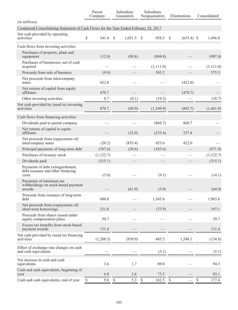|                                                                                      | Parent<br>Company | Subsidiary<br>Guarantors | Subsidiary<br>Nonguarantors | Eliminations                  | Consolidated          |
|--------------------------------------------------------------------------------------|-------------------|--------------------------|-----------------------------|-------------------------------|-----------------------|
| (in millions)                                                                        |                   |                          |                             |                               |                       |
| Condensed Consolidating Statement of Cash Flows for the Year Ended February 28, 2017 |                   |                          |                             |                               |                       |
| Net cash provided by operating<br>activities                                         | \$<br>341.4 \$    | $1,051.5$ \$             | 958.5                       | $\mathcal{S}$<br>$(655.4)$ \$ | 1,696.0               |
| Cash flows from investing activities:                                                |                   |                          |                             |                               |                       |
| Purchases of property, plant and<br>equipment                                        | (12.8)            | (89.8)                   | (804.8)                     |                               | (907.4)               |
| Purchases of businesses, net of cash<br>acquired                                     |                   |                          | (1,111.0)                   |                               | (1, 111.0)            |
| Proceeds from sale of business                                                       | (9.9)             |                          | 585.2                       |                               | 575.3                 |
| Net proceeds from intercompany<br>notes                                              | 422.0             |                          |                             | (422.0)                       |                       |
| Net returns of capital from equity<br>affiliates                                     | 470.7             |                          |                             | (470.7)                       |                       |
| Other investing activities                                                           | 0.7               | (0.1)                    | (19.3)                      |                               | (18.7)                |
| Net cash provided by (used in) investing<br>activities                               | 870.7             | (89.9)                   | (1,349.9)                   | (892.7)                       | (1,461.8)             |
| Cash flows from financing activities:                                                |                   |                          |                             |                               |                       |
| Dividends paid to parent company                                                     |                   |                          | (868.7)                     | 868.7                         |                       |
| Net returns of capital to equity<br>affiliates                                       |                   | (22.0)                   | (235.4)                     | 257.4                         |                       |
| Net proceeds from (repayments of)<br>intercompany notes                              | (20.2)            | (855.4)                  | 453.6                       | 422.0                         |                       |
| Principal payments of long-term debt                                                 | (767.6)           | (20.6)                   | (183.6)                     |                               | (971.8)               |
| Purchases of treasury stock                                                          | (1, 122.7)        |                          |                             |                               | (1,122.7)             |
| Dividends paid                                                                       | (315.1)           |                          |                             |                               | (315.1)               |
| Payments of debt extinguishment,<br>debt issuance and other financing<br>costs       | (5.0)             |                          | (9.1)                       |                               | (14.1)                |
| Payments of minimum tax<br>withholdings on stock-based payment<br>awards             |                   | (61.9)                   | (3.0)                       |                               | (64.9)                |
| Proceeds from issuance of long-term<br>debt                                          | 600.0             |                          | 1,365.6                     |                               | 1,965.6               |
| Net proceeds from (repayments of)<br>short-term borrowings                           | 231.0             |                          | (33.9)                      |                               | 197.1                 |
| Proceeds from shares issued under<br>equity compensation plans                       | 59.7              |                          |                             |                               | 59.7                  |
| Excess tax benefits from stock-based<br>payment awards                               | 131.4             |                          |                             |                               | 131.4                 |
| Net cash provided by (used in) financing<br>activities                               | (1,208.5)         | (959.9)                  | 485.5                       | 1,548.1                       | (134.8)               |
| Effect of exchange rate changes on cash<br>and cash equivalents                      |                   |                          | (5.1)                       |                               | (5.1)                 |
| Net increase in cash and cash<br>equivalents                                         | 3.6               | 1.7                      | 89.0                        |                               | 94.3                  |
| Cash and cash equivalents, beginning of<br>year                                      | 6.0               | 3.6                      | 73.5                        |                               | 83.1                  |
| Cash and cash equivalents, end of year                                               | 9.6<br>\$         | 5.3<br>$\mathcal{S}$     | $\mathcal{S}$<br>$162.5$ \$ |                               | $\mathbb{S}$<br>177.4 |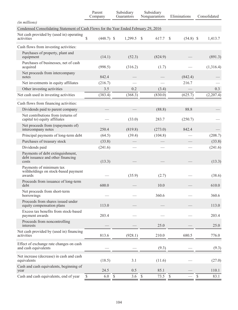|                                                                                      | Parent<br>Company  | Subsidiary<br>Guarantors | Subsidiary<br>Nonguarantors | Eliminations                | Consolidated |  |
|--------------------------------------------------------------------------------------|--------------------|--------------------------|-----------------------------|-----------------------------|--------------|--|
| (in millions)                                                                        |                    |                          |                             |                             |              |  |
| Condensed Consolidating Statement of Cash Flows for the Year Ended February 29, 2016 |                    |                          |                             |                             |              |  |
| Net cash provided by (used in) operating<br>activities                               | \$<br>$(448.7)$ \$ | $1,299.5$ \$             | 617.7                       | $\mathbb{S}$<br>$(54.8)$ \$ | 1,413.7      |  |
| Cash flows from investing activities:                                                |                    |                          |                             |                             |              |  |
| Purchases of property, plant and<br>equipment                                        | (14.1)             | (52.3)                   | (824.9)                     |                             | (891.3)      |  |
| Purchases of businesses, net of cash<br>acquired                                     | (998.5)            | (316.2)                  | (1.7)                       |                             | (1,316.4)    |  |
| Net proceeds from intercompany<br>notes                                              | 842.4              |                          |                             | (842.4)                     |              |  |
| Net investments in equity affiliates                                                 | (216.7)            |                          |                             | 216.7                       |              |  |
| Other investing activities                                                           | 3.5                | 0.2                      | (3.4)                       |                             | 0.3          |  |
| Net cash used in investing activities                                                | (383.4)            | (368.3)                  | (830.0)                     | (625.7)                     | (2,207.4)    |  |
| Cash flows from financing activities:                                                |                    |                          |                             |                             |              |  |
| Dividends paid to parent company                                                     |                    |                          | (88.8)                      | 88.8                        |              |  |
| Net contributions from (returns of<br>capital to) equity affiliates                  |                    | (33.0)                   | 283.7                       | (250.7)                     |              |  |
| Net proceeds from (repayments of)<br>intercompany notes                              | 250.4              | (819.8)                  | (273.0)                     | 842.4                       |              |  |
| Principal payments of long-term debt                                                 | (64.5)             | (39.4)                   | (104.8)                     |                             | (208.7)      |  |
| Purchases of treasury stock                                                          | (33.8)             |                          |                             |                             | (33.8)       |  |
| Dividends paid                                                                       | (241.6)            |                          |                             |                             | (241.6)      |  |
| Payments of debt extinguishment,<br>debt issuance and other financing<br>costs       | (13.3)             |                          |                             |                             | (13.3)       |  |
| Payments of minimum tax<br>withholdings on stock-based payment<br>awards             |                    | (35.9)                   | (2.7)                       |                             | (38.6)       |  |
| Proceeds from issuance of long-term<br>debt                                          | 600.0              |                          | 10.0                        |                             | 610.0        |  |
| Net proceeds from short-term<br>borrowings                                           |                    |                          | 360.6                       |                             | 360.6        |  |
| Proceeds from shares issued under<br>equity compensation plans                       | 113.0              |                          |                             |                             | 113.0        |  |
| Excess tax benefits from stock-based<br>payment awards                               | 203.4              |                          |                             |                             | 203.4        |  |
| Proceeds from noncontrolling<br>interests                                            |                    |                          | 25.0                        |                             | 25.0         |  |
| Net cash provided by (used in) financing<br>activities                               | 813.6              | (928.1)                  | 210.0                       | 680.5                       | 776.0        |  |
| Effect of exchange rate changes on cash<br>and cash equivalents                      |                    |                          | (9.3)                       |                             | (9.3)        |  |
| Net increase (decrease) in cash and cash<br>equivalents                              | (18.5)             | 3.1                      | (11.6)                      |                             | (27.0)       |  |
| Cash and cash equivalents, beginning of<br>year                                      | 24.5               | 0.5                      | 85.1                        |                             | 110.1        |  |
| Cash and cash equivalents, end of year                                               | 6.0<br>\$          | 3.6<br>$\mathbb S$       | $\mathbb S$<br>73.5         | $\mathbb{S}$                | \$<br>83.1   |  |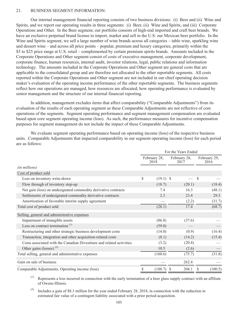### 21. BUSINESS SEGMENT INFORMATION:

Our internal management financial reporting consists of two business divisions: (i) Beer and (ii) Wine and Spirits, and we report our operating results in three segments: (i)Beer, (ii)Wine and Spirits, and (iii)Corporate Operations and Other. In the Beer segment, our portfolio consists of high-end imported and craft beer brands. We have an exclusive perpetual brand license to import, market and sell in the U.S. our Mexican beer portfolio. In the Wine and Spirits segment, we sell a large number of wine brands across all categories – table wine, sparkling wine and dessert wine – and across all price points – popular, premium and luxury categories, primarily within the \$5 to \$25 price range at U.S. retail – complemented by certain premium spirits brands. Amounts included in the Corporate Operations and Other segment consist of costs of executive management, corporate development, corporate finance, human resources, internal audit, investor relations, legal, public relations and information technology. The amounts included in the Corporate Operations and Other segment are general costs that are applicable to the consolidated group and are therefore not allocated to the other reportable segments. All costs reported within the Corporate Operations and Other segment are not included in our chief operating decision maker's evaluation of the operating income performance of the other reportable segments. The business segments reflect how our operations are managed, how resources are allocated, how operating performance is evaluated by senior management and the structure of our internal financial reporting.

In addition, management excludes items that affect comparability ("Comparable Adjustments") from its evaluation of the results of each operating segment as these Comparable Adjustments are not reflective of core operations of the segments. Segment operating performance and segment management compensation are evaluated based upon core segment operating income (loss). As such, the performance measures for incentive compensation purposes for segment management do not include the impact of these Comparable Adjustments.

We evaluate segment operating performance based on operating income (loss) of the respective business units. Comparable Adjustments that impacted comparability in our segment operating income (loss) for each period are as follows:

|                                                                       |                      |              | For the Years Ended  |                      |
|-----------------------------------------------------------------------|----------------------|--------------|----------------------|----------------------|
|                                                                       | February 28,<br>2018 |              | February 28,<br>2017 | February 29,<br>2016 |
| (in millions)                                                         |                      |              |                      |                      |
| Cost of product sold                                                  |                      |              |                      |                      |
| Loss on inventory write-down                                          | \$                   | $(19.1)$ \$  |                      | \$                   |
| Flow through of inventory step-up                                     |                      | (18.7)       | (20.1)               | (18.4)               |
| Net gain (loss) on undesignated commodity derivative contracts        |                      | 7.4          | 16.3                 | (48.1)               |
| Settlements of undesignated commodity derivative contracts            |                      | 2.3          | 23.4                 | 29.5                 |
| Amortization of favorable interim supply agreement                    |                      |              | (2.2)                | (31.7)               |
| Total cost of product sold                                            |                      | (28.1)       | 17.4                 | (68.7)               |
| Selling, general and administrative expenses                          |                      |              |                      |                      |
| Impairment of intangible assets                                       |                      | (86.8)       | (37.6)               |                      |
| Loss on contract termination $(1)$                                    |                      | (59.0)       |                      |                      |
| Restructuring and other strategic business development costs          |                      | (14.0)       | (0.9)                | (16.4)               |
| Transaction, integration and other acquisition-related costs          |                      | (8.1)        | (14.2)               | (15.4)               |
| Costs associated with the Canadian Divestiture and related activities |                      | (3.2)        | (20.4)               |                      |
| Other gains (losses) <sup>(2)</sup>                                   |                      | 10.5         | (2.6)                |                      |
| Total selling, general and administrative expenses                    |                      | (160.6)      | (75.7)               | (31.8)               |
| Gain on sale of business                                              |                      |              | 262.4                |                      |
| Comparable Adjustments, Operating income (loss)                       | \$                   | $(188.7)$ \$ | 204.1                | (100.5)<br>S         |

- $(1)$  Represents a loss incurred in connection with the early termination of a beer glass supply contract with an affiliate of Owens-Illinois.
- (2) Includes a gain of \$8.1 million for the year ended February 28, 2018, in connection with the reduction in estimated fair value of a contingent liability associated with a prior period acquisition.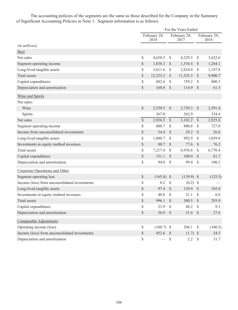The accounting policies of the segments are the same as those described for the Company in the Summary of Significant Accounting Policies in Note 1. Segment information is as follows:

|                                               | For the Years Ended |                      |                      |              |               |                      |
|-----------------------------------------------|---------------------|----------------------|----------------------|--------------|---------------|----------------------|
|                                               |                     | February 28,<br>2018 | February 28,<br>2017 |              |               | February 29,<br>2016 |
| (in millions)                                 |                     |                      |                      |              |               |                      |
| Beer                                          |                     |                      |                      |              |               |                      |
| Net sales                                     | \$                  | 4,658.5              | $\$$                 | 4,229.3      | $\$$          | 3,622.6              |
| Segment operating income                      | \$                  | 1,838.3              | $\mathbb{S}$         | 1,534.4      | $\mathbb{S}$  | 1,264.1              |
| Long-lived tangible assets                    | \$                  | 3,611.6              | \$                   | 2,810.0      | \$            | 2,187.8              |
| Total assets                                  | \$                  | 12,325.2             | \$                   | 11,325.3     | \$            | 9,900.7              |
| Capital expenditures                          | \$                  | 882.6                | \$                   | 759.2        | \$            | 800.3                |
| Depreciation and amortization                 | \$                  | 168.8                | $\mathcal{S}$        | 114.9        | $\mathbb{S}$  | 61.5                 |
| Wine and Spirits                              |                     |                      |                      |              |               |                      |
| Net sales:                                    |                     |                      |                      |              |               |                      |
| Wine                                          | \$                  | 2,559.5              | $\sqrt{\ }$          | 2,739.3      | $\mathbb S$   | 2,591.4              |
| Spirits                                       |                     | 367.0                |                      | 362.9        |               | 334.4                |
| Net sales                                     | $\mathcal{S}$       | 2,926.5              | $\mathcal{S}$        | 3,102.2      | $\mathbb{S}$  | 2,925.8              |
| Segment operating income                      | \$                  | 800.7                | \$                   | 800.8        | $\mathbb{S}$  | 727.0                |
| Income from unconsolidated investments        | \$                  | 34.4                 | \$                   | 29.2         | \$            | 26.6                 |
| Long-lived tangible assets                    | \$                  | 1,080.7              | \$                   | 992.9        | \$            | 1,039.8              |
| Investments in equity method investees        | \$                  | 80.7                 | \$                   | 77.6         | \$            | 76.2                 |
| Total assets                                  | \$                  | 7,217.4              | \$                   | 6,976.6      | $\mathbb{S}$  | 6,770.4              |
| Capital expenditures                          | \$                  | 151.1                | \$                   | 100.0        | \$            | 81.7                 |
| Depreciation and amortization                 | \$                  | 94.0                 | $\mathcal{S}$        | 99.4         | $\mathcal{S}$ | 100.2                |
| Corporate Operations and Other                |                     |                      |                      |              |               |                      |
| Segment operating loss                        | \$                  | $(165.8)$ \$         |                      | $(139.9)$ \$ |               | (125.5)              |
| Income (loss) from unconsolidated investments | \$                  | 0.2                  | \$                   | $(0.2)$ \$   |               |                      |
| Long-lived tangible assets                    | \$                  | 97.4                 | \$                   | 129.9        | $\mathcal{S}$ | 105.8                |
| Investments in equity method investees        | \$                  | 40.8                 | \$                   | 21.1         | \$            | 6.0                  |
| <b>Total</b> assets                           | \$                  | 996.1                | $\mathbb{S}$         | 300.5        | \$            | 293.9                |
| Capital expenditures                          | \$                  | 23.9                 | \$                   | 48.2         | \$            | 9.3                  |
| Depreciation and amortization                 | \$                  | $36.9$ \$            |                      | $31.4$ \$    |               | 27.6                 |
| Comparable Adjustments                        |                     |                      |                      |              |               |                      |
| Operating income (loss)                       | $\mathbb{S}$        | $(188.7)$ \$         |                      | 204.1        | $\$$          | (100.5)              |
| Income (loss) from unconsolidated investments | \$                  | 452.6 \$             |                      | $(1.7)$ \$   |               | 24.5                 |
| Depreciation and amortization                 | \$                  |                      | $\mathbb{S}$         | 2.2 S        |               | 31.7                 |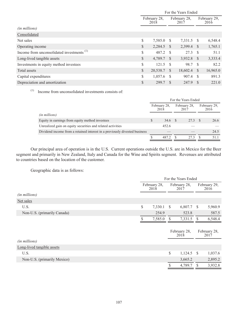|                                                       | For the Years Ended  |              |               |                      |              |                      |
|-------------------------------------------------------|----------------------|--------------|---------------|----------------------|--------------|----------------------|
|                                                       | February 28,<br>2018 |              |               | February 28,<br>2017 |              | February 29,<br>2016 |
| (in millions)                                         |                      |              |               |                      |              |                      |
| Consolidated                                          |                      |              |               |                      |              |                      |
| Net sales                                             | \$                   | 7,585.0 \$   |               | 7,331.5 \$           |              | 6,548.4              |
| Operating income                                      | \$                   | 2,284.5      | <sup>S</sup>  | $2,399.4$ \$         |              | 1,765.1              |
| Income from unconsolidated investments <sup>(1)</sup> | \$                   | 487.2 \$     |               | $27.3$ \$            |              | 51.1                 |
| Long-lived tangible assets                            | \$                   | 4,789.7      | <sup>S</sup>  | $3,932.8$ \$         |              | 3,333.4              |
| Investments in equity method investees                | \$                   | $121.5$ \$   |               | 98.7 \$              |              | 82.2                 |
| Total assets                                          | \$                   | 20,538.7     | <sup>\$</sup> | 18,602.4             | <sup>S</sup> | 16,965.0             |
| Capital expenditures                                  | \$                   | $1,057.6$ \$ |               | 907.4 \$             |              | 891.3                |
| Depreciation and amortization                         | \$                   | 299.7        | <b>S</b>      | 247.9                | S            | 221.0                |

(1) Income from unconsolidated investments consists of:

|                                                                            | For the Years Ended  |       |                      |      |                      |      |
|----------------------------------------------------------------------------|----------------------|-------|----------------------|------|----------------------|------|
|                                                                            | February 28.<br>2018 |       | February 28.<br>2017 |      | February 29,<br>2016 |      |
| <i>(in millions)</i>                                                       |                      |       |                      |      |                      |      |
| Equity in earnings from equity method investees                            | S                    | 34.6  |                      | 27.3 | <b>S</b>             | 26.6 |
| Unrealized gain on equity securities and related activities                |                      | 452.6 |                      |      |                      |      |
| Dividend income from a retained interest in a previously divested business |                      |       |                      |      |                      | 24.5 |
|                                                                            |                      |       |                      |      |                      |      |

Our principal area of operation is in the U.S. Current operations outside the U.S. are in Mexico for the Beer segment and primarily in New Zealand, Italy and Canada for the Wine and Spirits segment. Revenues are attributed to countries based on the location of the customer.

Geographic data is as follows:

|                             | For the Years Ended |                      |              |                      |               |                      |  |
|-----------------------------|---------------------|----------------------|--------------|----------------------|---------------|----------------------|--|
|                             |                     | February 28,<br>2018 |              | February 28,<br>2017 |               | February 29,<br>2016 |  |
| (in millions)               |                     |                      |              |                      |               |                      |  |
| Net sales                   |                     |                      |              |                      |               |                      |  |
| U.S.                        | \$                  | 7,330.1              | $\mathbb{S}$ | $6,807.7$ \$         |               | 5,960.9              |  |
| Non-U.S. (primarily Canada) |                     | 254.9                |              | 523.8                |               | 587.5                |  |
|                             | <sup>\$</sup>       | 7,585.0              | $\mathbb{S}$ | 7,331.5              | $\mathcal{S}$ | 6,548.4              |  |
|                             |                     |                      |              | February 28,<br>2018 |               | February 28,<br>2017 |  |
| (in millions)               |                     |                      |              |                      |               |                      |  |
| Long-lived tangible assets  |                     |                      |              |                      |               |                      |  |
| U.S.                        |                     |                      | \$           | 1,124.5              | - \$          | 1,037.6              |  |
| Non-U.S. (primarily Mexico) |                     |                      |              | 3,665.2              |               | 2,895.2              |  |
|                             |                     |                      | \$           | 4,789.7              | \$            | 3,932.8              |  |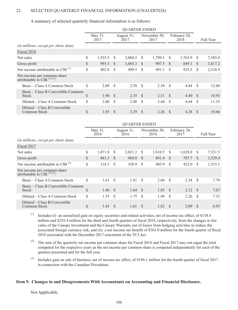# 22. SELECTED QUARTERLY FINANCIAL INFORMATION (UNAUDITED):

|                                                                  | <b>QUARTER ENDED</b> |                 |               |                    |              |                      |               |                      |               |                  |
|------------------------------------------------------------------|----------------------|-----------------|---------------|--------------------|--------------|----------------------|---------------|----------------------|---------------|------------------|
|                                                                  |                      | May 31,<br>2017 |               | August 31,<br>2017 |              | November 30,<br>2017 |               | February 28,<br>2018 |               | <b>Full Year</b> |
| (in millions, except per share data)                             |                      |                 |               |                    |              |                      |               |                      |               |                  |
| Fiscal 2018                                                      |                      |                 |               |                    |              |                      |               |                      |               |                  |
| Net sales                                                        | \$                   | 1,935.5         | <sup>\$</sup> | 2,084.5            | <sup>S</sup> | 1,799.1              | S             | 1,765.9              | S             | 7,585.0          |
| Gross profit                                                     | $\mathcal{S}$        | 995.3           | -S            | 1,065.3            | - \$         | 907.5                | <sup>S</sup>  | 849.1                | S.            | 3,817.2          |
| Net income attributable to CBI $(1)$                             | \$                   | 402.8           | <sup>\$</sup> | 499.5              | -S           | 491.1                | $\mathcal{S}$ | 925.5                | -S            | 2,318.9          |
| Net income per common share<br>attributable to CBI $^{(1)(2)}$ : |                      |                 |               |                    |              |                      |               |                      |               |                  |
| Basic – Class A Common Stock                                     | <sup>\$</sup>        | 2.09            | <sup>\$</sup> | 2.58               | - \$         | 2.54                 | - \$          | 4.84                 | - \$          | 12.04            |
| Basic – Class B Convertible Common<br><b>Stock</b>               | S                    | 1.90            | -S            | 2.35               | - \$         | 2.31                 | - \$          | 4.40                 | - S           | 10.93            |
| Diluted – Class A Common Stock                                   | S                    | 2.00            | <sup>\$</sup> | 2.48               | <sup>S</sup> | 2.44                 | <sup>\$</sup> | 4.64                 | -S            | 11.55            |
| Diluted – Class B Convertible<br>Common Stock                    | \$                   | 1.85            | <sup>\$</sup> | 2.29               |              | 2.26                 | - \$          | 4.28                 | <sup>\$</sup> | 10.66            |

A summary of selected quarterly financial information is as follows:

|                                                                        | <b>QUARTER ENDED</b> |                 |               |                    |               |                      |               |                      |              |                  |
|------------------------------------------------------------------------|----------------------|-----------------|---------------|--------------------|---------------|----------------------|---------------|----------------------|--------------|------------------|
|                                                                        |                      | May 31,<br>2016 |               | August 31,<br>2016 |               | November 30,<br>2016 |               | February 28,<br>2017 |              | <b>Full Year</b> |
| (in millions, except per share data)                                   |                      |                 |               |                    |               |                      |               |                      |              |                  |
| Fiscal 2017                                                            |                      |                 |               |                    |               |                      |               |                      |              |                  |
| Net sales                                                              | \$                   | 1,871.8         | <sup>S</sup>  | 2,021.2            | -S            | 1,810.5              | <sup>S</sup>  | 1,628.0              | <sup>S</sup> | 7,331.5          |
| Gross profit                                                           | $\mathbb{S}$         | 881.3           | <sup>\$</sup> | 969.0              | <sup>\$</sup> | 891.4                | <sup>S</sup>  | 787.7                | S            | 3,529.4          |
| Net income attributable to CBI $^{(3)}$                                | S                    | 318.3           | -S            | 358.9              | -S            | 405.9                | <sup>\$</sup> | 452.0                | -S           | 1,535.1          |
| Net income per common share<br>attributable to CBI <sup>(2)(3)</sup> : |                      |                 |               |                    |               |                      |               |                      |              |                  |
| Basic – Class A Common Stock                                           | \$                   | 1.61            | $\mathbb{S}$  | 1.81               | - \$          | 2.04                 | - \$          | 2.34                 | $\mathbf{s}$ | 7.79             |
| Basic – Class B Convertible Common<br><b>Stock</b>                     | \$                   | 1.46            | - \$          | 1.64               | - \$          | 1.85                 | - \$          | $2.12 \quad$ \$      |              | 7.07             |
| Diluted - Class A Common Stock                                         | \$                   | 1.55            | -S            | 1.75               | -\$           | 1.98                 | $\mathbb{S}$  | 2.26                 | - \$         | 7.52             |
| Diluted – Class B Convertible<br>Common Stock                          | S                    | 1.43            | <sup>\$</sup> | 1.61               | <sup>\$</sup> | 1.82                 | -S            | 2.09                 | S.           | 6.93             |

(1) Includes (i) an unrealized gain on equity securities and related activities, net of income tax effect, of \$138.8 million and \$255.4 million for the third and fourth quarters of fiscal 2018, respectively, from the changes in fair value of the Canopy Investment and the Canopy Warrants, net of losses from hedging activities to reduce the associated foreign currency risk, and (ii) a net income tax benefit of \$363.0 million for the fourth quarter of fiscal 2018 associated with the December 2017 enactment of the TCJ Act.

(2) The sum of the quarterly net income per common share for Fiscal 2018 and Fiscal 2017 may not equal the total computed for the respective years as the net income per common share is computed independently for each of the quarters presented and for the full year.

(3) Includes gain on sale of business, net of income tax effect, of \$196.1 million for the fourth quarter of fiscal 2017 in connection with the Canadian Divestiture.

## **Item 9. Changes in and Disagreements With Accountants on Accounting and Financial Disclosure.**

Not Applicable.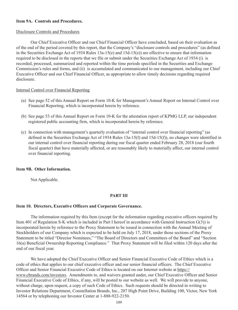## **Item 9A. Controls and Procedures.**

## Disclosure Controls and Procedures

Our Chief Executive Officer and our Chief Financial Officer have concluded, based on their evaluation as of the end of the period covered by this report, that the Company's "disclosure controls and procedures" (as defined in the Securities Exchange Act of 1934 Rules 13a-15(e) and 15d-15(e)) are effective to ensure that information required to be disclosed in the reports that we file or submit under the Securities Exchange Act of 1934 (i) is recorded, processed, summarized and reported within the time periods specified in the Securities and Exchange Commission's rules and forms, and (ii) is accumulated and communicated to our management, including our Chief Executive Officer and our Chief Financial Officer, as appropriate to allow timely decisions regarding required disclosure.

## Internal Control over Financial Reporting

- (a) See page 52 of this Annual Report on Form 10-K for Management's Annual Report on Internal Control over Financial Reporting, which is incorporated herein by reference.
- (b) See page 53 of this Annual Report on Form 10-K for the attestation report of KPMG LLP, our independent registered public accounting firm, which is incorporated herein by reference.
- (c) In connection with management's quarterly evaluation of "internal control over financial reporting" (as defined in the Securities Exchange Act of 1934 Rules 13a-15(f) and 15d-15(f)), no changes were identified in our internal control over financial reporting during our fiscal quarter ended February 28, 2018 (our fourth fiscal quarter) that have materially affected, or are reasonably likely to materially affect, our internal control over financial reporting.

# **Item 9B. Other Information.**

Not Applicable.

## **PART III**

## **Item 10. Directors, Executive Officers and Corporate Governance.**

The information required by this Item (except for the information regarding executive officers required by Item 401 of Regulation S-K which is included in Part I hereof in accordance with General Instruction G(3)) is incorporated herein by reference to the Proxy Statement to be issued in connection with the Annual Meeting of Stockholders of our Company which is expected to be held on July 17, 2018, under those sections of the Proxy Statement to be titled "Director Nominees," "The Board of Directors and Committees of the Board" and "Section 16(a) Beneficial Ownership Reporting Compliance." That Proxy Statement will be filed within 120 days after the end of our fiscal year.

We have adopted the Chief Executive Officer and Senior Financial Executive Code of Ethics which is a code of ethics that applies to our chief executive officer and our senior financial officers. The Chief Executive Officer and Senior Financial Executive Code of Ethics is located on our Internet website at https:// www.cbrands.com/investors. Amendments to, and waivers granted under, our Chief Executive Officer and Senior Financial Executive Code of Ethics, if any, will be posted to our website as well. We will provide to anyone, without charge, upon request, a copy of such Code of Ethics. Such requests should be directed in writing to Investor Relations Department, Constellation Brands, Inc., 207 High Point Drive, Building 100, Victor, New York 14564 or by telephoning our Investor Center at 1-888-922-2150.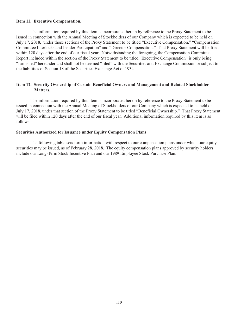## **Item 11. Executive Compensation.**

The information required by this Item is incorporated herein by reference to the Proxy Statement to be issued in connection with the Annual Meeting of Stockholders of our Company which is expected to be held on July 17, 2018, under those sections of the Proxy Statement to be titled "Executive Compensation," "Compensation Committee Interlocks and Insider Participation" and "Director Compensation." That Proxy Statement will be filed within 120 days after the end of our fiscal year. Notwithstanding the foregoing, the Compensation Committee Report included within the section of the Proxy Statement to be titled "Executive Compensation" is only being "furnished" hereunder and shall not be deemed "filed" with the Securities and Exchange Commission or subject to the liabilities of Section 18 of the Securities Exchange Act of 1934.

## **Item 12. Security Ownership of Certain Beneficial Owners and Management and Related Stockholder Matters.**

The information required by this Item is incorporated herein by reference to the Proxy Statement to be issued in connection with the Annual Meeting of Stockholders of our Company which is expected to be held on July 17, 2018, under that section of the Proxy Statement to be titled "Beneficial Ownership." That Proxy Statement will be filed within 120 days after the end of our fiscal year. Additional information required by this item is as follows:

### **Securities Authorized for Issuance under Equity Compensation Plans**

The following table sets forth information with respect to our compensation plans under which our equity securities may be issued, as of February 28, 2018. The equity compensation plans approved by security holders include our Long-Term Stock Incentive Plan and our 1989 Employee Stock Purchase Plan.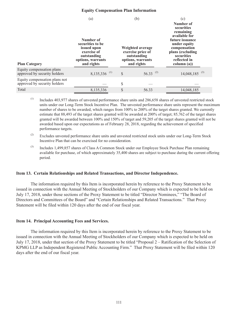### **Equity Compensation Plan Information**

| <b>Plan Category</b>                                          | (a)<br>Number of<br>securities to be<br>issued upon<br>exercise of<br>outstanding<br>options, warrants<br>and rights |              | (b)<br>Weighted average<br>exercise price of<br>outstanding<br>options, warrants<br>and rights | (c)<br>Number of<br>securities<br>remaining<br>available for<br>future issuance<br>under equity<br>compensation<br>plans (excluding<br>securities<br>reflected in<br>column (a)) |
|---------------------------------------------------------------|----------------------------------------------------------------------------------------------------------------------|--------------|------------------------------------------------------------------------------------------------|----------------------------------------------------------------------------------------------------------------------------------------------------------------------------------|
| Equity compensation plans<br>approved by security holders     | $8,135,336$ <sup>(1)</sup>                                                                                           | $\mathbb{S}$ | 56.33 <sup>(2)</sup>                                                                           | $14,048,185$ <sup>(3)</sup>                                                                                                                                                      |
| Equity compensation plans not<br>approved by security holders |                                                                                                                      | \$           |                                                                                                |                                                                                                                                                                                  |
| Total                                                         | 8,135,336                                                                                                            | \$           | 56.33                                                                                          | 14,048,185                                                                                                                                                                       |

(1) Includes 403,977 shares of unvested performance share units and 286,658 shares of unvested restricted stock units under our Long-Term Stock Incentive Plan. The unvested performance share units represent the maximum number of shares to be awarded, which ranges from 100% to 200% of the target shares granted. We currently estimate that 88,493 of the target shares granted will be awarded at 200% of target; 85,762 of the target shares granted will be awarded between 100% and 150% of target and 59,205 of the target shares granted will not be awarded based upon our expectations as of February 28, 2018, regarding the achievement of specified performance targets.

- (2) Excludes unvested performance share units and unvested restricted stock units under our Long-Term Stock Incentive Plan that can be exercised for no consideration.
- (3) Includes 1,499,857 shares of Class A Common Stock under our Employee Stock Purchase Plan remaining available for purchase, of which approximately 35,400 shares are subject to purchase during the current offering period.

#### **Item 13. Certain Relationships and Related Transactions, and Director Independence.**

The information required by this Item is incorporated herein by reference to the Proxy Statement to be issued in connection with the Annual Meeting of Stockholders of our Company which is expected to be held on July 17, 2018, under those sections of the Proxy Statement to be titled "Director Nominees," "The Board of Directors and Committees of the Board" and "Certain Relationships and Related Transactions." That Proxy Statement will be filed within 120 days after the end of our fiscal year.

## **Item 14. Principal Accounting Fees and Services.**

The information required by this Item is incorporated herein by reference to the Proxy Statement to be issued in connection with the Annual Meeting of Stockholders of our Company which is expected to be held on July 17, 2018, under that section of the Proxy Statement to be titled "Proposal 2 – Ratification of the Selection of KPMG LLP as Independent Registered Public Accounting Firm." That Proxy Statement will be filed within 120 days after the end of our fiscal year.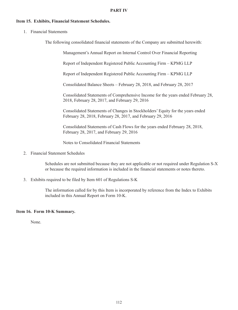## **PART IV**

# **Item 15. Exhibits, Financial Statement Schedules.**

1. Financial Statements

The following consolidated financial statements of the Company are submitted herewith:

Management's Annual Report on Internal Control Over Financial Reporting

Report of Independent Registered Public Accounting Firm – KPMG LLP

Report of Independent Registered Public Accounting Firm – KPMG LLP

Consolidated Balance Sheets – February 28, 2018, and February 28, 2017

Consolidated Statements of Comprehensive Income for the years ended February 28, 2018, February 28, 2017, and February 29, 2016

Consolidated Statements of Changes in Stockholders' Equity for the years ended February 28, 2018, February 28, 2017, and February 29, 2016

Consolidated Statements of Cash Flows for the years ended February 28, 2018, February 28, 2017, and February 29, 2016

Notes to Consolidated Financial Statements

2. Financial Statement Schedules

Schedules are not submitted because they are not applicable or not required under Regulation S-X or because the required information is included in the financial statements or notes thereto.

3. Exhibits required to be filed by Item 601 of Regulations S-K

The information called for by this Item is incorporated by reference from the Index to Exhibits included in this Annual Report on Form 10-K.

# **Item 16. Form 10-K Summary.**

None.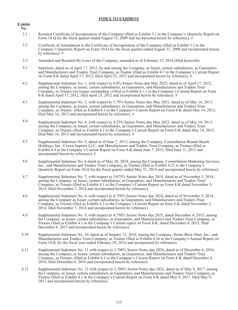## **INDEX TO EXHIBITS**

### **Exhibit**

- **No.**
	- 3.1 Restated Certificate of Incorporation of the Company (filed as Exhibit 3.1 to the Company's Quarterly Report on Form 10-Q for the fiscal quarter ended August 31, 2009 and incorporated herein by reference). #
	- 3.2 Certificate of Amendment to the Certificate of Incorporation of the Company (filed as Exhibit 3.2 to the Company's Quarterly Report on Form 10-Q for the fiscal quarter ended August 31, 2009 and incorporated herein by reference). #
	- 3.3 Amended and Restated By-Laws of the Company, amended as of February 12, 2018 (filed herewith).
	- 4.1 Indenture, dated as of April 17, 2012, by and among the Company, as Issuer, certain subsidiaries, as Guarantors and Manufacturers and Traders Trust Company, as Trustee (filed as Exhibit 4.1 to the Company's Current Report on Form 8-K dated April 17, 2012, filed April 23, 2012 and incorporated herein by reference). #
	- 4.2 Supplemental Indenture No. 1, with respect to 6.0% Senior Notes due May 2022, dated as of April 17, 2012, among the Company, as Issuer, certain subsidiaries, as Guarantors, and Manufacturers and Traders Trust Company, as Trustee (no longer outstanding ) (filed as Exhibit 4.1.1 to the Company's Current Report on Form 8-K dated April 17, 2012, filed April 23, 2012 and incorporated herein by reference). #
	- 4.3 Supplemental Indenture No. 3, with respect to 3.75% Senior Notes due May 2021, dated as of May 14, 2013, among the Company, as Issuer, certain subsidiaries, as Guarantors, and Manufacturers and Traders Trust Company, as Trustee (filed as Exhibit 4.1 to the Company's Current Report on Form 8-K dated May 14, 2013, filed May 16, 2013 and incorporated herein by reference). #
	- 4.4 Supplemental Indenture No. 4, with respect to 4.25% Senior Notes due May 2023, dated as of May 14, 2013, among the Company, as Issuer, certain subsidiaries, as Guarantors, and Manufacturers and Traders Trust Company, as Trustee (filed as Exhibit 4.2 to the Company's Current Report on Form 8-K dated May 14, 2013, filed May 16, 2013 and incorporated herein by reference). #
	- 4.5 Supplemental Indenture No. 5, dated as of June 7, 2013, among the Company, Constellation Brands Beach Holdings, Inc., Crown Imports LLC, and Manufacturers and Traders Trust Company, as Trustee (filed as Exhibit 4.4 to the Company's Current Report on Form 8-K dated June 7, 2013, filed June 11, 2013 and incorporated herein by reference). #
	- 4.6 Supplemental Indenture No. 6 dated as of May 28, 2014, among the Company, Constellation Marketing Services, Inc., and Manufacturers and Traders Trust Company, as Trustee (filed as Exhibit 4.21 to the Company's Quarterly Report on Form 10-Q for the fiscal quarter ended May 31, 2014 and incorporated herein by reference).
	- 4.7 Supplemental Indenture No. 7, with respect to 3.875% Senior Notes due 2019, dated as of November 3, 2014, among the Company, as Issuer, certain subsidiaries, as Guarantors, and Manufacturers and Traders Trust Company, as Trustee (filed as Exhibit 4.1 to the Company's Current Report on Form 8-K dated November 3, 2014, filed November 7, 2014 and incorporated herein by reference).
	- 4.8 Supplemental Indenture No. 8, with respect to 4.750% Senior Notes due 2024, dated as of November 3, 2014, among the Company as Issuer, certain subsidiaries, as Guarantors, and Manufacturers and Traders Trust Company, as Trustee (filed as Exhibit 4.2 to the Company's Current Report on form 8-K dated November 3, 2014, filed November 7, 2014 and incorporated herein by reference).
	- 4.9 Supplemental Indenture No. 9, with respect to 4.750% Senior Notes due 2025, dated December 4, 2015, among the Company, as Issuer, certain subsidiaries, as Guarantors, and Manufacturers and Traders Trust Company, as Trustee (filed as Exhibit 4.1 to the Company's Current report on Form 8-K, dated December 4, 2015, filed December 8, 2015 and incorporated herein by reference).
- 4.10 Supplemental Indenture No. 10, dated as of January 15, 2016, among the Company, Home Brew Mart, Inc., and Manufacturers and Traders Trust Company, as Trustee (filed as Exhibit 4.26 to the Company's Annual Report on Form 10-K for the fiscal year ended February 29, 2016 and incorporated by reference).
- 4.11 Supplemental Indenture No. 11 with respect to 3.700% Senior Notes due 2026, dated as of December 6, 2016, among the Company, as Issuer, certain subsidiaries, as Guarantors, and Manufacturers and Traders Trust Company, as Trustee, (filed as Exhibit 4.1 to the Company's Current Report on Form 8-K dated December 6, 2016, filed December 6, 2016 and incorporated herein by reference).
- 4.12 Supplemental Indenture No. 12 with respect to 2.700% Senior Notes due 2022, dated as of May 9, 2017, among the Company, as Issuer, certain subsidiaries, as Guarantors, and Manufacturers and Traders Trust Company, as Trustee (filed as Exhibit 4.1 to the Company's Current Report on Form 8-K dated May 9, 2017, filed May 9, 2017 and incorporated herein by reference).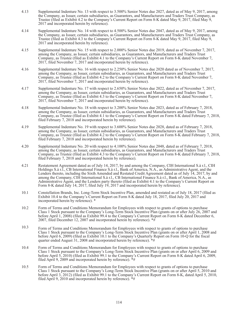- 4.13 Supplemental Indenture No. 13 with respect to 3.500% Senior Notes due 2027, dated as of May 9, 2017, among the Company, as Issuer, certain subsidiaries, as Guarantors, and Manufacturers and Traders Trust Company, as Trustee (filed as Exhibit 4.2 to the Company's Current Report on Form 8-K dated May 9, 2017, filed May 9, 2017 and incorporated herein by reference).
- 4.14 Supplemental Indenture No. 14 with respect to 4.500% Senior Notes due 2047, dated as of May 9, 2017, among the Company, as Issuer, certain subsidiaries, as Guarantors, and Manufacturers and Traders Trust Company, as Trustee (filed as Exhibit 4.3 to the Company's Current Report on Form 8-K dated May 9, 2017, filed May 9, 2017 and incorporated herein by reference).
- 4.15 Supplemental Indenture No. 15 with respect to 2.000% Senior Notes due 2019, dated as of November 7, 2017, among the Company, as Issuer, certain subsidiaries, as Guarantors, and Manufacturers and Traders Trust Company, as Trustee (filed as Exhibit 4.1 to the Company's Current Report on Form 8-K dated November 7, 2017, filed November 7, 2017 and incorporated herein by reference).
- 4.16 Supplemental Indenture No. 16 with respect to 2.250% Senior Notes due 2020 dated as of November 7, 2017, among the Company, as Issuer, certain subsidiaries, as Guarantors, and Manufacturers and Traders Trust Company, as Trustee (filed as Exhibit 4.2 to the Company's Current Report on Form 8-K dated November 7, 2017, filed November 7, 2017 and incorporated herein by reference).
- 4.17 Supplemental Indenture No. 17 with respect to 2.650% Senior Notes due 2022, dated as of November 7, 2017, among the Company, as Issuer, certain subsidiaries, as Guarantors, and Manufacturers and Traders Trust Company, as Trustee (filed as Exhibit 4.3 to the Company's Current Report on Form 8-K dated November 7, 2017, filed November 7, 2017 and incorporated herein by reference).
- 4.18 Supplemental Indenture No. 18 with respect to 3.200% Senior Notes due 2023, dated as of February 7, 2018, among the Company, as Issuer, certain subsidiaries, as Guarantors, and Manufacturers and Traders Trust Company, as Trustee (filed as Exhibit 4.1 to the Company's Current Report on Form 8-K dated February 7, 2018, filed February 7, 2018 and incorporated herein by reference).
- 4.19 Supplemental Indenture No. 19 with respect to 3.600% Senior Notes due 2028, dated as of February 7, 2018, among the Company, as Issuer, certain subsidiaries, as Guarantors, and Manufacturers and Traders Trust Company, as Trustee (filed as Exhibit 4.2 to the Company's Current Report on Form 8-K dated February 7, 2018, filed February 7, 2018 and incorporated herein by reference).
- 4.20 Supplemental Indenture No. 20 with respect to 4.100% Senior Notes due 2048, dated as of February 7, 2018, among the Company, as Issuer, certain subsidiaries, as Guarantors, and Manufacturers and Traders Trust Company, as Trustee (filed as Exhibit 4.3 to the Company's Current Report on Form 8-K dated February 7, 2018, filed February 7, 2018 and incorporated herein by reference).
- 4.21 Restatement Agreement dated as of July 14, 2017, by and among the Company, CIH International S.à r.l., CIH Holdings S.à r.l., CB International Finance S.à r.l., Bank of America, N.A., as Administrative Agent, and the Lenders thereto, including the Sixth Amended and Restated Credit Agreement dated as of July 14, 2017, by and among the Company, CIH International S.à r.l., CB International Finance S.à r.l., Bank of America, N.A., as Administrative Agent, and the Lenders party thereto (filed as Exhibit 4.1 to the Company's Current Report on Form 8-K dated July 14, 2017, filed July 19, 2017 and incorporated herein by reference).
- 10.1 Constellation Brands, Inc. Long-Term Stock Incentive Plan, amended and restated as of July 18, 2017 (filed as Exhibit 10.4 to the Company's Current Report on Form 8-K dated July 18, 2017, filed July 20, 2017 and incorporated herein by reference). \*
- 10.2 Form of Terms and Conditions Memorandum for Employees with respect to grants of options to purchase Class 1 Stock pursuant to the Company's Long-Term Stock Incentive Plan (grants on or after July 26, 2007 and before April 1, 2008) (filed as Exhibit 99.4 to the Company's Current Report on Form 8-K dated December 6, 2007, filed December 12, 2007 and incorporated herein by reference). \*#
- 10.3 Form of Terms and Conditions Memorandum for Employees with respect to grants of options to purchase Class 1 Stock pursuant to the Company's Long-Term Stock Incentive Plan (grants on or after April 1, 2008 and before April 6, 2009) (filed as Exhibit 10.1 to the Company's Quarterly Report on Form 10-Q for the fiscal quarter ended August 31, 2008 and incorporated herein by reference). \*#
- 10.4 Form of Terms and Conditions Memorandum for Employees with respect to grants of options to purchase Class 1 Stock pursuant to the Company's Long-Term Stock Incentive Plan (grants on or after April 6, 2009 and before April 5, 2010) (filed as Exhibit 99.1 to the Company's Current Report on Form 8-K dated April 6, 2009, filed April 9, 2009 and incorporated herein by reference). \*#
- 10.5 Form of Terms and Conditions Memorandum for Employees with respect to grants of options to purchase Class 1 Stock pursuant to the Company's Long-Term Stock Incentive Plan (grants on or after April 5, 2010 and before April 3, 2012) (filed as Exhibit 99.1 to the Company's Current Report on Form 8-K, dated April 5, 2010, filed April 9, 2010 and incorporated herein by reference). \*#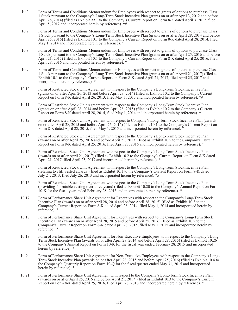- 10.6 Form of Terms and Conditions Memorandum for Employees with respect to grants of options to purchase Class 1 Stock pursuant to the Company's Long-Term Stock Incentive Plan (grants on or after April 3, 2012 and before April 28, 2014) (filed as Exhibit 99.1 to the Company's Current Report on Form 8-K dated April 3, 2012, filed April 5, 2012 and incorporated herein by reference).  $*$ #
- 10.7 Form of Terms and Conditions Memorandum for Employees with respect to grants of options to purchase Class 1 Stock pursuant to the Company's Long-Term Stock Incentive Plan (grants on or after April 28, 2014 and before April 25, 2016) (filed as Exhibit 10.1 to the Company's Current Report on Form 8-K dated April 28, 2014, filed May 1, 2014 and incorporated herein by reference).
- 10.8 Form of Terms and Conditions Memorandum for Employees with respect to grants of options to purchase Class 1 Stock pursuant to the Company's Long-Term Stock Incentive Plan (grants on or after April 25, 2016 and before April 21, 2017) (filed as Exhibit 10.1 to the Company's Current Report on Form 8-K dated April 25, 2016, filed April 28, 2016 and incorporated herein by reference). \*
- 10.9 Form of Terms and Conditions Memorandum for Employees with respect to grants of options to purchase Class 1 Stock pursuant to the Company's Long-Term Stock Incentive Plan (grants on or after April 21, 2017) (filed as Exhibit 10.1 to the Company's Current Report on Form 8-K dated April 21, 2017, filed April 25, 2017 and incorporated herein by reference). \*
- 10.10 Form of Restricted Stock Unit Agreement with respect to the Company's Long-Term Stock Incentive Plan (grants on or after April 26, 2013 and before April 28, 2014) (filed as Exhibit 10.2 to the Company's Current Report on Form 8-K dated April 26, 2013, filed May 1, 2013 and incorporated herein by reference). \*#
- 10.11 Form of Restricted Stock Unit Agreement with respect to the Company's Long-Term Stock Incentive Plan (grants on or after April 28, 2014 and before April 28, 2015) (filed as Exhibit 10.2 to the Company's Current Report on Form 8-K dated April 28, 2014, filed May 1, 2014 and incorporated herein by reference). \*
- 10.12 Form of Restricted Stock Unit Agreement with respect to Company's Long-Term Stock Incentive Plan (awards on or after April 28, 2015 and before April 25, 2016) (filed as Exhibit 10.1 to the Company's Current Report on Form 8-K dated April 28, 2015, filed May 1, 2015 and incorporated herein by reference).  $*$
- 10.13 Form of Restricted Stock Unit Agreement with respect to the Company's Long-Term Stock Incentive Plan (awards on or after April 25, 2016 and before April 21, 2017) (filed as Exhibit 10.2 to the Company's Current Report on Form 8-K dated April 25, 2016, filed April 28, 2016 and incorporated herein by reference). \*
- 10.14 Form of Restricted Stock Unit Agreement with respect to the Company's Long-Term Stock Incentive Plan (awards on or after April 21, 2017) (filed as Exhibit 10.2 to the Company's Current Report on Form 8-K dated April 21, 2017, filed April 25, 2017 and incorporated herein by reference). \*
- 10.15 Form of Restricted Stock Unit Agreement with respect to the Company's Long-Term Stock Incentive Plan (relating to cliff vested awards) (filed as Exhibit 10.1 to the Company's Current Report on Form 8-K dated July 24, 2013, filed July 26, 2013 and incorporated herein by reference).  $*$ #
- 10.16 Form of Restricted Stock Unit Agreement with respect to the Company's Long-Term Stock Incentive Plan (providing for ratable vesting over three years) (filed as Exhibit 10.20 to the Company's Annual Report on Form 10-K for the fiscal year ended February 28, 2015 and incorporated herein by reference). \*
- 10.17 Form of Performance Share Unit Agreement for Executives with respect to the Company's Long-Term Stock Incentive Plan (awards on or after April 28, 2014 and before April 28, 2015) (filed as Exhibit 10.3 to the Company's Current Report on Form 8-K dated April 28, 2014, filed May 1, 2014 and incorporated herein by reference). \*
- 10.18 Form of Performance Share Unit Agreement for Executives with respect to the Company's Long-Term Stock Incentive Plan (awards on or after April 28, 2015 and before April 25, 2016) (filed as Exhibit 10.2 to the Company's Current Report on Form 8-K dated April 28, 2015, filed May 1, 2015 and incorporated herein by reference). \*
- 10.19 Form of Performance Share Unit Agreement for Non-Executive Employees with respect to the Company's Long-Term Stock Incentive Plan (awards on or after April 28, 2014 and before April 28, 2015) (filed as Exhibit 10.26 to the Company's Annual Report on Form 10-K for the fiscal year ended February 28, 2015 and incorporated herein by reference). \*
- 10.20 Form of Performance Share Unit Agreement for Non-Executive Employees with respect to the Company's Long-Term Stock Incentive Plan (awards on or after April 28, 2015 and before April 25, 2016) (filed as Exhibit 10.4 to the Company's Quarterly Report on Form 10-Q for the fiscal quarter ended May 31, 2015 and incorporated herein by reference).  $*$
- 10.21 Form of Performance Share Unit Agreement with respect to the Company's Long-Term Stock Incentive Plan (awards on or after April 25, 2016 and before April 21, 2017) (filed as Exhibit 10.3 to the Company's Current Report on Form 8-K dated April 25, 2016, filed April 28, 2016 and incorporated herein by reference). \*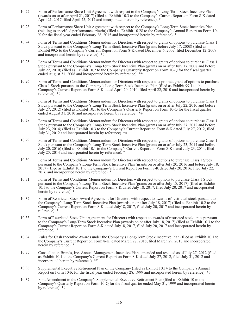- 10.22 Form of Performance Share Unit Agreement with respect to the Company's Long-Term Stock Incentive Plan (awards on or after April 21, 2017) (filed as Exhibit 10.3 to the Company's Current Report on Form 8-K dated April 21, 2017, filed April 25, 2017 and incorporated herein by reference). \*
- 10.23 Form of Performance Share Unit Agreement with respect to the Company's Long-Term Stock Incentive Plan (relating to specified performance criteria) (filed as Exhibit 10.28 to the Company's Annual Report on Form 10- K for the fiscal year ended February 28, 2015 and incorporated herein by reference). \*
- 10.24 Form of Terms and Conditions Memorandum for Directors with respect to grants of options to purchase Class 1 Stock pursuant to the Company's Long-Term Stock Incentive Plan (grants before July 17, 2008) (filed as Exhibit 99.5 to the Company's Current Report on Form 8-K dated December 6, 2007, filed December 12, 2007 and incorporated herein by reference). \*#
- 10.25 Form of Terms and Conditions Memorandum for Directors with respect to grants of options to purchase Class 1 Stock pursuant to the Company's Long-Term Stock Incentive Plan (grants on or after July 17, 2008 and before July 22, 2010) (filed as Exhibit 10.2 to the Company's Quarterly Report on Form 10-Q for the fiscal quarter ended August 31, 2008 and incorporated herein by reference).  $*$ #
- 10.26 Form of Terms and Conditions Memorandum for Directors with respect to a pro rata grant of options to purchase Class 1 Stock pursuant to the Company's Long-Term Stock Incentive Plan (filed as Exhibit 99.1 to the Company's Current Report on Form 8-K dated April 20, 2010, filed April 22, 2010 and incorporated herein by reference). \*#
- 10.27 Form of Terms and Conditions Memorandum for Directors with respect to grants of options to purchase Class 1 Stock pursuant to the Company's Long-Term Stock Incentive Plan (grants on or after July 22, 2010 and before July 27, 2012) (filed as Exhibit 10.1 to the Company's Quarterly Report on Form 10-Q for the fiscal quarter ended August 31, 2010 and incorporated herein by reference).  $*$ #
- 10.28 Form of Terms and Conditions Memorandum for Directors with respect to grants of options to purchase Class 1 Stock pursuant to the Company's Long-Term Stock Incentive Plan (grants on or after July 27, 2012 and before July 23, 2014) (filed as Exhibit 10.3 to the Company's Current Report on Form 8-K dated July 27, 2012, filed July 31, 2012 and incorporated herein by reference). \*#
- 10.29 Form of Terms and Conditions Memorandum for Directors with respect to grants of options to purchase Class 1 Stock pursuant to the Company's Long-Term Stock Incentive Plan (grants on or after July 23, 2014 and before July 20, 2016) (filed as Exhibit 10.1 to the Company's Current Report on Form 8-K dated July 23, 2014, filed July 25, 2014 and incorporated herein by reference). \*
- 10.30 Form of Terms and Conditions Memorandum for Directors with respect to options to purchase Class 1 Stock pursuant to the Company's Long-Term Stock Incentive Plan (grants on or after July 20, 2016 and before July 18, 2017) (filed as Exhibit 10.1 to the Company's Current Report on Form 8-K dated July 20, 2016, filed July 22, 2016 and incorporated herein by reference). \*
- 10.31 Form of Terms and Conditions Memorandum for Directors with respect to options to purchase Class 1 Stock pursuant to the Company's Long-Term Stock Incentive Plan (grants on or after July 18, 2017) (filed as Exhibit 10.1 to the Company's Current Report on Form 8-K dated July 18, 2017, filed July 20, 2017 and incorporated herein by reference).  $*$
- 10.32 Form of Restricted Stock Award Agreement for Directors with respect to awards of restricted stock pursuant to the Company's Long-Term Stock Incentive Plan (awards on or after July 18, 2017) (filed as Exhibit 10.2 to the Company's Current Report on Form 8-K dated July18, 2017, filed July 20, 2017 and incorporated herein by reference). \*
- 10.33 Form of Restricted Stock Unit Agreement for Directors with respect to awards of restricted stock units pursuant to the Company's Long-Term Stock Incentive Plan (awards on or after July 18, 2017) (filed as Exhibit 10.3 to the Company's Current Report on Form 8-K dated July18, 2017, filed July 20, 2017 and incorporated herein by reference). \*
- 10.34 Rules for Cash Incentive Awards under the Company's Long-Term Stock Incentive Plan (filed as Exhibit 10.1 to the Company's Current Report on Form 8-K dated March 27, 2018, filed March 29, 2018 and incorporated herein by reference). \*
- 10.35 Constellation Brands, Inc. Annual Management Incentive Plan, amended and restated as of July 27, 2012 (filed as Exhibit 10.1 to the Company's Current Report on Form 8-K dated July 27, 2012, filed July 31, 2012 and incorporated herein by reference). \*#
- 10.36 Supplemental Executive Retirement Plan of the Company (filed as Exhibit 10.14 to the Company's Annual Report on Form 10-K for the fiscal year ended February 28, 1999 and incorporated herein by reference). \*#
- 10.37 First Amendment to the Company's Supplemental Executive Retirement Plan (filed as Exhibit 10 to the Company's Quarterly Report on Form 10-Q for the fiscal quarter ended May 31, 1999 and incorporated herein by reference). \*#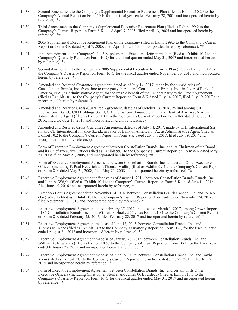- 10.38 Second Amendment to the Company's Supplemental Executive Retirement Plan (filed as Exhibit 10.20 to the Company's Annual Report on Form 10-K for the fiscal year ended February 28, 2001 and incorporated herein by reference). \*#
- 10.39 Third Amendment to the Company's Supplemental Executive Retirement Plan (filed as Exhibit 99.2 to the Company's Current Report on Form 8-K dated April 7, 2005, filed April 13, 2005 and incorporated herein by reference). \*#
- 10.40 2005 Supplemental Executive Retirement Plan of the Company (filed as Exhibit 99.3 to the Company's Current Report on Form 8-K dated April 7, 2005, filed April 13, 2005 and incorporated herein by reference). \*#
- 10.41 First Amendment to the Company's 2005 Supplemental Executive Retirement Plan (filed as Exhibit 10.7 to the Company's Quarterly Report on Form 10-Q for the fiscal quarter ended May 31, 2007 and incorporated herein by reference). \*#
- 10.42 Second Amendment to the Company's 2005 Supplemental Executive Retirement Plan (filed as Exhibit 10.2 to the Company's Quarterly Report on Form 10-Q for the fiscal quarter ended November 30, 2013 and incorporated herein by reference).  $*$ #
- 10.43 Amended and Restated Guarantee Agreement, dated as of July 14, 2017, made by the subsidiaries of Constellation Brands, Inc. from time to time party thereto and Constellation Brands, Inc., in favor of Bank of America, N.A., as Administrative Agent, for the ratable benefit of the Lenders party to the Credit Agreement (filed as Exhibit 10.1 to the Company's Current Report on Form 8-K dated July 14, 2017, filed July 19, 2017 and incorporated herein by reference).
- 10.44 Amended and Restated Cross-Guarantee Agreement, dated as of October 13, 2016, by and among CIH International S.à r.l., CIH Holdings S.à r.l, CB International Finance S.à r.l., and Bank of America, N.A., as Administrative Agent (filed as Exhibit 10.1 to the Company's Current Report on Form 8-K dated October 13, 2016, filed October 18, 2016 and incorporated herein by reference).
- 10.45 Amended and Restated Cross-Guarantee Agreement, dated as of July 14, 2017, made by CIH International S.à r.l. and CB International Finance S.à r.l., in favor of Bank of America, N.A., as Administrative Agent (filed as Exhibit 10.2 to the Company's Current Report on Form 8-K dated July 14, 2017, filed July 19, 2017 and incorporated herein by reference).
- 10.46 Form of Executive Employment Agreement between Constellation Brands, Inc. and its Chairman of the Board and its Chief Executive Officer (filed as Exhibit 99.1 to the Company's Current Report on Form 8-K dated May 21, 2008, filed May 21, 2008, and incorporated herein by reference). \*#
- 10.47 Form of Executive Employment Agreement between Constellation Brands, Inc. and certain Other Executive Officers (including F. Paul Hetterich and Thomas Mullin) (filed as Exhibit 99.2 to the Company's Current Report on Form 8-K dated May 21, 2008, filed May 21, 2008 and incorporated herein by reference).  $*$ #
- 10.48 Executive Employment Agreement effective as of August 1, 2016, between Constellation Brands Canada, Inc. and John A. Wright (filed as Exhibit 10.1 to the Company's Current Report on Form 8-K dated June 14, 2016, filed June 15, 2016 and incorporated herein by reference). \*
- 10.49 Retention Bonus Agreement dated November 24, 2016 between Constellation Brands Canada, Inc. and John A. (Jay) Wright (filed as Exhibit 10.1 to the Company's Current Report on Form 8-K dated November 24, 2016, filed November 28, 2016 and incorporated herein by reference).
- 10.50 Executive Employment Agreement dated February 27, 2017 and effective March 1, 2017, among Crown Imports LLC, Constellation Brands, Inc., and William F. Hackett (filed as Exhibit 10.1 to the Company's Current Report on Form 8-K dated February 25, 2017, filed February 28, 2017 and incorporated herein by reference). \*
- 10.51 Executive Employment Agreement made as of June 17, 2013, between Constellation Brands, Inc. and Thomas M. Kane (filed as Exhibit 10.9 to the Company's Quarterly Report on Form 10-Q for the fiscal quarter ended August 31, 2013 and incorporated herein by reference).  $*$ #
- 10.52 Executive Employment Agreement made as of January 26, 2015, between Constellation Brands, Inc. and William A. Newlands (filed as Exhibit 10.57 to the Company's Annual Report on Form 10-K for the fiscal year ended February 28, 2015 and incorporated herein by reference). \*
- 10.53 Executive Employment Agreement made as of June 29, 2015, between Constellation Brands, Inc. and David Klein (filed as Exhibit 10.1 to the Company's Current Report on Form 8-K dated June 29, 2015, filed July 2, 2015 and incorporated herein by reference). \*
- 10.54 Form of Executive Employment Agreement between Constellation Brands, Inc. and certain of its Other Executive Officers (including Christopher Stenzel and James O. Bourdeau) (filed as Exhibit 10.3 to the Company's Quarterly Report on Form 10-Q for the fiscal quarter ended May 31, 2017 and incorporated herein by reference). \*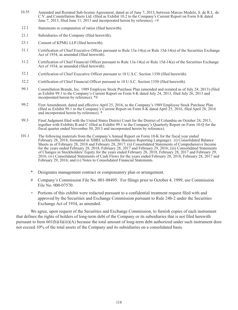- 10.55 Amended and Restated Sub-license Agreement, dated as of June 7, 2013, between Marcas Modelo, S. de R.L. de C.V. and Constellation Beers Ltd. (filed as Exhibit 10.2 to the Company's Current Report on Form 8-K dated June 7, 2013, filed June 11, 2013 and incorporated herein by reference).  $+#$
- 12.1 Statements re computation of ratios (filed herewith).
- 21.1 Subsidiaries of the Company (filed herewith).
- 23.1 Consent of KPMG LLP (filed herewith).
- 31.1 Certification of Chief Executive Officer pursuant to Rule 13a-14(a) or Rule 15d-14(a) of the Securities Exchange Act of 1934, as amended (filed herewith).
- 31.2 Certification of Chief Financial Officer pursuant to Rule 13a-14(a) or Rule 15d-14(a) of the Securities Exchange Act of 1934, as amended (filed herewith).
- 32.1 Certification of Chief Executive Officer pursuant to 18 U.S.C. Section 1350 (filed herewith).
- 32.2 Certification of Chief Financial Officer pursuant to 18 U.S.C. Section 1350 (filed herewith).
- 99.1 Constellation Brands, Inc. 1989 Employee Stock Purchase Plan (amended and restated as of July 24, 2013) (filed as Exhibit 99.1 to the Company's Current Report on Form 8-K dated July 24, 2013, filed July 26, 2013 and incorporated herein by reference). \*#
- 99.2 First Amendment, dated and effective April 25, 2016, to the Company's 1989 Employee Stock Purchase Plan (filed as Exhibit 99.1 to the Company's Current Report on Form 8-K dated April 25, 2016, filed April 28, 2016 and incorporated herein by reference). \*
- 99.3 Final Judgment filed with the United States District Court for the District of Columbia on October 24, 2013, together with Exhibits B and C (filed as Exhibit 99.1 to the Company's Quarterly Report on Form 10-Q for the fiscal quarter ended November 30, 2013 and incorporated herein by reference).
- 101.1 The following materials from the Company's Annual Report on Form 10-K for the fiscal year ended February 28, 2018, formatted in XBRL (eXtensible Business Reporting Language): (i) Consolidated Balance Sheets as of February 28, 2018 and February 28, 2017; (ii) Consolidated Statements of Comprehensive Income for the years ended February 28, 2018, February 28, 2017 and February 29, 2016; (iii) Consolidated Statements of Changes in Stockholders' Equity for the years ended February 28, 2018, February 28, 2017 and February 29, 2016; (iv) Consolidated Statements of Cash Flows for the years ended February 28, 2018, February 28, 2017 and February 29, 2016; and (v) Notes to Consolidated Financial Statements.
	- \* Designates management contract or compensatory plan or arrangement.
	- # Company's Commission File No. 001-08495. For filings prior to October 4, 1999, use Commission File No. 000-07570.
	- + Portions of this exhibit were redacted pursuant to a confidential treatment request filed with and approved by the Securities and Exchange Commission pursuant to Rule 24b-2 under the Securities Exchange Act of 1934, as amended.

We agree, upon request of the Securities and Exchange Commission, to furnish copies of each instrument that defines the rights of holders of long-term debt of the Company or its subsidiaries that is not filed herewith pursuant to Item 601(b)(4)(iii)(A) because the total amount of long-term debt authorized under such instrument does not exceed 10% of the total assets of the Company and its subsidiaries on a consolidated basis.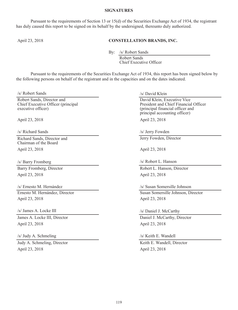### **SIGNATURES**

Pursuant to the requirements of Section 13 or 15(d) of the Securities Exchange Act of 1934, the registrant has duly caused this report to be signed on its behalf by the undersigned, thereunto duly authorized.

## April 23, 2018 **CONSTELLATION BRANDS, INC.**

By: /s/ Robert Sands

Robert Sands Chief Executive Officer

Pursuant to the requirements of the Securities Exchange Act of 1934, this report has been signed below by the following persons on behalf of the registrant and in the capacities and on the dates indicated.

/s/ Robert Sands /s/ David Klein

Robert Sands, Director and Chief Executive Officer (principal executive officer)

April 23, 2018 April 23, 2018

/s/ Richard Sands /s/ Jerry Fowden

Richard Sands, Director and Chairman of the Board April 23, 2018 April 23, 2018

April 23, 2018 April 23, 2018

April 23, 2018 April 23, 2018

/s/ James A. Locke III /s/ Daniel J. McCarthy

April 23, 2018 April 23, 2018

/s/ Judy A. Schmeling /s/ Keith E. Wandell

April 23, 2018 April 23, 2018

David Klein, Executive Vice President and Chief Financial Officer (principal financial officer and principal accounting officer)

Jerry Fowden, Director

/s/ Barry Fromberg /s/ Robert L. Hanson

Barry Fromberg, Director Robert L. Hanson, Director

/s/ Ernesto M. Hernández /s/ Susan Somersille Johnson Ernesto M. Hernández, Director Susan Somersille Johnson, Director

James A. Locke III, Director Daniel J. McCarthy, Director

Judy A. Schmeling, Director Keith E. Wandell, Director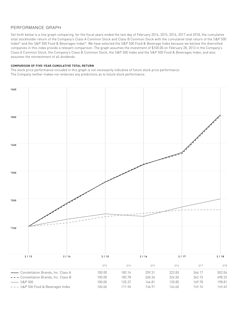## PERFORMANCE GRAPH

Set forth below is a line graph comparing, for the fiscal years ended the last day of February 2014, 2015, 2016, 2017 and 2018, the cumulative total stockholder return of the Company's Class A Common Stock and Class B Common Stock with the cumulative total return of the S&P 500 Index® and the S&P 500 Food & Beverages Index®. We have selected the S&P 500 Food & Beverage Index because we believe the diversified companies in this index provide a relevant comparison. The graph assumes the investment of \$100.00 on February 28, 2013 in the Company's Class A Common Stock, the Company's Class B Common Stock, the S&P 500 Index and the S&P 500 Food & Beverages Index, and also assumes the reinvestment of all dividends.

#### **COMPARISON OF FIVE-YEAR CUMULATIVE TOTAL RETURN**

The stock price performance included in this graph is not necessarily indicative of future stock price performance. The Company neither makes nor endorses any predictions as to future stock performance.

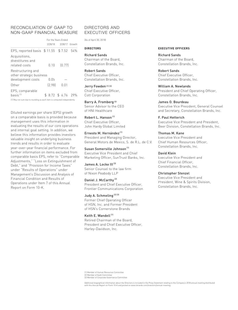### RECONCILIATION OF GAAP TO NON-GAAP FINANCIAL MEASURE

|                                                                        | For the Years Ended |                        |  |
|------------------------------------------------------------------------|---------------------|------------------------|--|
|                                                                        |                     | 2/28/18 2/28/17 Growth |  |
| EPS, reported basis \$11.55 \$7.52 54%                                 |                     |                        |  |
| Acquisitions,<br>divestitures and<br>related costs                     |                     | $0.10$ $[0.77]$        |  |
| Restructuring and<br>other strategic business                          |                     |                        |  |
| development costs                                                      | 0.05                |                        |  |
| Other                                                                  | 12.981              | 0.01                   |  |
| EPS, comparable<br>$hasis$ <sup>[1]</sup>                              |                     | \$8.72 \$6.76 29%      |  |
| (1) May not sum due to rounding as each item is computed independently |                     |                        |  |

Diluted earnings per share (EPS) growth on a comparable basis is provided because management uses this information in evaluating the results of our core operations and internal goal setting. In addition, we believe this information provides investors valuable insight on underlying business trends and results in order to evaluate year-over-year financial performance. For further information on items excluded from comparable basis EPS, refer to "Comparable Adjustments," "Loss on Extinguishment of Debt," and "Provision for Income Taxes" under "Results of Operations" under Management's Discussion and Analysis of Financial Condition and Results of Operations under Item 7 of this Annual Report on Form 10-K.

## DIRECTORS AND EXECUTIVE OFFICERS

(As of April 30, 2018)

#### **DIRECTORS**

Richard Sands Chairman of the Board, Constellation Brands, Inc.

Robert Sands Chief Executive Officer, Constellation Brands, Inc.

Jerry Fowden (1) (3) Chief Executive Officer, Cott Corporation

Barry A. Fromberg (2) Senior Advisor to the CEO of HNI Healthcare

Robert L. Hanson<sup>(1)</sup> Chief Executive Officer, John Hardy Global Limited

Ernesto M. Hernández<sup>(1)</sup> President and Managing Director, General Motors de Mexico, S. de R.L. de C.V.

Susan Somersille Johnson<sup>(1)</sup> Executive Vice President and Chief Marketing Officer, SunTrust Banks, Inc.

James A. Locke III<sup>(3)</sup> Senior Counsel to the law firm of Nixon Peabody LLP

Daniel J. McCarthy<sup>(2)</sup> President and Chief Executive Officer, Frontier Communications Corporation

Judy A. Schmeling<sup>(2)(3)</sup> Former Chief Operating Officer of HSN, Inc. and Former President of HSN's Cornerstone Brands

### Keith E. Wandell<sup>(1)</sup>

Retired Chairman of the Board, President and Chief Executive Officer, Harley-Davidson, Inc.

#### **EXECUTIVE OFFICERS**

Richard Sands Chairman of the Board, Constellation Brands, Inc.

Robert Sands Chief Executive Officer, Constellation Brands, Inc.

William A. Newlands President and Chief Operating Officer, Constellation Brands, Inc.

James O. Bourdeau Executive Vice President, General Counsel and Secretary, Constellation Brands, Inc.

F. Paul Hetterich Executive Vice President and President, Beer Division, Constellation Brands, Inc.

Thomas M. Kane Executive Vice President and Chief Human Resources Officer, Constellation Brands, Inc.

David Klein Executive Vice President and Chief Financial Officer, Constellation Brands, Inc.

Christopher Stenzel Executive Vice President and President, Wine & Spirits Division, Constellation Brands, Inc.

(1) Member of Human Resources Committee (2) Member of Audit Committee (3) Member of Corporate Governance Committee

Additional biographical information about the Directors is included in the Proxy Statement relating to the Company's 2018 annual meeting distributed with this Annual Report on Form 10-K and posted on www.cbrands.com/investors/annual-meeting.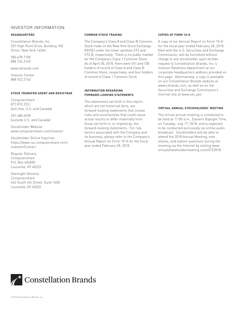## INVESTOR INFORMATION

#### **HEADQUARTERS**

Constellation Brands, Inc. 207 High Point Drive, Building 100 Victor, New York 14564

585.678.7100 888.724.2169

www.cbrands.com

Investor Center 888.922.2150

#### **STOCK TRANSFER AGENT AND REGISTRAR**

Computershare 877.810.2237 (toll free, U.S. and Canada)

201.680.6578 (outside U.S. and Canada)

Stockholder Website www.computershare.com/investor

Stockholder Online Inquiries https://www-us.computershare.com/ investor/Contact

Regular Delivery Computershare P.O. Box 505000 Louisville, KY 40233

Overnight Delivery Computershare 462 South 4th Street, Suite 1600 Louisville, KY 40202

#### **COMMON STOCK TRADING**

The Company's Class A and Class B Common Stock trade on the New York Stock Exchange (NYSE) under the ticker symbols STZ and STZ.B, respectively. There is no public market for the Company's Class 1 Common Stock. As of April 30, 2018, there were 551 and 100 holders of record of Class A and Class B Common Stock, respectively, and four holders of record of Class 1 Common Stock.

#### **INFORMATION REGARDING FORWARD-LOOKING STATEMENTS**

The statements set forth in this report, which are not historical facts, are forward-looking statements that involve risks and uncertainties that could cause actual results to differ materially from those set forth in, or implied by, the forward-looking statements. For risk factors associated with the Company and its business, please refer to the Company's Annual Report on Form 10-K for the fiscal year ended February 28, 2018.

#### **COPIES OF FORM 10-K**

A copy of our Annual Report on Form 10-K for the fiscal year ended February 28, 2018, filed with the U.S. Securities and Exchange Commission, will be furnished without charge to any stockholder upon written request to Constellation Brands, Inc.'s Investor Relations department at our corporate headquarters address provided on this page. Alternatively, a copy is available on our Constellation Brands website at www.cbrands.com, as well as on the Securities and Exchange Commission's Internet site at www.sec.gov.

#### **VIRTUAL ANNUAL STOCKHOLDERS' MEETING**

The virtual annual meeting is scheduled to be held at 11:00 a.m., Eastern Daylight Time, on Tuesday, July 17, 2018, and is expected to be conducted exclusively via online audio broadcast. Stockholders will be able to attend the 2018 Annual Meeting, vote shares, and submit questions during the meeting via the Internet by visiting www. virtualshareholdermeeting.com/STZ2018.